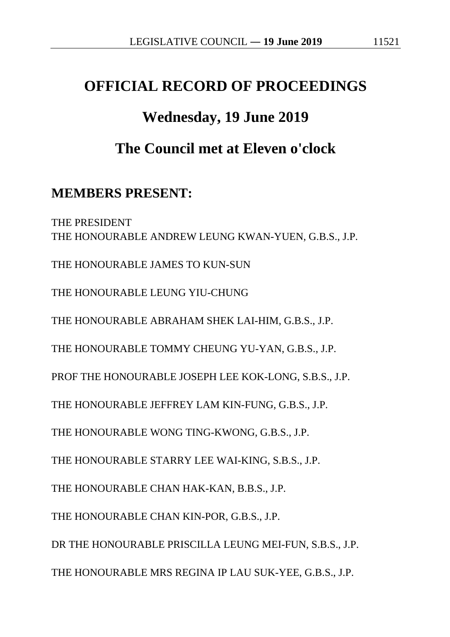# **OFFICIAL RECORD OF PROCEEDINGS**

# **Wednesday, 19 June 2019**

# **The Council met at Eleven o'clock**

### **MEMBERS PRESENT:**

THE PRESIDENT THE HONOURABLE ANDREW LEUNG KWAN-YUEN, G.B.S., J.P. THE HONOURABLE JAMES TO KUN-SUN THE HONOURABLE LEUNG YIU-CHUNG THE HONOURABLE ABRAHAM SHEK LAI-HIM, G.B.S., J.P. THE HONOURABLE TOMMY CHEUNG YU-YAN, G.B.S., J.P. PROF THE HONOURABLE JOSEPH LEE KOK-LONG, S.B.S., J.P. THE HONOURABLE JEFFREY LAM KIN-FUNG, G.B.S., J.P. THE HONOURABLE WONG TING-KWONG, G.B.S., J.P. THE HONOURABLE STARRY LEE WAI-KING, S.B.S., J.P. THE HONOURABLE CHAN HAK-KAN, B.B.S., J.P. THE HONOURABLE CHAN KIN-POR, G.B.S., J.P. DR THE HONOURABLE PRISCILLA LEUNG MEI-FUN, S.B.S., J.P. THE HONOURABLE MRS REGINA IP LAU SUK-YEE, G.B.S., J.P.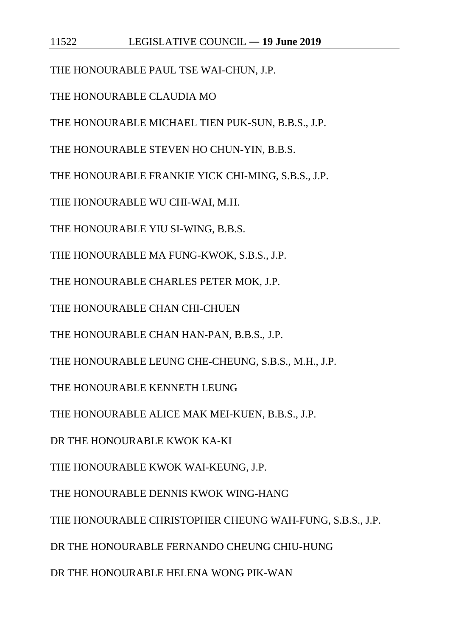THE HONOURABLE PAUL TSE WAI-CHUN, J.P.

THE HONOURABLE CLAUDIA MO

THE HONOURABLE MICHAEL TIEN PUK-SUN, B.B.S., J.P.

THE HONOURABLE STEVEN HO CHUN-YIN, B.B.S.

THE HONOURABLE FRANKIE YICK CHI-MING, S.B.S., J.P.

THE HONOURABLE WU CHI-WAI, M.H.

THE HONOURABLE YIU SI-WING, B.B.S.

THE HONOURABLE MA FUNG-KWOK, S.B.S., J.P.

THE HONOURABLE CHARLES PETER MOK, J.P.

THE HONOURABLE CHAN CHI-CHUEN

THE HONOURABLE CHAN HAN-PAN, B.B.S., J.P.

THE HONOURABLE LEUNG CHE-CHEUNG, S.B.S., M.H., J.P.

THE HONOURABLE KENNETH LEUNG

THE HONOURABLE ALICE MAK MEI-KUEN, B.B.S., J.P.

DR THE HONOURABLE KWOK KA-KI

THE HONOURABLE KWOK WAI-KEUNG, J.P.

THE HONOURABLE DENNIS KWOK WING-HANG

THE HONOURABLE CHRISTOPHER CHEUNG WAH-FUNG, S.B.S., J.P.

DR THE HONOURABLE FERNANDO CHEUNG CHIU-HUNG

DR THE HONOURABLE HELENA WONG PIK-WAN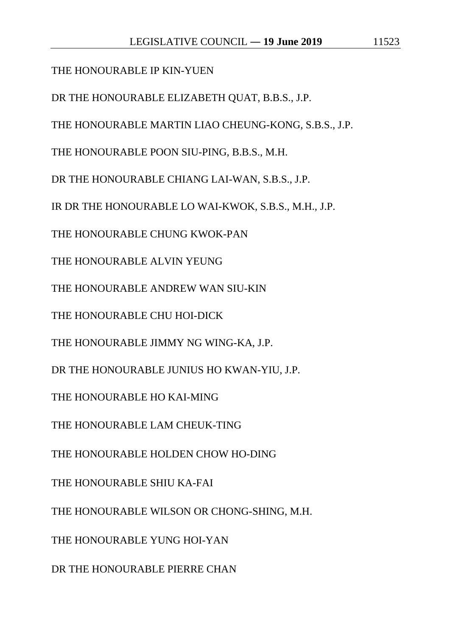### THE HONOURABLE IP KIN-YUEN

DR THE HONOURABLE ELIZABETH QUAT, B.B.S., J.P.

THE HONOURABLE MARTIN LIAO CHEUNG-KONG, S.B.S., J.P.

THE HONOURABLE POON SIU-PING, B.B.S., M.H.

DR THE HONOURABLE CHIANG LAI-WAN, S.B.S., J.P.

IR DR THE HONOURABLE LO WAI-KWOK, S.B.S., M.H., J.P.

THE HONOURABLE CHUNG KWOK-PAN

THE HONOURABLE ALVIN YEUNG

THE HONOURABLE ANDREW WAN SIU-KIN

THE HONOURABLE CHU HOI-DICK

THE HONOURABLE JIMMY NG WING-KA, J.P.

DR THE HONOURABLE JUNIUS HO KWAN-YIU, J.P.

THE HONOURABLE HO KAI-MING

THE HONOURABLE LAM CHEUK-TING

THE HONOURABLE HOLDEN CHOW HO-DING

THE HONOURABLE SHIU KA-FAI

THE HONOURABLE WILSON OR CHONG-SHING, M.H.

THE HONOURABLE YUNG HOI-YAN

DR THE HONOURABLE PIERRE CHAN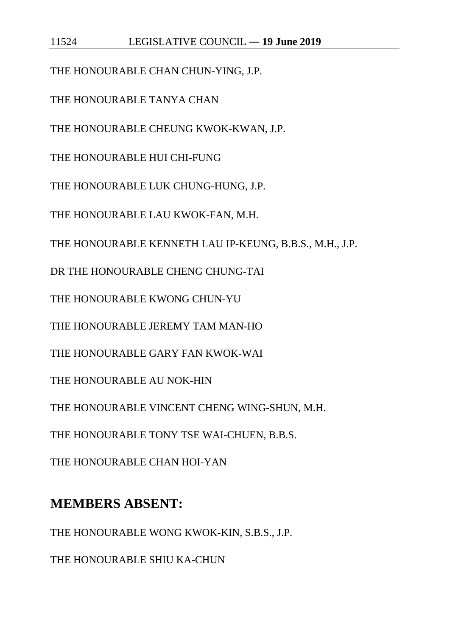THE HONOURABLE CHAN CHUN-YING, J.P.

THE HONOURABLE TANYA CHAN

THE HONOURABLE CHEUNG KWOK-KWAN, J.P.

THE HONOURABLE HUI CHI-FUNG

THE HONOURABLE LUK CHUNG-HUNG, J.P.

THE HONOURABLE LAU KWOK-FAN, M.H.

THE HONOURABLE KENNETH LAU IP-KEUNG, B.B.S., M.H., J.P.

DR THE HONOURABLE CHENG CHUNG-TAI

THE HONOURABLE KWONG CHUN-YU

THE HONOURABLE JEREMY TAM MAN-HO

THE HONOURABLE GARY FAN KWOK-WAI

THE HONOURABLE AU NOK-HIN

THE HONOURABLE VINCENT CHENG WING-SHUN, M.H.

THE HONOURABLE TONY TSE WAI-CHUEN, B.B.S.

THE HONOURABLE CHAN HOI-YAN

# **MEMBERS ABSENT:**

THE HONOURABLE WONG KWOK-KIN, S.B.S., J.P.

THE HONOURABLE SHIU KA-CHUN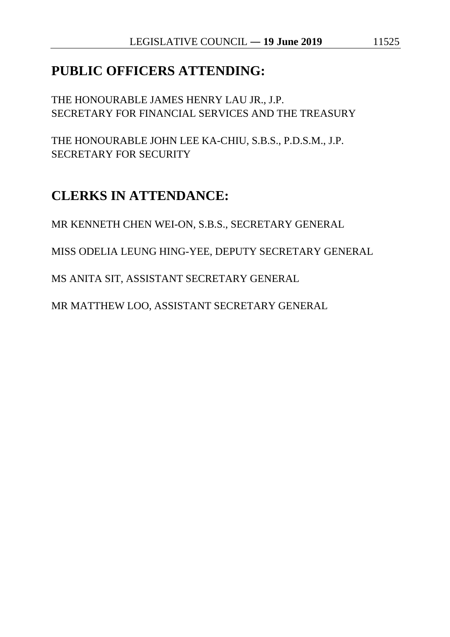### **PUBLIC OFFICERS ATTENDING:**

THE HONOURABLE JAMES HENRY LAU JR., J.P. SECRETARY FOR FINANCIAL SERVICES AND THE TREASURY

THE HONOURABLE JOHN LEE KA-CHIU, S.B.S., P.D.S.M., J.P. SECRETARY FOR SECURITY

# **CLERKS IN ATTENDANCE:**

MR KENNETH CHEN WEI-ON, S.B.S., SECRETARY GENERAL

MISS ODELIA LEUNG HING-YEE, DEPUTY SECRETARY GENERAL

MS ANITA SIT, ASSISTANT SECRETARY GENERAL

MR MATTHEW LOO, ASSISTANT SECRETARY GENERAL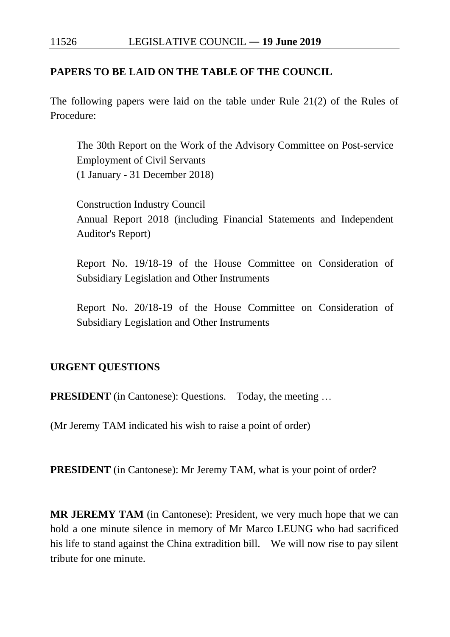### **PAPERS TO BE LAID ON THE TABLE OF THE COUNCIL**

The following papers were laid on the table under Rule 21(2) of the Rules of Procedure:

The 30th Report on the Work of the Advisory Committee on Post-service Employment of Civil Servants (1 January - 31 December 2018)

Construction Industry Council Annual Report 2018 (including Financial Statements and Independent Auditor's Report)

Report No. 19/18-19 of the House Committee on Consideration of Subsidiary Legislation and Other Instruments

Report No. 20/18-19 of the House Committee on Consideration of Subsidiary Legislation and Other Instruments

#### **URGENT QUESTIONS**

**PRESIDENT** (in Cantonese): Questions. Today, the meeting ...

(Mr Jeremy TAM indicated his wish to raise a point of order)

**PRESIDENT** (in Cantonese): Mr Jeremy TAM, what is your point of order?

**MR JEREMY TAM** (in Cantonese): President, we very much hope that we can hold a one minute silence in memory of Mr Marco LEUNG who had sacrificed his life to stand against the China extradition bill. We will now rise to pay silent tribute for one minute.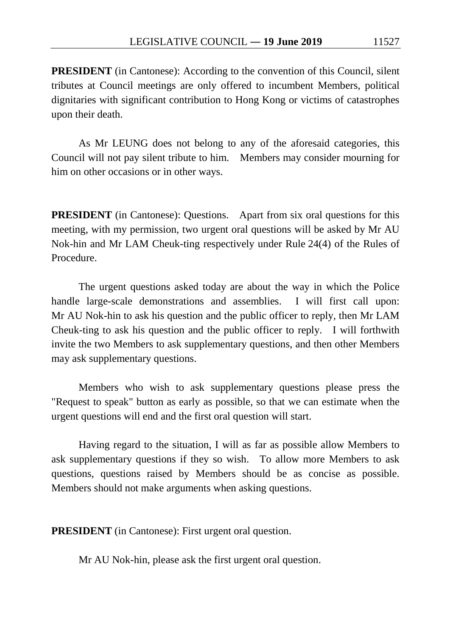**PRESIDENT** (in Cantonese): According to the convention of this Council, silent tributes at Council meetings are only offered to incumbent Members, political dignitaries with significant contribution to Hong Kong or victims of catastrophes upon their death.

As Mr LEUNG does not belong to any of the aforesaid categories, this Council will not pay silent tribute to him. Members may consider mourning for him on other occasions or in other ways.

**PRESIDENT** (in Cantonese): Questions. Apart from six oral questions for this meeting, with my permission, two urgent oral questions will be asked by Mr AU Nok-hin and Mr LAM Cheuk-ting respectively under Rule 24(4) of the Rules of Procedure.

The urgent questions asked today are about the way in which the Police handle large-scale demonstrations and assemblies. I will first call upon: Mr AU Nok-hin to ask his question and the public officer to reply, then Mr LAM Cheuk-ting to ask his question and the public officer to reply. I will forthwith invite the two Members to ask supplementary questions, and then other Members may ask supplementary questions.

Members who wish to ask supplementary questions please press the "Request to speak" button as early as possible, so that we can estimate when the urgent questions will end and the first oral question will start.

Having regard to the situation, I will as far as possible allow Members to ask supplementary questions if they so wish. To allow more Members to ask questions, questions raised by Members should be as concise as possible. Members should not make arguments when asking questions.

**PRESIDENT** (in Cantonese): First urgent oral question.

Mr AU Nok-hin, please ask the first urgent oral question.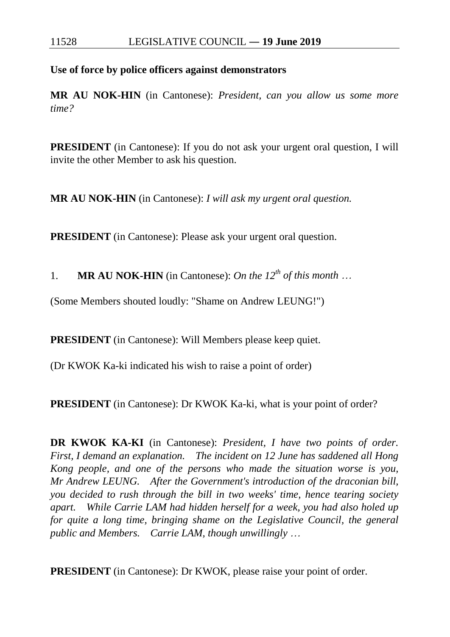**Use of force by police officers against demonstrators**

**MR AU NOK-HIN** (in Cantonese): *President, can you allow us some more time?*

**PRESIDENT** (in Cantonese): If you do not ask your urgent oral question, I will invite the other Member to ask his question.

**MR AU NOK-HIN** (in Cantonese): *I will ask my urgent oral question.*

**PRESIDENT** (in Cantonese): Please ask your urgent oral question.

1. **MR AU NOK-HIN** (in Cantonese): *On the 12th of this month* …

(Some Members shouted loudly: "Shame on Andrew LEUNG!")

**PRESIDENT** (in Cantonese): Will Members please keep quiet.

(Dr KWOK Ka-ki indicated his wish to raise a point of order)

**PRESIDENT** (in Cantonese): Dr KWOK Ka-ki, what is your point of order?

**DR KWOK KA-KI** (in Cantonese): *President, I have two points of order. First, I demand an explanation. The incident on 12 June has saddened all Hong Kong people, and one of the persons who made the situation worse is you, Mr Andrew LEUNG. After the Government's introduction of the draconian bill, you decided to rush through the bill in two weeks' time, hence tearing society apart. While Carrie LAM had hidden herself for a week, you had also holed up for quite a long time, bringing shame on the Legislative Council, the general public and Members. Carrie LAM, though unwillingly* …

**PRESIDENT** (in Cantonese): Dr KWOK, please raise your point of order.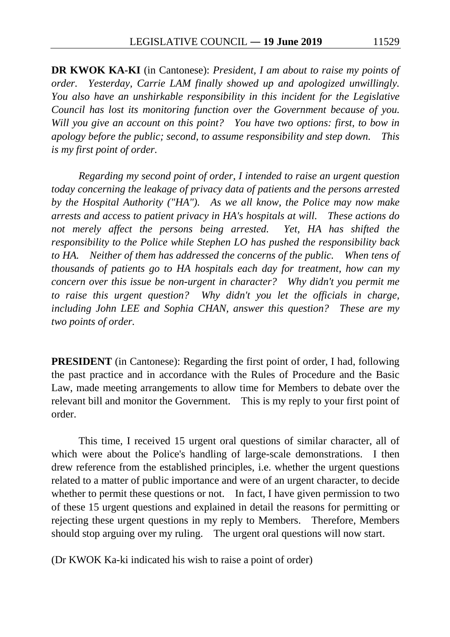**DR KWOK KA-KI** (in Cantonese): *President, I am about to raise my points of order. Yesterday, Carrie LAM finally showed up and apologized unwillingly. You also have an unshirkable responsibility in this incident for the Legislative Council has lost its monitoring function over the Government because of you. Will you give an account on this point? You have two options: first, to bow in apology before the public; second, to assume responsibility and step down. This is my first point of order.*

*Regarding my second point of order, I intended to raise an urgent question today concerning the leakage of privacy data of patients and the persons arrested by the Hospital Authority ("HA"). As we all know, the Police may now make arrests and access to patient privacy in HA's hospitals at will. These actions do*  not merely affect the persons being arrested. Yet, HA has shifted the *responsibility to the Police while Stephen LO has pushed the responsibility back to HA. Neither of them has addressed the concerns of the public. When tens of thousands of patients go to HA hospitals each day for treatment, how can my concern over this issue be non-urgent in character? Why didn't you permit me to raise this urgent question? Why didn't you let the officials in charge, including John LEE and Sophia CHAN, answer this question? These are my two points of order.*

**PRESIDENT** (in Cantonese): Regarding the first point of order, I had, following the past practice and in accordance with the Rules of Procedure and the Basic Law, made meeting arrangements to allow time for Members to debate over the relevant bill and monitor the Government. This is my reply to your first point of order.

This time, I received 15 urgent oral questions of similar character, all of which were about the Police's handling of large-scale demonstrations. I then drew reference from the established principles, i.e. whether the urgent questions related to a matter of public importance and were of an urgent character, to decide whether to permit these questions or not. In fact, I have given permission to two of these 15 urgent questions and explained in detail the reasons for permitting or rejecting these urgent questions in my reply to Members. Therefore, Members should stop arguing over my ruling. The urgent oral questions will now start.

(Dr KWOK Ka-ki indicated his wish to raise a point of order)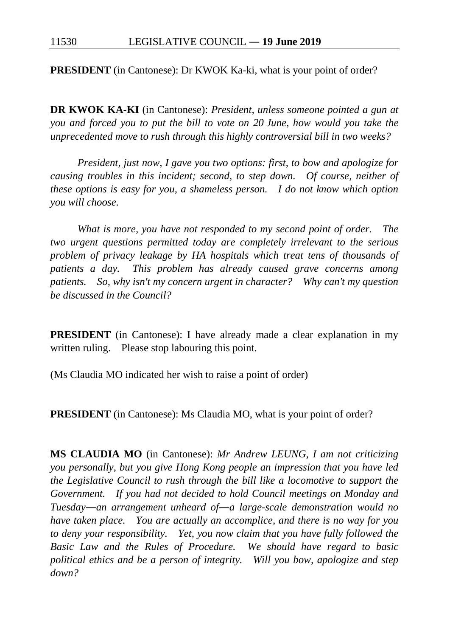**PRESIDENT** (in Cantonese): Dr KWOK Ka-ki, what is your point of order?

**DR KWOK KA-KI** (in Cantonese): *President, unless someone pointed a gun at you and forced you to put the bill to vote on 20 June, how would you take the unprecedented move to rush through this highly controversial bill in two weeks?*

*President, just now, I gave you two options: first, to bow and apologize for causing troubles in this incident; second, to step down. Of course, neither of these options is easy for you, a shameless person. I do not know which option you will choose.*

*What is more, you have not responded to my second point of order. The two urgent questions permitted today are completely irrelevant to the serious problem of privacy leakage by HA hospitals which treat tens of thousands of patients a day. This problem has already caused grave concerns among patients. So, why isn't my concern urgent in character? Why can't my question be discussed in the Council?*

**PRESIDENT** (in Cantonese): I have already made a clear explanation in my written ruling. Please stop labouring this point.

(Ms Claudia MO indicated her wish to raise a point of order)

**PRESIDENT** (in Cantonese): Ms Claudia MO, what is your point of order?

**MS CLAUDIA MO** (in Cantonese): *Mr Andrew LEUNG, I am not criticizing you personally, but you give Hong Kong people an impression that you have led the Legislative Council to rush through the bill like a locomotive to support the Government. If you had not decided to hold Council meetings on Monday and Tuesday―an arrangement unheard of―a large-scale demonstration would no have taken place. You are actually an accomplice, and there is no way for you to deny your responsibility. Yet, you now claim that you have fully followed the Basic Law and the Rules of Procedure. We should have regard to basic political ethics and be a person of integrity. Will you bow, apologize and step down?*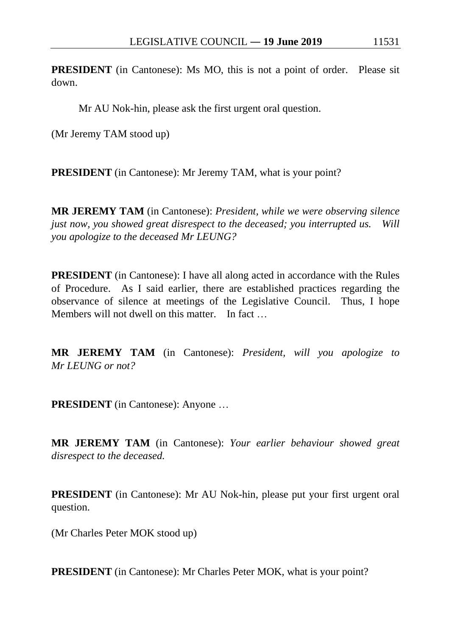**PRESIDENT** (in Cantonese): Ms MO, this is not a point of order. Please sit down.

Mr AU Nok-hin, please ask the first urgent oral question.

(Mr Jeremy TAM stood up)

**PRESIDENT** (in Cantonese): Mr Jeremy TAM, what is your point?

**MR JEREMY TAM** (in Cantonese): *President, while we were observing silence just now, you showed great disrespect to the deceased; you interrupted us. Will you apologize to the deceased Mr LEUNG?*

**PRESIDENT** (in Cantonese): I have all along acted in accordance with the Rules of Procedure. As I said earlier, there are established practices regarding the observance of silence at meetings of the Legislative Council. Thus, I hope Members will not dwell on this matter. In fact

**MR JEREMY TAM** (in Cantonese): *President, will you apologize to Mr LEUNG or not?*

**PRESIDENT** (in Cantonese): Anyone …

**MR JEREMY TAM** (in Cantonese): *Your earlier behaviour showed great disrespect to the deceased.*

**PRESIDENT** (in Cantonese): Mr AU Nok-hin, please put your first urgent oral question.

(Mr Charles Peter MOK stood up)

**PRESIDENT** (in Cantonese): Mr Charles Peter MOK, what is your point?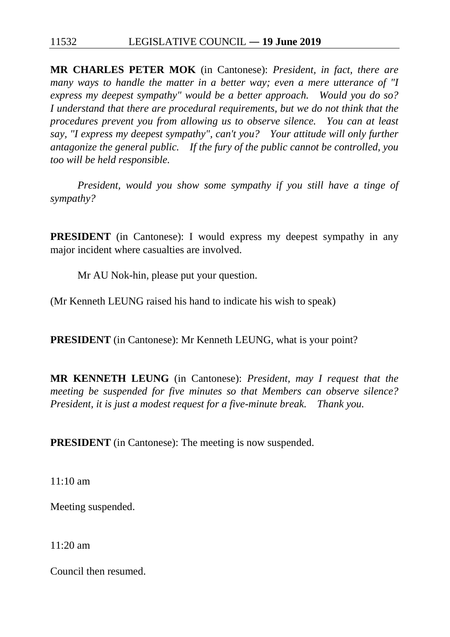**MR CHARLES PETER MOK** (in Cantonese): *President, in fact, there are many ways to handle the matter in a better way; even a mere utterance of "I express my deepest sympathy" would be a better approach. Would you do so? I understand that there are procedural requirements, but we do not think that the procedures prevent you from allowing us to observe silence. You can at least say, "I express my deepest sympathy", can't you? Your attitude will only further antagonize the general public. If the fury of the public cannot be controlled, you too will be held responsible.*

*President, would you show some sympathy if you still have a tinge of sympathy?*

**PRESIDENT** (in Cantonese): I would express my deepest sympathy in any major incident where casualties are involved.

Mr AU Nok-hin, please put your question.

(Mr Kenneth LEUNG raised his hand to indicate his wish to speak)

**PRESIDENT** (in Cantonese): Mr Kenneth LEUNG, what is your point?

**MR KENNETH LEUNG** (in Cantonese): *President, may I request that the meeting be suspended for five minutes so that Members can observe silence? President, it is just a modest request for a five-minute break. Thank you.*

**PRESIDENT** (in Cantonese): The meeting is now suspended.

11:10 am

Meeting suspended.

11:20 am

Council then resumed.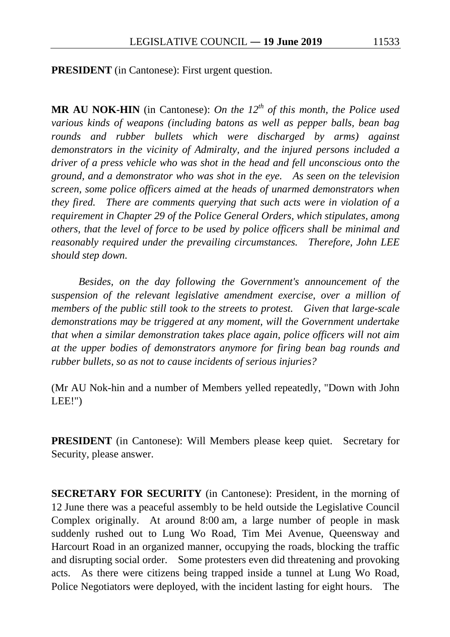**PRESIDENT** (in Cantonese): First urgent question.

**MR AU NOK-HIN** (in Cantonese): *On the*  $12<sup>th</sup>$  *of this month, the Police used various kinds of weapons (including batons as well as pepper balls, bean bag rounds and rubber bullets which were discharged by arms) against demonstrators in the vicinity of Admiralty, and the injured persons included a driver of a press vehicle who was shot in the head and fell unconscious onto the ground, and a demonstrator who was shot in the eye. As seen on the television screen, some police officers aimed at the heads of unarmed demonstrators when they fired. There are comments querying that such acts were in violation of a requirement in Chapter 29 of the Police General Orders, which stipulates, among others, that the level of force to be used by police officers shall be minimal and reasonably required under the prevailing circumstances. Therefore, John LEE should step down.*

*Besides, on the day following the Government's announcement of the suspension of the relevant legislative amendment exercise, over a million of members of the public still took to the streets to protest. Given that large-scale demonstrations may be triggered at any moment, will the Government undertake that when a similar demonstration takes place again, police officers will not aim at the upper bodies of demonstrators anymore for firing bean bag rounds and rubber bullets, so as not to cause incidents of serious injuries?*

(Mr AU Nok-hin and a number of Members yelled repeatedly, "Down with John LEE!")

**PRESIDENT** (in Cantonese): Will Members please keep quiet. Secretary for Security, please answer.

**SECRETARY FOR SECURITY** (in Cantonese): President, in the morning of 12 June there was a peaceful assembly to be held outside the Legislative Council Complex originally. At around 8:00 am, a large number of people in mask suddenly rushed out to Lung Wo Road, Tim Mei Avenue, Queensway and Harcourt Road in an organized manner, occupying the roads, blocking the traffic and disrupting social order. Some protesters even did threatening and provoking acts. As there were citizens being trapped inside a tunnel at Lung Wo Road, Police Negotiators were deployed, with the incident lasting for eight hours. The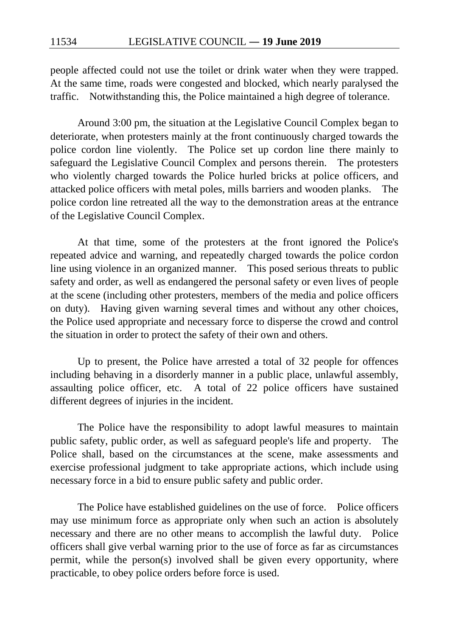people affected could not use the toilet or drink water when they were trapped. At the same time, roads were congested and blocked, which nearly paralysed the traffic. Notwithstanding this, the Police maintained a high degree of tolerance.

Around 3:00 pm, the situation at the Legislative Council Complex began to deteriorate, when protesters mainly at the front continuously charged towards the police cordon line violently. The Police set up cordon line there mainly to safeguard the Legislative Council Complex and persons therein. The protesters who violently charged towards the Police hurled bricks at police officers, and attacked police officers with metal poles, mills barriers and wooden planks. The police cordon line retreated all the way to the demonstration areas at the entrance of the Legislative Council Complex.

At that time, some of the protesters at the front ignored the Police's repeated advice and warning, and repeatedly charged towards the police cordon line using violence in an organized manner. This posed serious threats to public safety and order, as well as endangered the personal safety or even lives of people at the scene (including other protesters, members of the media and police officers on duty). Having given warning several times and without any other choices, the Police used appropriate and necessary force to disperse the crowd and control the situation in order to protect the safety of their own and others.

Up to present, the Police have arrested a total of 32 people for offences including behaving in a disorderly manner in a public place, unlawful assembly, assaulting police officer, etc. A total of 22 police officers have sustained different degrees of injuries in the incident.

The Police have the responsibility to adopt lawful measures to maintain public safety, public order, as well as safeguard people's life and property. The Police shall, based on the circumstances at the scene, make assessments and exercise professional judgment to take appropriate actions, which include using necessary force in a bid to ensure public safety and public order.

The Police have established guidelines on the use of force. Police officers may use minimum force as appropriate only when such an action is absolutely necessary and there are no other means to accomplish the lawful duty. Police officers shall give verbal warning prior to the use of force as far as circumstances permit, while the person(s) involved shall be given every opportunity, where practicable, to obey police orders before force is used.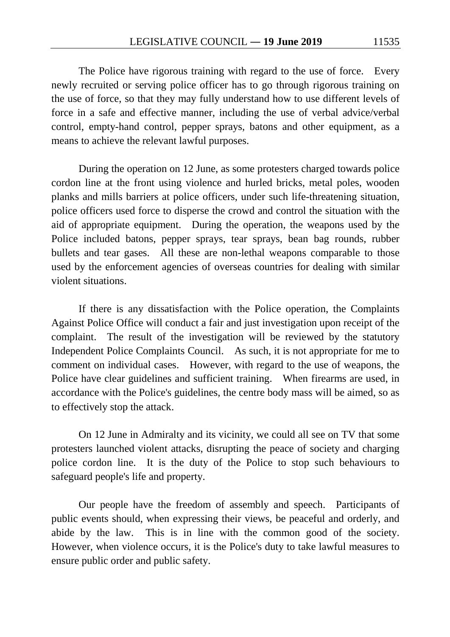The Police have rigorous training with regard to the use of force. Every newly recruited or serving police officer has to go through rigorous training on the use of force, so that they may fully understand how to use different levels of force in a safe and effective manner, including the use of verbal advice/verbal control, empty-hand control, pepper sprays, batons and other equipment, as a means to achieve the relevant lawful purposes.

During the operation on 12 June, as some protesters charged towards police cordon line at the front using violence and hurled bricks, metal poles, wooden planks and mills barriers at police officers, under such life-threatening situation, police officers used force to disperse the crowd and control the situation with the aid of appropriate equipment. During the operation, the weapons used by the Police included batons, pepper sprays, tear sprays, bean bag rounds, rubber bullets and tear gases. All these are non-lethal weapons comparable to those used by the enforcement agencies of overseas countries for dealing with similar violent situations.

If there is any dissatisfaction with the Police operation, the Complaints Against Police Office will conduct a fair and just investigation upon receipt of the complaint. The result of the investigation will be reviewed by the statutory Independent Police Complaints Council. As such, it is not appropriate for me to comment on individual cases. However, with regard to the use of weapons, the Police have clear guidelines and sufficient training. When firearms are used, in accordance with the Police's guidelines, the centre body mass will be aimed, so as to effectively stop the attack.

On 12 June in Admiralty and its vicinity, we could all see on TV that some protesters launched violent attacks, disrupting the peace of society and charging police cordon line. It is the duty of the Police to stop such behaviours to safeguard people's life and property.

Our people have the freedom of assembly and speech. Participants of public events should, when expressing their views, be peaceful and orderly, and abide by the law. This is in line with the common good of the society. However, when violence occurs, it is the Police's duty to take lawful measures to ensure public order and public safety.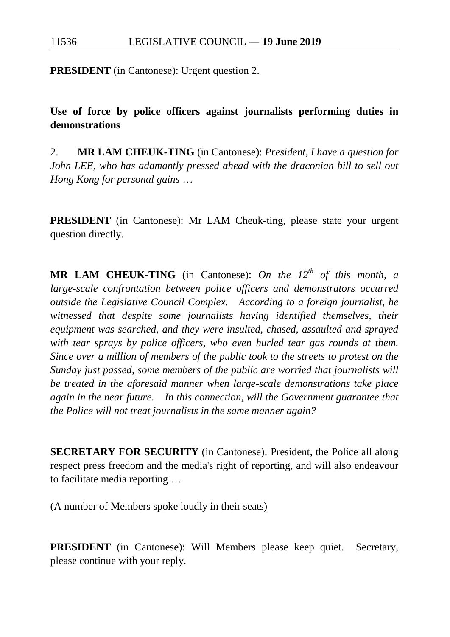**PRESIDENT** (in Cantonese): Urgent question 2.

**Use of force by police officers against journalists performing duties in demonstrations**

2. **MR LAM CHEUK-TING** (in Cantonese): *President, I have a question for John LEE, who has adamantly pressed ahead with the draconian bill to sell out Hong Kong for personal gains* …

**PRESIDENT** (in Cantonese): Mr LAM Cheuk-ting, please state your urgent question directly.

**MR LAM CHEUK-TING** (in Cantonese): *On the 12<sup>th</sup> of this month, a large-scale confrontation between police officers and demonstrators occurred outside the Legislative Council Complex. According to a foreign journalist, he witnessed that despite some journalists having identified themselves, their equipment was searched, and they were insulted, chased, assaulted and sprayed with tear sprays by police officers, who even hurled tear gas rounds at them. Since over a million of members of the public took to the streets to protest on the Sunday just passed, some members of the public are worried that journalists will be treated in the aforesaid manner when large-scale demonstrations take place again in the near future. In this connection, will the Government guarantee that the Police will not treat journalists in the same manner again?*

**SECRETARY FOR SECURITY** (in Cantonese): President, the Police all along respect press freedom and the media's right of reporting, and will also endeavour to facilitate media reporting …

(A number of Members spoke loudly in their seats)

**PRESIDENT** (in Cantonese): Will Members please keep quiet. Secretary, please continue with your reply.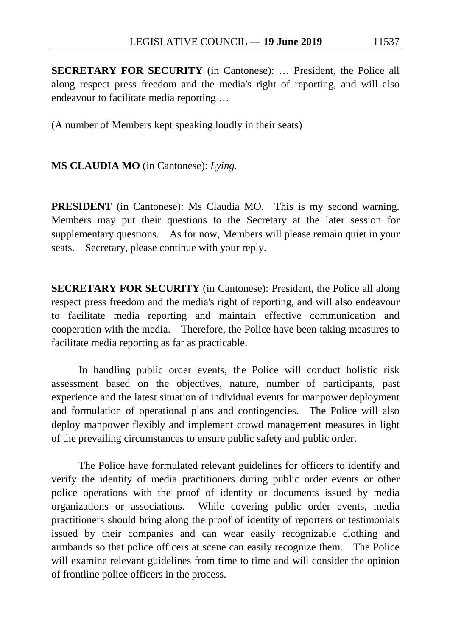**SECRETARY FOR SECURITY** (in Cantonese): … President, the Police all along respect press freedom and the media's right of reporting, and will also endeavour to facilitate media reporting …

(A number of Members kept speaking loudly in their seats)

#### **MS CLAUDIA MO** (in Cantonese): *Lying.*

**PRESIDENT** (in Cantonese): Ms Claudia MO. This is my second warning. Members may put their questions to the Secretary at the later session for supplementary questions. As for now, Members will please remain quiet in your seats. Secretary, please continue with your reply.

**SECRETARY FOR SECURITY** (in Cantonese): President, the Police all along respect press freedom and the media's right of reporting, and will also endeavour to facilitate media reporting and maintain effective communication and cooperation with the media. Therefore, the Police have been taking measures to facilitate media reporting as far as practicable.

In handling public order events, the Police will conduct holistic risk assessment based on the objectives, nature, number of participants, past experience and the latest situation of individual events for manpower deployment and formulation of operational plans and contingencies. The Police will also deploy manpower flexibly and implement crowd management measures in light of the prevailing circumstances to ensure public safety and public order.

The Police have formulated relevant guidelines for officers to identify and verify the identity of media practitioners during public order events or other police operations with the proof of identity or documents issued by media organizations or associations. While covering public order events, media practitioners should bring along the proof of identity of reporters or testimonials issued by their companies and can wear easily recognizable clothing and armbands so that police officers at scene can easily recognize them. The Police will examine relevant guidelines from time to time and will consider the opinion of frontline police officers in the process.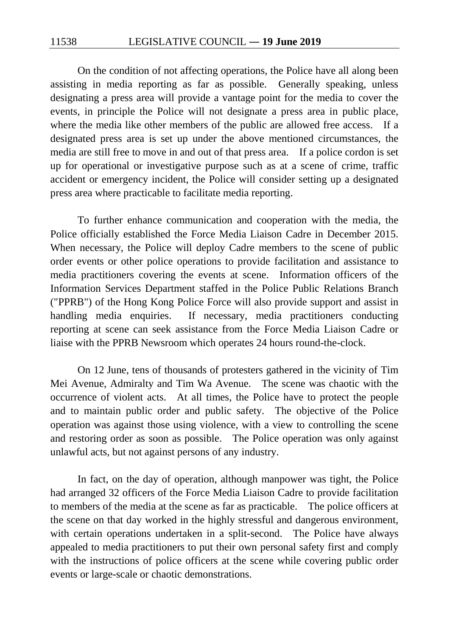On the condition of not affecting operations, the Police have all along been assisting in media reporting as far as possible. Generally speaking, unless designating a press area will provide a vantage point for the media to cover the events, in principle the Police will not designate a press area in public place, where the media like other members of the public are allowed free access. If a designated press area is set up under the above mentioned circumstances, the media are still free to move in and out of that press area. If a police cordon is set up for operational or investigative purpose such as at a scene of crime, traffic accident or emergency incident, the Police will consider setting up a designated press area where practicable to facilitate media reporting.

To further enhance communication and cooperation with the media, the Police officially established the Force Media Liaison Cadre in December 2015. When necessary, the Police will deploy Cadre members to the scene of public order events or other police operations to provide facilitation and assistance to media practitioners covering the events at scene. Information officers of the Information Services Department staffed in the Police Public Relations Branch ("PPRB") of the Hong Kong Police Force will also provide support and assist in handling media enquiries. If necessary, media practitioners conducting reporting at scene can seek assistance from the Force Media Liaison Cadre or liaise with the PPRB Newsroom which operates 24 hours round-the-clock.

On 12 June, tens of thousands of protesters gathered in the vicinity of Tim Mei Avenue, Admiralty and Tim Wa Avenue. The scene was chaotic with the occurrence of violent acts. At all times, the Police have to protect the people and to maintain public order and public safety. The objective of the Police operation was against those using violence, with a view to controlling the scene and restoring order as soon as possible. The Police operation was only against unlawful acts, but not against persons of any industry.

In fact, on the day of operation, although manpower was tight, the Police had arranged 32 officers of the Force Media Liaison Cadre to provide facilitation to members of the media at the scene as far as practicable. The police officers at the scene on that day worked in the highly stressful and dangerous environment, with certain operations undertaken in a split-second. The Police have always appealed to media practitioners to put their own personal safety first and comply with the instructions of police officers at the scene while covering public order events or large-scale or chaotic demonstrations.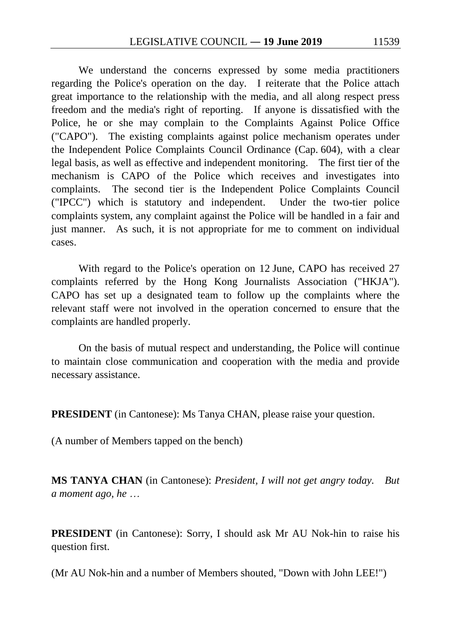We understand the concerns expressed by some media practitioners regarding the Police's operation on the day. I reiterate that the Police attach great importance to the relationship with the media, and all along respect press freedom and the media's right of reporting. If anyone is dissatisfied with the Police, he or she may complain to the Complaints Against Police Office ("CAPO"). The existing complaints against police mechanism operates under the Independent Police Complaints Council Ordinance (Cap. 604), with a clear legal basis, as well as effective and independent monitoring. The first tier of the mechanism is CAPO of the Police which receives and investigates into complaints. The second tier is the Independent Police Complaints Council ("IPCC") which is statutory and independent. Under the two-tier police complaints system, any complaint against the Police will be handled in a fair and just manner. As such, it is not appropriate for me to comment on individual cases.

With regard to the Police's operation on 12 June, CAPO has received 27 complaints referred by the Hong Kong Journalists Association ("HKJA"). CAPO has set up a designated team to follow up the complaints where the relevant staff were not involved in the operation concerned to ensure that the complaints are handled properly.

On the basis of mutual respect and understanding, the Police will continue to maintain close communication and cooperation with the media and provide necessary assistance.

**PRESIDENT** (in Cantonese): Ms Tanya CHAN, please raise your question.

(A number of Members tapped on the bench)

**MS TANYA CHAN** (in Cantonese): *President, I will not get angry today. But a moment ago, he* …

**PRESIDENT** (in Cantonese): Sorry, I should ask Mr AU Nok-hin to raise his question first.

(Mr AU Nok-hin and a number of Members shouted, "Down with John LEE!")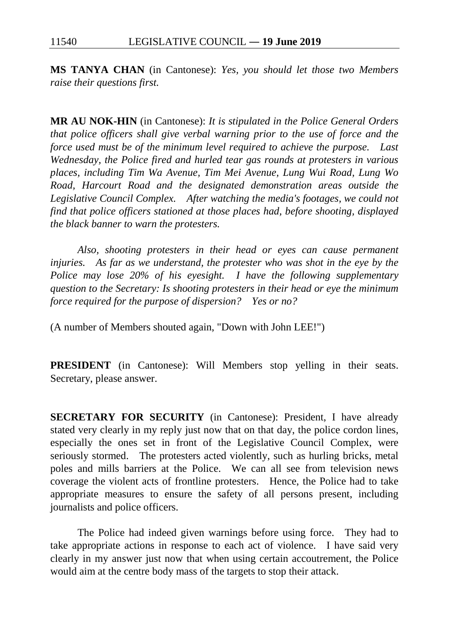**MS TANYA CHAN** (in Cantonese): *Yes, you should let those two Members raise their questions first.*

**MR AU NOK-HIN** (in Cantonese): *It is stipulated in the Police General Orders that police officers shall give verbal warning prior to the use of force and the force used must be of the minimum level required to achieve the purpose. Last Wednesday, the Police fired and hurled tear gas rounds at protesters in various places, including Tim Wa Avenue, Tim Mei Avenue, Lung Wui Road, Lung Wo Road, Harcourt Road and the designated demonstration areas outside the Legislative Council Complex. After watching the media's footages, we could not find that police officers stationed at those places had, before shooting, displayed the black banner to warn the protesters.*

*Also, shooting protesters in their head or eyes can cause permanent injuries. As far as we understand, the protester who was shot in the eye by the Police may lose 20% of his eyesight. I have the following supplementary question to the Secretary: Is shooting protesters in their head or eye the minimum force required for the purpose of dispersion? Yes or no?*

(A number of Members shouted again, "Down with John LEE!")

**PRESIDENT** (in Cantonese): Will Members stop yelling in their seats. Secretary, please answer.

**SECRETARY FOR SECURITY** (in Cantonese): President, I have already stated very clearly in my reply just now that on that day, the police cordon lines, especially the ones set in front of the Legislative Council Complex, were seriously stormed. The protesters acted violently, such as hurling bricks, metal poles and mills barriers at the Police. We can all see from television news coverage the violent acts of frontline protesters. Hence, the Police had to take appropriate measures to ensure the safety of all persons present, including journalists and police officers.

The Police had indeed given warnings before using force. They had to take appropriate actions in response to each act of violence. I have said very clearly in my answer just now that when using certain accoutrement, the Police would aim at the centre body mass of the targets to stop their attack.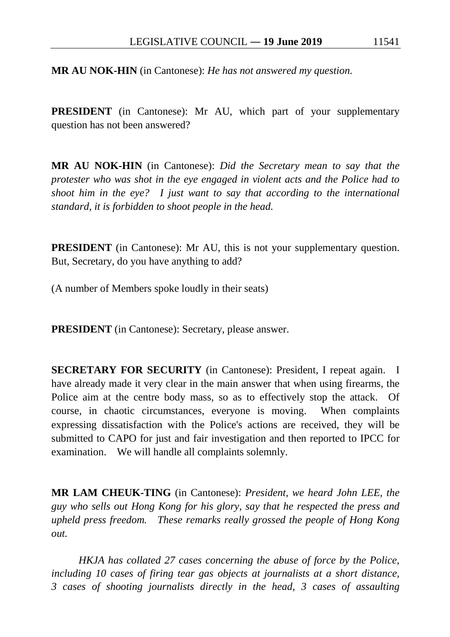**MR AU NOK-HIN** (in Cantonese): *He has not answered my question.*

**PRESIDENT** (in Cantonese): Mr AU, which part of your supplementary question has not been answered?

**MR AU NOK-HIN** (in Cantonese): *Did the Secretary mean to say that the protester who was shot in the eye engaged in violent acts and the Police had to shoot him in the eye? I just want to say that according to the international standard, it is forbidden to shoot people in the head.*

**PRESIDENT** (in Cantonese): Mr AU, this is not your supplementary question. But, Secretary, do you have anything to add?

(A number of Members spoke loudly in their seats)

**PRESIDENT** (in Cantonese): Secretary, please answer.

**SECRETARY FOR SECURITY** (in Cantonese): President, I repeat again. I have already made it very clear in the main answer that when using firearms, the Police aim at the centre body mass, so as to effectively stop the attack. Of course, in chaotic circumstances, everyone is moving. When complaints expressing dissatisfaction with the Police's actions are received, they will be submitted to CAPO for just and fair investigation and then reported to IPCC for examination. We will handle all complaints solemnly.

**MR LAM CHEUK-TING** (in Cantonese): *President, we heard John LEE, the guy who sells out Hong Kong for his glory, say that he respected the press and upheld press freedom. These remarks really grossed the people of Hong Kong out.*

*HKJA has collated 27 cases concerning the abuse of force by the Police, including 10 cases of firing tear gas objects at journalists at a short distance, 3 cases of shooting journalists directly in the head, 3 cases of assaulting*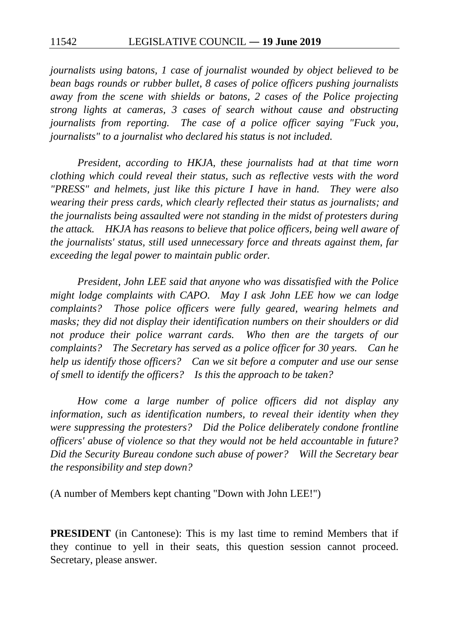*journalists using batons, 1 case of journalist wounded by object believed to be bean bags rounds or rubber bullet, 8 cases of police officers pushing journalists away from the scene with shields or batons, 2 cases of the Police projecting strong lights at cameras, 3 cases of search without cause and obstructing journalists from reporting. The case of a police officer saying "Fuck you, journalists" to a journalist who declared his status is not included.*

*President, according to HKJA, these journalists had at that time worn clothing which could reveal their status, such as reflective vests with the word "PRESS" and helmets, just like this picture I have in hand. They were also wearing their press cards, which clearly reflected their status as journalists; and the journalists being assaulted were not standing in the midst of protesters during the attack. HKJA has reasons to believe that police officers, being well aware of the journalists' status, still used unnecessary force and threats against them, far exceeding the legal power to maintain public order.*

*President, John LEE said that anyone who was dissatisfied with the Police might lodge complaints with CAPO*. *May I ask John LEE how we can lodge complaints? Those police officers were fully geared, wearing helmets and masks; they did not display their identification numbers on their shoulders or did not produce their police warrant cards. Who then are the targets of our complaints? The Secretary has served as a police officer for 30 years. Can he help us identify those officers? Can we sit before a computer and use our sense of smell to identify the officers? Is this the approach to be taken?*

*How come a large number of police officers did not display any information, such as identification numbers, to reveal their identity when they were suppressing the protesters? Did the Police deliberately condone frontline officers' abuse of violence so that they would not be held accountable in future? Did the Security Bureau condone such abuse of power? Will the Secretary bear the responsibility and step down?*

(A number of Members kept chanting "Down with John LEE!")

**PRESIDENT** (in Cantonese): This is my last time to remind Members that if they continue to yell in their seats, this question session cannot proceed. Secretary, please answer.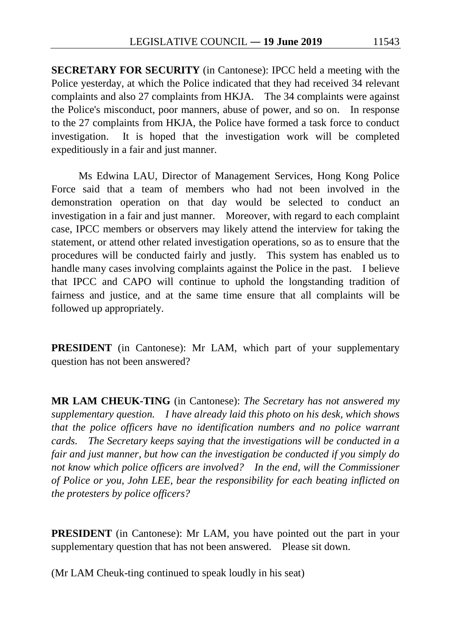**SECRETARY FOR SECURITY** (in Cantonese): IPCC held a meeting with the Police yesterday, at which the Police indicated that they had received 34 relevant complaints and also 27 complaints from HKJA. The 34 complaints were against the Police's misconduct, poor manners, abuse of power, and so on. In response to the 27 complaints from HKJA, the Police have formed a task force to conduct investigation. It is hoped that the investigation work will be completed expeditiously in a fair and just manner.

Ms Edwina LAU, Director of Management Services, Hong Kong Police Force said that a team of members who had not been involved in the demonstration operation on that day would be selected to conduct an investigation in a fair and just manner. Moreover, with regard to each complaint case, IPCC members or observers may likely attend the interview for taking the statement, or attend other related investigation operations, so as to ensure that the procedures will be conducted fairly and justly. This system has enabled us to handle many cases involving complaints against the Police in the past. I believe that IPCC and CAPO will continue to uphold the longstanding tradition of fairness and justice, and at the same time ensure that all complaints will be followed up appropriately.

**PRESIDENT** (in Cantonese): Mr LAM, which part of your supplementary question has not been answered?

**MR LAM CHEUK-TING** (in Cantonese): *The Secretary has not answered my supplementary question. I have already laid this photo on his desk, which shows that the police officers have no identification numbers and no police warrant cards. The Secretary keeps saying that the investigations will be conducted in a fair and just manner, but how can the investigation be conducted if you simply do not know which police officers are involved? In the end, will the Commissioner of Police or you, John LEE, bear the responsibility for each beating inflicted on the protesters by police officers?*

**PRESIDENT** (in Cantonese): Mr LAM, you have pointed out the part in your supplementary question that has not been answered. Please sit down.

(Mr LAM Cheuk-ting continued to speak loudly in his seat)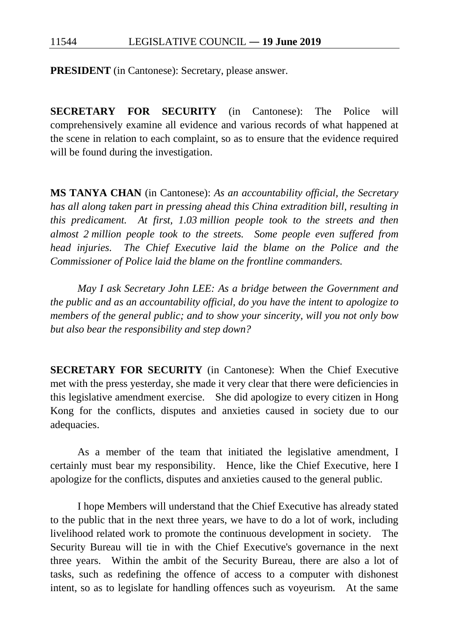**PRESIDENT** (in Cantonese): Secretary, please answer.

**SECRETARY FOR SECURITY** (in Cantonese): The Police will comprehensively examine all evidence and various records of what happened at the scene in relation to each complaint, so as to ensure that the evidence required will be found during the investigation.

**MS TANYA CHAN** (in Cantonese): *As an accountability official, the Secretary has all along taken part in pressing ahead this China extradition bill, resulting in this predicament. At first, 1.03 million people took to the streets and then almost 2 million people took to the streets. Some people even suffered from head injuries. The Chief Executive laid the blame on the Police and the Commissioner of Police laid the blame on the frontline commanders.*

*May I ask Secretary John LEE: As a bridge between the Government and the public and as an accountability official, do you have the intent to apologize to members of the general public; and to show your sincerity, will you not only bow but also bear the responsibility and step down?*

**SECRETARY FOR SECURITY** (in Cantonese): When the Chief Executive met with the press yesterday, she made it very clear that there were deficiencies in this legislative amendment exercise. She did apologize to every citizen in Hong Kong for the conflicts, disputes and anxieties caused in society due to our adequacies.

As a member of the team that initiated the legislative amendment, I certainly must bear my responsibility. Hence, like the Chief Executive, here I apologize for the conflicts, disputes and anxieties caused to the general public.

I hope Members will understand that the Chief Executive has already stated to the public that in the next three years, we have to do a lot of work, including livelihood related work to promote the continuous development in society. The Security Bureau will tie in with the Chief Executive's governance in the next three years. Within the ambit of the Security Bureau, there are also a lot of tasks, such as redefining the offence of access to a computer with dishonest intent, so as to legislate for handling offences such as voyeurism. At the same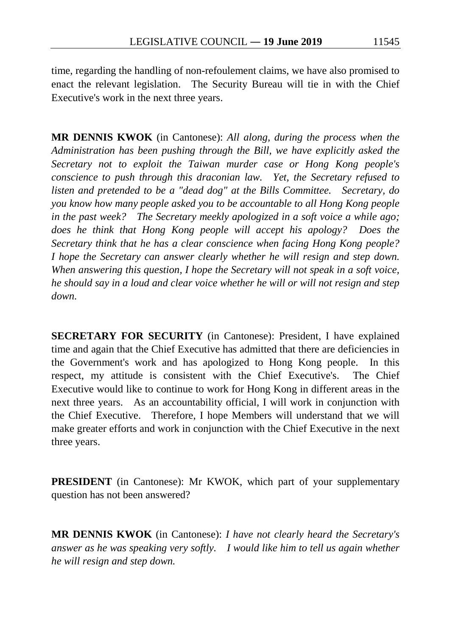time, regarding the handling of non-refoulement claims, we have also promised to enact the relevant legislation. The Security Bureau will tie in with the Chief Executive's work in the next three years.

**MR DENNIS KWOK** (in Cantonese): *All along, during the process when the Administration has been pushing through the Bill, we have explicitly asked the Secretary not to exploit the Taiwan murder case or Hong Kong people's conscience to push through this draconian law. Yet, the Secretary refused to listen and pretended to be a "dead dog" at the Bills Committee. Secretary, do you know how many people asked you to be accountable to all Hong Kong people in the past week? The Secretary meekly apologized in a soft voice a while ago; does he think that Hong Kong people will accept his apology? Does the Secretary think that he has a clear conscience when facing Hong Kong people? I hope the Secretary can answer clearly whether he will resign and step down. When answering this question, I hope the Secretary will not speak in a soft voice, he should say in a loud and clear voice whether he will or will not resign and step down.*

**SECRETARY FOR SECURITY** (in Cantonese): President, I have explained time and again that the Chief Executive has admitted that there are deficiencies in the Government's work and has apologized to Hong Kong people. In this respect, my attitude is consistent with the Chief Executive's. The Chief Executive would like to continue to work for Hong Kong in different areas in the next three years. As an accountability official, I will work in conjunction with the Chief Executive. Therefore, I hope Members will understand that we will make greater efforts and work in conjunction with the Chief Executive in the next three years.

**PRESIDENT** (in Cantonese): Mr KWOK, which part of your supplementary question has not been answered?

**MR DENNIS KWOK** (in Cantonese): *I have not clearly heard the Secretary's answer as he was speaking very softly. I would like him to tell us again whether he will resign and step down.*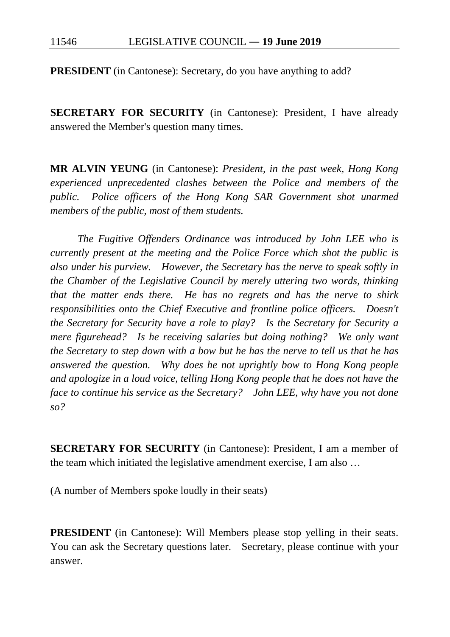**PRESIDENT** (in Cantonese): Secretary, do you have anything to add?

**SECRETARY FOR SECURITY** (in Cantonese): President, I have already answered the Member's question many times.

**MR ALVIN YEUNG** (in Cantonese): *President, in the past week, Hong Kong experienced unprecedented clashes between the Police and members of the public. Police officers of the Hong Kong SAR Government shot unarmed members of the public, most of them students.*

*The Fugitive Offenders Ordinance was introduced by John LEE who is currently present at the meeting and the Police Force which shot the public is also under his purview. However, the Secretary has the nerve to speak softly in the Chamber of the Legislative Council by merely uttering two words, thinking that the matter ends there. He has no regrets and has the nerve to shirk responsibilities onto the Chief Executive and frontline police officers. Doesn't the Secretary for Security have a role to play? Is the Secretary for Security a mere figurehead? Is he receiving salaries but doing nothing? We only want the Secretary to step down with a bow but he has the nerve to tell us that he has answered the question. Why does he not uprightly bow to Hong Kong people and apologize in a loud voice, telling Hong Kong people that he does not have the face to continue his service as the Secretary? John LEE, why have you not done so?*

**SECRETARY FOR SECURITY** (in Cantonese): President, I am a member of the team which initiated the legislative amendment exercise, I am also …

(A number of Members spoke loudly in their seats)

**PRESIDENT** (in Cantonese): Will Members please stop yelling in their seats. You can ask the Secretary questions later. Secretary, please continue with your answer.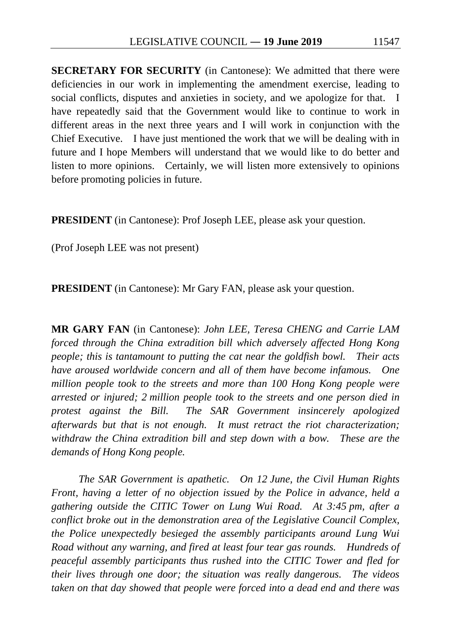**SECRETARY FOR SECURITY** (in Cantonese): We admitted that there were deficiencies in our work in implementing the amendment exercise, leading to social conflicts, disputes and anxieties in society, and we apologize for that. I have repeatedly said that the Government would like to continue to work in different areas in the next three years and I will work in conjunction with the Chief Executive. I have just mentioned the work that we will be dealing with in future and I hope Members will understand that we would like to do better and listen to more opinions. Certainly, we will listen more extensively to opinions before promoting policies in future.

**PRESIDENT** (in Cantonese): Prof Joseph LEE, please ask your question.

(Prof Joseph LEE was not present)

**PRESIDENT** (in Cantonese): Mr Gary FAN, please ask your question.

**MR GARY FAN** (in Cantonese): *John LEE, Teresa CHENG and Carrie LAM forced through the China extradition bill which adversely affected Hong Kong people; this is tantamount to putting the cat near the goldfish bowl. Their acts have aroused worldwide concern and all of them have become infamous. One million people took to the streets and more than 100 Hong Kong people were arrested or injured; 2 million people took to the streets and one person died in protest against the Bill. The SAR Government insincerely apologized afterwards but that is not enough. It must retract the riot characterization; withdraw the China extradition bill and step down with a bow. These are the demands of Hong Kong people.*

*The SAR Government is apathetic. On 12 June, the Civil Human Rights Front, having a letter of no objection issued by the Police in advance, held a gathering outside the CITIC Tower on Lung Wui Road. At 3:45 pm, after a conflict broke out in the demonstration area of the Legislative Council Complex, the Police unexpectedly besieged the assembly participants around Lung Wui Road without any warning, and fired at least four tear gas rounds. Hundreds of peaceful assembly participants thus rushed into the CITIC Tower and fled for their lives through one door; the situation was really dangerous. The videos taken on that day showed that people were forced into a dead end and there was*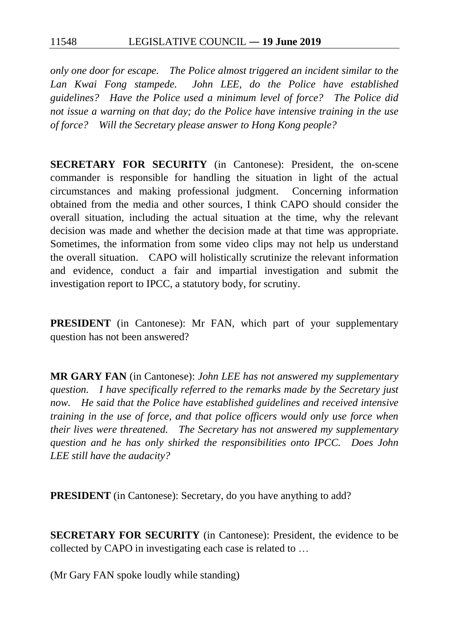*only one door for escape. The Police almost triggered an incident similar to the Lan Kwai Fong stampede. John LEE, do the Police have established guidelines? Have the Police used a minimum level of force? The Police did not issue a warning on that day; do the Police have intensive training in the use of force? Will the Secretary please answer to Hong Kong people?*

**SECRETARY FOR SECURITY** (in Cantonese): President, the on-scene commander is responsible for handling the situation in light of the actual circumstances and making professional judgment. Concerning information obtained from the media and other sources, I think CAPO should consider the overall situation, including the actual situation at the time, why the relevant decision was made and whether the decision made at that time was appropriate. Sometimes, the information from some video clips may not help us understand the overall situation. CAPO will holistically scrutinize the relevant information and evidence, conduct a fair and impartial investigation and submit the investigation report to IPCC, a statutory body, for scrutiny.

**PRESIDENT** (in Cantonese): Mr FAN, which part of your supplementary question has not been answered?

**MR GARY FAN** (in Cantonese): *John LEE has not answered my supplementary question. I have specifically referred to the remarks made by the Secretary just now. He said that the Police have established guidelines and received intensive training in the use of force, and that police officers would only use force when their lives were threatened. The Secretary has not answered my supplementary question and he has only shirked the responsibilities onto IPCC. Does John LEE still have the audacity?*

**PRESIDENT** (in Cantonese): Secretary, do you have anything to add?

**SECRETARY FOR SECURITY** (in Cantonese): President, the evidence to be collected by CAPO in investigating each case is related to …

(Mr Gary FAN spoke loudly while standing)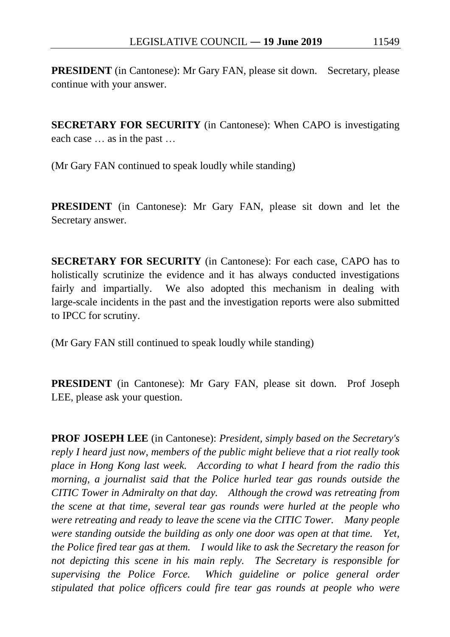**PRESIDENT** (in Cantonese): Mr Gary FAN, please sit down. Secretary, please continue with your answer.

**SECRETARY FOR SECURITY** (in Cantonese): When CAPO is investigating each case … as in the past …

(Mr Gary FAN continued to speak loudly while standing)

**PRESIDENT** (in Cantonese): Mr Gary FAN, please sit down and let the Secretary answer.

**SECRETARY FOR SECURITY** (in Cantonese): For each case, CAPO has to holistically scrutinize the evidence and it has always conducted investigations fairly and impartially. We also adopted this mechanism in dealing with large-scale incidents in the past and the investigation reports were also submitted to IPCC for scrutiny.

(Mr Gary FAN still continued to speak loudly while standing)

**PRESIDENT** (in Cantonese): Mr Gary FAN, please sit down. Prof Joseph LEE, please ask your question.

**PROF JOSEPH LEE** (in Cantonese): *President, simply based on the Secretary's reply I heard just now, members of the public might believe that a riot really took place in Hong Kong last week. According to what I heard from the radio this morning, a journalist said that the Police hurled tear gas rounds outside the CITIC Tower in Admiralty on that day. Although the crowd was retreating from the scene at that time, several tear gas rounds were hurled at the people who were retreating and ready to leave the scene via the CITIC Tower. Many people were standing outside the building as only one door was open at that time. Yet, the Police fired tear gas at them. I would like to ask the Secretary the reason for not depicting this scene in his main reply. The Secretary is responsible for supervising the Police Force. Which guideline or police general order stipulated that police officers could fire tear gas rounds at people who were*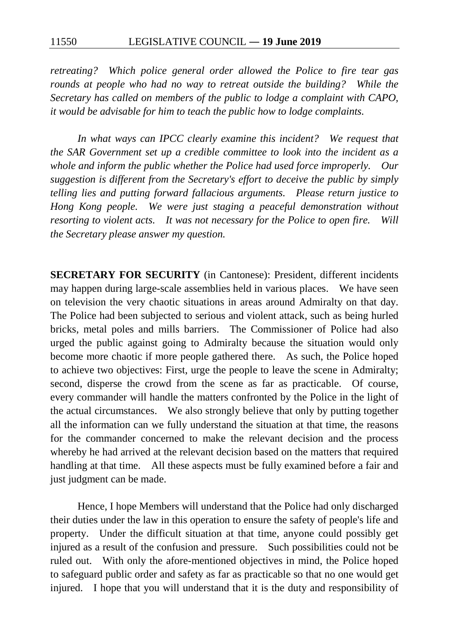*retreating? Which police general order allowed the Police to fire tear gas rounds at people who had no way to retreat outside the building? While the Secretary has called on members of the public to lodge a complaint with CAPO, it would be advisable for him to teach the public how to lodge complaints.*

*In what ways can IPCC clearly examine this incident? We request that the SAR Government set up a credible committee to look into the incident as a whole and inform the public whether the Police had used force improperly. Our suggestion is different from the Secretary's effort to deceive the public by simply telling lies and putting forward fallacious arguments. Please return justice to Hong Kong people. We were just staging a peaceful demonstration without resorting to violent acts. It was not necessary for the Police to open fire. Will the Secretary please answer my question.*

**SECRETARY FOR SECURITY** (in Cantonese): President, different incidents may happen during large-scale assemblies held in various places. We have seen on television the very chaotic situations in areas around Admiralty on that day. The Police had been subjected to serious and violent attack, such as being hurled bricks, metal poles and mills barriers. The Commissioner of Police had also urged the public against going to Admiralty because the situation would only become more chaotic if more people gathered there. As such, the Police hoped to achieve two objectives: First, urge the people to leave the scene in Admiralty; second, disperse the crowd from the scene as far as practicable. Of course, every commander will handle the matters confronted by the Police in the light of the actual circumstances. We also strongly believe that only by putting together all the information can we fully understand the situation at that time, the reasons for the commander concerned to make the relevant decision and the process whereby he had arrived at the relevant decision based on the matters that required handling at that time. All these aspects must be fully examined before a fair and just judgment can be made.

Hence, I hope Members will understand that the Police had only discharged their duties under the law in this operation to ensure the safety of people's life and property. Under the difficult situation at that time, anyone could possibly get injured as a result of the confusion and pressure. Such possibilities could not be ruled out. With only the afore-mentioned objectives in mind, the Police hoped to safeguard public order and safety as far as practicable so that no one would get injured. I hope that you will understand that it is the duty and responsibility of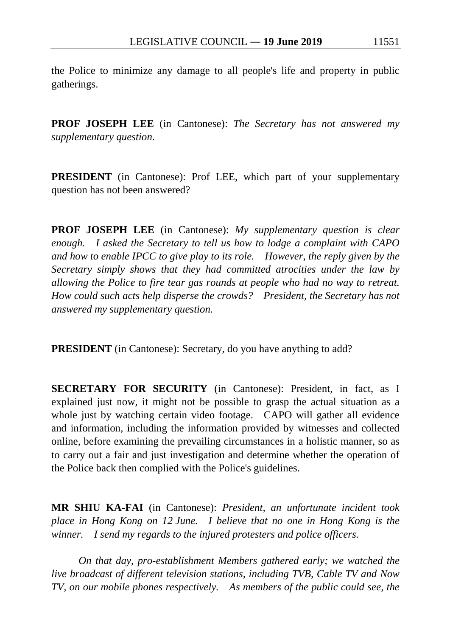the Police to minimize any damage to all people's life and property in public gatherings.

**PROF JOSEPH LEE** (in Cantonese): *The Secretary has not answered my supplementary question.*

**PRESIDENT** (in Cantonese): Prof LEE, which part of your supplementary question has not been answered?

**PROF JOSEPH LEE** (in Cantonese): *My supplementary question is clear enough. I asked the Secretary to tell us how to lodge a complaint with CAPO and how to enable IPCC to give play to its role. However, the reply given by the Secretary simply shows that they had committed atrocities under the law by allowing the Police to fire tear gas rounds at people who had no way to retreat. How could such acts help disperse the crowds? President, the Secretary has not answered my supplementary question.*

**PRESIDENT** (in Cantonese): Secretary, do you have anything to add?

**SECRETARY FOR SECURITY** (in Cantonese): President, in fact, as I explained just now, it might not be possible to grasp the actual situation as a whole just by watching certain video footage. CAPO will gather all evidence and information, including the information provided by witnesses and collected online, before examining the prevailing circumstances in a holistic manner, so as to carry out a fair and just investigation and determine whether the operation of the Police back then complied with the Police's guidelines.

**MR SHIU KA-FAI** (in Cantonese): *President, an unfortunate incident took place in Hong Kong on 12 June. I believe that no one in Hong Kong is the winner. I send my regards to the injured protesters and police officers.*

*On that day, pro-establishment Members gathered early; we watched the live broadcast of different television stations, including TVB, Cable TV and Now TV, on our mobile phones respectively. As members of the public could see, the*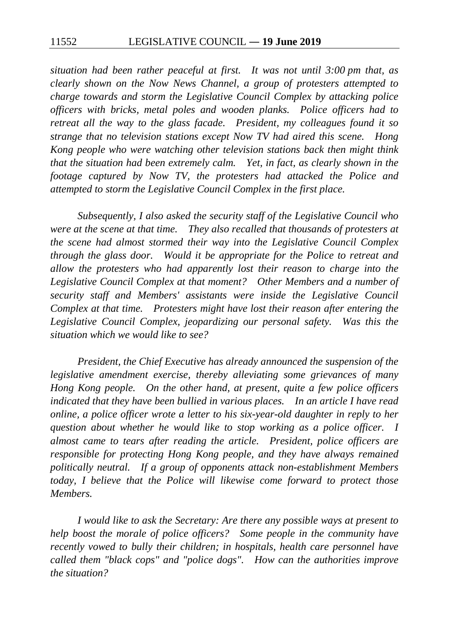*situation had been rather peaceful at first. It was not until 3:00 pm that, as clearly shown on the Now News Channel, a group of protesters attempted to charge towards and storm the Legislative Council Complex by attacking police officers with bricks, metal poles and wooden planks. Police officers had to retreat all the way to the glass facade. President, my colleagues found it so strange that no television stations except Now TV had aired this scene. Hong Kong people who were watching other television stations back then might think that the situation had been extremely calm. Yet, in fact, as clearly shown in the footage captured by Now TV, the protesters had attacked the Police and attempted to storm the Legislative Council Complex in the first place.*

*Subsequently, I also asked the security staff of the Legislative Council who were at the scene at that time. They also recalled that thousands of protesters at the scene had almost stormed their way into the Legislative Council Complex through the glass door. Would it be appropriate for the Police to retreat and allow the protesters who had apparently lost their reason to charge into the Legislative Council Complex at that moment? Other Members and a number of security staff and Members' assistants were inside the Legislative Council Complex at that time. Protesters might have lost their reason after entering the Legislative Council Complex, jeopardizing our personal safety. Was this the situation which we would like to see?*

*President, the Chief Executive has already announced the suspension of the legislative amendment exercise, thereby alleviating some grievances of many Hong Kong people. On the other hand, at present, quite a few police officers indicated that they have been bullied in various places. In an article I have read online, a police officer wrote a letter to his six-year-old daughter in reply to her question about whether he would like to stop working as a police officer. I almost came to tears after reading the article. President, police officers are responsible for protecting Hong Kong people, and they have always remained politically neutral. If a group of opponents attack non-establishment Members today, I believe that the Police will likewise come forward to protect those Members.*

*I would like to ask the Secretary: Are there any possible ways at present to help boost the morale of police officers? Some people in the community have recently vowed to bully their children; in hospitals, health care personnel have called them "black cops" and "police dogs". How can the authorities improve the situation?*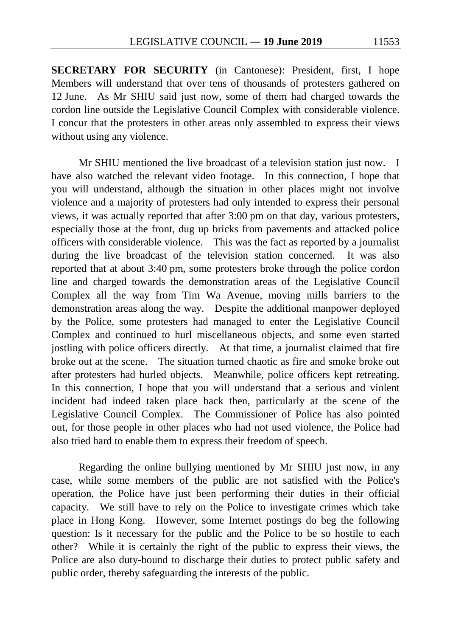**SECRETARY FOR SECURITY** (in Cantonese): President, first, I hope Members will understand that over tens of thousands of protesters gathered on 12 June. As Mr SHIU said just now, some of them had charged towards the cordon line outside the Legislative Council Complex with considerable violence. I concur that the protesters in other areas only assembled to express their views without using any violence.

Mr SHIU mentioned the live broadcast of a television station just now. I have also watched the relevant video footage. In this connection, I hope that you will understand, although the situation in other places might not involve violence and a majority of protesters had only intended to express their personal views, it was actually reported that after 3:00 pm on that day, various protesters, especially those at the front, dug up bricks from pavements and attacked police officers with considerable violence. This was the fact as reported by a journalist during the live broadcast of the television station concerned. It was also reported that at about 3:40 pm, some protesters broke through the police cordon line and charged towards the demonstration areas of the Legislative Council Complex all the way from Tim Wa Avenue, moving mills barriers to the demonstration areas along the way. Despite the additional manpower deployed by the Police, some protesters had managed to enter the Legislative Council Complex and continued to hurl miscellaneous objects, and some even started jostling with police officers directly. At that time, a journalist claimed that fire broke out at the scene. The situation turned chaotic as fire and smoke broke out after protesters had hurled objects. Meanwhile, police officers kept retreating. In this connection, I hope that you will understand that a serious and violent incident had indeed taken place back then, particularly at the scene of the Legislative Council Complex. The Commissioner of Police has also pointed out, for those people in other places who had not used violence, the Police had also tried hard to enable them to express their freedom of speech.

Regarding the online bullying mentioned by Mr SHIU just now, in any case, while some members of the public are not satisfied with the Police's operation, the Police have just been performing their duties in their official capacity. We still have to rely on the Police to investigate crimes which take place in Hong Kong. However, some Internet postings do beg the following question: Is it necessary for the public and the Police to be so hostile to each other? While it is certainly the right of the public to express their views, the Police are also duty-bound to discharge their duties to protect public safety and public order, thereby safeguarding the interests of the public.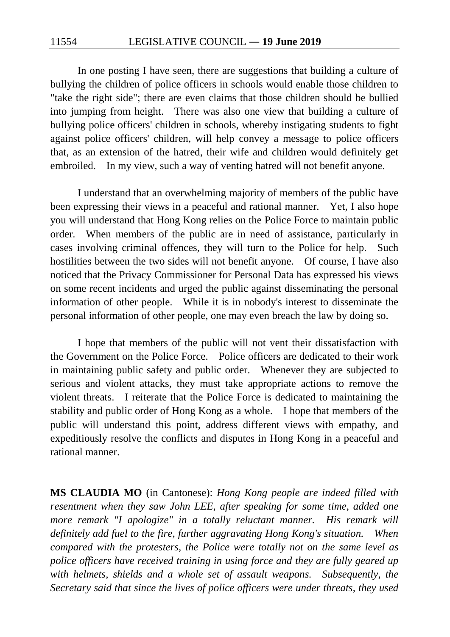In one posting I have seen, there are suggestions that building a culture of bullying the children of police officers in schools would enable those children to "take the right side"; there are even claims that those children should be bullied into jumping from height. There was also one view that building a culture of bullying police officers' children in schools, whereby instigating students to fight against police officers' children, will help convey a message to police officers that, as an extension of the hatred, their wife and children would definitely get embroiled. In my view, such a way of venting hatred will not benefit anyone.

I understand that an overwhelming majority of members of the public have been expressing their views in a peaceful and rational manner. Yet, I also hope you will understand that Hong Kong relies on the Police Force to maintain public order. When members of the public are in need of assistance, particularly in cases involving criminal offences, they will turn to the Police for help. Such hostilities between the two sides will not benefit anyone. Of course, I have also noticed that the Privacy Commissioner for Personal Data has expressed his views on some recent incidents and urged the public against disseminating the personal information of other people. While it is in nobody's interest to disseminate the personal information of other people, one may even breach the law by doing so.

I hope that members of the public will not vent their dissatisfaction with the Government on the Police Force. Police officers are dedicated to their work in maintaining public safety and public order. Whenever they are subjected to serious and violent attacks, they must take appropriate actions to remove the violent threats. I reiterate that the Police Force is dedicated to maintaining the stability and public order of Hong Kong as a whole. I hope that members of the public will understand this point, address different views with empathy, and expeditiously resolve the conflicts and disputes in Hong Kong in a peaceful and rational manner.

**MS CLAUDIA MO** (in Cantonese): *Hong Kong people are indeed filled with resentment when they saw John LEE, after speaking for some time, added one more remark "I apologize" in a totally reluctant manner. His remark will definitely add fuel to the fire, further aggravating Hong Kong's situation. When compared with the protesters, the Police were totally not on the same level as police officers have received training in using force and they are fully geared up with helmets, shields and a whole set of assault weapons. Subsequently, the Secretary said that since the lives of police officers were under threats, they used*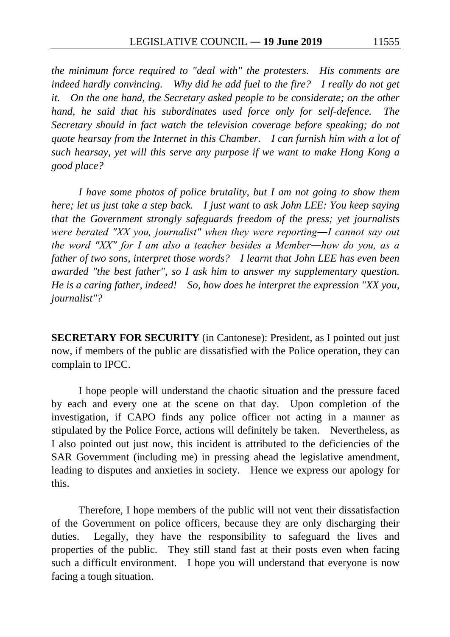*the minimum force required to "deal with" the protesters. His comments are indeed hardly convincing. Why did he add fuel to the fire? I really do not get it. On the one hand, the Secretary asked people to be considerate; on the other hand, he said that his subordinates used force only for self-defence. The Secretary should in fact watch the television coverage before speaking; do not quote hearsay from the Internet in this Chamber. I can furnish him with a lot of such hearsay, yet will this serve any purpose if we want to make Hong Kong a good place?*

*I have some photos of police brutality, but I am not going to show them here; let us just take a step back. I just want to ask John LEE: You keep saying that the Government strongly safeguards freedom of the press; yet journalists were berated "XX you, journalist" when they were reporting―I cannot say out the word "XX" for I am also a teacher besides a Member―how do you, as a father of two sons, interpret those words? I learnt that John LEE has even been awarded "the best father", so I ask him to answer my supplementary question. He is a caring father, indeed! So, how does he interpret the expression "XX you, journalist"?*

**SECRETARY FOR SECURITY** (in Cantonese): President, as I pointed out just now, if members of the public are dissatisfied with the Police operation, they can complain to IPCC.

I hope people will understand the chaotic situation and the pressure faced by each and every one at the scene on that day. Upon completion of the investigation, if CAPO finds any police officer not acting in a manner as stipulated by the Police Force, actions will definitely be taken. Nevertheless, as I also pointed out just now, this incident is attributed to the deficiencies of the SAR Government (including me) in pressing ahead the legislative amendment, leading to disputes and anxieties in society. Hence we express our apology for this.

Therefore, I hope members of the public will not vent their dissatisfaction of the Government on police officers, because they are only discharging their duties. Legally, they have the responsibility to safeguard the lives and properties of the public. They still stand fast at their posts even when facing such a difficult environment. I hope you will understand that everyone is now facing a tough situation.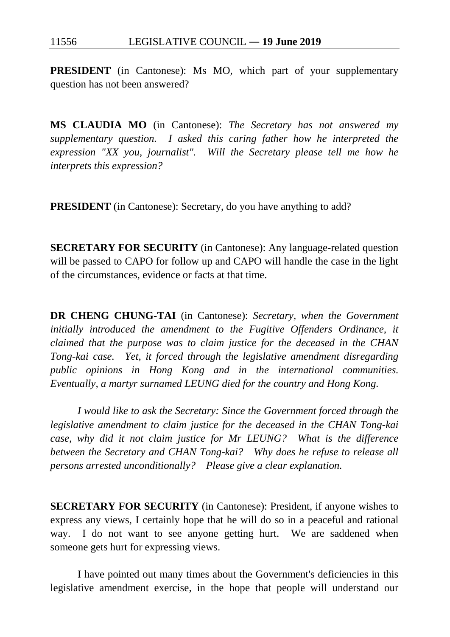**PRESIDENT** (in Cantonese): Ms MO, which part of your supplementary question has not been answered?

**MS CLAUDIA MO** (in Cantonese): *The Secretary has not answered my supplementary question. I asked this caring father how he interpreted the expression "XX you, journalist". Will the Secretary please tell me how he interprets this expression?*

**PRESIDENT** (in Cantonese): Secretary, do you have anything to add?

**SECRETARY FOR SECURITY** (in Cantonese): Any language-related question will be passed to CAPO for follow up and CAPO will handle the case in the light of the circumstances, evidence or facts at that time.

**DR CHENG CHUNG-TAI** (in Cantonese): *Secretary, when the Government initially introduced the amendment to the Fugitive Offenders Ordinance, it claimed that the purpose was to claim justice for the deceased in the CHAN Tong-kai case. Yet, it forced through the legislative amendment disregarding public opinions in Hong Kong and in the international communities. Eventually, a martyr surnamed LEUNG died for the country and Hong Kong.*

*I would like to ask the Secretary: Since the Government forced through the legislative amendment to claim justice for the deceased in the CHAN Tong-kai case, why did it not claim justice for Mr LEUNG? What is the difference between the Secretary and CHAN Tong-kai? Why does he refuse to release all persons arrested unconditionally? Please give a clear explanation.*

**SECRETARY FOR SECURITY** (in Cantonese): President, if anyone wishes to express any views, I certainly hope that he will do so in a peaceful and rational way. I do not want to see anyone getting hurt. We are saddened when someone gets hurt for expressing views.

I have pointed out many times about the Government's deficiencies in this legislative amendment exercise, in the hope that people will understand our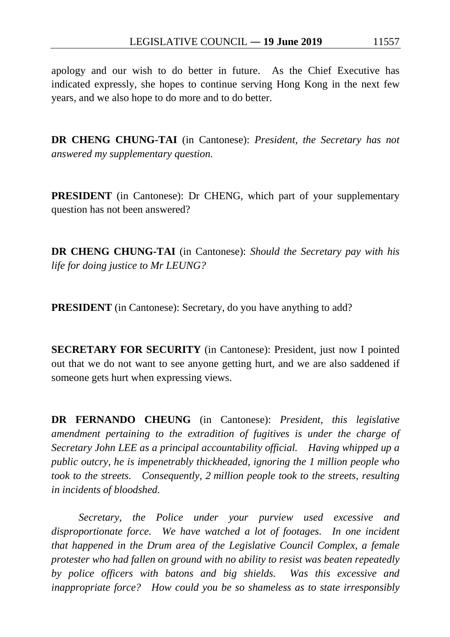apology and our wish to do better in future. As the Chief Executive has indicated expressly, she hopes to continue serving Hong Kong in the next few years, and we also hope to do more and to do better.

**DR CHENG CHUNG-TAI** (in Cantonese): *President, the Secretary has not answered my supplementary question.*

**PRESIDENT** (in Cantonese): Dr CHENG, which part of your supplementary question has not been answered?

**DR CHENG CHUNG-TAI** (in Cantonese): *Should the Secretary pay with his life for doing justice to Mr LEUNG?*

**PRESIDENT** (in Cantonese): Secretary, do you have anything to add?

**SECRETARY FOR SECURITY** (in Cantonese): President, just now I pointed out that we do not want to see anyone getting hurt, and we are also saddened if someone gets hurt when expressing views.

**DR FERNANDO CHEUNG** (in Cantonese): *President, this legislative amendment pertaining to the extradition of fugitives is under the charge of Secretary John LEE as a principal accountability official. Having whipped up a public outcry, he is impenetrably thickheaded, ignoring the 1 million people who took to the streets. Consequently, 2 million people took to the streets, resulting in incidents of bloodshed.*

*Secretary, the Police under your purview used excessive and disproportionate force. We have watched a lot of footages. In one incident that happened in the Drum area of the Legislative Council Complex, a female protester who had fallen on ground with no ability to resist was beaten repeatedly by police officers with batons and big shields. Was this excessive and inappropriate force? How could you be so shameless as to state irresponsibly*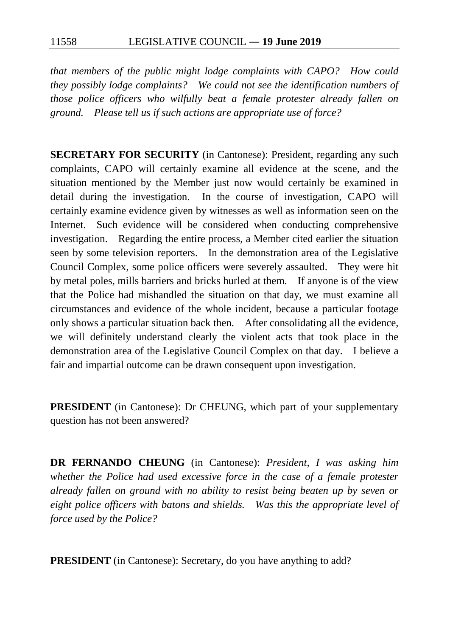*that members of the public might lodge complaints with CAPO? How could they possibly lodge complaints? We could not see the identification numbers of those police officers who wilfully beat a female protester already fallen on ground. Please tell us if such actions are appropriate use of force?*

**SECRETARY FOR SECURITY** (in Cantonese): President, regarding any such complaints, CAPO will certainly examine all evidence at the scene, and the situation mentioned by the Member just now would certainly be examined in detail during the investigation. In the course of investigation, CAPO will certainly examine evidence given by witnesses as well as information seen on the Internet. Such evidence will be considered when conducting comprehensive investigation. Regarding the entire process, a Member cited earlier the situation seen by some television reporters. In the demonstration area of the Legislative Council Complex, some police officers were severely assaulted. They were hit by metal poles, mills barriers and bricks hurled at them. If anyone is of the view that the Police had mishandled the situation on that day, we must examine all circumstances and evidence of the whole incident, because a particular footage only shows a particular situation back then. After consolidating all the evidence, we will definitely understand clearly the violent acts that took place in the demonstration area of the Legislative Council Complex on that day. I believe a fair and impartial outcome can be drawn consequent upon investigation.

**PRESIDENT** (in Cantonese): Dr CHEUNG, which part of your supplementary question has not been answered?

**DR FERNANDO CHEUNG** (in Cantonese): *President, I was asking him whether the Police had used excessive force in the case of a female protester already fallen on ground with no ability to resist being beaten up by seven or eight police officers with batons and shields. Was this the appropriate level of force used by the Police?*

**PRESIDENT** (in Cantonese): Secretary, do you have anything to add?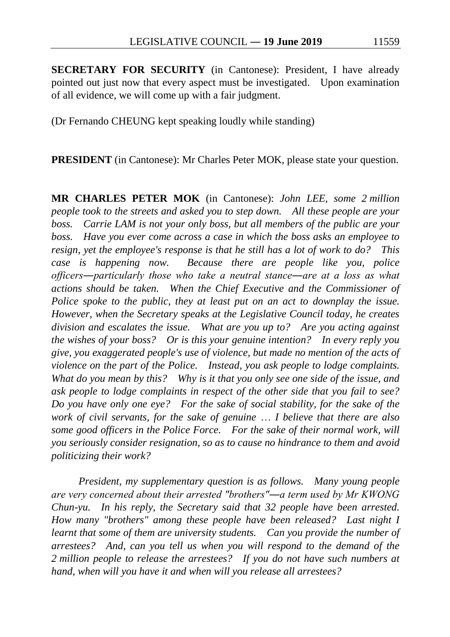**SECRETARY FOR SECURITY** (in Cantonese): President, I have already pointed out just now that every aspect must be investigated. Upon examination of all evidence, we will come up with a fair judgment.

(Dr Fernando CHEUNG kept speaking loudly while standing)

**PRESIDENT** (in Cantonese): Mr Charles Peter MOK, please state your question.

**MR CHARLES PETER MOK** (in Cantonese): *John LEE, some 2 million people took to the streets and asked you to step down. All these people are your boss. Carrie LAM is not your only boss, but all members of the public are your boss. Have you ever come across a case in which the boss asks an employee to resign, yet the employee's response is that he still has a lot of work to do? This case is happening now. Because there are people like you, police officers―particularly those who take a neutral stance―are at a loss as what actions should be taken. When the Chief Executive and the Commissioner of Police spoke to the public, they at least put on an act to downplay the issue. However, when the Secretary speaks at the Legislative Council today, he creates division and escalates the issue. What are you up to? Are you acting against the wishes of your boss? Or is this your genuine intention? In every reply you give, you exaggerated people's use of violence, but made no mention of the acts of violence on the part of the Police. Instead, you ask people to lodge complaints. What do you mean by this? Why is it that you only see one side of the issue, and ask people to lodge complaints in respect of the other side that you fail to see? Do you have only one eye? For the sake of social stability, for the sake of the work of civil servants, for the sake of genuine* … *I believe that there are also some good officers in the Police Force. For the sake of their normal work, will you seriously consider resignation, so as to cause no hindrance to them and avoid politicizing their work?*

*President, my supplementary question is as follows. Many young people are very concerned about their arrested "brothers"―a term used by Mr KWONG Chun-yu. In his reply, the Secretary said that 32 people have been arrested. How many "brothers" among these people have been released? Last night I learnt that some of them are university students. Can you provide the number of arrestees? And, can you tell us when you will respond to the demand of the 2 million people to release the arrestees? If you do not have such numbers at hand, when will you have it and when will you release all arrestees?*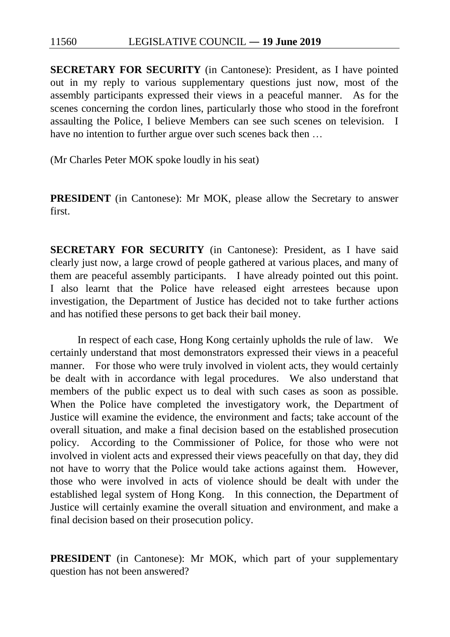**SECRETARY FOR SECURITY** (in Cantonese): President, as I have pointed out in my reply to various supplementary questions just now, most of the assembly participants expressed their views in a peaceful manner. As for the scenes concerning the cordon lines, particularly those who stood in the forefront assaulting the Police, I believe Members can see such scenes on television. I have no intention to further argue over such scenes back then …

(Mr Charles Peter MOK spoke loudly in his seat)

**PRESIDENT** (in Cantonese): Mr MOK, please allow the Secretary to answer first.

**SECRETARY FOR SECURITY** (in Cantonese): President, as I have said clearly just now, a large crowd of people gathered at various places, and many of them are peaceful assembly participants. I have already pointed out this point. I also learnt that the Police have released eight arrestees because upon investigation, the Department of Justice has decided not to take further actions and has notified these persons to get back their bail money.

In respect of each case, Hong Kong certainly upholds the rule of law. We certainly understand that most demonstrators expressed their views in a peaceful manner. For those who were truly involved in violent acts, they would certainly be dealt with in accordance with legal procedures. We also understand that members of the public expect us to deal with such cases as soon as possible. When the Police have completed the investigatory work, the Department of Justice will examine the evidence, the environment and facts; take account of the overall situation, and make a final decision based on the established prosecution policy. According to the Commissioner of Police, for those who were not involved in violent acts and expressed their views peacefully on that day, they did not have to worry that the Police would take actions against them. However, those who were involved in acts of violence should be dealt with under the established legal system of Hong Kong. In this connection, the Department of Justice will certainly examine the overall situation and environment, and make a final decision based on their prosecution policy.

**PRESIDENT** (in Cantonese): Mr MOK, which part of your supplementary question has not been answered?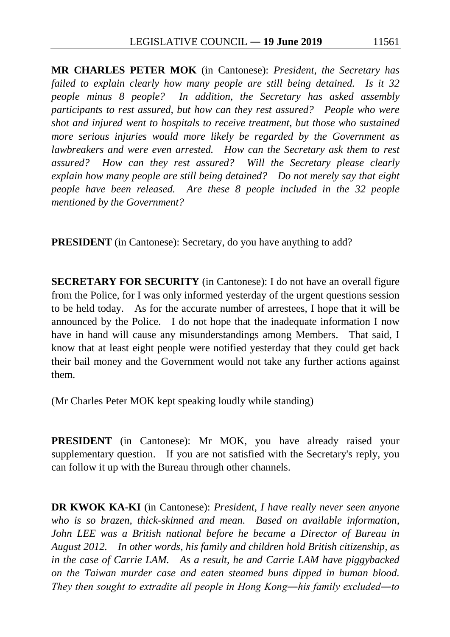**MR CHARLES PETER MOK** (in Cantonese): *President, the Secretary has failed to explain clearly how many people are still being detained. Is it 32 people minus 8 people? In addition, the Secretary has asked assembly participants to rest assured, but how can they rest assured? People who were shot and injured went to hospitals to receive treatment, but those who sustained more serious injuries would more likely be regarded by the Government as lawbreakers and were even arrested. How can the Secretary ask them to rest assured? How can they rest assured? Will the Secretary please clearly explain how many people are still being detained? Do not merely say that eight people have been released. Are these 8 people included in the 32 people mentioned by the Government?*

**PRESIDENT** (in Cantonese): Secretary, do you have anything to add?

**SECRETARY FOR SECURITY** (in Cantonese): I do not have an overall figure from the Police, for I was only informed yesterday of the urgent questions session to be held today. As for the accurate number of arrestees, I hope that it will be announced by the Police. I do not hope that the inadequate information I now have in hand will cause any misunderstandings among Members. That said, I know that at least eight people were notified yesterday that they could get back their bail money and the Government would not take any further actions against them.

(Mr Charles Peter MOK kept speaking loudly while standing)

**PRESIDENT** (in Cantonese): Mr MOK, you have already raised your supplementary question. If you are not satisfied with the Secretary's reply, you can follow it up with the Bureau through other channels.

**DR KWOK KA-KI** (in Cantonese): *President, I have really never seen anyone who is so brazen, thick-skinned and mean. Based on available information, John LEE was a British national before he became a Director of Bureau in August 2012. In other words, his family and children hold British citizenship, as in the case of Carrie LAM. As a result, he and Carrie LAM have piggybacked on the Taiwan murder case and eaten steamed buns dipped in human blood. They then sought to extradite all people in Hong Kong―his family excluded―to*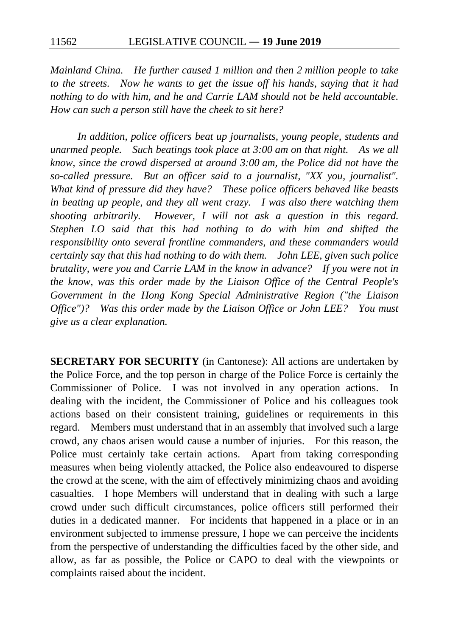*Mainland China. He further caused 1 million and then 2 million people to take to the streets. Now he wants to get the issue off his hands, saying that it had nothing to do with him, and he and Carrie LAM should not be held accountable. How can such a person still have the cheek to sit here?*

*In addition, police officers beat up journalists, young people, students and unarmed people. Such beatings took place at 3:00 am on that night. As we all know, since the crowd dispersed at around 3:00 am, the Police did not have the so-called pressure. But an officer said to a journalist, "XX you, journalist". What kind of pressure did they have? These police officers behaved like beasts in beating up people, and they all went crazy. I was also there watching them shooting arbitrarily. However, I will not ask a question in this regard. Stephen LO said that this had nothing to do with him and shifted the responsibility onto several frontline commanders, and these commanders would certainly say that this had nothing to do with them. John LEE, given such police brutality, were you and Carrie LAM in the know in advance? If you were not in the know, was this order made by the Liaison Office of the Central People's Government in the Hong Kong Special Administrative Region ("the Liaison Office")? Was this order made by the Liaison Office or John LEE? You must give us a clear explanation.*

**SECRETARY FOR SECURITY** (in Cantonese): All actions are undertaken by the Police Force, and the top person in charge of the Police Force is certainly the Commissioner of Police. I was not involved in any operation actions. In dealing with the incident, the Commissioner of Police and his colleagues took actions based on their consistent training, guidelines or requirements in this regard. Members must understand that in an assembly that involved such a large crowd, any chaos arisen would cause a number of injuries. For this reason, the Police must certainly take certain actions. Apart from taking corresponding measures when being violently attacked, the Police also endeavoured to disperse the crowd at the scene, with the aim of effectively minimizing chaos and avoiding casualties. I hope Members will understand that in dealing with such a large crowd under such difficult circumstances, police officers still performed their duties in a dedicated manner. For incidents that happened in a place or in an environment subjected to immense pressure, I hope we can perceive the incidents from the perspective of understanding the difficulties faced by the other side, and allow, as far as possible, the Police or CAPO to deal with the viewpoints or complaints raised about the incident.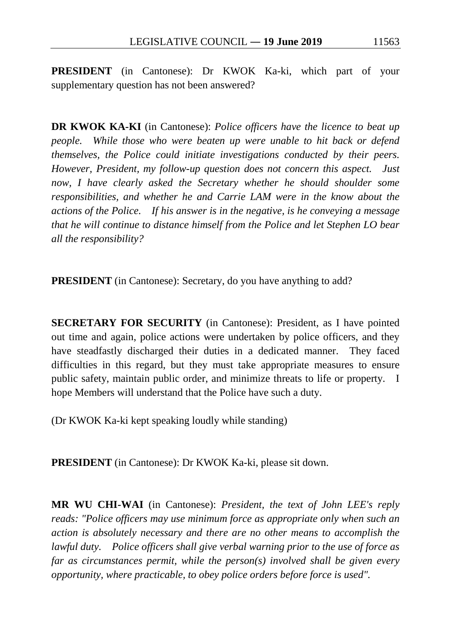**PRESIDENT** (in Cantonese): Dr KWOK Ka-ki, which part of your supplementary question has not been answered?

**DR KWOK KA-KI** (in Cantonese): *Police officers have the licence to beat up people. While those who were beaten up were unable to hit back or defend themselves, the Police could initiate investigations conducted by their peers. However, President, my follow-up question does not concern this aspect. Just now, I have clearly asked the Secretary whether he should shoulder some responsibilities, and whether he and Carrie LAM were in the know about the actions of the Police. If his answer is in the negative, is he conveying a message that he will continue to distance himself from the Police and let Stephen LO bear all the responsibility?*

**PRESIDENT** (in Cantonese): Secretary, do you have anything to add?

**SECRETARY FOR SECURITY** (in Cantonese): President, as I have pointed out time and again, police actions were undertaken by police officers, and they have steadfastly discharged their duties in a dedicated manner. They faced difficulties in this regard, but they must take appropriate measures to ensure public safety, maintain public order, and minimize threats to life or property. I hope Members will understand that the Police have such a duty.

(Dr KWOK Ka-ki kept speaking loudly while standing)

**PRESIDENT** (in Cantonese): Dr KWOK Ka-ki, please sit down.

**MR WU CHI-WAI** (in Cantonese): *President, the text of John LEE's reply reads: "Police officers may use minimum force as appropriate only when such an action is absolutely necessary and there are no other means to accomplish the lawful duty. Police officers shall give verbal warning prior to the use of force as far as circumstances permit, while the person(s) involved shall be given every opportunity, where practicable, to obey police orders before force is used".*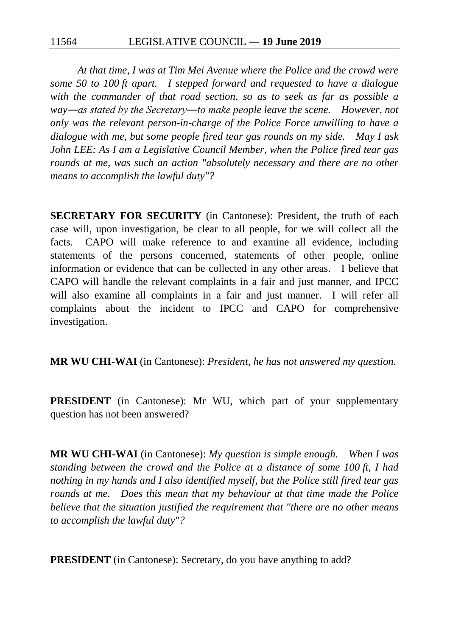*At that time, I was at Tim Mei Avenue where the Police and the crowd were some 50 to 100 ft apart. I stepped forward and requested to have a dialogue with the commander of that road section, so as to seek as far as possible a way―as stated by the Secretary―to make people leave the scene. However, not only was the relevant person-in-charge of the Police Force unwilling to have a dialogue with me, but some people fired tear gas rounds on my side. May I ask John LEE: As I am a Legislative Council Member, when the Police fired tear gas rounds at me, was such an action "absolutely necessary and there are no other means to accomplish the lawful duty"?*

**SECRETARY FOR SECURITY** (in Cantonese): President, the truth of each case will, upon investigation, be clear to all people, for we will collect all the facts. CAPO will make reference to and examine all evidence, including statements of the persons concerned, statements of other people, online information or evidence that can be collected in any other areas. I believe that CAPO will handle the relevant complaints in a fair and just manner, and IPCC will also examine all complaints in a fair and just manner. I will refer all complaints about the incident to IPCC and CAPO for comprehensive investigation.

**MR WU CHI-WAI** (in Cantonese): *President, he has not answered my question.*

**PRESIDENT** (in Cantonese): Mr WU, which part of your supplementary question has not been answered?

**MR WU CHI-WAI** (in Cantonese): *My question is simple enough. When I was standing between the crowd and the Police at a distance of some 100 ft, I had nothing in my hands and I also identified myself, but the Police still fired tear gas rounds at me. Does this mean that my behaviour at that time made the Police believe that the situation justified the requirement that "there are no other means to accomplish the lawful duty"?*

**PRESIDENT** (in Cantonese): Secretary, do you have anything to add?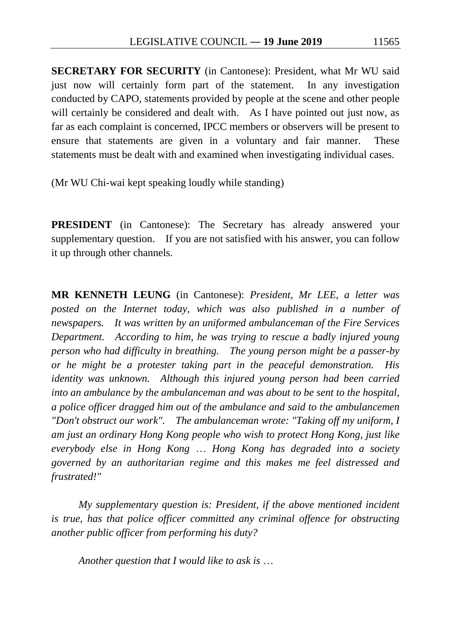**SECRETARY FOR SECURITY** (in Cantonese): President, what Mr WU said just now will certainly form part of the statement. In any investigation conducted by CAPO, statements provided by people at the scene and other people will certainly be considered and dealt with. As I have pointed out just now, as far as each complaint is concerned, IPCC members or observers will be present to ensure that statements are given in a voluntary and fair manner. These statements must be dealt with and examined when investigating individual cases.

(Mr WU Chi-wai kept speaking loudly while standing)

**PRESIDENT** (in Cantonese): The Secretary has already answered your supplementary question. If you are not satisfied with his answer, you can follow it up through other channels.

**MR KENNETH LEUNG** (in Cantonese): *President, Mr LEE, a letter was posted on the Internet today, which was also published in a number of newspapers. It was written by an uniformed ambulanceman of the Fire Services Department. According to him, he was trying to rescue a badly injured young person who had difficulty in breathing. The young person might be a passer-by or he might be a protester taking part in the peaceful demonstration. His identity was unknown. Although this injured young person had been carried into an ambulance by the ambulanceman and was about to be sent to the hospital, a police officer dragged him out of the ambulance and said to the ambulancemen "Don't obstruct our work". The ambulanceman wrote: "Taking off my uniform, I am just an ordinary Hong Kong people who wish to protect Hong Kong, just like everybody else in Hong Kong* … *Hong Kong has degraded into a society governed by an authoritarian regime and this makes me feel distressed and frustrated!"*

*My supplementary question is: President, if the above mentioned incident is true, has that police officer committed any criminal offence for obstructing another public officer from performing his duty?*

*Another question that I would like to ask is* …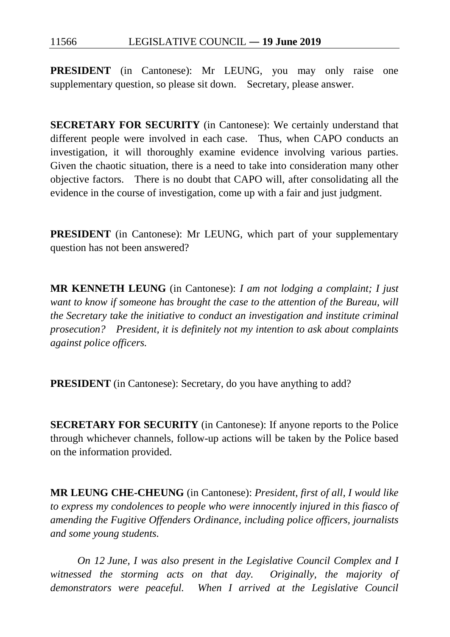**PRESIDENT** (in Cantonese): Mr LEUNG, you may only raise one supplementary question, so please sit down. Secretary, please answer.

**SECRETARY FOR SECURITY** (in Cantonese): We certainly understand that different people were involved in each case. Thus, when CAPO conducts an investigation, it will thoroughly examine evidence involving various parties. Given the chaotic situation, there is a need to take into consideration many other objective factors. There is no doubt that CAPO will, after consolidating all the evidence in the course of investigation, come up with a fair and just judgment.

**PRESIDENT** (in Cantonese): Mr LEUNG, which part of your supplementary question has not been answered?

**MR KENNETH LEUNG** (in Cantonese): *I am not lodging a complaint; I just want to know if someone has brought the case to the attention of the Bureau, will the Secretary take the initiative to conduct an investigation and institute criminal prosecution? President, it is definitely not my intention to ask about complaints against police officers.*

**PRESIDENT** (in Cantonese): Secretary, do you have anything to add?

**SECRETARY FOR SECURITY** (in Cantonese): If anyone reports to the Police through whichever channels, follow-up actions will be taken by the Police based on the information provided.

**MR LEUNG CHE-CHEUNG** (in Cantonese): *President, first of all, I would like to express my condolences to people who were innocently injured in this fiasco of amending the Fugitive Offenders Ordinance, including police officers, journalists and some young students.*

*On 12 June, I was also present in the Legislative Council Complex and I witnessed the storming acts on that day. Originally, the majority of demonstrators were peaceful. When I arrived at the Legislative Council*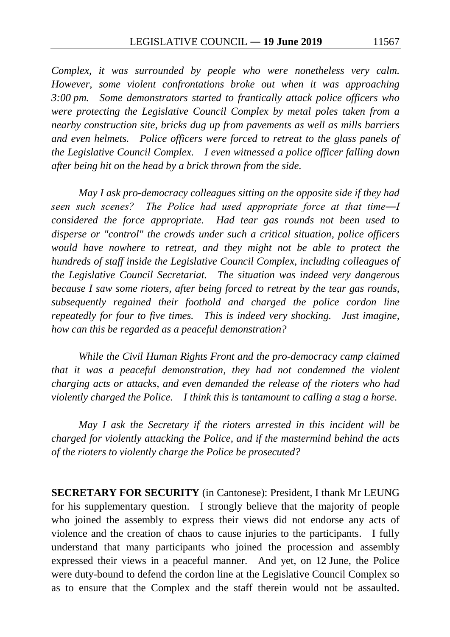*Complex, it was surrounded by people who were nonetheless very calm. However, some violent confrontations broke out when it was approaching 3:00 pm. Some demonstrators started to frantically attack police officers who were protecting the Legislative Council Complex by metal poles taken from a nearby construction site, bricks dug up from pavements as well as mills barriers and even helmets. Police officers were forced to retreat to the glass panels of the Legislative Council Complex. I even witnessed a police officer falling down after being hit on the head by a brick thrown from the side.*

*May I ask pro-democracy colleagues sitting on the opposite side if they had seen such scenes? The Police had used appropriate force at that time―I considered the force appropriate. Had tear gas rounds not been used to disperse or "control" the crowds under such a critical situation, police officers would have nowhere to retreat, and they might not be able to protect the hundreds of staff inside the Legislative Council Complex, including colleagues of the Legislative Council Secretariat. The situation was indeed very dangerous because I saw some rioters, after being forced to retreat by the tear gas rounds, subsequently regained their foothold and charged the police cordon line repeatedly for four to five times. This is indeed very shocking. Just imagine, how can this be regarded as a peaceful demonstration?*

*While the Civil Human Rights Front and the pro-democracy camp claimed that it was a peaceful demonstration, they had not condemned the violent charging acts or attacks, and even demanded the release of the rioters who had violently charged the Police. I think this is tantamount to calling a stag a horse.*

*May I ask the Secretary if the rioters arrested in this incident will be charged for violently attacking the Police, and if the mastermind behind the acts of the rioters to violently charge the Police be prosecuted?*

**SECRETARY FOR SECURITY** (in Cantonese): President, I thank Mr LEUNG for his supplementary question. I strongly believe that the majority of people who joined the assembly to express their views did not endorse any acts of violence and the creation of chaos to cause injuries to the participants. I fully understand that many participants who joined the procession and assembly expressed their views in a peaceful manner. And yet, on 12 June, the Police were duty-bound to defend the cordon line at the Legislative Council Complex so as to ensure that the Complex and the staff therein would not be assaulted.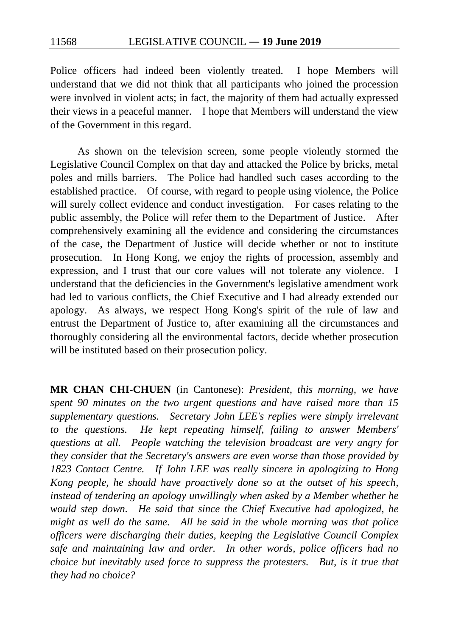Police officers had indeed been violently treated. I hope Members will understand that we did not think that all participants who joined the procession were involved in violent acts; in fact, the majority of them had actually expressed their views in a peaceful manner. I hope that Members will understand the view of the Government in this regard.

As shown on the television screen, some people violently stormed the Legislative Council Complex on that day and attacked the Police by bricks, metal poles and mills barriers. The Police had handled such cases according to the established practice. Of course, with regard to people using violence, the Police will surely collect evidence and conduct investigation. For cases relating to the public assembly, the Police will refer them to the Department of Justice. After comprehensively examining all the evidence and considering the circumstances of the case, the Department of Justice will decide whether or not to institute prosecution. In Hong Kong, we enjoy the rights of procession, assembly and expression, and I trust that our core values will not tolerate any violence. I understand that the deficiencies in the Government's legislative amendment work had led to various conflicts, the Chief Executive and I had already extended our apology. As always, we respect Hong Kong's spirit of the rule of law and entrust the Department of Justice to, after examining all the circumstances and thoroughly considering all the environmental factors, decide whether prosecution will be instituted based on their prosecution policy.

**MR CHAN CHI-CHUEN** (in Cantonese): *President, this morning, we have spent 90 minutes on the two urgent questions and have raised more than 15 supplementary questions. Secretary John LEE's replies were simply irrelevant to the questions. He kept repeating himself, failing to answer Members' questions at all. People watching the television broadcast are very angry for they consider that the Secretary's answers are even worse than those provided by 1823 Contact Centre. If John LEE was really sincere in apologizing to Hong Kong people, he should have proactively done so at the outset of his speech, instead of tendering an apology unwillingly when asked by a Member whether he would step down. He said that since the Chief Executive had apologized, he might as well do the same. All he said in the whole morning was that police officers were discharging their duties, keeping the Legislative Council Complex safe and maintaining law and order. In other words, police officers had no choice but inevitably used force to suppress the protesters. But, is it true that they had no choice?*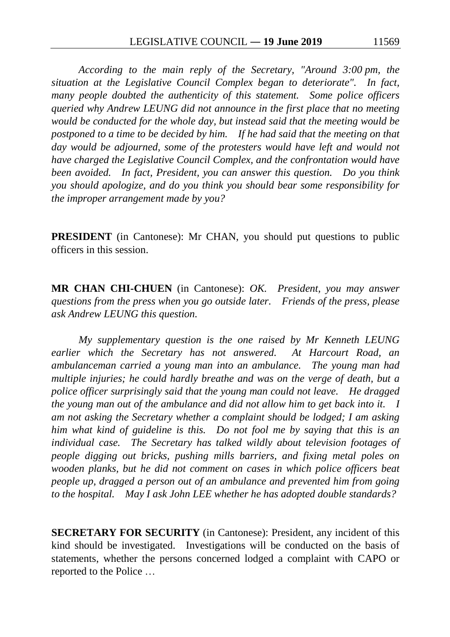*According to the main reply of the Secretary, "Around 3:00 pm, the situation at the Legislative Council Complex began to deteriorate". In fact, many people doubted the authenticity of this statement. Some police officers queried why Andrew LEUNG did not announce in the first place that no meeting would be conducted for the whole day, but instead said that the meeting would be postponed to a time to be decided by him. If he had said that the meeting on that day would be adjourned, some of the protesters would have left and would not have charged the Legislative Council Complex, and the confrontation would have been avoided. In fact, President, you can answer this question. Do you think you should apologize, and do you think you should bear some responsibility for the improper arrangement made by you?*

**PRESIDENT** (in Cantonese): Mr CHAN, you should put questions to public officers in this session.

**MR CHAN CHI-CHUEN** (in Cantonese): *OK. President, you may answer questions from the press when you go outside later. Friends of the press, please ask Andrew LEUNG this question.*

*My supplementary question is the one raised by Mr Kenneth LEUNG earlier which the Secretary has not answered. At Harcourt Road, an ambulanceman carried a young man into an ambulance. The young man had multiple injuries; he could hardly breathe and was on the verge of death, but a police officer surprisingly said that the young man could not leave. He dragged the young man out of the ambulance and did not allow him to get back into it. I am not asking the Secretary whether a complaint should be lodged; I am asking him what kind of guideline is this. Do not fool me by saying that this is an individual case. The Secretary has talked wildly about television footages of people digging out bricks, pushing mills barriers, and fixing metal poles on wooden planks, but he did not comment on cases in which police officers beat people up, dragged a person out of an ambulance and prevented him from going to the hospital. May I ask John LEE whether he has adopted double standards?*

**SECRETARY FOR SECURITY** (in Cantonese): President, any incident of this kind should be investigated. Investigations will be conducted on the basis of statements, whether the persons concerned lodged a complaint with CAPO or reported to the Police …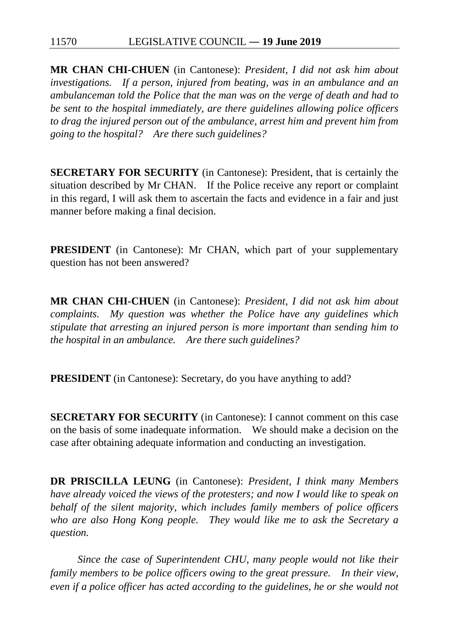**MR CHAN CHI-CHUEN** (in Cantonese): *President, I did not ask him about investigations. If a person, injured from beating, was in an ambulance and an ambulanceman told the Police that the man was on the verge of death and had to be sent to the hospital immediately, are there guidelines allowing police officers to drag the injured person out of the ambulance, arrest him and prevent him from going to the hospital? Are there such guidelines?*

**SECRETARY FOR SECURITY** (in Cantonese): President, that is certainly the situation described by Mr CHAN. If the Police receive any report or complaint in this regard, I will ask them to ascertain the facts and evidence in a fair and just manner before making a final decision.

**PRESIDENT** (in Cantonese): Mr CHAN, which part of your supplementary question has not been answered?

**MR CHAN CHI-CHUEN** (in Cantonese): *President, I did not ask him about complaints. My question was whether the Police have any guidelines which stipulate that arresting an injured person is more important than sending him to the hospital in an ambulance. Are there such guidelines?*

**PRESIDENT** (in Cantonese): Secretary, do you have anything to add?

**SECRETARY FOR SECURITY** (in Cantonese): I cannot comment on this case on the basis of some inadequate information. We should make a decision on the case after obtaining adequate information and conducting an investigation.

**DR PRISCILLA LEUNG** (in Cantonese): *President, I think many Members have already voiced the views of the protesters; and now I would like to speak on behalf of the silent majority, which includes family members of police officers who are also Hong Kong people. They would like me to ask the Secretary a question.*

*Since the case of Superintendent CHU, many people would not like their family members to be police officers owing to the great pressure. In their view, even if a police officer has acted according to the guidelines, he or she would not*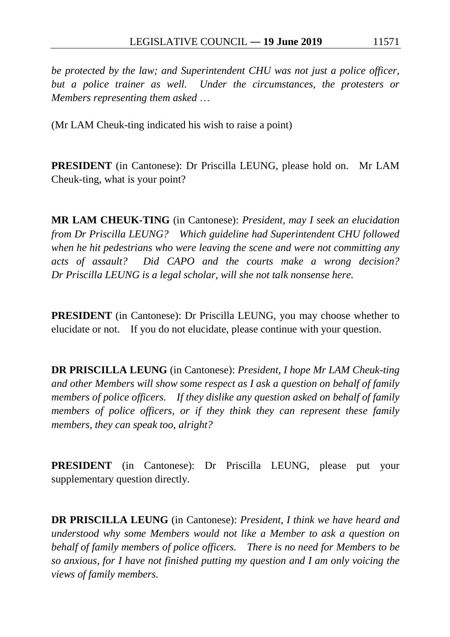*be protected by the law; and Superintendent CHU was not just a police officer, but a police trainer as well. Under the circumstances, the protesters or Members representing them asked* …

(Mr LAM Cheuk-ting indicated his wish to raise a point)

**PRESIDENT** (in Cantonese): Dr Priscilla LEUNG, please hold on. Mr LAM Cheuk-ting, what is your point?

**MR LAM CHEUK-TING** (in Cantonese): *President, may I seek an elucidation from Dr Priscilla LEUNG? Which guideline had Superintendent CHU followed when he hit pedestrians who were leaving the scene and were not committing any acts of assault? Did CAPO and the courts make a wrong decision? Dr Priscilla LEUNG is a legal scholar, will she not talk nonsense here.*

**PRESIDENT** (in Cantonese): Dr Priscilla LEUNG, you may choose whether to elucidate or not. If you do not elucidate, please continue with your question.

**DR PRISCILLA LEUNG** (in Cantonese): *President, I hope Mr LAM Cheuk-ting and other Members will show some respect as I ask a question on behalf of family members of police officers. If they dislike any question asked on behalf of family members of police officers, or if they think they can represent these family members, they can speak too, alright?*

**PRESIDENT** (in Cantonese): Dr Priscilla LEUNG, please put your supplementary question directly.

**DR PRISCILLA LEUNG** (in Cantonese): *President, I think we have heard and understood why some Members would not like a Member to ask a question on behalf of family members of police officers. There is no need for Members to be so anxious, for I have not finished putting my question and I am only voicing the views of family members.*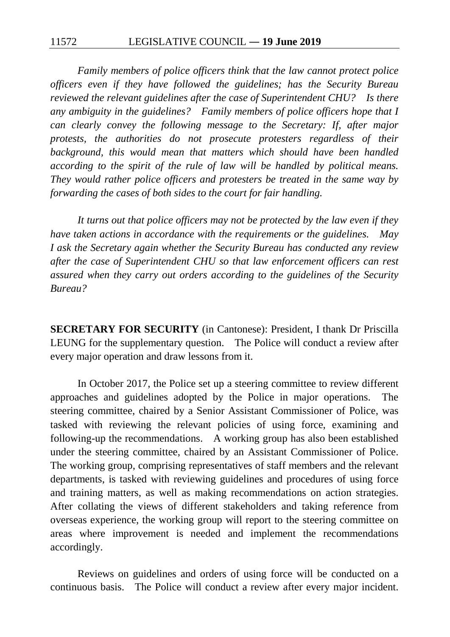*Family members of police officers think that the law cannot protect police officers even if they have followed the guidelines; has the Security Bureau reviewed the relevant guidelines after the case of Superintendent CHU? Is there any ambiguity in the guidelines? Family members of police officers hope that I can clearly convey the following message to the Secretary: If, after major protests, the authorities do not prosecute protesters regardless of their background, this would mean that matters which should have been handled according to the spirit of the rule of law will be handled by political means. They would rather police officers and protesters be treated in the same way by forwarding the cases of both sides to the court for fair handling.*

*It turns out that police officers may not be protected by the law even if they have taken actions in accordance with the requirements or the guidelines. May I ask the Secretary again whether the Security Bureau has conducted any review after the case of Superintendent CHU so that law enforcement officers can rest assured when they carry out orders according to the guidelines of the Security Bureau?*

**SECRETARY FOR SECURITY** (in Cantonese): President, I thank Dr Priscilla LEUNG for the supplementary question. The Police will conduct a review after every major operation and draw lessons from it.

In October 2017, the Police set up a steering committee to review different approaches and guidelines adopted by the Police in major operations. The steering committee, chaired by a Senior Assistant Commissioner of Police, was tasked with reviewing the relevant policies of using force, examining and following-up the recommendations. A working group has also been established under the steering committee, chaired by an Assistant Commissioner of Police. The working group, comprising representatives of staff members and the relevant departments, is tasked with reviewing guidelines and procedures of using force and training matters, as well as making recommendations on action strategies. After collating the views of different stakeholders and taking reference from overseas experience, the working group will report to the steering committee on areas where improvement is needed and implement the recommendations accordingly.

Reviews on guidelines and orders of using force will be conducted on a continuous basis. The Police will conduct a review after every major incident.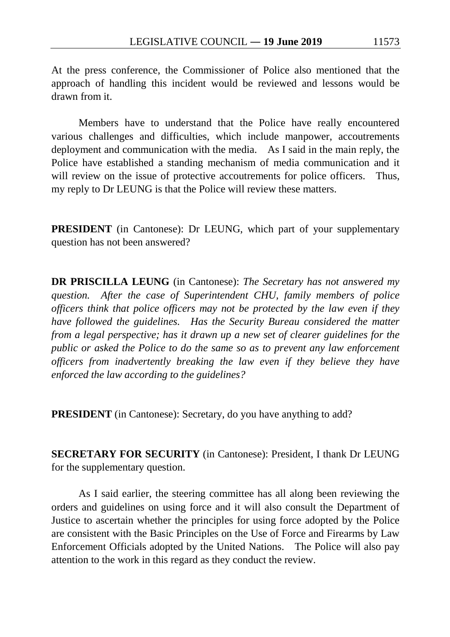At the press conference, the Commissioner of Police also mentioned that the approach of handling this incident would be reviewed and lessons would be drawn from it.

Members have to understand that the Police have really encountered various challenges and difficulties, which include manpower, accoutrements deployment and communication with the media. As I said in the main reply, the Police have established a standing mechanism of media communication and it will review on the issue of protective accoutrements for police officers. Thus, my reply to Dr LEUNG is that the Police will review these matters.

**PRESIDENT** (in Cantonese): Dr LEUNG, which part of your supplementary question has not been answered?

**DR PRISCILLA LEUNG** (in Cantonese): *The Secretary has not answered my question. After the case of Superintendent CHU, family members of police officers think that police officers may not be protected by the law even if they have followed the guidelines. Has the Security Bureau considered the matter from a legal perspective; has it drawn up a new set of clearer guidelines for the public or asked the Police to do the same so as to prevent any law enforcement officers from inadvertently breaking the law even if they believe they have enforced the law according to the guidelines?*

**PRESIDENT** (in Cantonese): Secretary, do you have anything to add?

**SECRETARY FOR SECURITY** (in Cantonese): President, I thank Dr LEUNG for the supplementary question.

As I said earlier, the steering committee has all along been reviewing the orders and guidelines on using force and it will also consult the Department of Justice to ascertain whether the principles for using force adopted by the Police are consistent with the Basic Principles on the Use of Force and Firearms by Law Enforcement Officials adopted by the United Nations. The Police will also pay attention to the work in this regard as they conduct the review.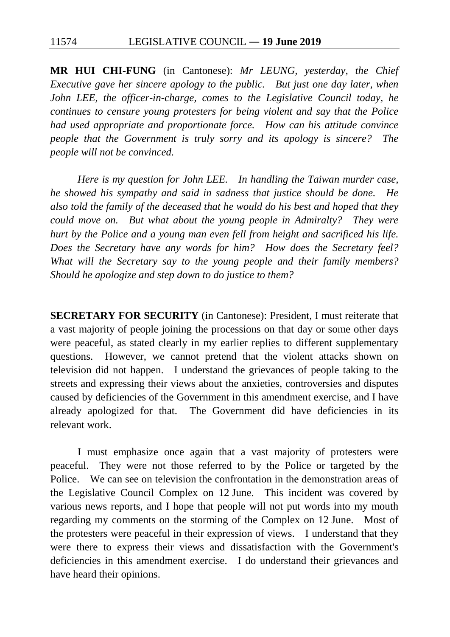11574 LEGISLATIVE COUNCIL ― **19 June 2019**

**MR HUI CHI-FUNG** (in Cantonese): *Mr LEUNG, yesterday, the Chief Executive gave her sincere apology to the public. But just one day later, when John LEE, the officer-in-charge, comes to the Legislative Council today, he continues to censure young protesters for being violent and say that the Police had used appropriate and proportionate force. How can his attitude convince people that the Government is truly sorry and its apology is sincere? The people will not be convinced.*

*Here is my question for John LEE. In handling the Taiwan murder case, he showed his sympathy and said in sadness that justice should be done. He also told the family of the deceased that he would do his best and hoped that they could move on. But what about the young people in Admiralty? They were hurt by the Police and a young man even fell from height and sacrificed his life. Does the Secretary have any words for him? How does the Secretary feel? What will the Secretary say to the young people and their family members? Should he apologize and step down to do justice to them?*

**SECRETARY FOR SECURITY** (in Cantonese): President, I must reiterate that a vast majority of people joining the processions on that day or some other days were peaceful, as stated clearly in my earlier replies to different supplementary questions. However, we cannot pretend that the violent attacks shown on television did not happen. I understand the grievances of people taking to the streets and expressing their views about the anxieties, controversies and disputes caused by deficiencies of the Government in this amendment exercise, and I have already apologized for that. The Government did have deficiencies in its relevant work.

I must emphasize once again that a vast majority of protesters were peaceful. They were not those referred to by the Police or targeted by the Police. We can see on television the confrontation in the demonstration areas of the Legislative Council Complex on 12 June. This incident was covered by various news reports, and I hope that people will not put words into my mouth regarding my comments on the storming of the Complex on 12 June. Most of the protesters were peaceful in their expression of views. I understand that they were there to express their views and dissatisfaction with the Government's deficiencies in this amendment exercise. I do understand their grievances and have heard their opinions.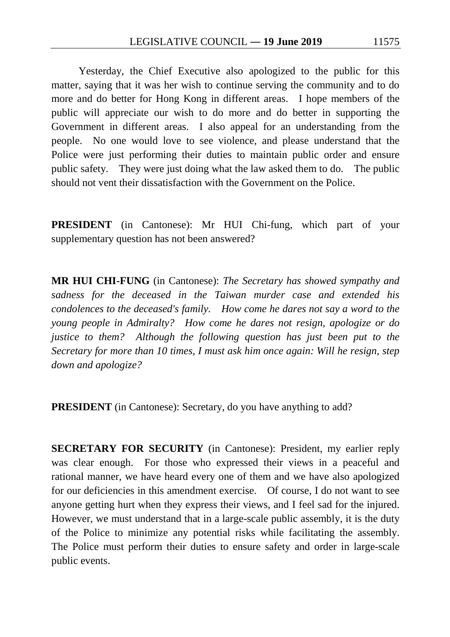Yesterday, the Chief Executive also apologized to the public for this matter, saying that it was her wish to continue serving the community and to do more and do better for Hong Kong in different areas. I hope members of the public will appreciate our wish to do more and do better in supporting the Government in different areas. I also appeal for an understanding from the people. No one would love to see violence, and please understand that the Police were just performing their duties to maintain public order and ensure public safety. They were just doing what the law asked them to do. The public should not vent their dissatisfaction with the Government on the Police.

**PRESIDENT** (in Cantonese): Mr HUI Chi-fung, which part of your supplementary question has not been answered?

**MR HUI CHI-FUNG** (in Cantonese): *The Secretary has showed sympathy and sadness for the deceased in the Taiwan murder case and extended his condolences to the deceased's family. How come he dares not say a word to the young people in Admiralty? How come he dares not resign, apologize or do justice to them?* Although the following question has just been put to the *Secretary for more than 10 times, I must ask him once again: Will he resign, step down and apologize?*

**PRESIDENT** (in Cantonese): Secretary, do you have anything to add?

**SECRETARY FOR SECURITY** (in Cantonese): President, my earlier reply was clear enough. For those who expressed their views in a peaceful and rational manner, we have heard every one of them and we have also apologized for our deficiencies in this amendment exercise. Of course, I do not want to see anyone getting hurt when they express their views, and I feel sad for the injured. However, we must understand that in a large-scale public assembly, it is the duty of the Police to minimize any potential risks while facilitating the assembly. The Police must perform their duties to ensure safety and order in large-scale public events.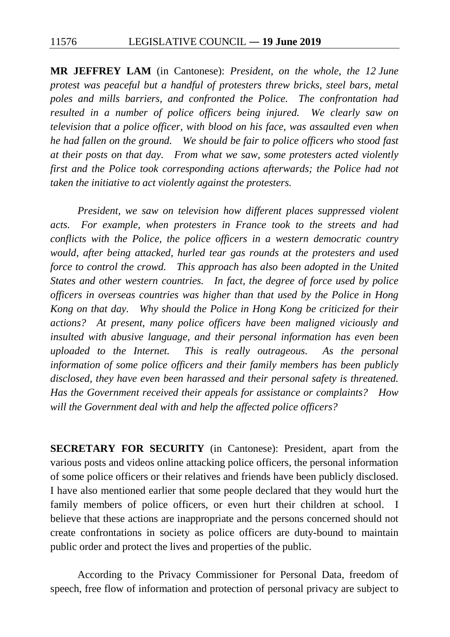**MR JEFFREY LAM** (in Cantonese): *President, on the whole, the 12 June protest was peaceful but a handful of protesters threw bricks, steel bars, metal poles and mills barriers, and confronted the Police. The confrontation had resulted in a number of police officers being injured. We clearly saw on television that a police officer, with blood on his face, was assaulted even when he had fallen on the ground. We should be fair to police officers who stood fast at their posts on that day. From what we saw, some protesters acted violently first and the Police took corresponding actions afterwards; the Police had not taken the initiative to act violently against the protesters.*

*President, we saw on television how different places suppressed violent acts. For example, when protesters in France took to the streets and had conflicts with the Police, the police officers in a western democratic country would, after being attacked, hurled tear gas rounds at the protesters and used force to control the crowd.* This approach has also been adopted in the United *States and other western countries. In fact, the degree of force used by police officers in overseas countries was higher than that used by the Police in Hong Kong on that day. Why should the Police in Hong Kong be criticized for their actions? At present, many police officers have been maligned viciously and insulted with abusive language, and their personal information has even been uploaded to the Internet. This is really outrageous. As the personal information of some police officers and their family members has been publicly disclosed, they have even been harassed and their personal safety is threatened. Has the Government received their appeals for assistance or complaints? How will the Government deal with and help the affected police officers?*

**SECRETARY FOR SECURITY** (in Cantonese): President, apart from the various posts and videos online attacking police officers, the personal information of some police officers or their relatives and friends have been publicly disclosed. I have also mentioned earlier that some people declared that they would hurt the family members of police officers, or even hurt their children at school. I believe that these actions are inappropriate and the persons concerned should not create confrontations in society as police officers are duty-bound to maintain public order and protect the lives and properties of the public.

According to the Privacy Commissioner for Personal Data, freedom of speech, free flow of information and protection of personal privacy are subject to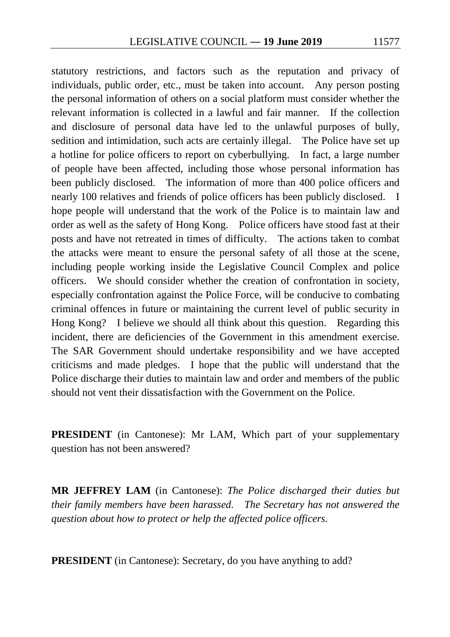statutory restrictions, and factors such as the reputation and privacy of individuals, public order, etc., must be taken into account. Any person posting the personal information of others on a social platform must consider whether the relevant information is collected in a lawful and fair manner. If the collection and disclosure of personal data have led to the unlawful purposes of bully, sedition and intimidation, such acts are certainly illegal. The Police have set up a hotline for police officers to report on cyberbullying. In fact, a large number of people have been affected, including those whose personal information has been publicly disclosed. The information of more than 400 police officers and nearly 100 relatives and friends of police officers has been publicly disclosed. I hope people will understand that the work of the Police is to maintain law and order as well as the safety of Hong Kong. Police officers have stood fast at their posts and have not retreated in times of difficulty. The actions taken to combat the attacks were meant to ensure the personal safety of all those at the scene, including people working inside the Legislative Council Complex and police officers. We should consider whether the creation of confrontation in society, especially confrontation against the Police Force, will be conducive to combating criminal offences in future or maintaining the current level of public security in Hong Kong? I believe we should all think about this question. Regarding this incident, there are deficiencies of the Government in this amendment exercise. The SAR Government should undertake responsibility and we have accepted criticisms and made pledges. I hope that the public will understand that the Police discharge their duties to maintain law and order and members of the public should not vent their dissatisfaction with the Government on the Police.

**PRESIDENT** (in Cantonese): Mr LAM, Which part of your supplementary question has not been answered?

**MR JEFFREY LAM** (in Cantonese): *The Police discharged their duties but their family members have been harassed. The Secretary has not answered the question about how to protect or help the affected police officers.*

**PRESIDENT** (in Cantonese): Secretary, do you have anything to add?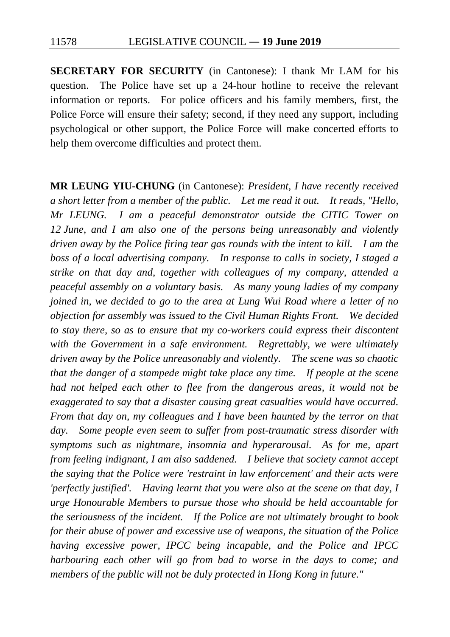**SECRETARY FOR SECURITY** (in Cantonese): I thank Mr LAM for his question. The Police have set up a 24-hour hotline to receive the relevant information or reports. For police officers and his family members, first, the Police Force will ensure their safety; second, if they need any support, including psychological or other support, the Police Force will make concerted efforts to help them overcome difficulties and protect them.

**MR LEUNG YIU-CHUNG** (in Cantonese): *President, I have recently received a short letter from a member of the public. Let me read it out. It reads, "Hello, Mr LEUNG. I am a peaceful demonstrator outside the CITIC Tower on 12 June, and I am also one of the persons being unreasonably and violently driven away by the Police firing tear gas rounds with the intent to kill. I am the boss of a local advertising company. In response to calls in society, I staged a strike on that day and, together with colleagues of my company, attended a peaceful assembly on a voluntary basis. As many young ladies of my company joined in, we decided to go to the area at Lung Wui Road where a letter of no objection for assembly was issued to the Civil Human Rights Front. We decided to stay there, so as to ensure that my co-workers could express their discontent with the Government in a safe environment. Regrettably, we were ultimately driven away by the Police unreasonably and violently. The scene was so chaotic that the danger of a stampede might take place any time. If people at the scene had not helped each other to flee from the dangerous areas, it would not be exaggerated to say that a disaster causing great casualties would have occurred. From that day on, my colleagues and I have been haunted by the terror on that day. Some people even seem to suffer from post-traumatic stress disorder with symptoms such as nightmare, insomnia and hyperarousal. As for me, apart from feeling indignant, I am also saddened. I believe that society cannot accept the saying that the Police were 'restraint in law enforcement' and their acts were 'perfectly justified'. Having learnt that you were also at the scene on that day, I urge Honourable Members to pursue those who should be held accountable for the seriousness of the incident. If the Police are not ultimately brought to book for their abuse of power and excessive use of weapons, the situation of the Police having excessive power, IPCC being incapable, and the Police and IPCC harbouring each other will go from bad to worse in the days to come; and members of the public will not be duly protected in Hong Kong in future."*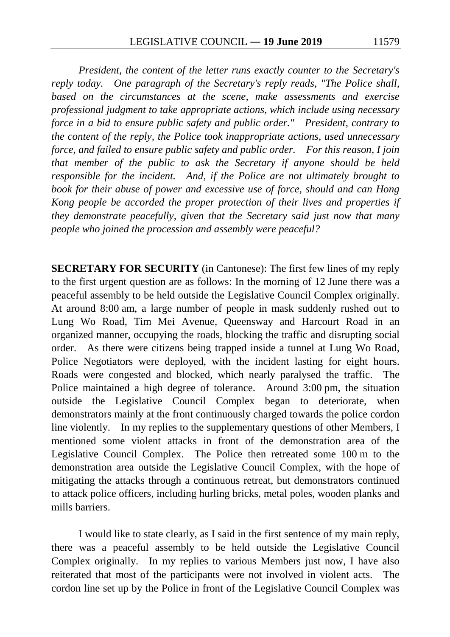*President, the content of the letter runs exactly counter to the Secretary's reply today. One paragraph of the Secretary's reply reads, "The Police shall, based on the circumstances at the scene, make assessments and exercise professional judgment to take appropriate actions, which include using necessary force in a bid to ensure public safety and public order." President, contrary to the content of the reply, the Police took inappropriate actions, used unnecessary force, and failed to ensure public safety and public order. For this reason, I join that member of the public to ask the Secretary if anyone should be held responsible for the incident. And, if the Police are not ultimately brought to book for their abuse of power and excessive use of force, should and can Hong Kong people be accorded the proper protection of their lives and properties if they demonstrate peacefully, given that the Secretary said just now that many people who joined the procession and assembly were peaceful?*

**SECRETARY FOR SECURITY** (in Cantonese): The first few lines of my reply to the first urgent question are as follows: In the morning of 12 June there was a peaceful assembly to be held outside the Legislative Council Complex originally. At around 8:00 am, a large number of people in mask suddenly rushed out to Lung Wo Road, Tim Mei Avenue, Queensway and Harcourt Road in an organized manner, occupying the roads, blocking the traffic and disrupting social order. As there were citizens being trapped inside a tunnel at Lung Wo Road, Police Negotiators were deployed, with the incident lasting for eight hours. Roads were congested and blocked, which nearly paralysed the traffic. The Police maintained a high degree of tolerance. Around 3:00 pm, the situation outside the Legislative Council Complex began to deteriorate, when demonstrators mainly at the front continuously charged towards the police cordon line violently. In my replies to the supplementary questions of other Members, I mentioned some violent attacks in front of the demonstration area of the Legislative Council Complex. The Police then retreated some 100 m to the demonstration area outside the Legislative Council Complex, with the hope of mitigating the attacks through a continuous retreat, but demonstrators continued to attack police officers, including hurling bricks, metal poles, wooden planks and mills barriers.

I would like to state clearly, as I said in the first sentence of my main reply, there was a peaceful assembly to be held outside the Legislative Council Complex originally. In my replies to various Members just now, I have also reiterated that most of the participants were not involved in violent acts. The cordon line set up by the Police in front of the Legislative Council Complex was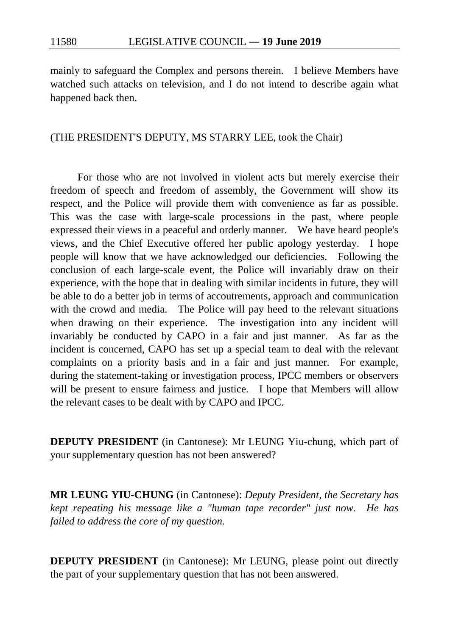mainly to safeguard the Complex and persons therein. I believe Members have watched such attacks on television, and I do not intend to describe again what happened back then.

## (THE PRESIDENT'S DEPUTY, MS STARRY LEE, took the Chair)

For those who are not involved in violent acts but merely exercise their freedom of speech and freedom of assembly, the Government will show its respect, and the Police will provide them with convenience as far as possible. This was the case with large-scale processions in the past, where people expressed their views in a peaceful and orderly manner. We have heard people's views, and the Chief Executive offered her public apology yesterday. I hope people will know that we have acknowledged our deficiencies. Following the conclusion of each large-scale event, the Police will invariably draw on their experience, with the hope that in dealing with similar incidents in future, they will be able to do a better job in terms of accoutrements, approach and communication with the crowd and media. The Police will pay heed to the relevant situations when drawing on their experience. The investigation into any incident will invariably be conducted by CAPO in a fair and just manner. As far as the incident is concerned, CAPO has set up a special team to deal with the relevant complaints on a priority basis and in a fair and just manner. For example, during the statement-taking or investigation process, IPCC members or observers will be present to ensure fairness and justice. I hope that Members will allow the relevant cases to be dealt with by CAPO and IPCC.

**DEPUTY PRESIDENT** (in Cantonese): Mr LEUNG Yiu-chung, which part of your supplementary question has not been answered?

**MR LEUNG YIU-CHUNG** (in Cantonese): *Deputy President, the Secretary has kept repeating his message like a "human tape recorder" just now. He has failed to address the core of my question.*

**DEPUTY PRESIDENT** (in Cantonese): Mr LEUNG, please point out directly the part of your supplementary question that has not been answered.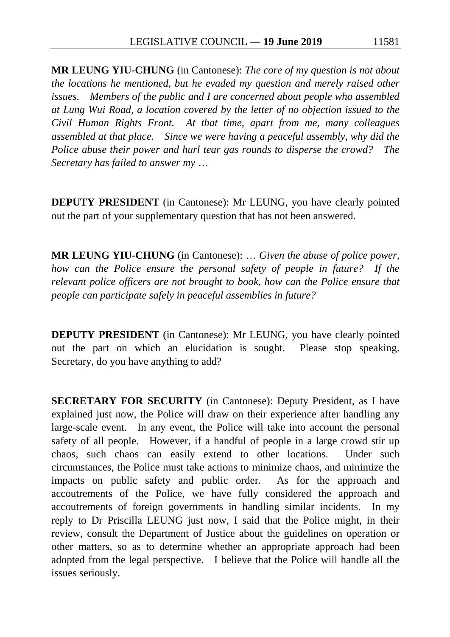**MR LEUNG YIU-CHUNG** (in Cantonese): *The core of my question is not about the locations he mentioned, but he evaded my question and merely raised other issues. Members of the public and I are concerned about people who assembled at Lung Wui Road, a location covered by the letter of no objection issued to the Civil Human Rights Front. At that time, apart from me, many colleagues assembled at that place. Since we were having a peaceful assembly, why did the Police abuse their power and hurl tear gas rounds to disperse the crowd? The Secretary has failed to answer my* …

**DEPUTY PRESIDENT** (in Cantonese): Mr LEUNG, you have clearly pointed out the part of your supplementary question that has not been answered.

**MR LEUNG YIU-CHUNG** (in Cantonese): … *Given the abuse of police power, how can the Police ensure the personal safety of people in future? If the relevant police officers are not brought to book, how can the Police ensure that people can participate safely in peaceful assemblies in future?*

**DEPUTY PRESIDENT** (in Cantonese): Mr LEUNG, you have clearly pointed out the part on which an elucidation is sought. Please stop speaking. Secretary, do you have anything to add?

**SECRETARY FOR SECURITY** (in Cantonese): Deputy President, as I have explained just now, the Police will draw on their experience after handling any large-scale event. In any event, the Police will take into account the personal safety of all people. However, if a handful of people in a large crowd stir up chaos, such chaos can easily extend to other locations. Under such circumstances, the Police must take actions to minimize chaos, and minimize the impacts on public safety and public order. As for the approach and accoutrements of the Police, we have fully considered the approach and accoutrements of foreign governments in handling similar incidents. In my reply to Dr Priscilla LEUNG just now, I said that the Police might, in their review, consult the Department of Justice about the guidelines on operation or other matters, so as to determine whether an appropriate approach had been adopted from the legal perspective. I believe that the Police will handle all the issues seriously.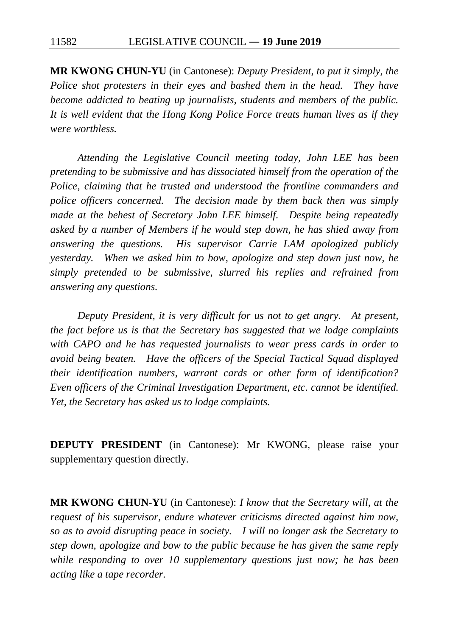**MR KWONG CHUN-YU** (in Cantonese): *Deputy President, to put it simply, the Police shot protesters in their eyes and bashed them in the head. They have become addicted to beating up journalists, students and members of the public. It is well evident that the Hong Kong Police Force treats human lives as if they were worthless.*

*Attending the Legislative Council meeting today, John LEE has been pretending to be submissive and has dissociated himself from the operation of the Police, claiming that he trusted and understood the frontline commanders and police officers concerned. The decision made by them back then was simply made at the behest of Secretary John LEE himself. Despite being repeatedly asked by a number of Members if he would step down, he has shied away from answering the questions. His supervisor Carrie LAM apologized publicly yesterday. When we asked him to bow, apologize and step down just now, he simply pretended to be submissive, slurred his replies and refrained from answering any questions.*

*Deputy President, it is very difficult for us not to get angry. At present, the fact before us is that the Secretary has suggested that we lodge complaints with CAPO and he has requested journalists to wear press cards in order to avoid being beaten. Have the officers of the Special Tactical Squad displayed their identification numbers, warrant cards or other form of identification? Even officers of the Criminal Investigation Department, etc. cannot be identified. Yet, the Secretary has asked us to lodge complaints.*

**DEPUTY PRESIDENT** (in Cantonese): Mr KWONG, please raise your supplementary question directly.

**MR KWONG CHUN-YU** (in Cantonese): *I know that the Secretary will, at the request of his supervisor, endure whatever criticisms directed against him now, so as to avoid disrupting peace in society. I will no longer ask the Secretary to step down, apologize and bow to the public because he has given the same reply while responding to over 10 supplementary questions just now; he has been acting like a tape recorder.*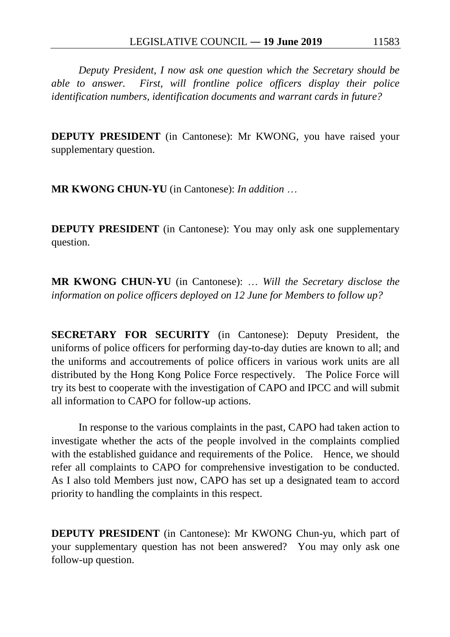*Deputy President, I now ask one question which the Secretary should be able to answer. First, will frontline police officers display their police identification numbers, identification documents and warrant cards in future?*

**DEPUTY PRESIDENT** (in Cantonese): Mr KWONG, you have raised your supplementary question.

**MR KWONG CHUN-YU** (in Cantonese): *In addition* …

**DEPUTY PRESIDENT** (in Cantonese): You may only ask one supplementary question.

**MR KWONG CHUN-YU** (in Cantonese): … *Will the Secretary disclose the information on police officers deployed on 12 June for Members to follow up?*

**SECRETARY FOR SECURITY** (in Cantonese): Deputy President, the uniforms of police officers for performing day-to-day duties are known to all; and the uniforms and accoutrements of police officers in various work units are all distributed by the Hong Kong Police Force respectively. The Police Force will try its best to cooperate with the investigation of CAPO and IPCC and will submit all information to CAPO for follow-up actions.

In response to the various complaints in the past, CAPO had taken action to investigate whether the acts of the people involved in the complaints complied with the established guidance and requirements of the Police. Hence, we should refer all complaints to CAPO for comprehensive investigation to be conducted. As I also told Members just now, CAPO has set up a designated team to accord priority to handling the complaints in this respect.

**DEPUTY PRESIDENT** (in Cantonese): Mr KWONG Chun-yu, which part of your supplementary question has not been answered? You may only ask one follow-up question.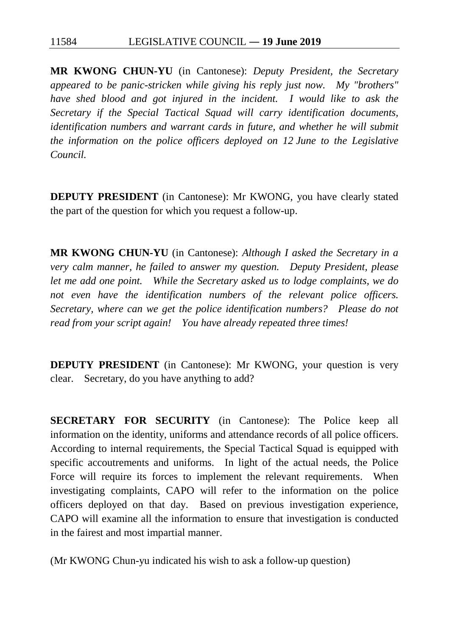**MR KWONG CHUN-YU** (in Cantonese): *Deputy President, the Secretary appeared to be panic-stricken while giving his reply just now. My "brothers" have shed blood and got injured in the incident. I would like to ask the Secretary if the Special Tactical Squad will carry identification documents, identification numbers and warrant cards in future, and whether he will submit the information on the police officers deployed on 12 June to the Legislative Council.*

**DEPUTY PRESIDENT** (in Cantonese): Mr KWONG, you have clearly stated the part of the question for which you request a follow-up.

**MR KWONG CHUN-YU** (in Cantonese): *Although I asked the Secretary in a very calm manner, he failed to answer my question. Deputy President, please let me add one point. While the Secretary asked us to lodge complaints, we do not even have the identification numbers of the relevant police officers. Secretary, where can we get the police identification numbers? Please do not read from your script again! You have already repeated three times!*

**DEPUTY PRESIDENT** (in Cantonese): Mr KWONG, your question is very clear. Secretary, do you have anything to add?

**SECRETARY FOR SECURITY** (in Cantonese): The Police keep all information on the identity, uniforms and attendance records of all police officers. According to internal requirements, the Special Tactical Squad is equipped with specific accoutrements and uniforms. In light of the actual needs, the Police Force will require its forces to implement the relevant requirements. When investigating complaints, CAPO will refer to the information on the police officers deployed on that day. Based on previous investigation experience, CAPO will examine all the information to ensure that investigation is conducted in the fairest and most impartial manner.

(Mr KWONG Chun-yu indicated his wish to ask a follow-up question)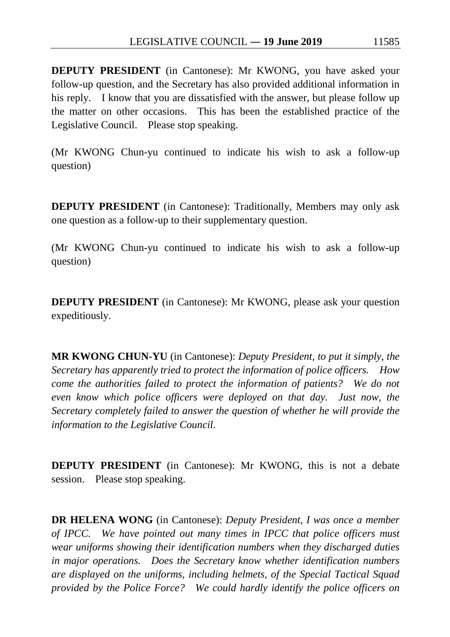**DEPUTY PRESIDENT** (in Cantonese): Mr KWONG, you have asked your follow-up question, and the Secretary has also provided additional information in his reply. I know that you are dissatisfied with the answer, but please follow up the matter on other occasions. This has been the established practice of the Legislative Council. Please stop speaking.

(Mr KWONG Chun-yu continued to indicate his wish to ask a follow-up question)

**DEPUTY PRESIDENT** (in Cantonese): Traditionally, Members may only ask one question as a follow-up to their supplementary question.

(Mr KWONG Chun-yu continued to indicate his wish to ask a follow-up question)

**DEPUTY PRESIDENT** (in Cantonese): Mr KWONG, please ask your question expeditiously.

**MR KWONG CHUN-YU** (in Cantonese): *Deputy President, to put it simply, the Secretary has apparently tried to protect the information of police officers. How come the authorities failed to protect the information of patients? We do not even know which police officers were deployed on that day. Just now, the Secretary completely failed to answer the question of whether he will provide the information to the Legislative Council.*

**DEPUTY PRESIDENT** (in Cantonese): Mr KWONG, this is not a debate session. Please stop speaking.

**DR HELENA WONG** (in Cantonese): *Deputy President, I was once a member of IPCC. We have pointed out many times in IPCC that police officers must wear uniforms showing their identification numbers when they discharged duties in major operations. Does the Secretary know whether identification numbers are displayed on the uniforms, including helmets, of the Special Tactical Squad provided by the Police Force? We could hardly identify the police officers on*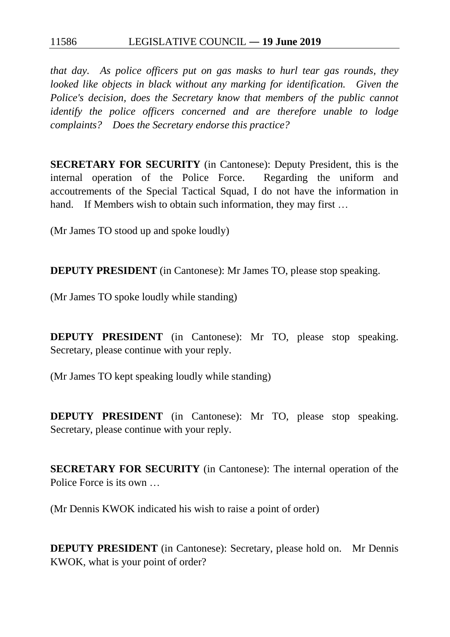## 11586 LEGISLATIVE COUNCIL ― **19 June 2019**

*that day. As police officers put on gas masks to hurl tear gas rounds, they looked like objects in black without any marking for identification. Given the Police's decision, does the Secretary know that members of the public cannot identify the police officers concerned and are therefore unable to lodge complaints? Does the Secretary endorse this practice?*

**SECRETARY FOR SECURITY** (in Cantonese): Deputy President, this is the internal operation of the Police Force. Regarding the uniform and accoutrements of the Special Tactical Squad, I do not have the information in hand. If Members wish to obtain such information, they may first ...

(Mr James TO stood up and spoke loudly)

**DEPUTY PRESIDENT** (in Cantonese): Mr James TO, please stop speaking.

(Mr James TO spoke loudly while standing)

**DEPUTY PRESIDENT** (in Cantonese): Mr TO, please stop speaking. Secretary, please continue with your reply.

(Mr James TO kept speaking loudly while standing)

**DEPUTY PRESIDENT** (in Cantonese): Mr TO, please stop speaking. Secretary, please continue with your reply.

**SECRETARY FOR SECURITY** (in Cantonese): The internal operation of the Police Force is its own …

(Mr Dennis KWOK indicated his wish to raise a point of order)

**DEPUTY PRESIDENT** (in Cantonese): Secretary, please hold on. Mr Dennis KWOK, what is your point of order?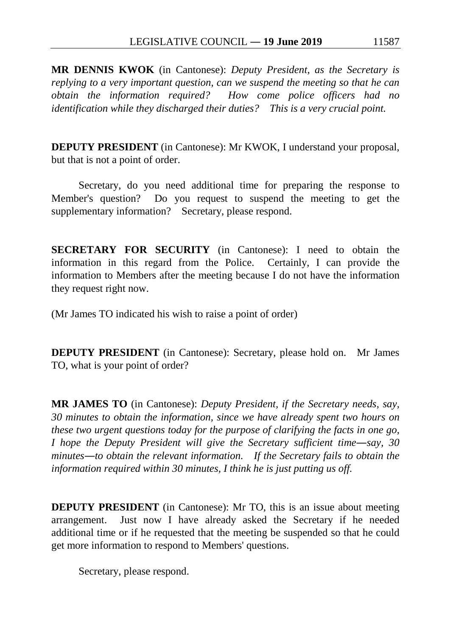**MR DENNIS KWOK** (in Cantonese): *Deputy President, as the Secretary is replying to a very important question, can we suspend the meeting so that he can obtain the information required? How come police officers had no identification while they discharged their duties? This is a very crucial point.*

**DEPUTY PRESIDENT** (in Cantonese): Mr KWOK, I understand your proposal, but that is not a point of order.

Secretary, do you need additional time for preparing the response to Member's question? Do you request to suspend the meeting to get the supplementary information? Secretary, please respond.

**SECRETARY FOR SECURITY** (in Cantonese): I need to obtain the information in this regard from the Police. Certainly, I can provide the information to Members after the meeting because I do not have the information they request right now.

(Mr James TO indicated his wish to raise a point of order)

**DEPUTY PRESIDENT** (in Cantonese): Secretary, please hold on. Mr James TO, what is your point of order?

**MR JAMES TO** (in Cantonese): *Deputy President, if the Secretary needs, say, 30 minutes to obtain the information, since we have already spent two hours on these two urgent questions today for the purpose of clarifying the facts in one go, I hope the Deputy President will give the Secretary sufficient time—say, 30 minutes―to obtain the relevant information. If the Secretary fails to obtain the information required within 30 minutes, I think he is just putting us off.*

**DEPUTY PRESIDENT** (in Cantonese): Mr TO, this is an issue about meeting arrangement. Just now I have already asked the Secretary if he needed additional time or if he requested that the meeting be suspended so that he could get more information to respond to Members' questions.

Secretary, please respond.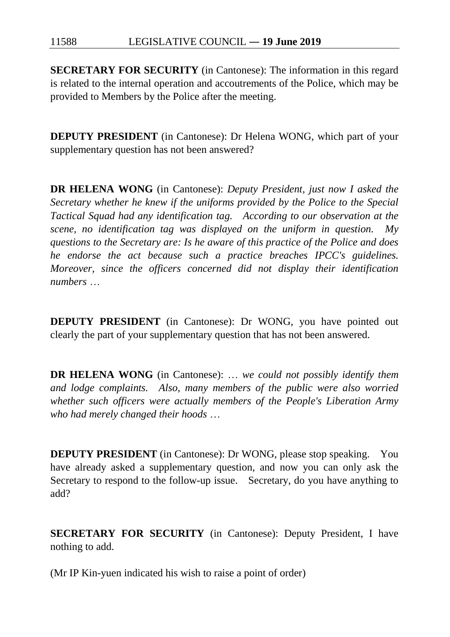11588 LEGISLATIVE COUNCIL ― **19 June 2019**

**SECRETARY FOR SECURITY** (in Cantonese): The information in this regard is related to the internal operation and accoutrements of the Police, which may be provided to Members by the Police after the meeting.

**DEPUTY PRESIDENT** (in Cantonese): Dr Helena WONG, which part of your supplementary question has not been answered?

**DR HELENA WONG** (in Cantonese): *Deputy President, just now I asked the Secretary whether he knew if the uniforms provided by the Police to the Special Tactical Squad had any identification tag. According to our observation at the scene, no identification tag was displayed on the uniform in question. My questions to the Secretary are: Is he aware of this practice of the Police and does he endorse the act because such a practice breaches IPCC's guidelines. Moreover, since the officers concerned did not display their identification numbers* …

**DEPUTY PRESIDENT** (in Cantonese): Dr WONG, you have pointed out clearly the part of your supplementary question that has not been answered.

**DR HELENA WONG** (in Cantonese): … *we could not possibly identify them and lodge complaints. Also, many members of the public were also worried whether such officers were actually members of the People's Liberation Army who had merely changed their hoods* …

**DEPUTY PRESIDENT** (in Cantonese): Dr WONG, please stop speaking. You have already asked a supplementary question, and now you can only ask the Secretary to respond to the follow-up issue. Secretary, do you have anything to add?

**SECRETARY FOR SECURITY** (in Cantonese): Deputy President, I have nothing to add.

(Mr IP Kin-yuen indicated his wish to raise a point of order)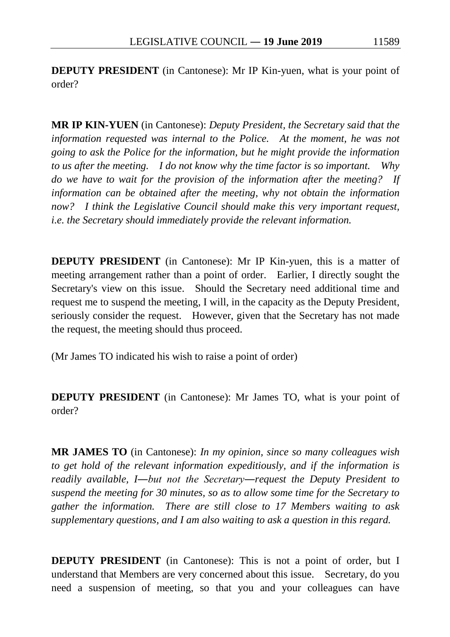**DEPUTY PRESIDENT** (in Cantonese): Mr IP Kin-yuen, what is your point of order?

**MR IP KIN-YUEN** (in Cantonese): *Deputy President, the Secretary said that the information requested was internal to the Police. At the moment, he was not going to ask the Police for the information, but he might provide the information to us after the meeting. I do not know why the time factor is so important. Why do we have to wait for the provision of the information after the meeting? If information can be obtained after the meeting, why not obtain the information now? I think the Legislative Council should make this very important request, i.e. the Secretary should immediately provide the relevant information.*

**DEPUTY PRESIDENT** (in Cantonese): Mr IP Kin-yuen, this is a matter of meeting arrangement rather than a point of order. Earlier, I directly sought the Secretary's view on this issue. Should the Secretary need additional time and request me to suspend the meeting, I will, in the capacity as the Deputy President, seriously consider the request. However, given that the Secretary has not made the request, the meeting should thus proceed.

(Mr James TO indicated his wish to raise a point of order)

**DEPUTY PRESIDENT** (in Cantonese): Mr James TO, what is your point of order?

**MR JAMES TO** (in Cantonese): *In my opinion, since so many colleagues wish to get hold of the relevant information expeditiously, and if the information is readily available, I―but not the Secretary―request the Deputy President to suspend the meeting for 30 minutes, so as to allow some time for the Secretary to gather the information. There are still close to 17 Members waiting to ask supplementary questions, and I am also waiting to ask a question in this regard.*

**DEPUTY PRESIDENT** (in Cantonese): This is not a point of order, but I understand that Members are very concerned about this issue. Secretary, do you need a suspension of meeting, so that you and your colleagues can have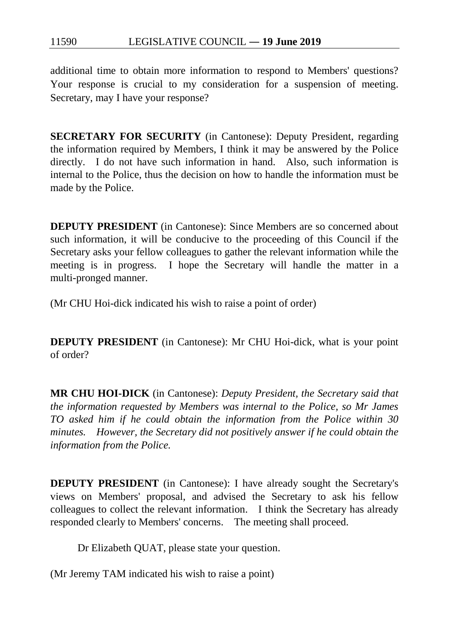additional time to obtain more information to respond to Members' questions? Your response is crucial to my consideration for a suspension of meeting. Secretary, may I have your response?

**SECRETARY FOR SECURITY** (in Cantonese): Deputy President, regarding the information required by Members, I think it may be answered by the Police directly. I do not have such information in hand. Also, such information is internal to the Police, thus the decision on how to handle the information must be made by the Police.

**DEPUTY PRESIDENT** (in Cantonese): Since Members are so concerned about such information, it will be conducive to the proceeding of this Council if the Secretary asks your fellow colleagues to gather the relevant information while the meeting is in progress. I hope the Secretary will handle the matter in a multi-pronged manner.

(Mr CHU Hoi-dick indicated his wish to raise a point of order)

**DEPUTY PRESIDENT** (in Cantonese): Mr CHU Hoi-dick, what is your point of order?

**MR CHU HOI-DICK** (in Cantonese): *Deputy President, the Secretary said that the information requested by Members was internal to the Police, so Mr James TO asked him if he could obtain the information from the Police within 30 minutes. However, the Secretary did not positively answer if he could obtain the information from the Police.*

**DEPUTY PRESIDENT** (in Cantonese): I have already sought the Secretary's views on Members' proposal, and advised the Secretary to ask his fellow colleagues to collect the relevant information. I think the Secretary has already responded clearly to Members' concerns. The meeting shall proceed.

Dr Elizabeth QUAT, please state your question.

(Mr Jeremy TAM indicated his wish to raise a point)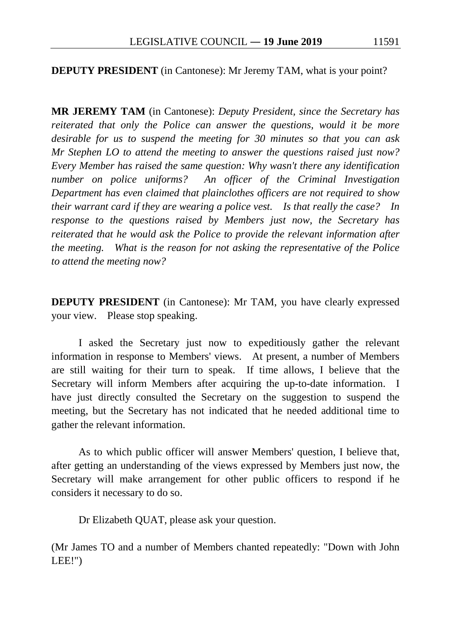## **DEPUTY PRESIDENT** (in Cantonese): Mr Jeremy TAM, what is your point?

**MR JEREMY TAM** (in Cantonese): *Deputy President, since the Secretary has reiterated that only the Police can answer the questions, would it be more desirable for us to suspend the meeting for 30 minutes so that you can ask Mr Stephen LO to attend the meeting to answer the questions raised just now? Every Member has raised the same question: Why wasn't there any identification number on police uniforms? An officer of the Criminal Investigation Department has even claimed that plainclothes officers are not required to show their warrant card if they are wearing a police vest. Is that really the case? In response to the questions raised by Members just now, the Secretary has reiterated that he would ask the Police to provide the relevant information after the meeting. What is the reason for not asking the representative of the Police to attend the meeting now?*

**DEPUTY PRESIDENT** (in Cantonese): Mr TAM, you have clearly expressed your view. Please stop speaking.

I asked the Secretary just now to expeditiously gather the relevant information in response to Members' views. At present, a number of Members are still waiting for their turn to speak. If time allows, I believe that the Secretary will inform Members after acquiring the up-to-date information. I have just directly consulted the Secretary on the suggestion to suspend the meeting, but the Secretary has not indicated that he needed additional time to gather the relevant information.

As to which public officer will answer Members' question, I believe that, after getting an understanding of the views expressed by Members just now, the Secretary will make arrangement for other public officers to respond if he considers it necessary to do so.

Dr Elizabeth QUAT, please ask your question.

(Mr James TO and a number of Members chanted repeatedly: "Down with John LEE!")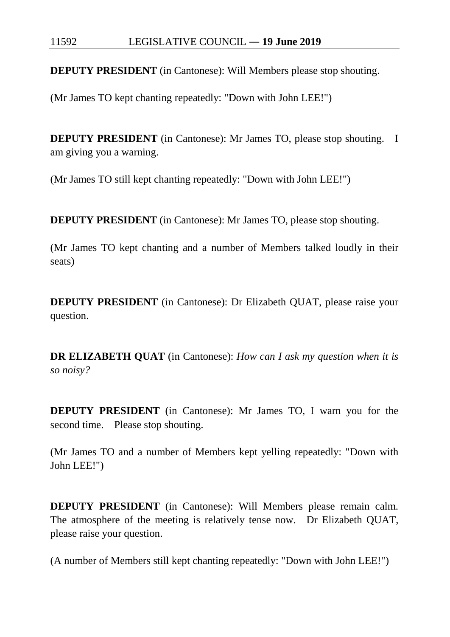**DEPUTY PRESIDENT** (in Cantonese): Will Members please stop shouting.

(Mr James TO kept chanting repeatedly: "Down with John LEE!")

**DEPUTY PRESIDENT** (in Cantonese): Mr James TO, please stop shouting. I am giving you a warning.

(Mr James TO still kept chanting repeatedly: "Down with John LEE!")

**DEPUTY PRESIDENT** (in Cantonese): Mr James TO, please stop shouting.

(Mr James TO kept chanting and a number of Members talked loudly in their seats)

**DEPUTY PRESIDENT** (in Cantonese): Dr Elizabeth QUAT, please raise your question.

**DR ELIZABETH QUAT** (in Cantonese): *How can I ask my question when it is so noisy?*

**DEPUTY PRESIDENT** (in Cantonese): Mr James TO, I warn you for the second time. Please stop shouting.

(Mr James TO and a number of Members kept yelling repeatedly: "Down with John LEE!")

**DEPUTY PRESIDENT** (in Cantonese): Will Members please remain calm. The atmosphere of the meeting is relatively tense now. Dr Elizabeth QUAT, please raise your question.

(A number of Members still kept chanting repeatedly: "Down with John LEE!")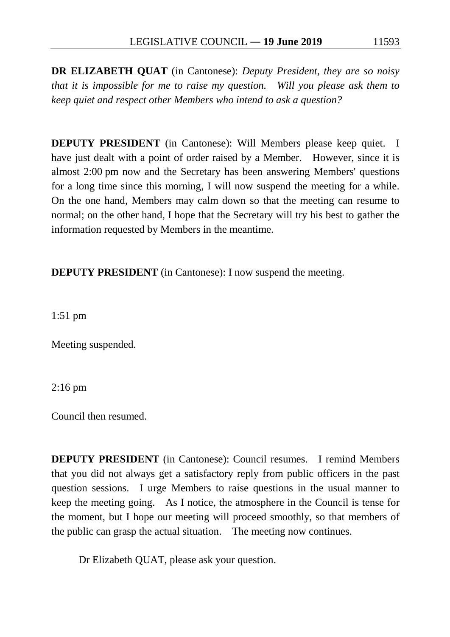**DR ELIZABETH QUAT** (in Cantonese): *Deputy President, they are so noisy that it is impossible for me to raise my question. Will you please ask them to keep quiet and respect other Members who intend to ask a question?*

**DEPUTY PRESIDENT** (in Cantonese): Will Members please keep quiet. I have just dealt with a point of order raised by a Member. However, since it is almost 2:00 pm now and the Secretary has been answering Members' questions for a long time since this morning, I will now suspend the meeting for a while. On the one hand, Members may calm down so that the meeting can resume to normal; on the other hand, I hope that the Secretary will try his best to gather the information requested by Members in the meantime.

**DEPUTY PRESIDENT** (in Cantonese): I now suspend the meeting.

1:51 pm

Meeting suspended.

2:16 pm

Council then resumed.

**DEPUTY PRESIDENT** (in Cantonese): Council resumes. I remind Members that you did not always get a satisfactory reply from public officers in the past question sessions. I urge Members to raise questions in the usual manner to keep the meeting going. As I notice, the atmosphere in the Council is tense for the moment, but I hope our meeting will proceed smoothly, so that members of the public can grasp the actual situation. The meeting now continues.

Dr Elizabeth QUAT, please ask your question.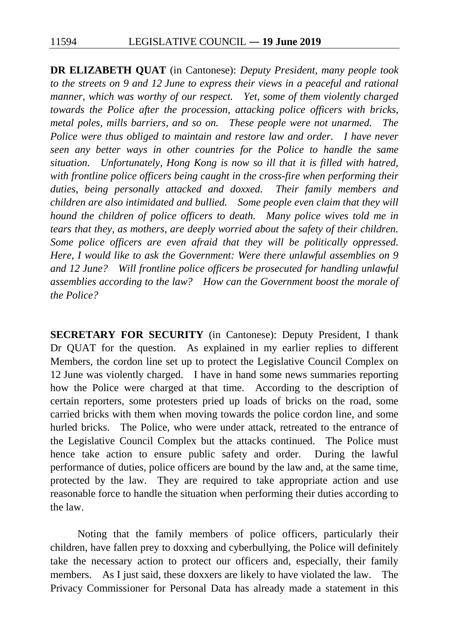**DR ELIZABETH QUAT** (in Cantonese): *Deputy President, many people took to the streets on 9 and 12 June to express their views in a peaceful and rational manner, which was worthy of our respect. Yet, some of them violently charged towards the Police after the procession, attacking police officers with bricks, metal poles, mills barriers, and so on. These people were not unarmed. The Police were thus obliged to maintain and restore law and order. I have never seen any better ways in other countries for the Police to handle the same situation. Unfortunately, Hong Kong is now so ill that it is filled with hatred, with frontline police officers being caught in the cross-fire when performing their duties, being personally attacked and doxxed. Their family members and children are also intimidated and bullied. Some people even claim that they will hound the children of police officers to death. Many police wives told me in tears that they, as mothers, are deeply worried about the safety of their children. Some police officers are even afraid that they will be politically oppressed. Here, I would like to ask the Government: Were there unlawful assemblies on 9 and 12 June? Will frontline police officers be prosecuted for handling unlawful assemblies according to the law? How can the Government boost the morale of the Police?*

**SECRETARY FOR SECURITY** (in Cantonese): Deputy President, I thank Dr QUAT for the question. As explained in my earlier replies to different Members, the cordon line set up to protect the Legislative Council Complex on 12 June was violently charged. I have in hand some news summaries reporting how the Police were charged at that time. According to the description of certain reporters, some protesters pried up loads of bricks on the road, some carried bricks with them when moving towards the police cordon line, and some hurled bricks. The Police, who were under attack, retreated to the entrance of the Legislative Council Complex but the attacks continued. The Police must hence take action to ensure public safety and order. During the lawful performance of duties, police officers are bound by the law and, at the same time, protected by the law. They are required to take appropriate action and use reasonable force to handle the situation when performing their duties according to the law.

Noting that the family members of police officers, particularly their children, have fallen prey to doxxing and cyberbullying, the Police will definitely take the necessary action to protect our officers and, especially, their family members. As I just said, these doxxers are likely to have violated the law. The Privacy Commissioner for Personal Data has already made a statement in this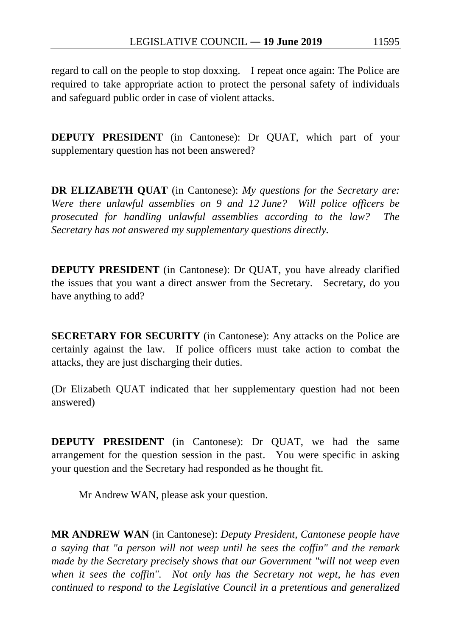regard to call on the people to stop doxxing. I repeat once again: The Police are required to take appropriate action to protect the personal safety of individuals and safeguard public order in case of violent attacks.

**DEPUTY PRESIDENT** (in Cantonese): Dr QUAT, which part of your supplementary question has not been answered?

**DR ELIZABETH QUAT** (in Cantonese): *My questions for the Secretary are: Were there unlawful assemblies on 9 and 12 June? Will police officers be prosecuted for handling unlawful assemblies according to the law? The Secretary has not answered my supplementary questions directly.*

**DEPUTY PRESIDENT** (in Cantonese): Dr QUAT, you have already clarified the issues that you want a direct answer from the Secretary. Secretary, do you have anything to add?

**SECRETARY FOR SECURITY** (in Cantonese): Any attacks on the Police are certainly against the law. If police officers must take action to combat the attacks, they are just discharging their duties.

(Dr Elizabeth QUAT indicated that her supplementary question had not been answered)

**DEPUTY PRESIDENT** (in Cantonese): Dr QUAT, we had the same arrangement for the question session in the past. You were specific in asking your question and the Secretary had responded as he thought fit.

Mr Andrew WAN, please ask your question.

**MR ANDREW WAN** (in Cantonese): *Deputy President, Cantonese people have a saying that "a person will not weep until he sees the coffin" and the remark made by the Secretary precisely shows that our Government "will not weep even when it sees the coffin". Not only has the Secretary not wept, he has even continued to respond to the Legislative Council in a pretentious and generalized*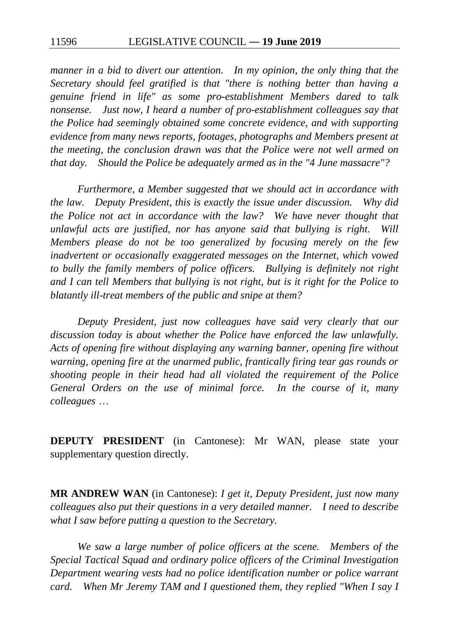*manner in a bid to divert our attention. In my opinion, the only thing that the Secretary should feel gratified is that "there is nothing better than having a genuine friend in life" as some pro-establishment Members dared to talk nonsense. Just now, I heard a number of pro-establishment colleagues say that the Police had seemingly obtained some concrete evidence, and with supporting evidence from many news reports, footages, photographs and Members present at the meeting, the conclusion drawn was that the Police were not well armed on that day. Should the Police be adequately armed as in the "4 June massacre"?*

*Furthermore, a Member suggested that we should act in accordance with the law. Deputy President, this is exactly the issue under discussion. Why did the Police not act in accordance with the law? We have never thought that unlawful acts are justified, nor has anyone said that bullying is right. Will Members please do not be too generalized by focusing merely on the few inadvertent or occasionally exaggerated messages on the Internet, which vowed to bully the family members of police officers. Bullying is definitely not right and I can tell Members that bullying is not right, but is it right for the Police to blatantly ill-treat members of the public and snipe at them?*

*Deputy President, just now colleagues have said very clearly that our discussion today is about whether the Police have enforced the law unlawfully. Acts of opening fire without displaying any warning banner, opening fire without warning, opening fire at the unarmed public, frantically firing tear gas rounds or shooting people in their head had all violated the requirement of the Police General Orders on the use of minimal force. In the course of it, many colleagues* …

**DEPUTY PRESIDENT** (in Cantonese): Mr WAN, please state your supplementary question directly.

**MR ANDREW WAN** (in Cantonese): *I get it, Deputy President, just now many colleagues also put their questions in a very detailed manner. I need to describe what I saw before putting a question to the Secretary.*

*We saw a large number of police officers at the scene. Members of the Special Tactical Squad and ordinary police officers of the Criminal Investigation Department wearing vests had no police identification number or police warrant card.* When Mr Jeremy TAM and I questioned them, they replied "When I say I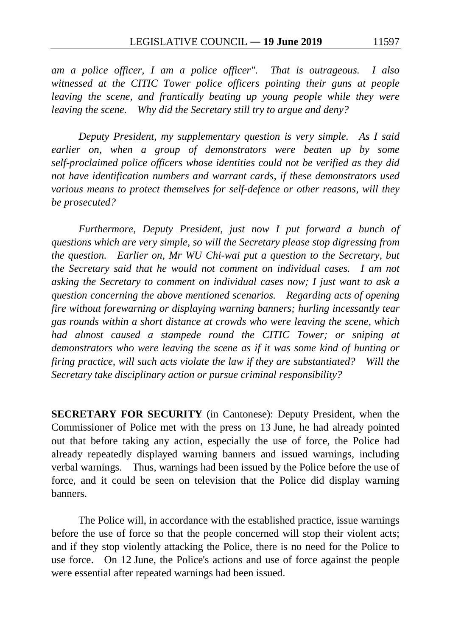*am a police officer, I am a police officer". That is outrageous. I also witnessed at the CITIC Tower police officers pointing their guns at people leaving the scene, and frantically beating up young people while they were leaving the scene. Why did the Secretary still try to argue and deny?*

*Deputy President, my supplementary question is very simple. As I said earlier on, when a group of demonstrators were beaten up by some self-proclaimed police officers whose identities could not be verified as they did not have identification numbers and warrant cards, if these demonstrators used various means to protect themselves for self-defence or other reasons, will they be prosecuted?*

*Furthermore, Deputy President, just now I put forward a bunch of questions which are very simple, so will the Secretary please stop digressing from the question. Earlier on, Mr WU Chi-wai put a question to the Secretary, but the Secretary said that he would not comment on individual cases. I am not asking the Secretary to comment on individual cases now; I just want to ask a question concerning the above mentioned scenarios. Regarding acts of opening fire without forewarning or displaying warning banners; hurling incessantly tear gas rounds within a short distance at crowds who were leaving the scene, which had almost caused a stampede round the CITIC Tower; or sniping at demonstrators who were leaving the scene as if it was some kind of hunting or firing practice, will such acts violate the law if they are substantiated? Will the Secretary take disciplinary action or pursue criminal responsibility?*

**SECRETARY FOR SECURITY** (in Cantonese): Deputy President, when the Commissioner of Police met with the press on 13 June, he had already pointed out that before taking any action, especially the use of force, the Police had already repeatedly displayed warning banners and issued warnings, including verbal warnings. Thus, warnings had been issued by the Police before the use of force, and it could be seen on television that the Police did display warning banners.

The Police will, in accordance with the established practice, issue warnings before the use of force so that the people concerned will stop their violent acts; and if they stop violently attacking the Police, there is no need for the Police to use force. On 12 June, the Police's actions and use of force against the people were essential after repeated warnings had been issued.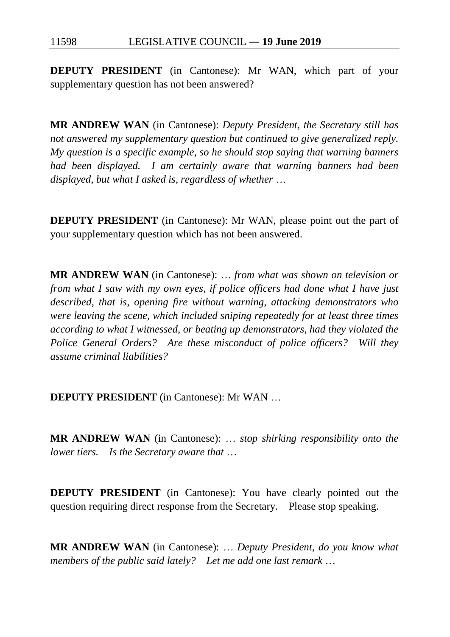**DEPUTY PRESIDENT** (in Cantonese): Mr WAN, which part of your supplementary question has not been answered?

**MR ANDREW WAN** (in Cantonese): *Deputy President, the Secretary still has not answered my supplementary question but continued to give generalized reply. My question is a specific example, so he should stop saying that warning banners had been displayed. I am certainly aware that warning banners had been displayed, but what I asked is, regardless of whether* …

**DEPUTY PRESIDENT** (in Cantonese): Mr WAN, please point out the part of your supplementary question which has not been answered.

**MR ANDREW WAN** (in Cantonese): … *from what was shown on television or from what I saw with my own eyes, if police officers had done what I have just described, that is, opening fire without warning, attacking demonstrators who were leaving the scene, which included sniping repeatedly for at least three times according to what I witnessed, or beating up demonstrators, had they violated the Police General Orders? Are these misconduct of police officers? Will they assume criminal liabilities?*

**DEPUTY PRESIDENT** (in Cantonese): Mr WAN …

**MR ANDREW WAN** (in Cantonese): … *stop shirking responsibility onto the lower tiers. Is the Secretary aware that* …

**DEPUTY PRESIDENT** (in Cantonese): You have clearly pointed out the question requiring direct response from the Secretary. Please stop speaking.

**MR ANDREW WAN** (in Cantonese): … *Deputy President, do you know what members of the public said lately? Let me add one last remark* …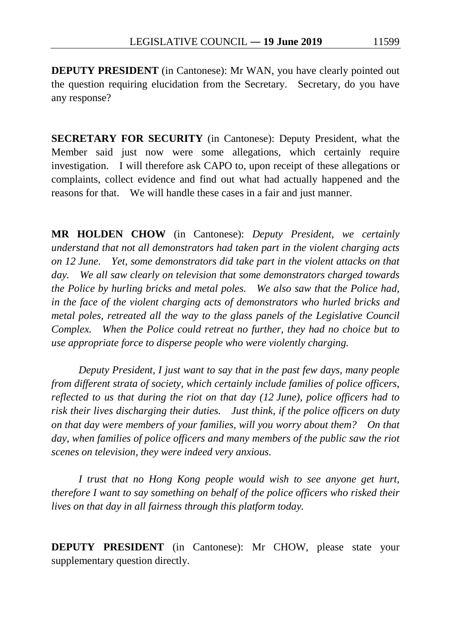**DEPUTY PRESIDENT** (in Cantonese): Mr WAN, you have clearly pointed out the question requiring elucidation from the Secretary. Secretary, do you have any response?

**SECRETARY FOR SECURITY** (in Cantonese): Deputy President, what the Member said just now were some allegations, which certainly require investigation. I will therefore ask CAPO to, upon receipt of these allegations or complaints, collect evidence and find out what had actually happened and the reasons for that. We will handle these cases in a fair and just manner.

**MR HOLDEN CHOW** (in Cantonese): *Deputy President, we certainly understand that not all demonstrators had taken part in the violent charging acts on 12 June. Yet, some demonstrators did take part in the violent attacks on that day. We all saw clearly on television that some demonstrators charged towards the Police by hurling bricks and metal poles. We also saw that the Police had, in the face of the violent charging acts of demonstrators who hurled bricks and metal poles, retreated all the way to the glass panels of the Legislative Council Complex. When the Police could retreat no further, they had no choice but to use appropriate force to disperse people who were violently charging.*

*Deputy President, I just want to say that in the past few days, many people from different strata of society, which certainly include families of police officers, reflected to us that during the riot on that day (12 June), police officers had to risk their lives discharging their duties. Just think, if the police officers on duty on that day were members of your families, will you worry about them? On that day, when families of police officers and many members of the public saw the riot scenes on television, they were indeed very anxious.*

*I trust that no Hong Kong people would wish to see anyone get hurt, therefore I want to say something on behalf of the police officers who risked their lives on that day in all fairness through this platform today.*

**DEPUTY PRESIDENT** (in Cantonese): Mr CHOW, please state your supplementary question directly.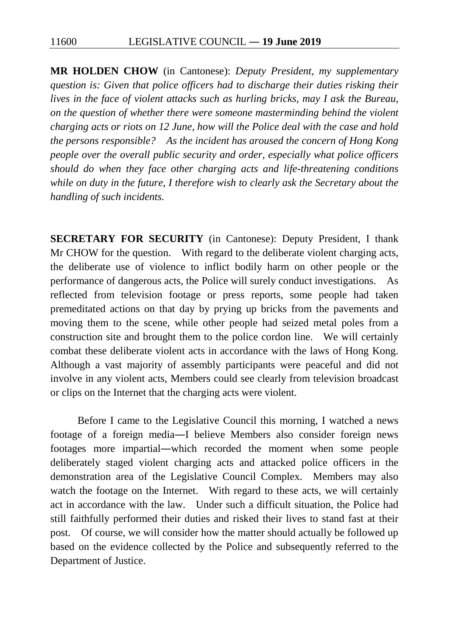**MR HOLDEN CHOW** (in Cantonese): *Deputy President, my supplementary question is: Given that police officers had to discharge their duties risking their lives in the face of violent attacks such as hurling bricks, may I ask the Bureau, on the question of whether there were someone masterminding behind the violent charging acts or riots on 12 June, how will the Police deal with the case and hold the persons responsible? As the incident has aroused the concern of Hong Kong people over the overall public security and order, especially what police officers should do when they face other charging acts and life-threatening conditions while on duty in the future, I therefore wish to clearly ask the Secretary about the handling of such incidents.*

**SECRETARY FOR SECURITY** (in Cantonese): Deputy President, I thank Mr CHOW for the question. With regard to the deliberate violent charging acts, the deliberate use of violence to inflict bodily harm on other people or the performance of dangerous acts, the Police will surely conduct investigations. As reflected from television footage or press reports, some people had taken premeditated actions on that day by prying up bricks from the pavements and moving them to the scene, while other people had seized metal poles from a construction site and brought them to the police cordon line. We will certainly combat these deliberate violent acts in accordance with the laws of Hong Kong. Although a vast majority of assembly participants were peaceful and did not involve in any violent acts, Members could see clearly from television broadcast or clips on the Internet that the charging acts were violent.

Before I came to the Legislative Council this morning, I watched a news footage of a foreign media―I believe Members also consider foreign news footages more impartial―which recorded the moment when some people deliberately staged violent charging acts and attacked police officers in the demonstration area of the Legislative Council Complex. Members may also watch the footage on the Internet. With regard to these acts, we will certainly act in accordance with the law. Under such a difficult situation, the Police had still faithfully performed their duties and risked their lives to stand fast at their post. Of course, we will consider how the matter should actually be followed up based on the evidence collected by the Police and subsequently referred to the Department of Justice.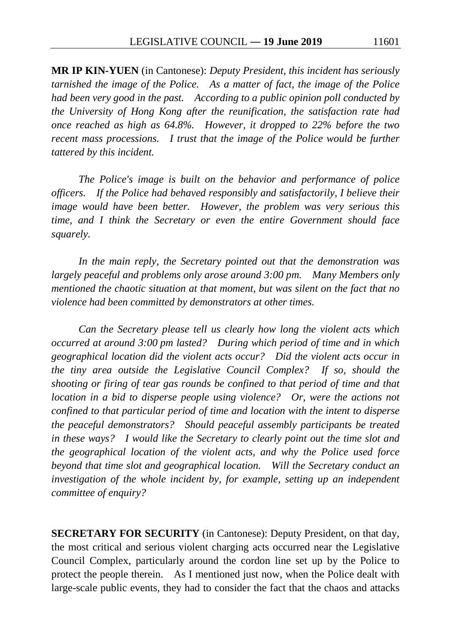**MR IP KIN-YUEN** (in Cantonese): *Deputy President, this incident has seriously tarnished the image of the Police. As a matter of fact, the image of the Police had been very good in the past. According to a public opinion poll conducted by the University of Hong Kong after the reunification, the satisfaction rate had once reached as high as 64.8%. However, it dropped to 22% before the two recent mass processions.* I trust that the image of the Police would be further *tattered by this incident.*

*The Police's image is built on the behavior and performance of police officers. If the Police had behaved responsibly and satisfactorily, I believe their image would have been better. However, the problem was very serious this time, and I think the Secretary or even the entire Government should face squarely.*

*In the main reply, the Secretary pointed out that the demonstration was largely peaceful and problems only arose around 3:00 pm. Many Members only mentioned the chaotic situation at that moment, but was silent on the fact that no violence had been committed by demonstrators at other times.*

*Can the Secretary please tell us clearly how long the violent acts which occurred at around 3:00 pm lasted? During which period of time and in which geographical location did the violent acts occur? Did the violent acts occur in the tiny area outside the Legislative Council Complex? If so, should the shooting or firing of tear gas rounds be confined to that period of time and that location in a bid to disperse people using violence? Or, were the actions not confined to that particular period of time and location with the intent to disperse the peaceful demonstrators? Should peaceful assembly participants be treated in these ways? I would like the Secretary to clearly point out the time slot and the geographical location of the violent acts, and why the Police used force beyond that time slot and geographical location. Will the Secretary conduct an*  investigation of the whole incident by, for example, setting up an independent *committee of enquiry?*

**SECRETARY FOR SECURITY** (in Cantonese): Deputy President, on that day, the most critical and serious violent charging acts occurred near the Legislative Council Complex, particularly around the cordon line set up by the Police to protect the people therein. As I mentioned just now, when the Police dealt with large-scale public events, they had to consider the fact that the chaos and attacks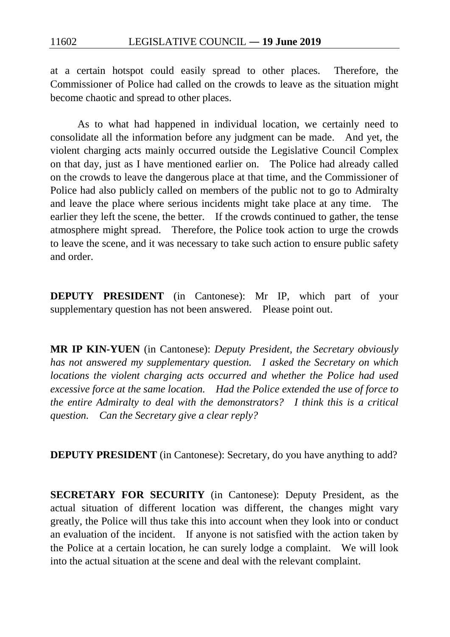at a certain hotspot could easily spread to other places. Therefore, the Commissioner of Police had called on the crowds to leave as the situation might become chaotic and spread to other places.

As to what had happened in individual location, we certainly need to consolidate all the information before any judgment can be made. And yet, the violent charging acts mainly occurred outside the Legislative Council Complex on that day, just as I have mentioned earlier on. The Police had already called on the crowds to leave the dangerous place at that time, and the Commissioner of Police had also publicly called on members of the public not to go to Admiralty and leave the place where serious incidents might take place at any time. The earlier they left the scene, the better. If the crowds continued to gather, the tense atmosphere might spread. Therefore, the Police took action to urge the crowds to leave the scene, and it was necessary to take such action to ensure public safety and order.

**DEPUTY PRESIDENT** (in Cantonese): Mr IP, which part of your supplementary question has not been answered. Please point out.

**MR IP KIN-YUEN** (in Cantonese): *Deputy President, the Secretary obviously has not answered my supplementary question. I asked the Secretary on which locations the violent charging acts occurred and whether the Police had used excessive force at the same location. Had the Police extended the use of force to the entire Admiralty to deal with the demonstrators? I think this is a critical question. Can the Secretary give a clear reply?*

**DEPUTY PRESIDENT** (in Cantonese): Secretary, do you have anything to add?

**SECRETARY FOR SECURITY** (in Cantonese): Deputy President, as the actual situation of different location was different, the changes might vary greatly, the Police will thus take this into account when they look into or conduct an evaluation of the incident. If anyone is not satisfied with the action taken by the Police at a certain location, he can surely lodge a complaint. We will look into the actual situation at the scene and deal with the relevant complaint.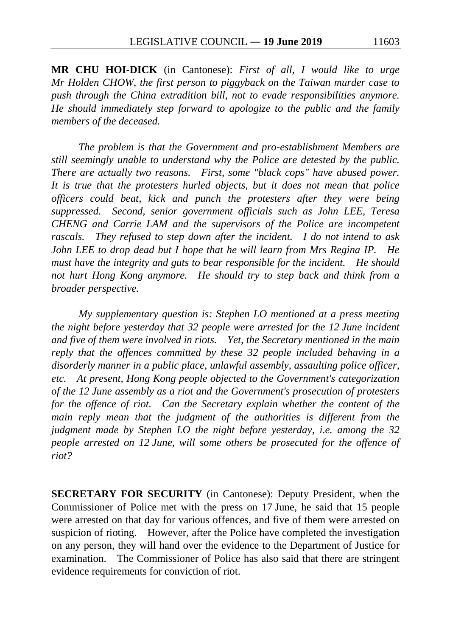**MR CHU HOI-DICK** (in Cantonese): *First of all, I would like to urge Mr Holden CHOW, the first person to piggyback on the Taiwan murder case to push through the China extradition bill, not to evade responsibilities anymore. He should immediately step forward to apologize to the public and the family members of the deceased.*

*The problem is that the Government and pro-establishment Members are still seemingly unable to understand why the Police are detested by the public. There are actually two reasons. First, some "black cops" have abused power. It is true that the protesters hurled objects, but it does not mean that police officers could beat, kick and punch the protesters after they were being suppressed. Second, senior government officials such as John LEE, Teresa CHENG and Carrie LAM and the supervisors of the Police are incompetent rascals. They refused to step down after the incident. I do not intend to ask John LEE to drop dead but I hope that he will learn from Mrs Regina IP. He must have the integrity and guts to bear responsible for the incident. He should not hurt Hong Kong anymore. He should try to step back and think from a broader perspective.*

*My supplementary question is: Stephen LO mentioned at a press meeting the night before yesterday that 32 people were arrested for the 12 June incident and five of them were involved in riots. Yet, the Secretary mentioned in the main reply that the offences committed by these 32 people included behaving in a disorderly manner in a public place, unlawful assembly, assaulting police officer, etc. At present, Hong Kong people objected to the Government's categorization of the 12 June assembly as a riot and the Government's prosecution of protesters for the offence of riot. Can the Secretary explain whether the content of the main reply mean that the judgment of the authorities is different from the judgment made by Stephen LO the night before yesterday, i.e. among the 32 people arrested on 12 June, will some others be prosecuted for the offence of riot?*

**SECRETARY FOR SECURITY** (in Cantonese): Deputy President, when the Commissioner of Police met with the press on 17 June, he said that 15 people were arrested on that day for various offences, and five of them were arrested on suspicion of rioting. However, after the Police have completed the investigation on any person, they will hand over the evidence to the Department of Justice for examination. The Commissioner of Police has also said that there are stringent evidence requirements for conviction of riot.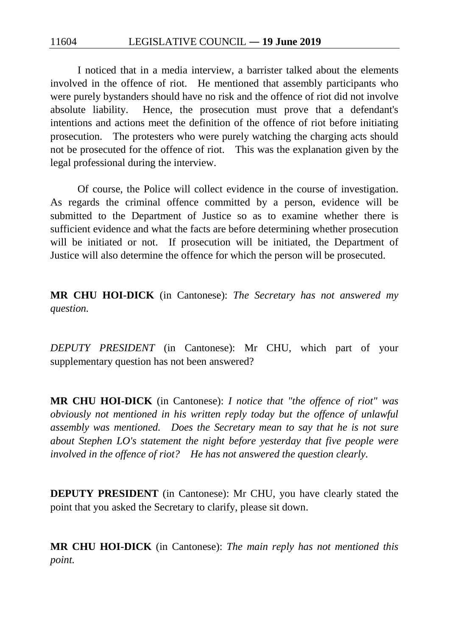11604 LEGISLATIVE COUNCIL ― **19 June 2019**

I noticed that in a media interview, a barrister talked about the elements involved in the offence of riot. He mentioned that assembly participants who were purely bystanders should have no risk and the offence of riot did not involve absolute liability. Hence, the prosecution must prove that a defendant's intentions and actions meet the definition of the offence of riot before initiating prosecution. The protesters who were purely watching the charging acts should not be prosecuted for the offence of riot. This was the explanation given by the legal professional during the interview.

Of course, the Police will collect evidence in the course of investigation. As regards the criminal offence committed by a person, evidence will be submitted to the Department of Justice so as to examine whether there is sufficient evidence and what the facts are before determining whether prosecution will be initiated or not. If prosecution will be initiated, the Department of Justice will also determine the offence for which the person will be prosecuted.

**MR CHU HOI-DICK** (in Cantonese): *The Secretary has not answered my question.*

*DEPUTY PRESIDENT* (in Cantonese): Mr CHU, which part of your supplementary question has not been answered?

**MR CHU HOI-DICK** (in Cantonese): *I notice that "the offence of riot" was obviously not mentioned in his written reply today but the offence of unlawful assembly was mentioned. Does the Secretary mean to say that he is not sure about Stephen LO's statement the night before yesterday that five people were involved in the offence of riot? He has not answered the question clearly.*

**DEPUTY PRESIDENT** (in Cantonese): Mr CHU, you have clearly stated the point that you asked the Secretary to clarify, please sit down.

**MR CHU HOI-DICK** (in Cantonese): *The main reply has not mentioned this point.*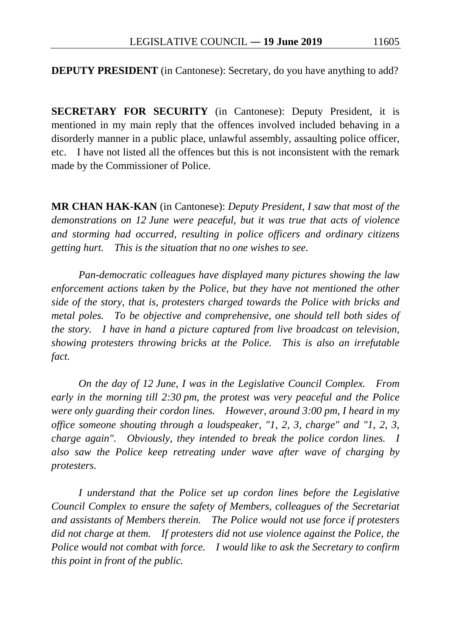**DEPUTY PRESIDENT** (in Cantonese): Secretary, do you have anything to add?

**SECRETARY FOR SECURITY** (in Cantonese): Deputy President, it is mentioned in my main reply that the offences involved included behaving in a disorderly manner in a public place, unlawful assembly, assaulting police officer, etc. I have not listed all the offences but this is not inconsistent with the remark made by the Commissioner of Police.

**MR CHAN HAK-KAN** (in Cantonese): *Deputy President, I saw that most of the demonstrations on 12 June were peaceful, but it was true that acts of violence and storming had occurred, resulting in police officers and ordinary citizens getting hurt. This is the situation that no one wishes to see.*

*Pan-democratic colleagues have displayed many pictures showing the law enforcement actions taken by the Police, but they have not mentioned the other side of the story, that is, protesters charged towards the Police with bricks and metal poles. To be objective and comprehensive, one should tell both sides of the story. I have in hand a picture captured from live broadcast on television, showing protesters throwing bricks at the Police. This is also an irrefutable fact.*

*On the day of 12 June, I was in the Legislative Council Complex. From early in the morning till 2:30 pm, the protest was very peaceful and the Police were only guarding their cordon lines. However, around 3:00 pm, I heard in my office someone shouting through a loudspeaker, "1, 2, 3, charge" and "1, 2, 3, charge again". Obviously, they intended to break the police cordon lines. I also saw the Police keep retreating under wave after wave of charging by protesters.*

*I understand that the Police set up cordon lines before the Legislative Council Complex to ensure the safety of Members, colleagues of the Secretariat and assistants of Members therein. The Police would not use force if protesters did not charge at them. If protesters did not use violence against the Police, the Police would not combat with force. I would like to ask the Secretary to confirm this point in front of the public.*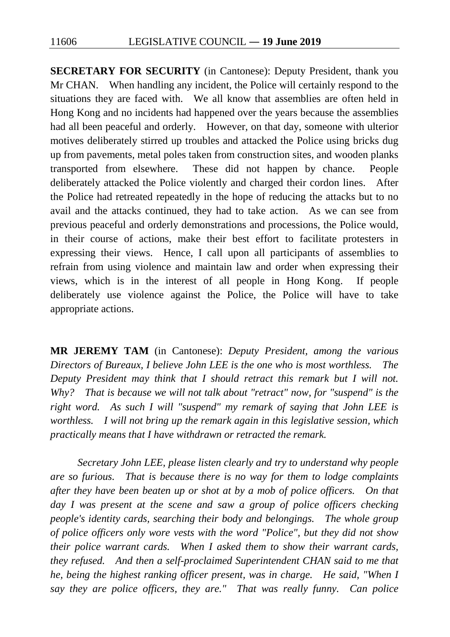**SECRETARY FOR SECURITY** (in Cantonese): Deputy President, thank you Mr CHAN. When handling any incident, the Police will certainly respond to the situations they are faced with. We all know that assemblies are often held in Hong Kong and no incidents had happened over the years because the assemblies had all been peaceful and orderly. However, on that day, someone with ulterior motives deliberately stirred up troubles and attacked the Police using bricks dug up from pavements, metal poles taken from construction sites, and wooden planks transported from elsewhere. These did not happen by chance. People deliberately attacked the Police violently and charged their cordon lines. After the Police had retreated repeatedly in the hope of reducing the attacks but to no avail and the attacks continued, they had to take action. As we can see from previous peaceful and orderly demonstrations and processions, the Police would, in their course of actions, make their best effort to facilitate protesters in expressing their views. Hence, I call upon all participants of assemblies to refrain from using violence and maintain law and order when expressing their views, which is in the interest of all people in Hong Kong. If people deliberately use violence against the Police, the Police will have to take appropriate actions.

**MR JEREMY TAM** (in Cantonese): *Deputy President, among the various Directors of Bureaux, I believe John LEE is the one who is most worthless. The Deputy President may think that I should retract this remark but I will not. Why? That is because we will not talk about "retract" now, for "suspend" is the right word. As such I will "suspend" my remark of saying that John LEE is worthless. I will not bring up the remark again in this legislative session, which practically means that I have withdrawn or retracted the remark.*

*Secretary John LEE, please listen clearly and try to understand why people are so furious. That is because there is no way for them to lodge complaints after they have been beaten up or shot at by a mob of police officers. On that*  day I was present at the scene and saw a group of police officers checking *people's identity cards, searching their body and belongings. The whole group of police officers only wore vests with the word "Police", but they did not show their police warrant cards. When I asked them to show their warrant cards, they refused. And then a self-proclaimed Superintendent CHAN said to me that he, being the highest ranking officer present, was in charge. He said, "When I say they are police officers, they are." That was really funny. Can police*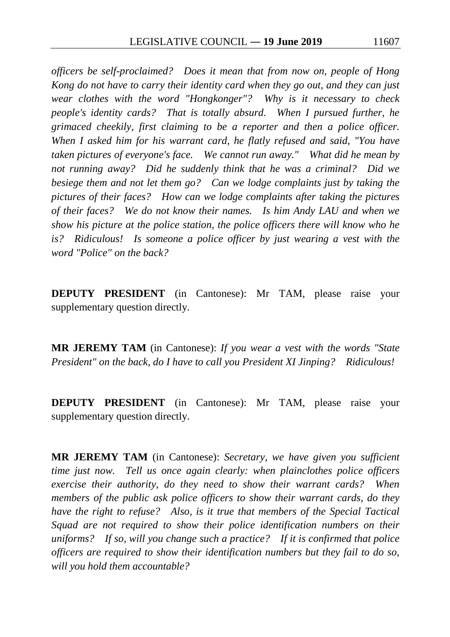*officers be self-proclaimed? Does it mean that from now on, people of Hong Kong do not have to carry their identity card when they go out, and they can just wear clothes with the word "Hongkonger"? Why is it necessary to check people's identity cards? That is totally absurd. When I pursued further, he grimaced cheekily, first claiming to be a reporter and then a police officer. When I asked him for his warrant card, he flatly refused and said, "You have taken pictures of everyone's face. We cannot run away." What did he mean by not running away? Did he suddenly think that he was a criminal? Did we besiege them and not let them go? Can we lodge complaints just by taking the pictures of their faces? How can we lodge complaints after taking the pictures of their faces? We do not know their names. Is him Andy LAU and when we show his picture at the police station, the police officers there will know who he is? Ridiculous! Is someone a police officer by just wearing a vest with the word "Police" on the back?*

**DEPUTY PRESIDENT** (in Cantonese): Mr TAM, please raise your supplementary question directly.

**MR JEREMY TAM** (in Cantonese): *If you wear a vest with the words "State President" on the back, do I have to call you President XI Jinping? Ridiculous!*

**DEPUTY PRESIDENT** (in Cantonese): Mr TAM, please raise your supplementary question directly.

**MR JEREMY TAM** (in Cantonese): *Secretary, we have given you sufficient time just now. Tell us once again clearly: when plainclothes police officers exercise their authority, do they need to show their warrant cards? When members of the public ask police officers to show their warrant cards, do they have the right to refuse? Also, is it true that members of the Special Tactical Squad are not required to show their police identification numbers on their uniforms? If so, will you change such a practice? If it is confirmed that police officers are required to show their identification numbers but they fail to do so, will you hold them accountable?*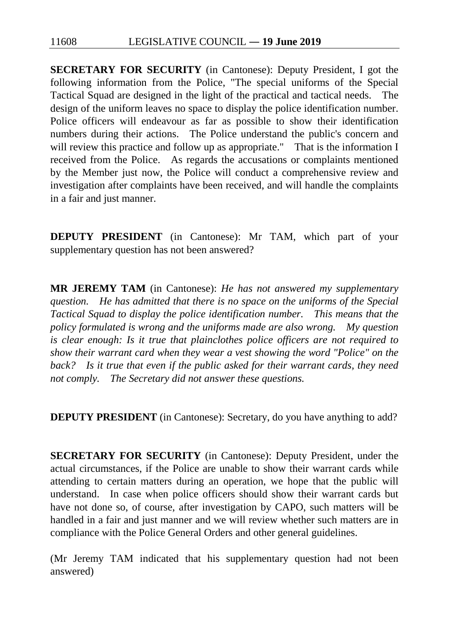**SECRETARY FOR SECURITY** (in Cantonese): Deputy President, I got the following information from the Police, "The special uniforms of the Special Tactical Squad are designed in the light of the practical and tactical needs. The design of the uniform leaves no space to display the police identification number. Police officers will endeavour as far as possible to show their identification numbers during their actions. The Police understand the public's concern and will review this practice and follow up as appropriate." That is the information I received from the Police. As regards the accusations or complaints mentioned by the Member just now, the Police will conduct a comprehensive review and investigation after complaints have been received, and will handle the complaints in a fair and just manner.

**DEPUTY PRESIDENT** (in Cantonese): Mr TAM, which part of your supplementary question has not been answered?

**MR JEREMY TAM** (in Cantonese): *He has not answered my supplementary question. He has admitted that there is no space on the uniforms of the Special Tactical Squad to display the police identification number. This means that the policy formulated is wrong and the uniforms made are also wrong. My question is clear enough: Is it true that plainclothes police officers are not required to show their warrant card when they wear a vest showing the word "Police" on the back? Is it true that even if the public asked for their warrant cards, they need not comply. The Secretary did not answer these questions.*

**DEPUTY PRESIDENT** (in Cantonese): Secretary, do you have anything to add?

**SECRETARY FOR SECURITY** (in Cantonese): Deputy President, under the actual circumstances, if the Police are unable to show their warrant cards while attending to certain matters during an operation, we hope that the public will understand. In case when police officers should show their warrant cards but have not done so, of course, after investigation by CAPO, such matters will be handled in a fair and just manner and we will review whether such matters are in compliance with the Police General Orders and other general guidelines.

(Mr Jeremy TAM indicated that his supplementary question had not been answered)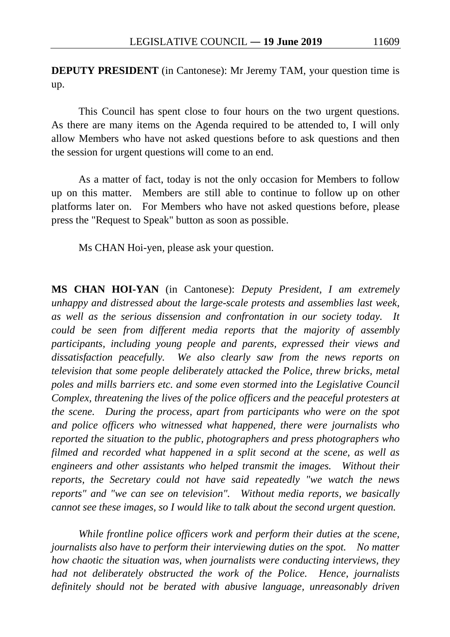**DEPUTY PRESIDENT** (in Cantonese): Mr Jeremy TAM, your question time is up.

This Council has spent close to four hours on the two urgent questions. As there are many items on the Agenda required to be attended to, I will only allow Members who have not asked questions before to ask questions and then the session for urgent questions will come to an end.

As a matter of fact, today is not the only occasion for Members to follow up on this matter. Members are still able to continue to follow up on other platforms later on. For Members who have not asked questions before, please press the "Request to Speak" button as soon as possible.

Ms CHAN Hoi-yen, please ask your question.

**MS CHAN HOI-YAN** (in Cantonese): *Deputy President, I am extremely unhappy and distressed about the large-scale protests and assemblies last week, as well as the serious dissension and confrontation in our society today. It could be seen from different media reports that the majority of assembly participants, including young people and parents, expressed their views and dissatisfaction peacefully. We also clearly saw from the news reports on television that some people deliberately attacked the Police, threw bricks, metal poles and mills barriers etc. and some even stormed into the Legislative Council Complex, threatening the lives of the police officers and the peaceful protesters at the scene. During the process, apart from participants who were on the spot and police officers who witnessed what happened, there were journalists who reported the situation to the public, photographers and press photographers who filmed and recorded what happened in a split second at the scene, as well as engineers and other assistants who helped transmit the images. Without their reports, the Secretary could not have said repeatedly "we watch the news reports" and "we can see on television". Without media reports, we basically cannot see these images, so I would like to talk about the second urgent question.*

*While frontline police officers work and perform their duties at the scene, journalists also have to perform their interviewing duties on the spot. No matter how chaotic the situation was, when journalists were conducting interviews, they had not deliberately obstructed the work of the Police. Hence, journalists definitely should not be berated with abusive language, unreasonably driven*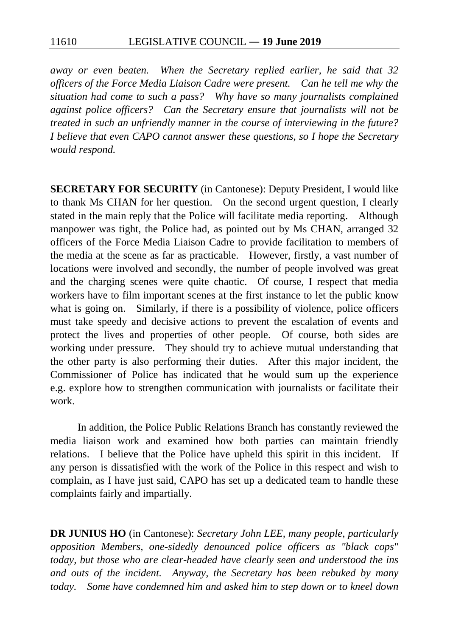*away or even beaten. When the Secretary replied earlier, he said that 32 officers of the Force Media Liaison Cadre were present. Can he tell me why the situation had come to such a pass? Why have so many journalists complained against police officers? Can the Secretary ensure that journalists will not be treated in such an unfriendly manner in the course of interviewing in the future? I believe that even CAPO cannot answer these questions, so I hope the Secretary would respond.*

**SECRETARY FOR SECURITY** (in Cantonese): Deputy President, I would like to thank Ms CHAN for her question. On the second urgent question, I clearly stated in the main reply that the Police will facilitate media reporting. Although manpower was tight, the Police had, as pointed out by Ms CHAN, arranged 32 officers of the Force Media Liaison Cadre to provide facilitation to members of the media at the scene as far as practicable. However, firstly, a vast number of locations were involved and secondly, the number of people involved was great and the charging scenes were quite chaotic. Of course, I respect that media workers have to film important scenes at the first instance to let the public know what is going on. Similarly, if there is a possibility of violence, police officers must take speedy and decisive actions to prevent the escalation of events and protect the lives and properties of other people. Of course, both sides are working under pressure. They should try to achieve mutual understanding that the other party is also performing their duties. After this major incident, the Commissioner of Police has indicated that he would sum up the experience e.g. explore how to strengthen communication with journalists or facilitate their work.

In addition, the Police Public Relations Branch has constantly reviewed the media liaison work and examined how both parties can maintain friendly relations. I believe that the Police have upheld this spirit in this incident. If any person is dissatisfied with the work of the Police in this respect and wish to complain, as I have just said, CAPO has set up a dedicated team to handle these complaints fairly and impartially.

**DR JUNIUS HO** (in Cantonese): *Secretary John LEE, many people, particularly opposition Members, one-sidedly denounced police officers as "black cops" today, but those who are clear-headed have clearly seen and understood the ins and outs of the incident. Anyway, the Secretary has been rebuked by many today. Some have condemned him and asked him to step down or to kneel down*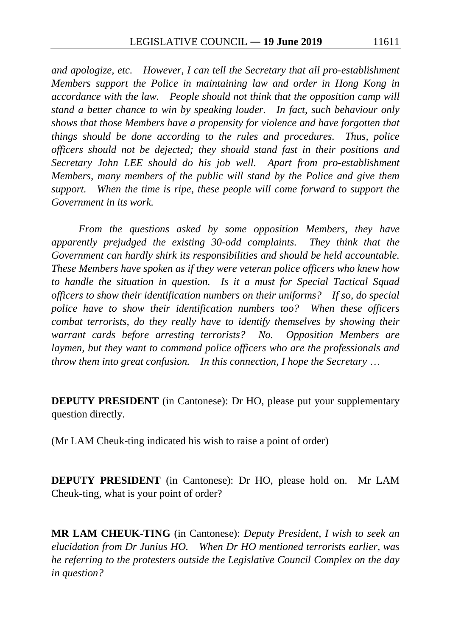*and apologize, etc. However, I can tell the Secretary that all pro-establishment Members support the Police in maintaining law and order in Hong Kong in accordance with the law. People should not think that the opposition camp will stand a better chance to win by speaking louder. In fact, such behaviour only shows that those Members have a propensity for violence and have forgotten that things should be done according to the rules and procedures. Thus, police officers should not be dejected; they should stand fast in their positions and Secretary John LEE should do his job well. Apart from pro-establishment Members, many members of the public will stand by the Police and give them support. When the time is ripe, these people will come forward to support the Government in its work.*

*From the questions asked by some opposition Members, they have apparently prejudged the existing 30-odd complaints. They think that the Government can hardly shirk its responsibilities and should be held accountable. These Members have spoken as if they were veteran police officers who knew how to handle the situation in question. Is it a must for Special Tactical Squad officers to show their identification numbers on their uniforms? If so, do special police have to show their identification numbers too? When these officers combat terrorists, do they really have to identify themselves by showing their warrant cards before arresting terrorists? No. Opposition Members are laymen, but they want to command police officers who are the professionals and throw them into great confusion. In this connection, I hope the Secretary* …

**DEPUTY PRESIDENT** (in Cantonese): Dr HO, please put your supplementary question directly.

(Mr LAM Cheuk-ting indicated his wish to raise a point of order)

**DEPUTY PRESIDENT** (in Cantonese): Dr HO, please hold on. Mr LAM Cheuk-ting, what is your point of order?

**MR LAM CHEUK-TING** (in Cantonese): *Deputy President, I wish to seek an elucidation from Dr Junius HO. When Dr HO mentioned terrorists earlier, was he referring to the protesters outside the Legislative Council Complex on the day in question?*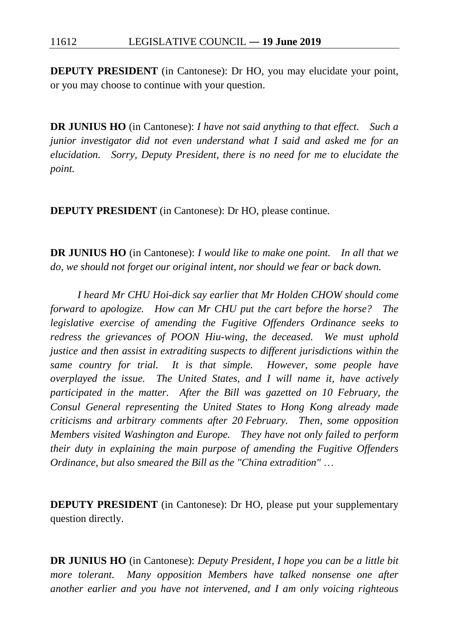**DEPUTY PRESIDENT** (in Cantonese): Dr HO, you may elucidate your point, or you may choose to continue with your question.

**DR JUNIUS HO** (in Cantonese): *I have not said anything to that effect. Such a junior investigator did not even understand what I said and asked me for an elucidation. Sorry, Deputy President, there is no need for me to elucidate the point.*

**DEPUTY PRESIDENT** (in Cantonese): Dr HO, please continue.

**DR JUNIUS HO** (in Cantonese): *I would like to make one point. In all that we do, we should not forget our original intent, nor should we fear or back down.*

*I heard Mr CHU Hoi-dick say earlier that Mr Holden CHOW should come forward to apologize. How can Mr CHU put the cart before the horse? The legislative exercise of amending the Fugitive Offenders Ordinance seeks to redress the grievances of POON Hiu-wing, the deceased. We must uphold justice and then assist in extraditing suspects to different jurisdictions within the same country for trial. It is that simple. However, some people have overplayed the issue. The United States, and I will name it, have actively participated in the matter. After the Bill was gazetted on 10 February, the Consul General representing the United States to Hong Kong already made criticisms and arbitrary comments after 20 February. Then, some opposition Members visited Washington and Europe. They have not only failed to perform their duty in explaining the main purpose of amending the Fugitive Offenders Ordinance, but also smeared the Bill as the "China extradition"* …

**DEPUTY PRESIDENT** (in Cantonese): Dr HO, please put your supplementary question directly.

**DR JUNIUS HO** (in Cantonese): *Deputy President, I hope you can be a little bit more tolerant. Many opposition Members have talked nonsense one after another earlier and you have not intervened, and I am only voicing righteous*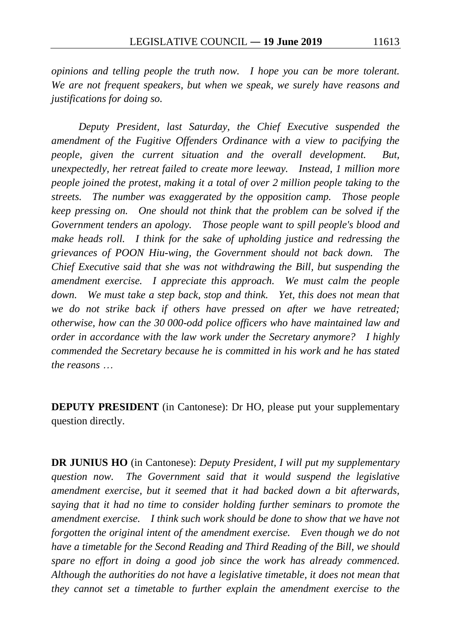*opinions and telling people the truth now. I hope you can be more tolerant. We are not frequent speakers, but when we speak, we surely have reasons and justifications for doing so.*

*Deputy President, last Saturday, the Chief Executive suspended the amendment of the Fugitive Offenders Ordinance with a view to pacifying the people, given the current situation and the overall development. But, unexpectedly, her retreat failed to create more leeway. Instead, 1 million more people joined the protest, making it a total of over 2 million people taking to the streets. The number was exaggerated by the opposition camp. Those people keep pressing on. One should not think that the problem can be solved if the Government tenders an apology. Those people want to spill people's blood and make heads roll. I think for the sake of upholding justice and redressing the grievances of POON Hiu-wing, the Government should not back down. The Chief Executive said that she was not withdrawing the Bill, but suspending the amendment exercise. I appreciate this approach. We must calm the people down. We must take a step back, stop and think. Yet, this does not mean that we do not strike back if others have pressed on after we have retreated; otherwise, how can the 30 000-odd police officers who have maintained law and order in accordance with the law work under the Secretary anymore? I highly commended the Secretary because he is committed in his work and he has stated the reasons* …

**DEPUTY PRESIDENT** (in Cantonese): Dr HO, please put your supplementary question directly.

**DR JUNIUS HO** (in Cantonese): *Deputy President, I will put my supplementary question now. The Government said that it would suspend the legislative amendment exercise, but it seemed that it had backed down a bit afterwards, saying that it had no time to consider holding further seminars to promote the amendment exercise. I think such work should be done to show that we have not forgotten the original intent of the amendment exercise. Even though we do not have a timetable for the Second Reading and Third Reading of the Bill, we should spare no effort in doing a good job since the work has already commenced. Although the authorities do not have a legislative timetable, it does not mean that they cannot set a timetable to further explain the amendment exercise to the*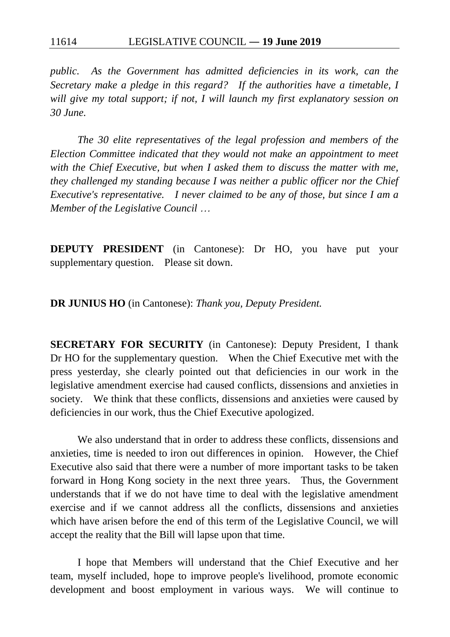*public. As the Government has admitted deficiencies in its work, can the Secretary make a pledge in this regard? If the authorities have a timetable, I will give my total support; if not, I will launch my first explanatory session on 30 June.*

*The 30 elite representatives of the legal profession and members of the Election Committee indicated that they would not make an appointment to meet with the Chief Executive, but when I asked them to discuss the matter with me, they challenged my standing because I was neither a public officer nor the Chief Executive's representative. I never claimed to be any of those, but since I am a Member of the Legislative Council* …

**DEPUTY PRESIDENT** (in Cantonese): Dr HO, you have put your supplementary question. Please sit down.

**DR JUNIUS HO** (in Cantonese): *Thank you, Deputy President.*

**SECRETARY FOR SECURITY** (in Cantonese): Deputy President, I thank Dr HO for the supplementary question. When the Chief Executive met with the press yesterday, she clearly pointed out that deficiencies in our work in the legislative amendment exercise had caused conflicts, dissensions and anxieties in society. We think that these conflicts, dissensions and anxieties were caused by deficiencies in our work, thus the Chief Executive apologized.

We also understand that in order to address these conflicts, dissensions and anxieties, time is needed to iron out differences in opinion. However, the Chief Executive also said that there were a number of more important tasks to be taken forward in Hong Kong society in the next three years. Thus, the Government understands that if we do not have time to deal with the legislative amendment exercise and if we cannot address all the conflicts, dissensions and anxieties which have arisen before the end of this term of the Legislative Council, we will accept the reality that the Bill will lapse upon that time.

I hope that Members will understand that the Chief Executive and her team, myself included, hope to improve people's livelihood, promote economic development and boost employment in various ways. We will continue to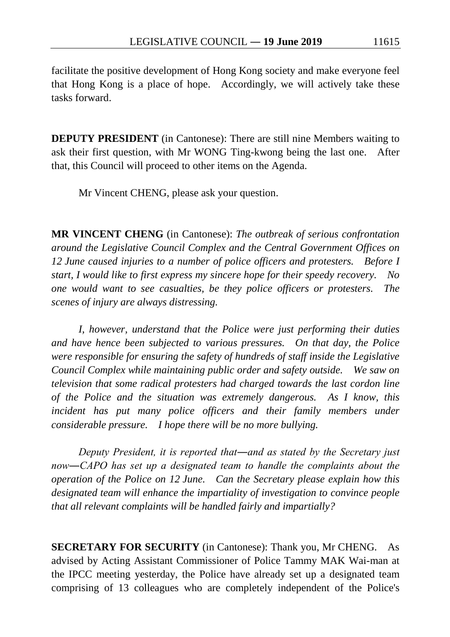facilitate the positive development of Hong Kong society and make everyone feel that Hong Kong is a place of hope. Accordingly, we will actively take these tasks forward.

**DEPUTY PRESIDENT** (in Cantonese): There are still nine Members waiting to ask their first question, with Mr WONG Ting-kwong being the last one. After that, this Council will proceed to other items on the Agenda.

Mr Vincent CHENG, please ask your question.

**MR VINCENT CHENG** (in Cantonese): *The outbreak of serious confrontation around the Legislative Council Complex and the Central Government Offices on 12 June caused injuries to a number of police officers and protesters. Before I start, I would like to first express my sincere hope for their speedy recovery. No one would want to see casualties, be they police officers or protesters. The scenes of injury are always distressing.*

*I, however, understand that the Police were just performing their duties and have hence been subjected to various pressures. On that day, the Police were responsible for ensuring the safety of hundreds of staff inside the Legislative Council Complex while maintaining public order and safety outside. We saw on television that some radical protesters had charged towards the last cordon line of the Police and the situation was extremely dangerous. As I know, this*  incident has put many police officers and their family members under *considerable pressure. I hope there will be no more bullying.*

*Deputy President, it is reported that―and as stated by the Secretary just now―CAPO has set up a designated team to handle the complaints about the operation of the Police on 12 June. Can the Secretary please explain how this designated team will enhance the impartiality of investigation to convince people that all relevant complaints will be handled fairly and impartially?*

**SECRETARY FOR SECURITY** (in Cantonese): Thank you, Mr CHENG. As advised by Acting Assistant Commissioner of Police Tammy MAK Wai-man at the IPCC meeting yesterday, the Police have already set up a designated team comprising of 13 colleagues who are completely independent of the Police's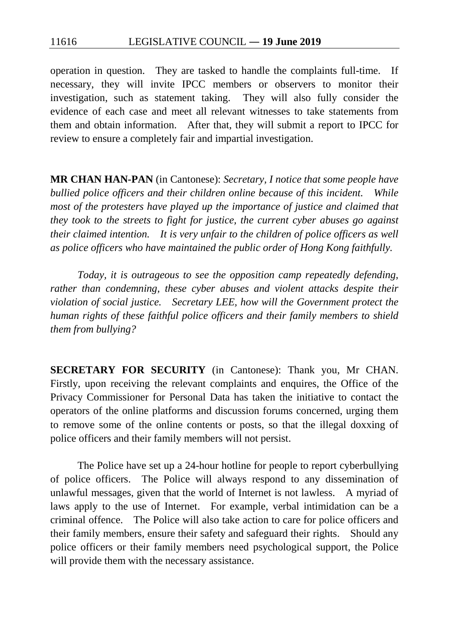operation in question. They are tasked to handle the complaints full-time. If necessary, they will invite IPCC members or observers to monitor their investigation, such as statement taking. They will also fully consider the evidence of each case and meet all relevant witnesses to take statements from them and obtain information. After that, they will submit a report to IPCC for review to ensure a completely fair and impartial investigation.

**MR CHAN HAN-PAN** (in Cantonese): *Secretary, I notice that some people have bullied police officers and their children online because of this incident. While most of the protesters have played up the importance of justice and claimed that they took to the streets to fight for justice, the current cyber abuses go against their claimed intention. It is very unfair to the children of police officers as well as police officers who have maintained the public order of Hong Kong faithfully.*

*Today, it is outrageous to see the opposition camp repeatedly defending, rather than condemning, these cyber abuses and violent attacks despite their violation of social justice. Secretary LEE, how will the Government protect the human rights of these faithful police officers and their family members to shield them from bullying?*

**SECRETARY FOR SECURITY** (in Cantonese): Thank you, Mr CHAN. Firstly, upon receiving the relevant complaints and enquires, the Office of the Privacy Commissioner for Personal Data has taken the initiative to contact the operators of the online platforms and discussion forums concerned, urging them to remove some of the online contents or posts, so that the illegal doxxing of police officers and their family members will not persist.

The Police have set up a 24-hour hotline for people to report cyberbullying of police officers. The Police will always respond to any dissemination of unlawful messages, given that the world of Internet is not lawless. A myriad of laws apply to the use of Internet. For example, verbal intimidation can be a criminal offence. The Police will also take action to care for police officers and their family members, ensure their safety and safeguard their rights. Should any police officers or their family members need psychological support, the Police will provide them with the necessary assistance.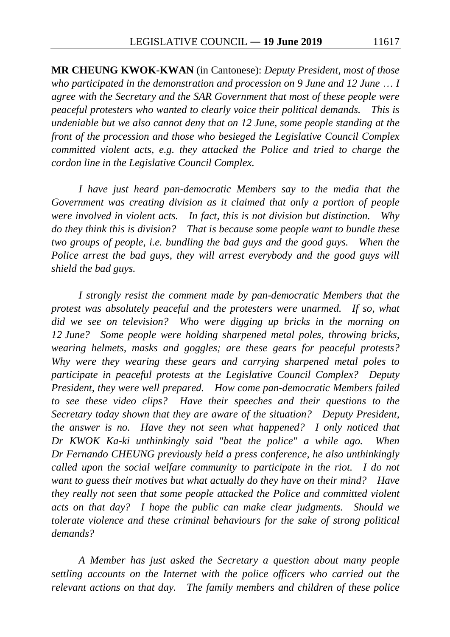**MR CHEUNG KWOK-KWAN** (in Cantonese): *Deputy President, most of those who participated in the demonstration and procession on 9 June and 12 June* … *I agree with the Secretary and the SAR Government that most of these people were peaceful protesters who wanted to clearly voice their political demands. This is undeniable but we also cannot deny that on 12 June, some people standing at the front of the procession and those who besieged the Legislative Council Complex committed violent acts, e.g. they attacked the Police and tried to charge the cordon line in the Legislative Council Complex.*

*I have just heard pan-democratic Members say to the media that the Government was creating division as it claimed that only a portion of people were involved in violent acts. In fact, this is not division but distinction. Why do they think this is division? That is because some people want to bundle these two groups of people, i.e. bundling the bad guys and the good guys.* When the *Police arrest the bad guys, they will arrest everybody and the good guys will shield the bad guys.*

*I strongly resist the comment made by pan-democratic Members that the protest was absolutely peaceful and the protesters were unarmed. If so, what did we see on television? Who were digging up bricks in the morning on 12 June? Some people were holding sharpened metal poles, throwing bricks, wearing helmets, masks and goggles; are these gears for peaceful protests? Why were they wearing these gears and carrying sharpened metal poles to participate in peaceful protests at the Legislative Council Complex? Deputy President, they were well prepared. How come pan-democratic Members failed to see these video clips? Have their speeches and their questions to the Secretary today shown that they are aware of the situation? Deputy President, the answer is no. Have they not seen what happened? I only noticed that Dr KWOK Ka-ki unthinkingly said "beat the police" a while ago. When Dr Fernando CHEUNG previously held a press conference, he also unthinkingly called upon the social welfare community to participate in the riot. I do not want to guess their motives but what actually do they have on their mind? Have they really not seen that some people attacked the Police and committed violent acts on that day? I hope the public can make clear judgments. Should we tolerate violence and these criminal behaviours for the sake of strong political demands?*

*A Member has just asked the Secretary a question about many people settling accounts on the Internet with the police officers who carried out the relevant actions on that day. The family members and children of these police*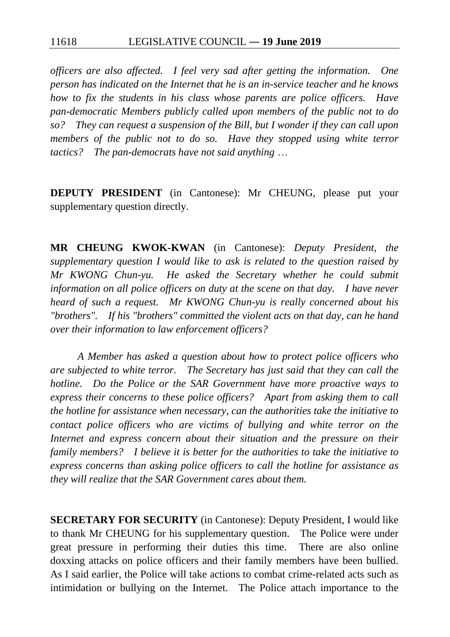*officers are also affected. I feel very sad after getting the information. One person has indicated on the Internet that he is an in-service teacher and he knows how to fix the students in his class whose parents are police officers. Have pan-democratic Members publicly called upon members of the public not to do so? They can request a suspension of the Bill, but I wonder if they can call upon members of the public not to do so. Have they stopped using white terror tactics? The pan-democrats have not said anything* …

**DEPUTY PRESIDENT** (in Cantonese): Mr CHEUNG, please put your supplementary question directly.

**MR CHEUNG KWOK-KWAN** (in Cantonese): *Deputy President, the supplementary question I would like to ask is related to the question raised by Mr KWONG Chun-yu. He asked the Secretary whether he could submit information on all police officers on duty at the scene on that day. I have never heard of such a request. Mr KWONG Chun-yu is really concerned about his "brothers". If his "brothers" committed the violent acts on that day, can he hand over their information to law enforcement officers?*

*A Member has asked a question about how to protect police officers who are subjected to white terror. The Secretary has just said that they can call the hotline. Do the Police or the SAR Government have more proactive ways to express their concerns to these police officers? Apart from asking them to call the hotline for assistance when necessary, can the authorities take the initiative to contact police officers who are victims of bullying and white terror on the Internet and express concern about their situation and the pressure on their family members? I believe it is better for the authorities to take the initiative to express concerns than asking police officers to call the hotline for assistance as they will realize that the SAR Government cares about them.*

**SECRETARY FOR SECURITY** (in Cantonese): Deputy President, I would like to thank Mr CHEUNG for his supplementary question. The Police were under great pressure in performing their duties this time. There are also online doxxing attacks on police officers and their family members have been bullied. As I said earlier, the Police will take actions to combat crime-related acts such as intimidation or bullying on the Internet. The Police attach importance to the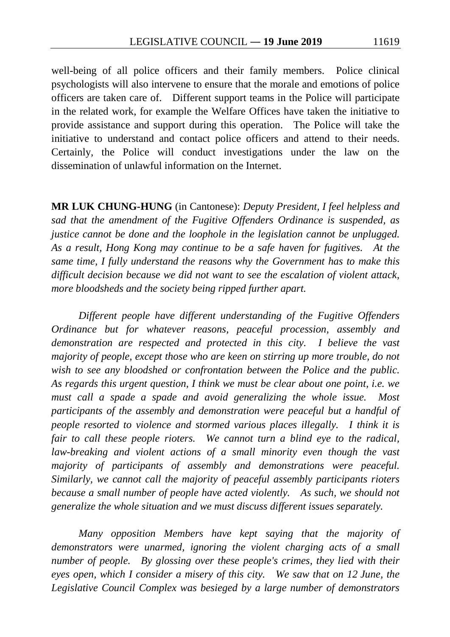well-being of all police officers and their family members. Police clinical psychologists will also intervene to ensure that the morale and emotions of police officers are taken care of. Different support teams in the Police will participate in the related work, for example the Welfare Offices have taken the initiative to provide assistance and support during this operation. The Police will take the initiative to understand and contact police officers and attend to their needs. Certainly, the Police will conduct investigations under the law on the dissemination of unlawful information on the Internet.

**MR LUK CHUNG-HUNG** (in Cantonese): *Deputy President, I feel helpless and sad that the amendment of the Fugitive Offenders Ordinance is suspended, as justice cannot be done and the loophole in the legislation cannot be unplugged. As a result, Hong Kong may continue to be a safe haven for fugitives. At the same time, I fully understand the reasons why the Government has to make this difficult decision because we did not want to see the escalation of violent attack, more bloodsheds and the society being ripped further apart.*

*Different people have different understanding of the Fugitive Offenders Ordinance but for whatever reasons, peaceful procession, assembly and demonstration are respected and protected in this city. I believe the vast majority of people, except those who are keen on stirring up more trouble, do not wish to see any bloodshed or confrontation between the Police and the public. As regards this urgent question, I think we must be clear about one point, i.e. we must call a spade a spade and avoid generalizing the whole issue. Most participants of the assembly and demonstration were peaceful but a handful of people resorted to violence and stormed various places illegally. I think it is fair to call these people rioters. We cannot turn a blind eye to the radical, law-breaking and violent actions of a small minority even though the vast majority of participants of assembly and demonstrations were peaceful. Similarly, we cannot call the majority of peaceful assembly participants rioters because a small number of people have acted violently. As such, we should not generalize the whole situation and we must discuss different issues separately.*

*Many opposition Members have kept saying that the majority of demonstrators were unarmed, ignoring the violent charging acts of a small number of people. By glossing over these people's crimes, they lied with their eyes open, which I consider a misery of this city. We saw that on 12 June, the Legislative Council Complex was besieged by a large number of demonstrators*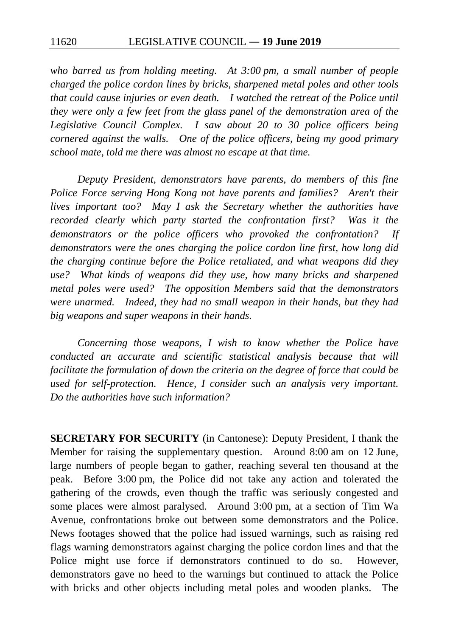*who barred us from holding meeting. At 3:00 pm, a small number of people charged the police cordon lines by bricks, sharpened metal poles and other tools that could cause injuries or even death. I watched the retreat of the Police until they were only a few feet from the glass panel of the demonstration area of the Legislative Council Complex. I saw about 20 to 30 police officers being cornered against the walls. One of the police officers, being my good primary school mate, told me there was almost no escape at that time.*

*Deputy President, demonstrators have parents, do members of this fine Police Force serving Hong Kong not have parents and families? Aren't their lives important too? May I ask the Secretary whether the authorities have recorded clearly which party started the confrontation first? Was it the demonstrators or the police officers who provoked the confrontation? If demonstrators were the ones charging the police cordon line first, how long did the charging continue before the Police retaliated, and what weapons did they use? What kinds of weapons did they use, how many bricks and sharpened metal poles were used? The opposition Members said that the demonstrators were unarmed. Indeed, they had no small weapon in their hands, but they had big weapons and super weapons in their hands.*

*Concerning those weapons, I wish to know whether the Police have conducted an accurate and scientific statistical analysis because that will facilitate the formulation of down the criteria on the degree of force that could be used for self-protection. Hence, I consider such an analysis very important. Do the authorities have such information?*

**SECRETARY FOR SECURITY** (in Cantonese): Deputy President, I thank the Member for raising the supplementary question. Around 8:00 am on 12 June, large numbers of people began to gather, reaching several ten thousand at the peak. Before 3:00 pm, the Police did not take any action and tolerated the gathering of the crowds, even though the traffic was seriously congested and some places were almost paralysed. Around 3:00 pm, at a section of Tim Wa Avenue, confrontations broke out between some demonstrators and the Police. News footages showed that the police had issued warnings, such as raising red flags warning demonstrators against charging the police cordon lines and that the Police might use force if demonstrators continued to do so. However, demonstrators gave no heed to the warnings but continued to attack the Police with bricks and other objects including metal poles and wooden planks. The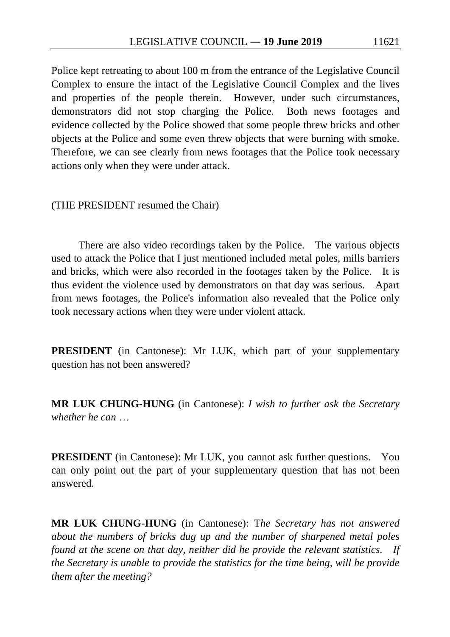Police kept retreating to about 100 m from the entrance of the Legislative Council Complex to ensure the intact of the Legislative Council Complex and the lives and properties of the people therein. However, under such circumstances, demonstrators did not stop charging the Police. Both news footages and evidence collected by the Police showed that some people threw bricks and other objects at the Police and some even threw objects that were burning with smoke. Therefore, we can see clearly from news footages that the Police took necessary actions only when they were under attack.

(THE PRESIDENT resumed the Chair)

There are also video recordings taken by the Police. The various objects used to attack the Police that I just mentioned included metal poles, mills barriers and bricks, which were also recorded in the footages taken by the Police. It is thus evident the violence used by demonstrators on that day was serious. Apart from news footages, the Police's information also revealed that the Police only took necessary actions when they were under violent attack.

**PRESIDENT** (in Cantonese): Mr LUK, which part of your supplementary question has not been answered?

**MR LUK CHUNG-HUNG** (in Cantonese): *I wish to further ask the Secretary whether he can* …

**PRESIDENT** (in Cantonese): Mr LUK, you cannot ask further questions. You can only point out the part of your supplementary question that has not been answered.

**MR LUK CHUNG-HUNG** (in Cantonese): T*he Secretary has not answered about the numbers of bricks dug up and the number of sharpened metal poles found at the scene on that day, neither did he provide the relevant statistics. If the Secretary is unable to provide the statistics for the time being, will he provide them after the meeting?*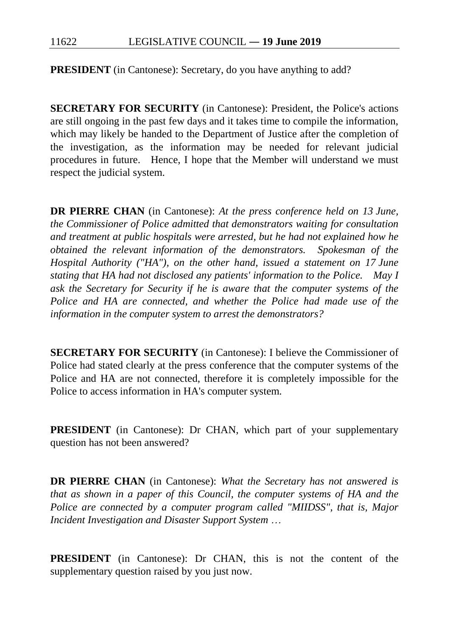**PRESIDENT** (in Cantonese): Secretary, do you have anything to add?

**SECRETARY FOR SECURITY** (in Cantonese): President, the Police's actions are still ongoing in the past few days and it takes time to compile the information, which may likely be handed to the Department of Justice after the completion of the investigation, as the information may be needed for relevant judicial procedures in future. Hence, I hope that the Member will understand we must respect the judicial system.

**DR PIERRE CHAN** (in Cantonese): *At the press conference held on 13 June, the Commissioner of Police admitted that demonstrators waiting for consultation and treatment at public hospitals were arrested, but he had not explained how he obtained the relevant information of the demonstrators. Spokesman of the Hospital Authority ("HA"), on the other hand, issued a statement on 17 June stating that HA had not disclosed any patients' information to the Police. May I ask the Secretary for Security if he is aware that the computer systems of the Police and HA are connected, and whether the Police had made use of the information in the computer system to arrest the demonstrators?*

**SECRETARY FOR SECURITY** (in Cantonese): I believe the Commissioner of Police had stated clearly at the press conference that the computer systems of the Police and HA are not connected, therefore it is completely impossible for the Police to access information in HA's computer system.

**PRESIDENT** (in Cantonese): Dr CHAN, which part of your supplementary question has not been answered?

**DR PIERRE CHAN** (in Cantonese): *What the Secretary has not answered is that as shown in a paper of this Council, the computer systems of HA and the Police are connected by a computer program called "MIIDSS", that is, Major Incident Investigation and Disaster Support System* …

**PRESIDENT** (in Cantonese): Dr CHAN, this is not the content of the supplementary question raised by you just now.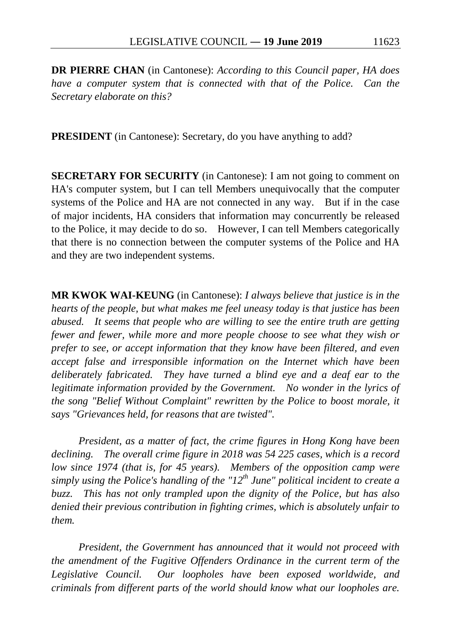**DR PIERRE CHAN** (in Cantonese): *According to this Council paper, HA does have a computer system that is connected with that of the Police. Can the Secretary elaborate on this?*

**PRESIDENT** (in Cantonese): Secretary, do you have anything to add?

**SECRETARY FOR SECURITY** (in Cantonese): I am not going to comment on HA's computer system, but I can tell Members unequivocally that the computer systems of the Police and HA are not connected in any way. But if in the case of major incidents, HA considers that information may concurrently be released to the Police, it may decide to do so. However, I can tell Members categorically that there is no connection between the computer systems of the Police and HA and they are two independent systems.

**MR KWOK WAI-KEUNG** (in Cantonese): *I always believe that justice is in the hearts of the people, but what makes me feel uneasy today is that justice has been abused. It seems that people who are willing to see the entire truth are getting fewer and fewer, while more and more people choose to see what they wish or prefer to see, or accept information that they know have been filtered, and even accept false and irresponsible information on the Internet which have been deliberately fabricated. They have turned a blind eye and a deaf ear to the legitimate information provided by the Government. No wonder in the lyrics of the song "Belief Without Complaint" rewritten by the Police to boost morale, it says "Grievances held, for reasons that are twisted".*

*President, as a matter of fact, the crime figures in Hong Kong have been declining. The overall crime figure in 2018 was 54 225 cases, which is a record low since 1974 (that is, for 45 years). Members of the opposition camp were simply using the Police's handling of the "12th June" political incident to create a buzz. This has not only trampled upon the dignity of the Police, but has also denied their previous contribution in fighting crimes, which is absolutely unfair to them.*

*President, the Government has announced that it would not proceed with the amendment of the Fugitive Offenders Ordinance in the current term of the Legislative Council. Our loopholes have been exposed worldwide, and criminals from different parts of the world should know what our loopholes are.*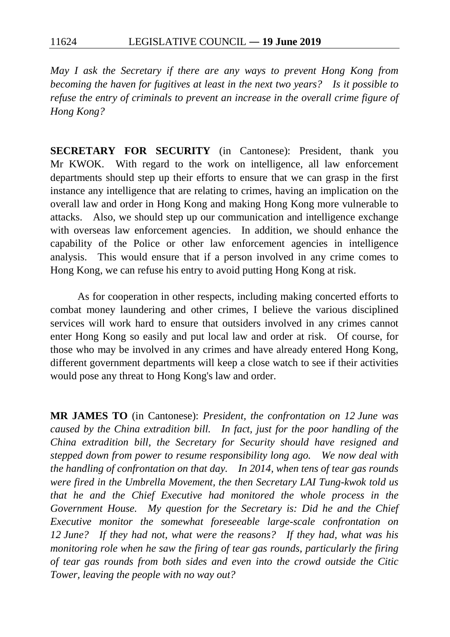*May I ask the Secretary if there are any ways to prevent Hong Kong from becoming the haven for fugitives at least in the next two years? Is it possible to refuse the entry of criminals to prevent an increase in the overall crime figure of Hong Kong?*

**SECRETARY FOR SECURITY** (in Cantonese): President, thank you Mr KWOK. With regard to the work on intelligence, all law enforcement departments should step up their efforts to ensure that we can grasp in the first instance any intelligence that are relating to crimes, having an implication on the overall law and order in Hong Kong and making Hong Kong more vulnerable to attacks. Also, we should step up our communication and intelligence exchange with overseas law enforcement agencies. In addition, we should enhance the capability of the Police or other law enforcement agencies in intelligence analysis. This would ensure that if a person involved in any crime comes to Hong Kong, we can refuse his entry to avoid putting Hong Kong at risk.

As for cooperation in other respects, including making concerted efforts to combat money laundering and other crimes, I believe the various disciplined services will work hard to ensure that outsiders involved in any crimes cannot enter Hong Kong so easily and put local law and order at risk. Of course, for those who may be involved in any crimes and have already entered Hong Kong, different government departments will keep a close watch to see if their activities would pose any threat to Hong Kong's law and order.

**MR JAMES TO** (in Cantonese): *President, the confrontation on 12 June was caused by the China extradition bill. In fact, just for the poor handling of the China extradition bill, the Secretary for Security should have resigned and stepped down from power to resume responsibility long ago. We now deal with the handling of confrontation on that day. In 2014, when tens of tear gas rounds were fired in the Umbrella Movement, the then Secretary LAI Tung-kwok told us that he and the Chief Executive had monitored the whole process in the Government House. My question for the Secretary is: Did he and the Chief Executive monitor the somewhat foreseeable large-scale confrontation on 12 June? If they had not, what were the reasons? If they had, what was his monitoring role when he saw the firing of tear gas rounds, particularly the firing of tear gas rounds from both sides and even into the crowd outside the Citic Tower, leaving the people with no way out?*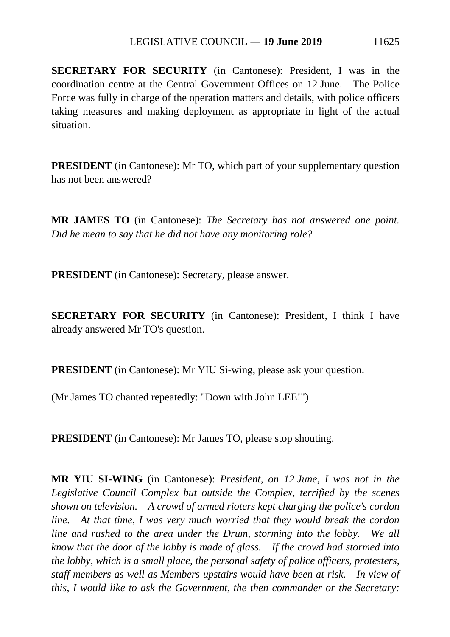**SECRETARY FOR SECURITY** (in Cantonese): President, I was in the coordination centre at the Central Government Offices on 12 June. The Police Force was fully in charge of the operation matters and details, with police officers taking measures and making deployment as appropriate in light of the actual situation.

**PRESIDENT** (in Cantonese): Mr TO, which part of your supplementary question has not been answered?

**MR JAMES TO** (in Cantonese): *The Secretary has not answered one point. Did he mean to say that he did not have any monitoring role?*

**PRESIDENT** (in Cantonese): Secretary, please answer.

**SECRETARY FOR SECURITY** (in Cantonese): President, I think I have already answered Mr TO's question.

**PRESIDENT** (in Cantonese): Mr YIU Si-wing, please ask your question.

(Mr James TO chanted repeatedly: "Down with John LEE!")

**PRESIDENT** (in Cantonese): Mr James TO, please stop shouting.

**MR YIU SI-WING** (in Cantonese): *President, on 12 June, I was not in the Legislative Council Complex but outside the Complex, terrified by the scenes shown on television. A crowd of armed rioters kept charging the police's cordon line. At that time, I was very much worried that they would break the cordon line and rushed to the area under the Drum, storming into the lobby. We all know that the door of the lobby is made of glass. If the crowd had stormed into the lobby, which is a small place, the personal safety of police officers, protesters, staff members as well as Members upstairs would have been at risk. In view of this, I would like to ask the Government, the then commander or the Secretary:*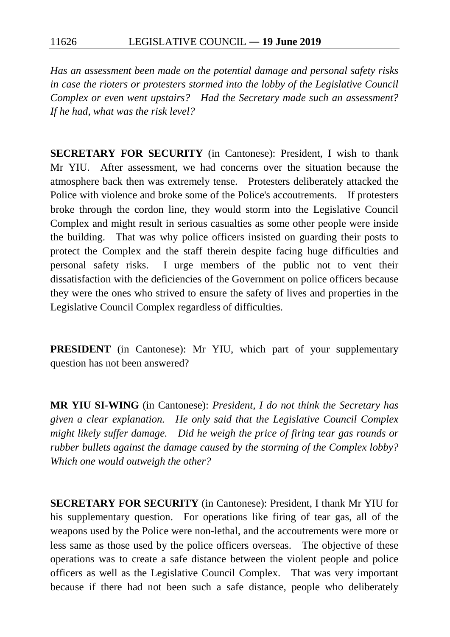*Has an assessment been made on the potential damage and personal safety risks in case the rioters or protesters stormed into the lobby of the Legislative Council Complex or even went upstairs? Had the Secretary made such an assessment? If he had, what was the risk level?*

**SECRETARY FOR SECURITY** (in Cantonese): President, I wish to thank Mr YIU. After assessment, we had concerns over the situation because the atmosphere back then was extremely tense. Protesters deliberately attacked the Police with violence and broke some of the Police's accoutrements. If protesters broke through the cordon line, they would storm into the Legislative Council Complex and might result in serious casualties as some other people were inside the building. That was why police officers insisted on guarding their posts to protect the Complex and the staff therein despite facing huge difficulties and personal safety risks. I urge members of the public not to vent their dissatisfaction with the deficiencies of the Government on police officers because they were the ones who strived to ensure the safety of lives and properties in the Legislative Council Complex regardless of difficulties.

**PRESIDENT** (in Cantonese): Mr YIU, which part of your supplementary question has not been answered?

**MR YIU SI-WING** (in Cantonese): *President, I do not think the Secretary has given a clear explanation. He only said that the Legislative Council Complex might likely suffer damage. Did he weigh the price of firing tear gas rounds or rubber bullets against the damage caused by the storming of the Complex lobby? Which one would outweigh the other?*

**SECRETARY FOR SECURITY** (in Cantonese): President, I thank Mr YIU for his supplementary question. For operations like firing of tear gas, all of the weapons used by the Police were non-lethal, and the accoutrements were more or less same as those used by the police officers overseas. The objective of these operations was to create a safe distance between the violent people and police officers as well as the Legislative Council Complex. That was very important because if there had not been such a safe distance, people who deliberately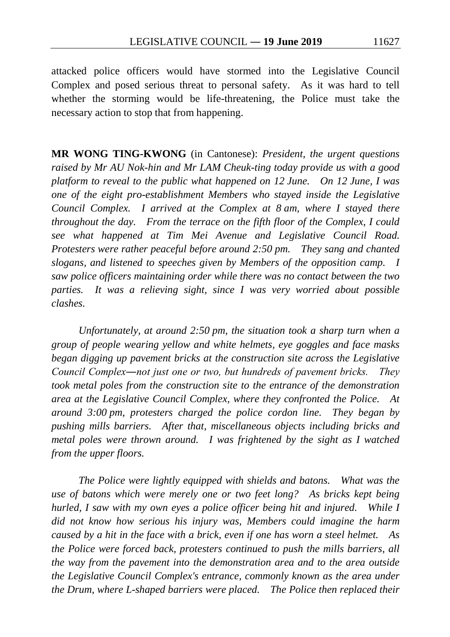attacked police officers would have stormed into the Legislative Council Complex and posed serious threat to personal safety. As it was hard to tell whether the storming would be life-threatening, the Police must take the necessary action to stop that from happening.

**MR WONG TING-KWONG** (in Cantonese): *President, the urgent questions raised by Mr AU Nok-hin and Mr LAM Cheuk-ting today provide us with a good platform to reveal to the public what happened on 12 June. On 12 June, I was one of the eight pro-establishment Members who stayed inside the Legislative Council Complex. I arrived at the Complex at 8 am, where I stayed there throughout the day. From the terrace on the fifth floor of the Complex, I could see what happened at Tim Mei Avenue and Legislative Council Road. Protesters were rather peaceful before around 2:50 pm. They sang and chanted slogans, and listened to speeches given by Members of the opposition camp. I saw police officers maintaining order while there was no contact between the two parties. It was a relieving sight, since I was very worried about possible clashes.*

*Unfortunately, at around 2:50 pm, the situation took a sharp turn when a group of people wearing yellow and white helmets, eye goggles and face masks began digging up pavement bricks at the construction site across the Legislative Council Complex―not just one or two, but hundreds of pavement bricks. They took metal poles from the construction site to the entrance of the demonstration area at the Legislative Council Complex, where they confronted the Police. At around 3:00 pm, protesters charged the police cordon line. They began by pushing mills barriers. After that, miscellaneous objects including bricks and metal poles were thrown around. I was frightened by the sight as I watched from the upper floors.*

*The Police were lightly equipped with shields and batons. What was the use of batons which were merely one or two feet long? As bricks kept being hurled, I saw with my own eyes a police officer being hit and injured. While I did not know how serious his injury was, Members could imagine the harm caused by a hit in the face with a brick, even if one has worn a steel helmet. As the Police were forced back, protesters continued to push the mills barriers, all the way from the pavement into the demonstration area and to the area outside the Legislative Council Complex's entrance, commonly known as the area under the Drum, where L-shaped barriers were placed. The Police then replaced their*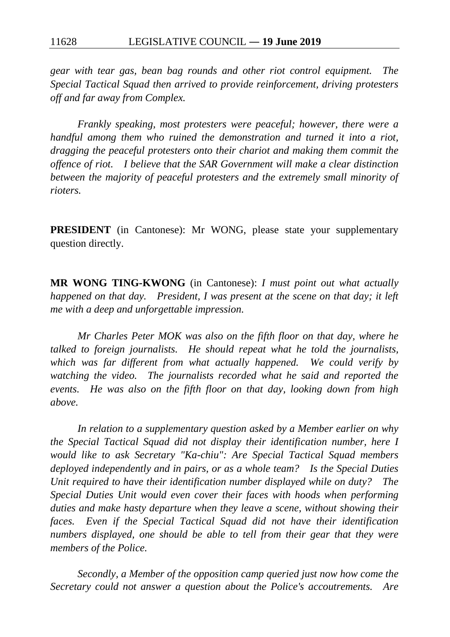*gear with tear gas, bean bag rounds and other riot control equipment. The Special Tactical Squad then arrived to provide reinforcement, driving protesters off and far away from Complex.*

*Frankly speaking, most protesters were peaceful; however, there were a handful among them who ruined the demonstration and turned it into a riot, dragging the peaceful protesters onto their chariot and making them commit the offence of riot. I believe that the SAR Government will make a clear distinction between the majority of peaceful protesters and the extremely small minority of rioters.*

**PRESIDENT** (in Cantonese): Mr WONG, please state your supplementary question directly.

**MR WONG TING-KWONG** (in Cantonese): *I must point out what actually happened on that day.* President, I was present at the scene on that day; it left *me with a deep and unforgettable impression.*

*Mr Charles Peter MOK was also on the fifth floor on that day, where he talked to foreign journalists. He should repeat what he told the journalists, which was far different from what actually happened. We could verify by watching the video. The journalists recorded what he said and reported the events. He was also on the fifth floor on that day, looking down from high above.*

*In relation to a supplementary question asked by a Member earlier on why the Special Tactical Squad did not display their identification number, here I would like to ask Secretary "Ka-chiu": Are Special Tactical Squad members deployed independently and in pairs, or as a whole team? Is the Special Duties Unit required to have their identification number displayed while on duty? The Special Duties Unit would even cover their faces with hoods when performing duties and make hasty departure when they leave a scene, without showing their faces. Even if the Special Tactical Squad did not have their identification numbers displayed, one should be able to tell from their gear that they were members of the Police.*

*Secondly, a Member of the opposition camp queried just now how come the Secretary could not answer a question about the Police's accoutrements. Are*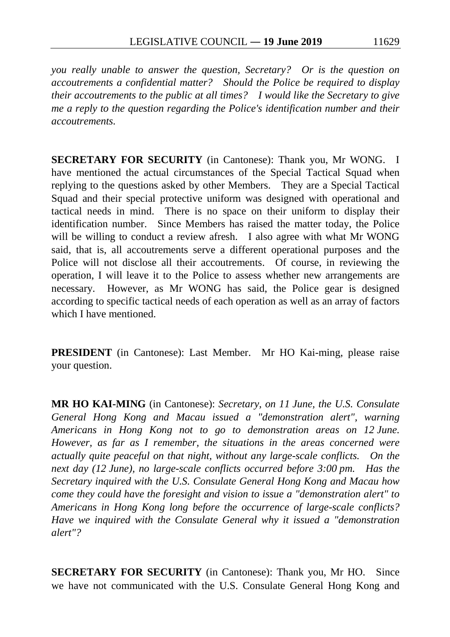*you really unable to answer the question, Secretary? Or is the question on accoutrements a confidential matter? Should the Police be required to display their accoutrements to the public at all times? I would like the Secretary to give me a reply to the question regarding the Police's identification number and their accoutrements.*

**SECRETARY FOR SECURITY** (in Cantonese): Thank you, Mr WONG. I have mentioned the actual circumstances of the Special Tactical Squad when replying to the questions asked by other Members. They are a Special Tactical Squad and their special protective uniform was designed with operational and tactical needs in mind. There is no space on their uniform to display their identification number. Since Members has raised the matter today, the Police will be willing to conduct a review afresh. I also agree with what Mr WONG said, that is, all accoutrements serve a different operational purposes and the Police will not disclose all their accoutrements. Of course, in reviewing the operation, I will leave it to the Police to assess whether new arrangements are necessary. However, as Mr WONG has said, the Police gear is designed according to specific tactical needs of each operation as well as an array of factors which I have mentioned.

**PRESIDENT** (in Cantonese): Last Member. Mr HO Kai-ming, please raise your question.

**MR HO KAI-MING** (in Cantonese): *Secretary, on 11 June, the U.S. Consulate General Hong Kong and Macau issued a "demonstration alert", warning Americans in Hong Kong not to go to demonstration areas on 12 June. However, as far as I remember, the situations in the areas concerned were actually quite peaceful on that night, without any large-scale conflicts. On the next day (12 June), no large-scale conflicts occurred before 3:00 pm. Has the Secretary inquired with the U.S. Consulate General Hong Kong and Macau how come they could have the foresight and vision to issue a "demonstration alert" to Americans in Hong Kong long before the occurrence of large-scale conflicts? Have we inquired with the Consulate General why it issued a "demonstration alert"?*

**SECRETARY FOR SECURITY** (in Cantonese): Thank you, Mr HO. Since we have not communicated with the U.S. Consulate General Hong Kong and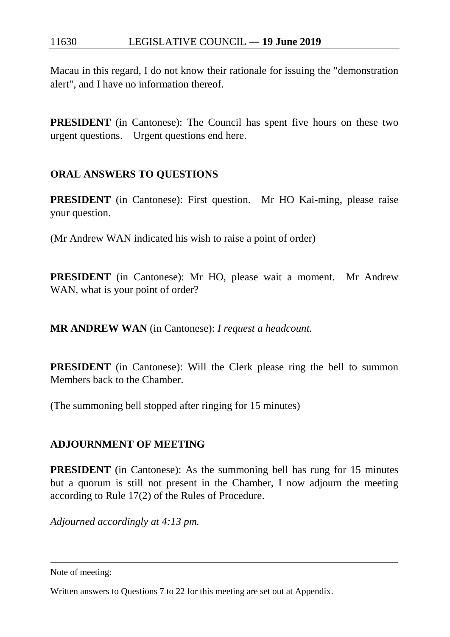Macau in this regard, I do not know their rationale for issuing the "demonstration alert", and I have no information thereof.

**PRESIDENT** (in Cantonese): The Council has spent five hours on these two urgent questions. Urgent questions end here.

## **ORAL ANSWERS TO QUESTIONS**

**PRESIDENT** (in Cantonese): First question. Mr HO Kai-ming, please raise your question.

(Mr Andrew WAN indicated his wish to raise a point of order)

**PRESIDENT** (in Cantonese): Mr HO, please wait a moment. Mr Andrew WAN, what is your point of order?

**MR ANDREW WAN** (in Cantonese): *I request a headcount.*

**PRESIDENT** (in Cantonese): Will the Clerk please ring the bell to summon Members back to the Chamber.

(The summoning bell stopped after ringing for 15 minutes)

## **ADJOURNMENT OF MEETING**

**PRESIDENT** (in Cantonese): As the summoning bell has rung for 15 minutes but a quorum is still not present in the Chamber, I now adjourn the meeting according to Rule 17(2) of the Rules of Procedure.

*Adjourned accordingly at 4:13 pm.* 

<span id="page-109-0"></span>Note of meeting:

 $\overline{a}$ 

Written answers to Questions 7 to 22 for this meeting are set out at Appendix.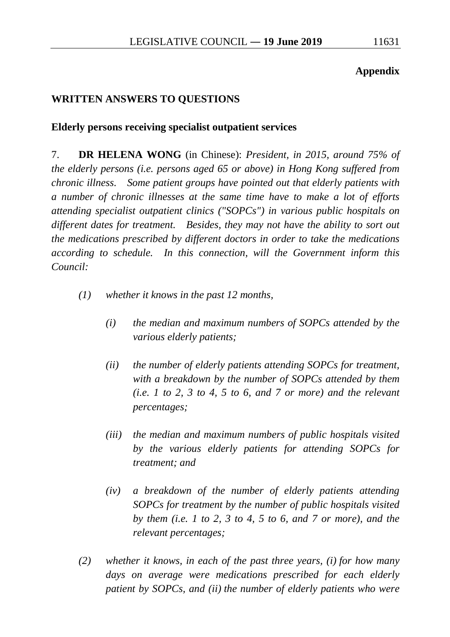#### **Appendix**

## **WRITTEN ANSWERS TO QUESTIONS**

#### **Elderly persons receiving specialist outpatient services**

7. **DR HELENA WONG** (in Chinese): *President, in 2015, around 75% of the elderly persons (i.e. persons aged 65 or above) in Hong Kong suffered from chronic illness. Some patient groups have pointed out that elderly patients with a number of chronic illnesses at the same time have to make a lot of efforts attending specialist outpatient clinics ("SOPCs") in various public hospitals on different dates for treatment. Besides, they may not have the ability to sort out the medications prescribed by different doctors in order to take the medications according to schedule. In this connection, will the Government inform this Council:*

- *(1) whether it knows in the past 12 months,*
	- *(i) the median and maximum numbers of SOPCs attended by the various elderly patients;*
	- *(ii) the number of elderly patients attending SOPCs for treatment, with a breakdown by the number of SOPCs attended by them (i.e. 1 to 2, 3 to 4, 5 to 6, and 7 or more) and the relevant percentages;*
	- *(iii) the median and maximum numbers of public hospitals visited by the various elderly patients for attending SOPCs for treatment; and*
	- *(iv) a breakdown of the number of elderly patients attending SOPCs for treatment by the number of public hospitals visited by them (i.e. 1 to 2, 3 to 4, 5 to 6, and 7 or more), and the relevant percentages;*
- *(2) whether it knows, in each of the past three years, (i) for how many days on average were medications prescribed for each elderly patient by SOPCs, and (ii) the number of elderly patients who were*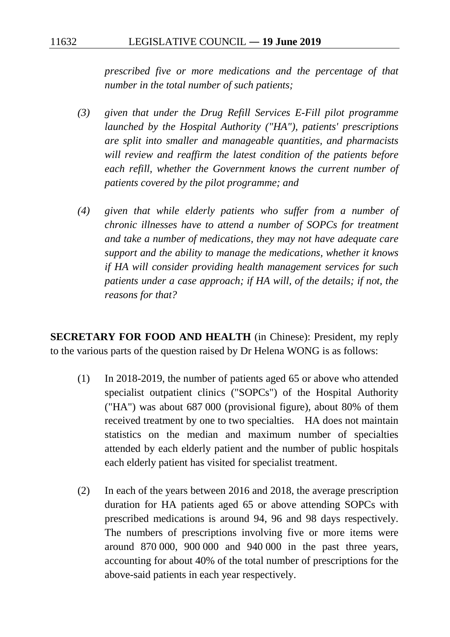*prescribed five or more medications and the percentage of that number in the total number of such patients;*

- *(3) given that under the Drug Refill Services E-Fill pilot programme launched by the Hospital Authority ("HA"), patients' prescriptions are split into smaller and manageable quantities, and pharmacists will review and reaffirm the latest condition of the patients before each refill, whether the Government knows the current number of patients covered by the pilot programme; and*
- *(4) given that while elderly patients who suffer from a number of chronic illnesses have to attend a number of SOPCs for treatment and take a number of medications, they may not have adequate care support and the ability to manage the medications, whether it knows if HA will consider providing health management services for such patients under a case approach; if HA will, of the details; if not, the reasons for that?*

**SECRETARY FOR FOOD AND HEALTH** (in Chinese): President, my reply to the various parts of the question raised by Dr Helena WONG is as follows:

- (1) In 2018-2019, the number of patients aged 65 or above who attended specialist outpatient clinics ("SOPCs") of the Hospital Authority ("HA") was about 687 000 (provisional figure), about 80% of them received treatment by one to two specialties. HA does not maintain statistics on the median and maximum number of specialties attended by each elderly patient and the number of public hospitals each elderly patient has visited for specialist treatment.
- (2) In each of the years between 2016 and 2018, the average prescription duration for HA patients aged 65 or above attending SOPCs with prescribed medications is around 94, 96 and 98 days respectively. The numbers of prescriptions involving five or more items were around 870 000, 900 000 and 940 000 in the past three years, accounting for about 40% of the total number of prescriptions for the above-said patients in each year respectively.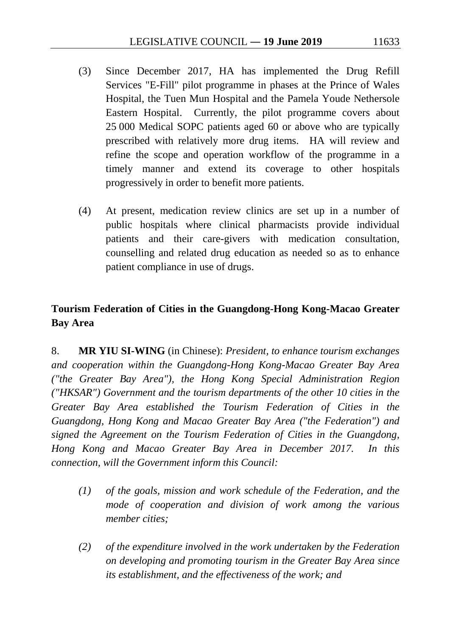- (3) Since December 2017, HA has implemented the Drug Refill Services "E-Fill" pilot programme in phases at the Prince of Wales Hospital, the Tuen Mun Hospital and the Pamela Youde Nethersole Eastern Hospital. Currently, the pilot programme covers about 25 000 Medical SOPC patients aged 60 or above who are typically prescribed with relatively more drug items. HA will review and refine the scope and operation workflow of the programme in a timely manner and extend its coverage to other hospitals progressively in order to benefit more patients.
- (4) At present, medication review clinics are set up in a number of public hospitals where clinical pharmacists provide individual patients and their care-givers with medication consultation, counselling and related drug education as needed so as to enhance patient compliance in use of drugs.

# **Tourism Federation of Cities in the Guangdong-Hong Kong-Macao Greater Bay Area**

8. **MR YIU SI-WING** (in Chinese): *President, to enhance tourism exchanges and cooperation within the Guangdong-Hong Kong-Macao Greater Bay Area ("the Greater Bay Area"), the Hong Kong Special Administration Region ("HKSAR") Government and the tourism departments of the other 10 cities in the Greater Bay Area established the Tourism Federation of Cities in the Guangdong, Hong Kong and Macao Greater Bay Area ("the Federation") and signed the Agreement on the Tourism Federation of Cities in the Guangdong, Hong Kong and Macao Greater Bay Area in December 2017. In this connection, will the Government inform this Council:*

- *(1) of the goals, mission and work schedule of the Federation, and the mode of cooperation and division of work among the various member cities;*
- *(2) of the expenditure involved in the work undertaken by the Federation on developing and promoting tourism in the Greater Bay Area since its establishment, and the effectiveness of the work; and*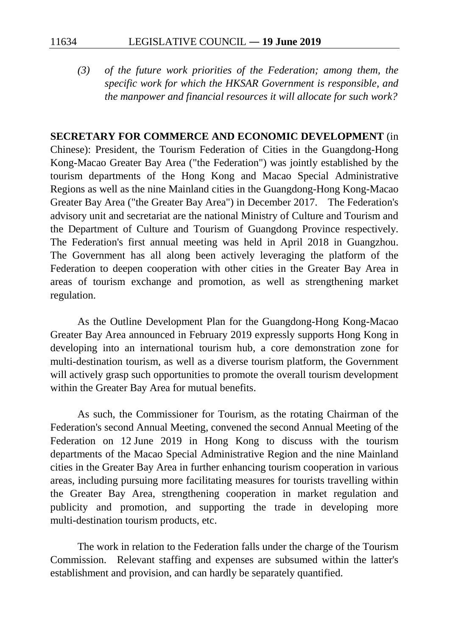*(3) of the future work priorities of the Federation; among them, the specific work for which the HKSAR Government is responsible, and the manpower and financial resources it will allocate for such work?* 

#### **SECRETARY FOR COMMERCE AND ECONOMIC DEVELOPMENT** (in

Chinese): President, the Tourism Federation of Cities in the Guangdong-Hong Kong-Macao Greater Bay Area ("the Federation") was jointly established by the tourism departments of the Hong Kong and Macao Special Administrative Regions as well as the nine Mainland cities in the Guangdong-Hong Kong-Macao Greater Bay Area ("the Greater Bay Area") in December 2017. The Federation's advisory unit and secretariat are the national Ministry of Culture and Tourism and the Department of Culture and Tourism of Guangdong Province respectively. The Federation's first annual meeting was held in April 2018 in Guangzhou. The Government has all along been actively leveraging the platform of the Federation to deepen cooperation with other cities in the Greater Bay Area in areas of tourism exchange and promotion, as well as strengthening market regulation.

As the Outline Development Plan for the Guangdong-Hong Kong-Macao Greater Bay Area announced in February 2019 expressly supports Hong Kong in developing into an international tourism hub, a core demonstration zone for multi-destination tourism, as well as a diverse tourism platform, the Government will actively grasp such opportunities to promote the overall tourism development within the Greater Bay Area for mutual benefits.

As such, the Commissioner for Tourism, as the rotating Chairman of the Federation's second Annual Meeting, convened the second Annual Meeting of the Federation on 12 June 2019 in Hong Kong to discuss with the tourism departments of the Macao Special Administrative Region and the nine Mainland cities in the Greater Bay Area in further enhancing tourism cooperation in various areas, including pursuing more facilitating measures for tourists travelling within the Greater Bay Area, strengthening cooperation in market regulation and publicity and promotion, and supporting the trade in developing more multi-destination tourism products, etc.

The work in relation to the Federation falls under the charge of the Tourism Commission. Relevant staffing and expenses are subsumed within the latter's establishment and provision, and can hardly be separately quantified.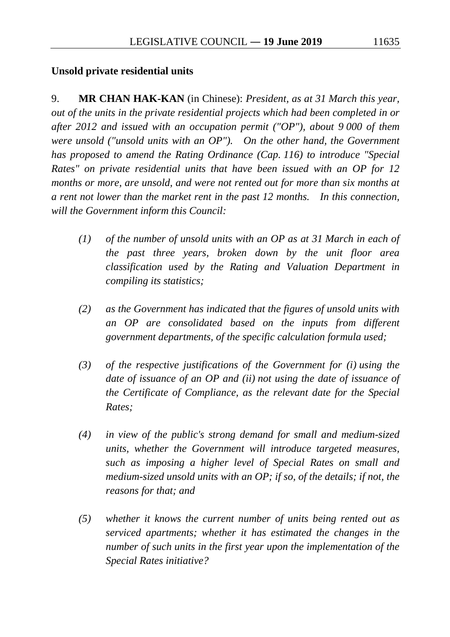## **Unsold private residential units**

9. **MR CHAN HAK-KAN** (in Chinese): *President, as at 31 March this year, out of the units in the private residential projects which had been completed in or after 2012 and issued with an occupation permit ("OP"), about 9 000 of them were unsold ("unsold units with an OP"). On the other hand, the Government has proposed to amend the Rating Ordinance (Cap. 116) to introduce "Special Rates" on private residential units that have been issued with an OP for 12 months or more, are unsold, and were not rented out for more than six months at a rent not lower than the market rent in the past 12 months. In this connection, will the Government inform this Council:*

- *(1) of the number of unsold units with an OP as at 31 March in each of the past three years, broken down by the unit floor area classification used by the Rating and Valuation Department in compiling its statistics;*
- *(2) as the Government has indicated that the figures of unsold units with an OP are consolidated based on the inputs from different government departments, of the specific calculation formula used;*
- *(3) of the respective justifications of the Government for (i) using the date of issuance of an OP and (ii) not using the date of issuance of the Certificate of Compliance, as the relevant date for the Special Rates;*
- *(4) in view of the public's strong demand for small and medium-sized units, whether the Government will introduce targeted measures, such as imposing a higher level of Special Rates on small and medium-sized unsold units with an OP; if so, of the details; if not, the reasons for that; and*
- *(5) whether it knows the current number of units being rented out as serviced apartments; whether it has estimated the changes in the number of such units in the first year upon the implementation of the Special Rates initiative?*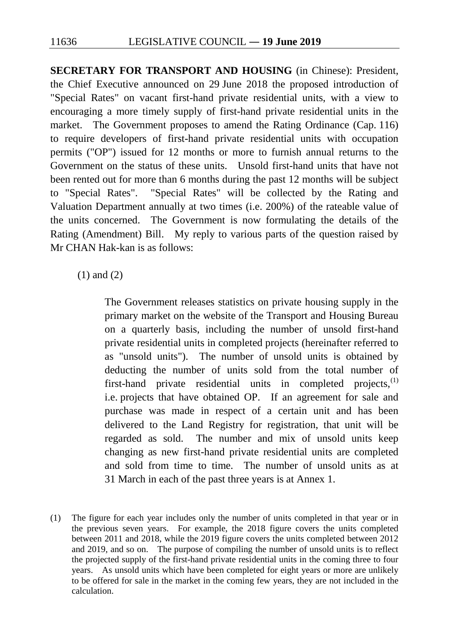**SECRETARY FOR TRANSPORT AND HOUSING** (in Chinese): President, the Chief Executive announced on 29 June 2018 the proposed introduction of "Special Rates" on vacant first-hand private residential units, with a view to encouraging a more timely supply of first-hand private residential units in the market. The Government proposes to amend the Rating Ordinance (Cap. 116) to require developers of first-hand private residential units with occupation permits ("OP") issued for 12 months or more to furnish annual returns to the Government on the status of these units. Unsold first-hand units that have not been rented out for more than 6 months during the past 12 months will be subject to "Special Rates". "Special Rates" will be collected by the Rating and Valuation Department annually at two times (i.e. 200%) of the rateable value of the units concerned. The Government is now formulating the details of the Rating (Amendment) Bill. My reply to various parts of the question raised by Mr CHAN Hak-kan is as follows:

(1) and (2)

The Government releases statistics on private housing supply in the primary market on the website of the Transport and Housing Bureau on a quarterly basis, including the number of unsold first-hand private residential units in completed projects (hereinafter referred to as "unsold units"). The number of unsold units is obtained by deducting the number of units sold from the total number of first-hand private residential units in completed projects, $^{(1)}$  $^{(1)}$  $^{(1)}$ i.e. projects that have obtained OP. If an agreement for sale and purchase was made in respect of a certain unit and has been delivered to the Land Registry for registration, that unit will be regarded as sold. The number and mix of unsold units keep changing as new first-hand private residential units are completed and sold from time to time. The number of unsold units as at 31 March in each of the past three years is at Annex 1.

<span id="page-115-0"></span>(1) The figure for each year includes only the number of units completed in that year or in the previous seven years. For example, the 2018 figure covers the units completed between 2011 and 2018, while the 2019 figure covers the units completed between 2012 and 2019, and so on. The purpose of compiling the number of unsold units is to reflect the projected supply of the first-hand private residential units in the coming three to four years. As unsold units which have been completed for eight years or more are unlikely to be offered for sale in the market in the coming few years, they are not included in the calculation.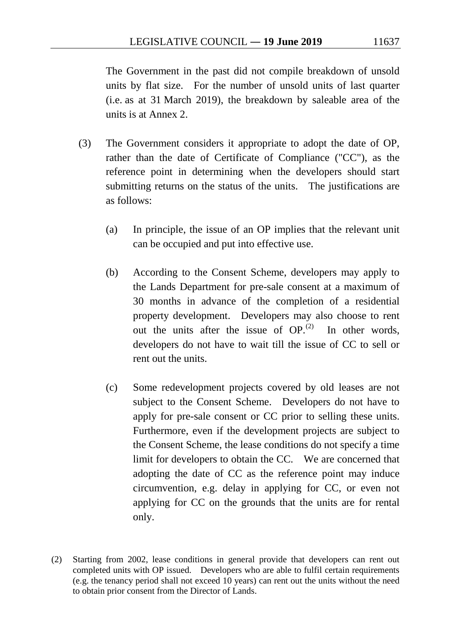The Government in the past did not compile breakdown of unsold units by flat size. For the number of unsold units of last quarter (i.e. as at 31 March 2019), the breakdown by saleable area of the units is at Annex 2.

- (3) The Government considers it appropriate to adopt the date of OP, rather than the date of Certificate of Compliance ("CC"), as the reference point in determining when the developers should start submitting returns on the status of the units. The justifications are as follows:
	- (a) In principle, the issue of an OP implies that the relevant unit can be occupied and put into effective use.
	- (b) According to the Consent Scheme, developers may apply to the Lands Department for pre-sale consent at a maximum of 30 months in advance of the completion of a residential property development. Developers may also choose to rent out the units after the issue of  $OP<sub>1</sub><sup>(2)</sup>$  $OP<sub>1</sub><sup>(2)</sup>$  $OP<sub>1</sub><sup>(2)</sup>$  In other words, developers do not have to wait till the issue of CC to sell or rent out the units.
	- (c) Some redevelopment projects covered by old leases are not subject to the Consent Scheme. Developers do not have to apply for pre-sale consent or CC prior to selling these units. Furthermore, even if the development projects are subject to the Consent Scheme, the lease conditions do not specify a time limit for developers to obtain the CC. We are concerned that adopting the date of CC as the reference point may induce circumvention, e.g. delay in applying for CC, or even not applying for CC on the grounds that the units are for rental only.

<span id="page-116-0"></span><sup>(2)</sup> Starting from 2002, lease conditions in general provide that developers can rent out completed units with OP issued. Developers who are able to fulfil certain requirements (e.g. the tenancy period shall not exceed 10 years) can rent out the units without the need to obtain prior consent from the Director of Lands.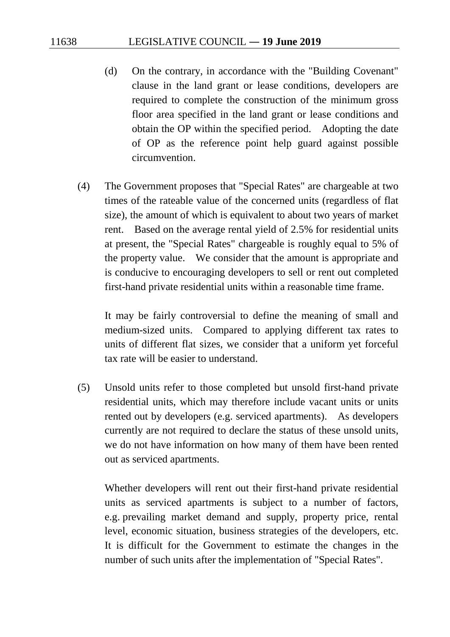- (d) On the contrary, in accordance with the "Building Covenant" clause in the land grant or lease conditions, developers are required to complete the construction of the minimum gross floor area specified in the land grant or lease conditions and obtain the OP within the specified period. Adopting the date of OP as the reference point help guard against possible circumvention.
- (4) The Government proposes that "Special Rates" are chargeable at two times of the rateable value of the concerned units (regardless of flat size), the amount of which is equivalent to about two years of market rent. Based on the average rental yield of 2.5% for residential units at present, the "Special Rates" chargeable is roughly equal to 5% of the property value. We consider that the amount is appropriate and is conducive to encouraging developers to sell or rent out completed first-hand private residential units within a reasonable time frame.

It may be fairly controversial to define the meaning of small and medium-sized units. Compared to applying different tax rates to units of different flat sizes, we consider that a uniform yet forceful tax rate will be easier to understand.

(5) Unsold units refer to those completed but unsold first-hand private residential units, which may therefore include vacant units or units rented out by developers (e.g. serviced apartments). As developers currently are not required to declare the status of these unsold units, we do not have information on how many of them have been rented out as serviced apartments.

Whether developers will rent out their first-hand private residential units as serviced apartments is subject to a number of factors, e.g. prevailing market demand and supply, property price, rental level, economic situation, business strategies of the developers, etc. It is difficult for the Government to estimate the changes in the number of such units after the implementation of "Special Rates".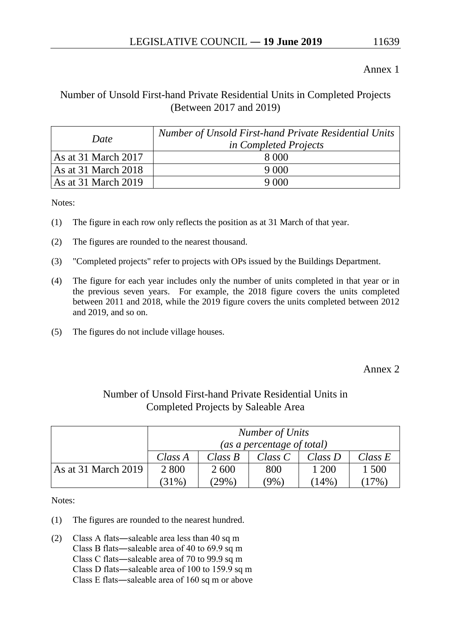#### Annex 1

## Number of Unsold First-hand Private Residential Units in Completed Projects (Between 2017 and 2019)

| Date                                   | Number of Unsold First-hand Private Residential Units<br><i>in Completed Projects</i> |
|----------------------------------------|---------------------------------------------------------------------------------------|
| As at 31 March 2017                    | 8.000                                                                                 |
| As at 31 March $2018$                  |                                                                                       |
| $\text{As at } 31 \text{ March } 2019$ |                                                                                       |

Notes:

- (1) The figure in each row only reflects the position as at 31 March of that year.
- (2) The figures are rounded to the nearest thousand.
- (3) "Completed projects" refer to projects with OPs issued by the Buildings Department.
- (4) The figure for each year includes only the number of units completed in that year or in the previous seven years. For example, the 2018 figure covers the units completed between 2011 and 2018, while the 2019 figure covers the units completed between 2012 and 2019, and so on.
- (5) The figures do not include village houses.

Annex 2

| Completed Projects by Saleable Area |                 |                            |         |            |            |  |  |  |  |  |  |
|-------------------------------------|-----------------|----------------------------|---------|------------|------------|--|--|--|--|--|--|
|                                     | Number of Units |                            |         |            |            |  |  |  |  |  |  |
|                                     |                 | (as a percentage of total) |         |            |            |  |  |  |  |  |  |
|                                     | Class A         | Class B                    | Class C | $Class\,D$ | $Class\ E$ |  |  |  |  |  |  |
| As at 31 March 2019                 | 2 8 0 0         | 2 600                      | 800     | 1 200      | 1 500      |  |  |  |  |  |  |
|                                     | (31%)           | $(29\%)$                   | (9%)    | (14%)      | $(17\%)$   |  |  |  |  |  |  |

## Number of Unsold First-hand Private Residential Units in Completed Projects by Saleable Area

Notes:

- (1) The figures are rounded to the nearest hundred.
- (2) Class A flats―saleable area less than 40 sq m Class B flats―saleable area of 40 to 69.9 sq m Class C flats―saleable area of 70 to 99.9 sq m Class D flats―saleable area of 100 to 159.9 sq m Class E flats―saleable area of 160 sq m or above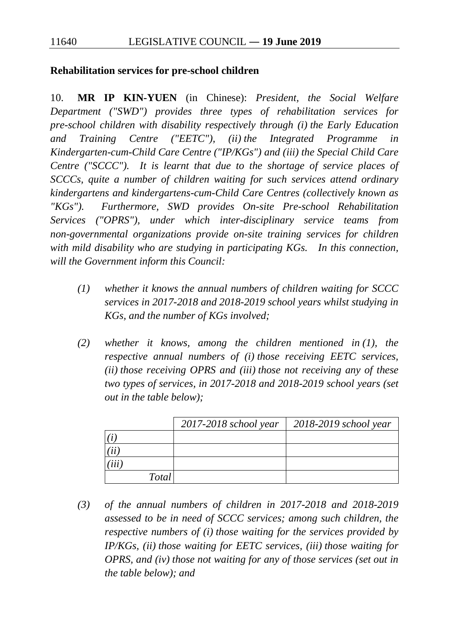#### **Rehabilitation services for pre-school children**

10. **MR IP KIN-YUEN** (in Chinese): *President, the Social Welfare Department ("SWD") provides three types of rehabilitation services for pre-school children with disability respectively through (i) the Early Education and Training Centre ("EETC"), (ii) the Integrated Programme in Kindergarten-cum-Child Care Centre ("IP/KGs") and (iii) the Special Child Care Centre ("SCCC"). It is learnt that due to the shortage of service places of SCCCs, quite a number of children waiting for such services attend ordinary kindergartens and kindergartens-cum-Child Care Centres (collectively known as "KGs"). Furthermore, SWD provides On-site Pre-school Rehabilitation Services ("OPRS"), under which inter-disciplinary service teams from non-governmental organizations provide on-site training services for children with mild disability who are studying in participating KGs. In this connection, will the Government inform this Council:*

- *(1) whether it knows the annual numbers of children waiting for SCCC services in 2017-2018 and 2018-2019 school years whilst studying in KGs, and the number of KGs involved;*
- *(2) whether it knows, among the children mentioned in (1), the respective annual numbers of (i) those receiving EETC services, (ii) those receiving OPRS and (iii) those not receiving any of these two types of services, in 2017-2018 and 2018-2019 school years (set out in the table below);*

|              | $2017 - 2018$ school year | $2018 - 2019$ school year |
|--------------|---------------------------|---------------------------|
|              |                           |                           |
|              |                           |                           |
|              |                           |                           |
| <b>Total</b> |                           |                           |

*(3) of the annual numbers of children in 2017-2018 and 2018-2019 assessed to be in need of SCCC services; among such children, the respective numbers of (i) those waiting for the services provided by IP/KGs, (ii) those waiting for EETC services, (iii) those waiting for OPRS, and (iv) those not waiting for any of those services (set out in the table below); and*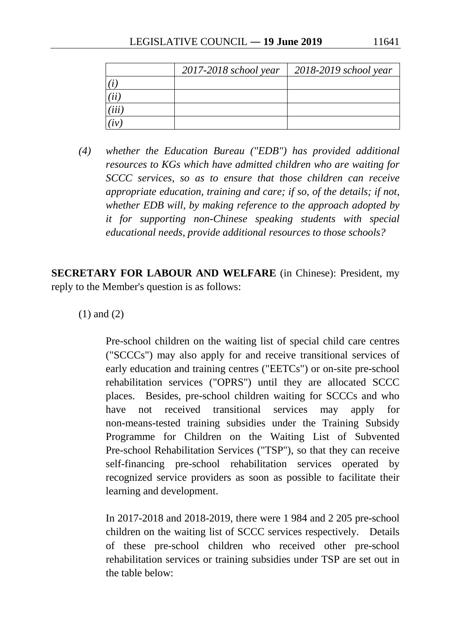|     | 2017-2018 school year | 2018-2019 school year |
|-----|-----------------------|-----------------------|
|     |                       |                       |
|     |                       |                       |
| iii |                       |                       |
|     |                       |                       |

*(4) whether the Education Bureau ("EDB") has provided additional resources to KGs which have admitted children who are waiting for SCCC services, so as to ensure that those children can receive appropriate education, training and care; if so, of the details; if not, whether EDB will, by making reference to the approach adopted by it for supporting non-Chinese speaking students with special educational needs, provide additional resources to those schools?* 

**SECRETARY FOR LABOUR AND WELFARE** (in Chinese): President, my reply to the Member's question is as follows:

(1) and (2)

Pre-school children on the waiting list of special child care centres ("SCCCs") may also apply for and receive transitional services of early education and training centres ("EETCs") or on-site pre-school rehabilitation services ("OPRS") until they are allocated SCCC places. Besides, pre-school children waiting for SCCCs and who have not received transitional services may apply for non-means-tested training subsidies under the Training Subsidy Programme for Children on the Waiting List of Subvented Pre-school Rehabilitation Services ("TSP"), so that they can receive self-financing pre-school rehabilitation services operated by recognized service providers as soon as possible to facilitate their learning and development.

In 2017-2018 and 2018-2019, there were 1 984 and 2 205 pre-school children on the waiting list of SCCC services respectively. Details of these pre-school children who received other pre-school rehabilitation services or training subsidies under TSP are set out in the table below: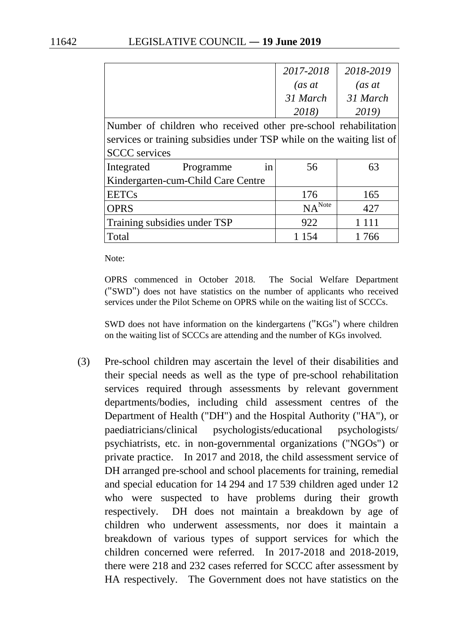|                                                                       | 2017-2018          | 2018-2019 |  |  |  |  |  |  |  |  |
|-----------------------------------------------------------------------|--------------------|-----------|--|--|--|--|--|--|--|--|
|                                                                       | (as at             | (as at    |  |  |  |  |  |  |  |  |
|                                                                       | 31 March           | 31 March  |  |  |  |  |  |  |  |  |
|                                                                       | 2018)              | 2019)     |  |  |  |  |  |  |  |  |
| Number of children who received other pre-school rehabilitation       |                    |           |  |  |  |  |  |  |  |  |
| services or training subsidies under TSP while on the waiting list of |                    |           |  |  |  |  |  |  |  |  |
| <b>SCCC</b> services                                                  |                    |           |  |  |  |  |  |  |  |  |
| Integrated<br>Programme<br>in                                         | 56                 | 63        |  |  |  |  |  |  |  |  |
| Kindergarten-cum-Child Care Centre                                    |                    |           |  |  |  |  |  |  |  |  |
| <b>EETCs</b>                                                          | 176                | 165       |  |  |  |  |  |  |  |  |
| <b>OPRS</b>                                                           | NA <sup>Note</sup> | 427       |  |  |  |  |  |  |  |  |
| Training subsidies under TSP                                          | 922                | 1 1 1 1   |  |  |  |  |  |  |  |  |
| Total                                                                 | 1 154              | 1766      |  |  |  |  |  |  |  |  |

Note:

OPRS commenced in October 2018. The Social Welfare Department ("SWD") does not have statistics on the number of applicants who received services under the Pilot Scheme on OPRS while on the waiting list of SCCCs.

SWD does not have information on the kindergartens ("KGs") where children on the waiting list of SCCCs are attending and the number of KGs involved.

(3) Pre-school children may ascertain the level of their disabilities and their special needs as well as the type of pre-school rehabilitation services required through assessments by relevant government departments/bodies, including child assessment centres of the Department of Health ("DH") and the Hospital Authority ("HA"), or paediatricians/clinical psychologists/educational psychologists/ psychiatrists, etc. in non-governmental organizations ("NGOs") or private practice. In 2017 and 2018, the child assessment service of DH arranged pre-school and school placements for training, remedial and special education for 14 294 and 17 539 children aged under 12 who were suspected to have problems during their growth respectively. DH does not maintain a breakdown by age of children who underwent assessments, nor does it maintain a breakdown of various types of support services for which the children concerned were referred. In 2017-2018 and 2018-2019, there were 218 and 232 cases referred for SCCC after assessment by HA respectively. The Government does not have statistics on the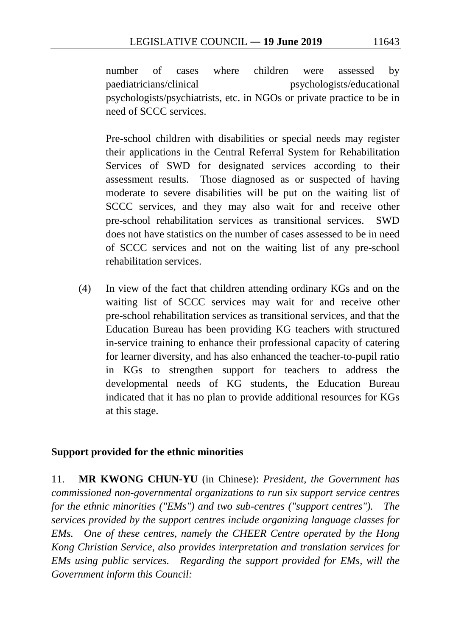number of cases where children were assessed by paediatricians/clinical psychologists/educational psychologists/psychiatrists, etc. in NGOs or private practice to be in need of SCCC services.

Pre-school children with disabilities or special needs may register their applications in the Central Referral System for Rehabilitation Services of SWD for designated services according to their assessment results. Those diagnosed as or suspected of having moderate to severe disabilities will be put on the waiting list of SCCC services, and they may also wait for and receive other pre-school rehabilitation services as transitional services. SWD does not have statistics on the number of cases assessed to be in need of SCCC services and not on the waiting list of any pre-school rehabilitation services.

(4) In view of the fact that children attending ordinary KGs and on the waiting list of SCCC services may wait for and receive other pre-school rehabilitation services as transitional services, and that the Education Bureau has been providing KG teachers with structured in-service training to enhance their professional capacity of catering for learner diversity, and has also enhanced the teacher-to-pupil ratio in KGs to strengthen support for teachers to address the developmental needs of KG students, the Education Bureau indicated that it has no plan to provide additional resources for KGs at this stage.

## **Support provided for the ethnic minorities**

11. **MR KWONG CHUN-YU** (in Chinese): *President, the Government has commissioned non-governmental organizations to run six support service centres for the ethnic minorities ("EMs") and two sub-centres ("support centres"). The services provided by the support centres include organizing language classes for EMs. One of these centres, namely the CHEER Centre operated by the Hong Kong Christian Service, also provides interpretation and translation services for EMs using public services. Regarding the support provided for EMs, will the Government inform this Council:*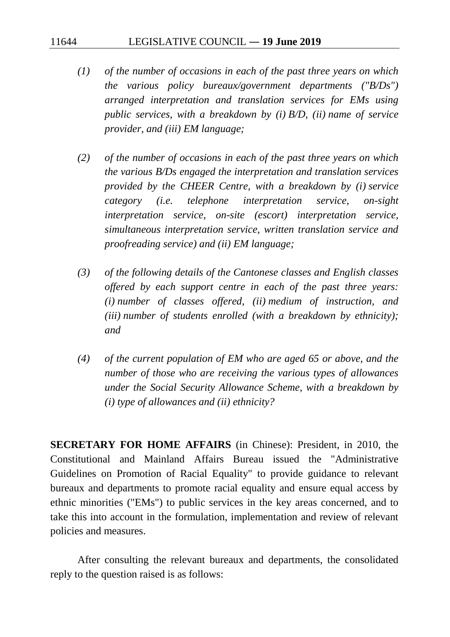- *(1) of the number of occasions in each of the past three years on which the various policy bureaux/government departments ("B/Ds") arranged interpretation and translation services for EMs using public services, with a breakdown by (i) B/D, (ii) name of service provider, and (iii) EM language;*
- *(2) of the number of occasions in each of the past three years on which the various B/Ds engaged the interpretation and translation services provided by the CHEER Centre, with a breakdown by (i) service category (i.e. telephone interpretation service, on-sight interpretation service, on-site (escort) interpretation service, simultaneous interpretation service, written translation service and proofreading service) and (ii) EM language;*
- *(3) of the following details of the Cantonese classes and English classes offered by each support centre in each of the past three years: (i) number of classes offered, (ii) medium of instruction, and (iii) number of students enrolled (with a breakdown by ethnicity); and*
- *(4) of the current population of EM who are aged 65 or above, and the number of those who are receiving the various types of allowances under the Social Security Allowance Scheme, with a breakdown by (i) type of allowances and (ii) ethnicity?*

**SECRETARY FOR HOME AFFAIRS** (in Chinese): President, in 2010, the Constitutional and Mainland Affairs Bureau issued the "Administrative Guidelines on Promotion of Racial Equality" to provide guidance to relevant bureaux and departments to promote racial equality and ensure equal access by ethnic minorities ("EMs") to public services in the key areas concerned, and to take this into account in the formulation, implementation and review of relevant policies and measures.

After consulting the relevant bureaux and departments, the consolidated reply to the question raised is as follows: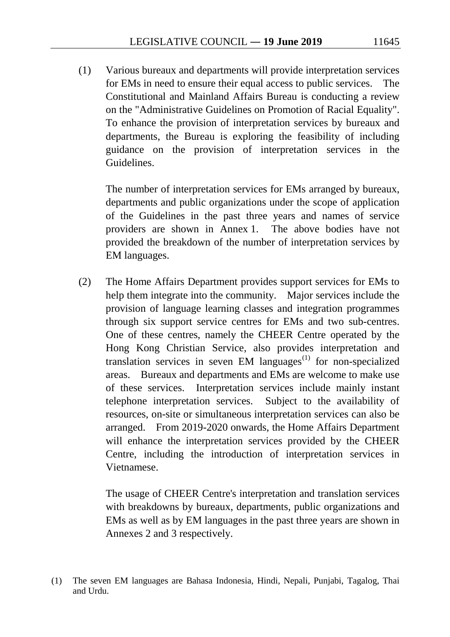(1) Various bureaux and departments will provide interpretation services for EMs in need to ensure their equal access to public services. The Constitutional and Mainland Affairs Bureau is conducting a review on the "Administrative Guidelines on Promotion of Racial Equality". To enhance the provision of interpretation services by bureaux and departments, the Bureau is exploring the feasibility of including guidance on the provision of interpretation services in the Guidelines.

The number of interpretation services for EMs arranged by bureaux, departments and public organizations under the scope of application of the Guidelines in the past three years and names of service providers are shown in Annex 1. The above bodies have not provided the breakdown of the number of interpretation services by EM languages.

(2) The Home Affairs Department provides support services for EMs to help them integrate into the community. Major services include the provision of language learning classes and integration programmes through six support service centres for EMs and two sub-centres. One of these centres, namely the CHEER Centre operated by the Hong Kong Christian Service, also provides interpretation and translation services in seven EM languages $^{(1)}$  $^{(1)}$  $^{(1)}$  for non-specialized areas. Bureaux and departments and EMs are welcome to make use of these services. Interpretation services include mainly instant telephone interpretation services. Subject to the availability of resources, on-site or simultaneous interpretation services can also be arranged. From 2019-2020 onwards, the Home Affairs Department will enhance the interpretation services provided by the CHEER Centre, including the introduction of interpretation services in Vietnamese.

The usage of CHEER Centre's interpretation and translation services with breakdowns by bureaux, departments, public organizations and EMs as well as by EM languages in the past three years are shown in Annexes 2 and 3 respectively.

<span id="page-124-0"></span><sup>(1)</sup> The seven EM languages are Bahasa Indonesia, Hindi, Nepali, Punjabi, Tagalog, Thai and Urdu.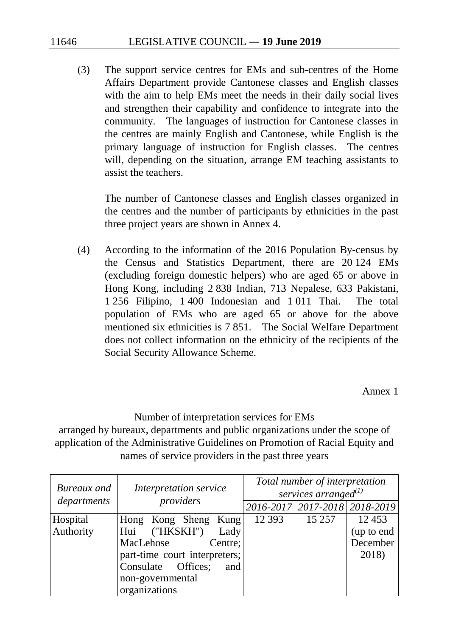(3) The support service centres for EMs and sub-centres of the Home Affairs Department provide Cantonese classes and English classes with the aim to help EMs meet the needs in their daily social lives and strengthen their capability and confidence to integrate into the community. The languages of instruction for Cantonese classes in the centres are mainly English and Cantonese, while English is the primary language of instruction for English classes. The centres will, depending on the situation, arrange EM teaching assistants to assist the teachers.

The number of Cantonese classes and English classes organized in the centres and the number of participants by ethnicities in the past three project years are shown in Annex 4.

(4) According to the information of the 2016 Population By-census by the Census and Statistics Department, there are 20 124 EMs (excluding foreign domestic helpers) who are aged 65 or above in Hong Kong, including 2 838 Indian, 713 Nepalese, 633 Pakistani, 1 256 Filipino, 1 400 Indonesian and 1 011 Thai. The total population of EMs who are aged 65 or above for the above mentioned six ethnicities is 7 851. The Social Welfare Department does not collect information on the ethnicity of the recipients of the Social Security Allowance Scheme.

Annex 1

Number of interpretation services for EMs arranged by bureaux, departments and public organizations under the scope of application of the Administrative Guidelines on Promotion of Racial Equity and names of service providers in the past three years

| Bureaux and | Interpretation service        | Total number of interpretation<br>services arranged $^{(1)}$ |  |  |  |  |  |  |
|-------------|-------------------------------|--------------------------------------------------------------|--|--|--|--|--|--|
| departments | providers                     | 2016-2017 2017-2018 2018-2019                                |  |  |  |  |  |  |
| Hospital    | Hong Kong Sheng Kung          | 12 3 93<br>15 257<br>12453                                   |  |  |  |  |  |  |
| Authority   | Hui ("HKSKH")<br>Lady         | (up to end                                                   |  |  |  |  |  |  |
|             | MacLehose<br>Centre;          | December                                                     |  |  |  |  |  |  |
|             | part-time court interpreters; | 2018)                                                        |  |  |  |  |  |  |
|             | Consulate Offices;<br>and     |                                                              |  |  |  |  |  |  |
|             | non-governmental              |                                                              |  |  |  |  |  |  |
|             | organizations                 |                                                              |  |  |  |  |  |  |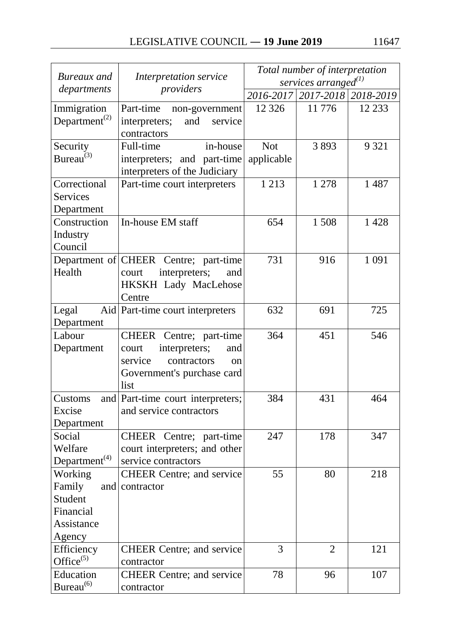|                                        |                                       | Total number of interpretation |                               |         |  |  |  |  |
|----------------------------------------|---------------------------------------|--------------------------------|-------------------------------|---------|--|--|--|--|
| Bureaux and                            | Interpretation service                |                                | services arranged $^{(1)}$    |         |  |  |  |  |
| departments                            | providers                             |                                | 2016-2017 2017-2018 2018-2019 |         |  |  |  |  |
| Immigration                            | Part-time<br>non-government           | 12 3 26                        | 11776                         | 12 2 33 |  |  |  |  |
| Department <sup><math>(2)</math></sup> | interpreters;<br>and<br>service       |                                |                               |         |  |  |  |  |
|                                        | contractors                           |                                |                               |         |  |  |  |  |
| Security                               | Full-time<br>in-house                 | <b>Not</b>                     | 3893                          | 9 3 2 1 |  |  |  |  |
| Bureau <sup>(3)</sup>                  | interpreters; and part-time           | applicable                     |                               |         |  |  |  |  |
|                                        | interpreters of the Judiciary         |                                |                               |         |  |  |  |  |
| Correctional                           | Part-time court interpreters          | 1 2 1 3                        | 1 278                         | 1487    |  |  |  |  |
| Services                               |                                       |                                |                               |         |  |  |  |  |
| Department                             |                                       |                                |                               |         |  |  |  |  |
| Construction                           | In-house EM staff                     | 654                            | 1508                          | 1428    |  |  |  |  |
| Industry                               |                                       |                                |                               |         |  |  |  |  |
| Council                                |                                       |                                |                               |         |  |  |  |  |
|                                        | Department of CHEER Centre; part-time | 731                            | 916                           | 1 0 9 1 |  |  |  |  |
| Health                                 | interpreters;<br>court<br>and         |                                |                               |         |  |  |  |  |
|                                        | <b>HKSKH Lady MacLehose</b>           |                                |                               |         |  |  |  |  |
|                                        | Centre                                |                                |                               |         |  |  |  |  |
| Legal                                  | Aid Part-time court interpreters      | 632                            | 691                           | 725     |  |  |  |  |
| Department                             |                                       |                                |                               |         |  |  |  |  |
| Labour                                 | CHEER Centre; part-time               | 364                            | 451                           | 546     |  |  |  |  |
| Department                             | interpreters;<br>court<br>and         |                                |                               |         |  |  |  |  |
|                                        | service<br>contractors<br>$\alpha$    |                                |                               |         |  |  |  |  |
|                                        | Government's purchase card            |                                |                               |         |  |  |  |  |
|                                        | list                                  |                                |                               |         |  |  |  |  |
| Customs                                | and Part-time court interpreters;     | 384                            | 431                           | 464     |  |  |  |  |
| Excise                                 | and service contractors               |                                |                               |         |  |  |  |  |
| Department                             |                                       |                                |                               |         |  |  |  |  |
| Social                                 | CHEER Centre; part-time               | 247                            | 178                           | 347     |  |  |  |  |
| Welfare                                | court interpreters; and other         |                                |                               |         |  |  |  |  |
| Department <sup>(4)</sup>              | service contractors                   |                                |                               |         |  |  |  |  |
| Working                                | <b>CHEER Centre; and service</b>      | 55                             | 80                            | 218     |  |  |  |  |
| Family<br>and                          | contractor                            |                                |                               |         |  |  |  |  |
| Student                                |                                       |                                |                               |         |  |  |  |  |
| Financial                              |                                       |                                |                               |         |  |  |  |  |
| Assistance                             |                                       |                                |                               |         |  |  |  |  |
| Agency                                 |                                       |                                |                               |         |  |  |  |  |
| Efficiency                             | <b>CHEER Centre; and service</b>      | 3                              | $\overline{2}$                | 121     |  |  |  |  |
| Office $(5)$                           | contractor                            |                                |                               |         |  |  |  |  |
| Education                              | <b>CHEER Centre; and service</b>      | 78                             | 96                            | 107     |  |  |  |  |
| Bureau <sup>(6)</sup>                  | contractor                            |                                |                               |         |  |  |  |  |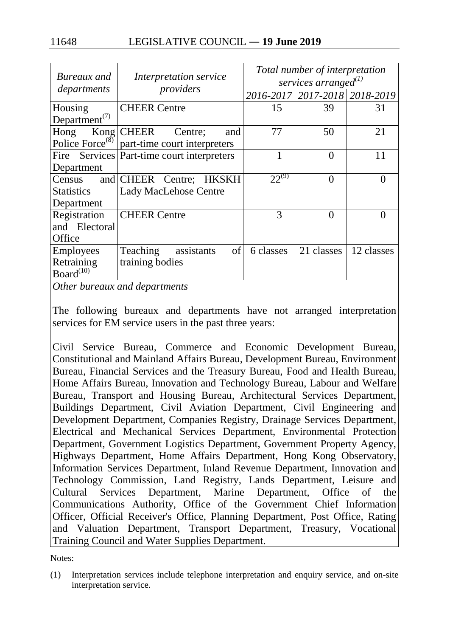| Bureaux and                            | Interpretation service                       |            | Total number of interpretation<br>services arranged $^{(1)}$ |               |
|----------------------------------------|----------------------------------------------|------------|--------------------------------------------------------------|---------------|
| departments                            | providers                                    |            | 2016-2017   2017-2018   2018-2019                            |               |
| Housing                                | <b>CHEER Centre</b>                          | 15         | 39                                                           | 31            |
| Department <sup><math>(7)</math></sup> |                                              |            |                                                              |               |
| Kong<br>Hong                           | <b>CHEER</b><br>Centre;<br>and               | 77         | 50                                                           | 21            |
| Police Force <sup>(8)</sup>            | part-time court interpreters                 |            |                                                              |               |
|                                        | Fire Services   Part-time court interpreters |            | $\theta$                                                     | 11            |
| Department                             |                                              |            |                                                              |               |
| Census                                 | and CHEER Centre;<br><b>HKSKH</b>            | $22^{(9)}$ | $\theta$                                                     |               |
| <b>Statistics</b>                      | <b>Lady MacLehose Centre</b>                 |            |                                                              |               |
| Department                             |                                              |            |                                                              |               |
| Registration                           | <b>CHEER Centre</b>                          | 3          | $\theta$                                                     | $\mathcal{O}$ |
| and Electoral                          |                                              |            |                                                              |               |
| Office                                 |                                              |            |                                                              |               |
| <b>Employees</b>                       | of<br>Teaching<br>assistants                 | 6 classes  | 21 classes                                                   | 12 classes    |
| Retraining                             | training bodies                              |            |                                                              |               |
| Board <sup>(10)</sup>                  |                                              |            |                                                              |               |

*Other bureaux and departments*

The following bureaux and departments have not arranged interpretation services for EM service users in the past three years:

Civil Service Bureau, Commerce and Economic Development Bureau, Constitutional and Mainland Affairs Bureau, Development Bureau, Environment Bureau, Financial Services and the Treasury Bureau, Food and Health Bureau, Home Affairs Bureau, Innovation and Technology Bureau, Labour and Welfare Bureau, Transport and Housing Bureau, Architectural Services Department, Buildings Department, Civil Aviation Department, Civil Engineering and Development Department, Companies Registry, Drainage Services Department, Electrical and Mechanical Services Department, Environmental Protection Department, Government Logistics Department, Government Property Agency, Highways Department, Home Affairs Department, Hong Kong Observatory, Information Services Department, Inland Revenue Department, Innovation and Technology Commission, Land Registry, Lands Department, Leisure and Cultural Services Department, Marine Department, Office of the Communications Authority, Office of the Government Chief Information Officer, Official Receiver's Office, Planning Department, Post Office, Rating and Valuation Department, Transport Department, Treasury, Vocational Training Council and Water Supplies Department.

Notes:

<sup>(1)</sup> Interpretation services include telephone interpretation and enquiry service, and on-site interpretation service.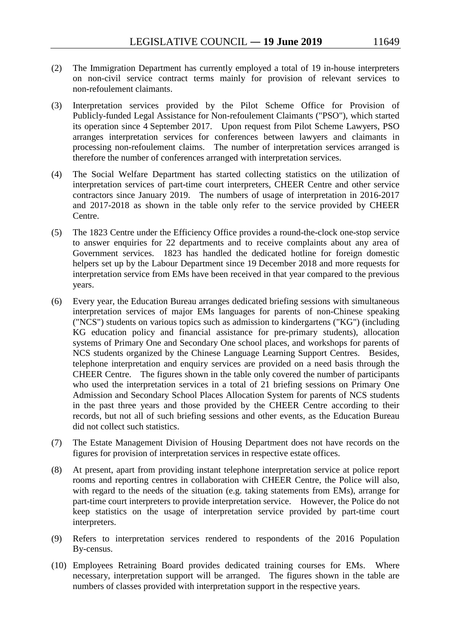- (2) The Immigration Department has currently employed a total of 19 in-house interpreters on non-civil service contract terms mainly for provision of relevant services to non-refoulement claimants.
- (3) Interpretation services provided by the Pilot Scheme Office for Provision of Publicly-funded Legal Assistance for Non-refoulement Claimants ("PSO"), which started its operation since 4 September 2017. Upon request from Pilot Scheme Lawyers, PSO arranges interpretation services for conferences between lawyers and claimants in processing non-refoulement claims. The number of interpretation services arranged is therefore the number of conferences arranged with interpretation services.
- (4) The Social Welfare Department has started collecting statistics on the utilization of interpretation services of part-time court interpreters, CHEER Centre and other service contractors since January 2019. The numbers of usage of interpretation in 2016-2017 and 2017-2018 as shown in the table only refer to the service provided by CHEER Centre.
- (5) The 1823 Centre under the Efficiency Office provides a round-the-clock one-stop service to answer enquiries for 22 departments and to receive complaints about any area of Government services. 1823 has handled the dedicated hotline for foreign domestic helpers set up by the Labour Department since 19 December 2018 and more requests for interpretation service from EMs have been received in that year compared to the previous years.
- (6) Every year, the Education Bureau arranges dedicated briefing sessions with simultaneous interpretation services of major EMs languages for parents of non-Chinese speaking ("NCS") students on various topics such as admission to kindergartens ("KG") (including KG education policy and financial assistance for pre-primary students), allocation systems of Primary One and Secondary One school places, and workshops for parents of NCS students organized by the Chinese Language Learning Support Centres. Besides, telephone interpretation and enquiry services are provided on a need basis through the CHEER Centre. The figures shown in the table only covered the number of participants who used the interpretation services in a total of 21 briefing sessions on Primary One Admission and Secondary School Places Allocation System for parents of NCS students in the past three years and those provided by the CHEER Centre according to their records, but not all of such briefing sessions and other events, as the Education Bureau did not collect such statistics.
- (7) The Estate Management Division of Housing Department does not have records on the figures for provision of interpretation services in respective estate offices.
- (8) At present, apart from providing instant telephone interpretation service at police report rooms and reporting centres in collaboration with CHEER Centre, the Police will also, with regard to the needs of the situation (e.g. taking statements from EMs), arrange for part-time court interpreters to provide interpretation service. However, the Police do not keep statistics on the usage of interpretation service provided by part-time court interpreters.
- (9) Refers to interpretation services rendered to respondents of the 2016 Population By-census.
- (10) Employees Retraining Board provides dedicated training courses for EMs. Where necessary, interpretation support will be arranged. The figures shown in the table are numbers of classes provided with interpretation support in the respective years.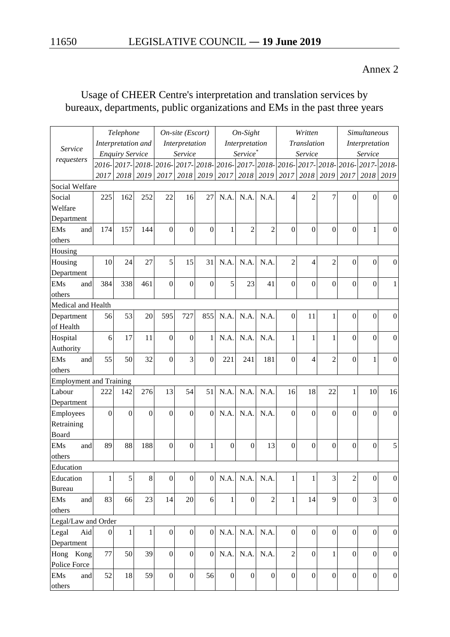### Annex 2

# Usage of CHEER Centre's interpretation and translation services by bureaux, departments, public organizations and EMs in the past three years

| Telephone                      |                  |                        |                | On-site (Escort) |                           |                |                  | On-Sight             |                  |                  | Written          |                  | <b>Simultaneous</b>                           |                  |                  |
|--------------------------------|------------------|------------------------|----------------|------------------|---------------------------|----------------|------------------|----------------------|------------------|------------------|------------------|------------------|-----------------------------------------------|------------------|------------------|
| Service                        |                  | Interpretation and     |                |                  | Interpretation            |                |                  | Interpretation       |                  |                  | Translation      |                  |                                               | Interpretation   |                  |
| requesters                     |                  | <b>Enquiry Service</b> |                |                  | Service                   |                |                  | Service <sup>*</sup> |                  |                  | Service          |                  |                                               | Service          |                  |
|                                | $2016-$          |                        |                |                  | 2017-2018-2016-2017-2018- |                |                  |                      |                  |                  |                  |                  | 2016-2017-2018-2016-2017-2018-2016-2017-2018- |                  |                  |
|                                | 2017             |                        | 2018 2019      | 2017             |                           | 2018 2019      |                  | 2017 2018            |                  | 2019 2017        | 2018             | 2019             | 2017                                          | 2018             | 2019             |
| Social Welfare                 |                  |                        |                |                  |                           |                |                  |                      |                  |                  |                  |                  |                                               |                  |                  |
| Social                         | 225              | 162                    | 252            | 22               | 16                        | 27             | N.A.             | N.A.                 | N.A.             | $\overline{4}$   | $\overline{2}$   | 7                | $\overline{0}$                                | $\theta$         | $\mathbf{0}$     |
| Welfare                        |                  |                        |                |                  |                           |                |                  |                      |                  |                  |                  |                  |                                               |                  |                  |
| Department                     |                  |                        |                |                  |                           |                |                  |                      |                  |                  |                  |                  |                                               |                  |                  |
| <b>EMs</b><br>and              | 174              | 157                    | 144            | $\overline{0}$   | $\overline{0}$            | $\overline{0}$ | 1                | $\overline{2}$       | $\overline{2}$   | $\overline{0}$   | $\overline{0}$   | $\Omega$         | $\theta$                                      | $\mathbf{1}$     | $\boldsymbol{0}$ |
| others                         |                  |                        |                |                  |                           |                |                  |                      |                  |                  |                  |                  |                                               |                  |                  |
| Housing                        |                  |                        |                |                  |                           |                |                  |                      |                  |                  |                  |                  |                                               |                  |                  |
| Housing                        | 10               | 24                     | 27             | 5                | 15                        | 31             | N.A.             | N.A.                 | N.A.             | $\overline{2}$   | $\overline{4}$   | $\overline{2}$   | $\boldsymbol{0}$                              | $\mathbf{0}$     | $\mathbf{0}$     |
| Department                     |                  |                        |                |                  |                           |                |                  |                      |                  |                  |                  |                  |                                               |                  |                  |
| <b>EMs</b><br>and              | 384              | 338                    | 461            | $\overline{0}$   | $\overline{0}$            | $\overline{0}$ | 5                | 23                   | 41               | $\overline{0}$   | $\overline{0}$   | $\overline{0}$   | $\overline{0}$                                | $\overline{0}$   | 1                |
| others                         |                  |                        |                |                  |                           |                |                  |                      |                  |                  |                  |                  |                                               |                  |                  |
| Medical and Health             |                  |                        |                |                  |                           |                |                  |                      |                  |                  |                  |                  |                                               |                  |                  |
| Department                     | 56               | 53                     | 20             | 595              | 727                       | 855            | N.A.             | N.A.                 | N.A.             | $\overline{0}$   | 11               |                  | $\Omega$                                      | $\mathbf{0}$     | $\boldsymbol{0}$ |
| of Health                      |                  |                        |                |                  |                           |                |                  |                      |                  |                  |                  |                  |                                               |                  |                  |
| Hospital                       | 6                | 17                     | 11             | $\mathbf{0}$     | $\mathbf{0}$              | $\mathbf{1}$   | N.A.             | N.A.                 | N.A.             | 1                | $\mathbf{1}$     | $\mathbf{1}$     | $\overline{0}$                                | $\overline{0}$   | $\boldsymbol{0}$ |
| Authority                      |                  |                        |                |                  |                           |                |                  |                      |                  |                  |                  |                  |                                               |                  |                  |
| <b>EMs</b><br>and              | 55               | 50                     | 32             | $\overline{0}$   | 3                         | $\mathbf{0}$   | 221              | 241                  | 181              | $\overline{0}$   | $\overline{4}$   | $\overline{2}$   | $\overline{0}$                                | $\mathbf{1}$     | $\boldsymbol{0}$ |
| others                         |                  |                        |                |                  |                           |                |                  |                      |                  |                  |                  |                  |                                               |                  |                  |
| <b>Employment and Training</b> |                  |                        |                |                  |                           |                |                  |                      |                  |                  |                  |                  |                                               |                  |                  |
| Labour                         | 222              | 142                    | 276            | 13               | 54                        | 51             | N.A.             | N.A.                 | N.A.             | 16               | 18               | 22               | 1                                             | 10               | 16               |
| Department                     |                  |                        |                |                  |                           |                |                  |                      |                  |                  |                  |                  |                                               |                  |                  |
| Employees                      | $\overline{0}$   | $\overline{0}$         | $\overline{0}$ | $\mathbf{0}$     | $\overline{0}$            | $\Omega$       | N.A.             | N.A.                 | N.A.             | $\overline{0}$   | $\mathbf{0}$     | $\theta$         | $\Omega$                                      | $\mathbf{0}$     | $\boldsymbol{0}$ |
| Retraining                     |                  |                        |                |                  |                           |                |                  |                      |                  |                  |                  |                  |                                               |                  |                  |
| Board                          |                  |                        |                |                  |                           |                |                  |                      |                  |                  |                  |                  |                                               |                  |                  |
| <b>EMs</b><br>and              | 89               | 88                     | 188            | $\overline{0}$   | $\overline{0}$            | 1              | $\theta$         | $\overline{0}$       | 13               | $\overline{0}$   | $\overline{0}$   | $\theta$         | $\overline{0}$                                | $\overline{0}$   | 5                |
| others                         |                  |                        |                |                  |                           |                |                  |                      |                  |                  |                  |                  |                                               |                  |                  |
| Education                      |                  |                        |                |                  |                           |                |                  |                      |                  |                  |                  |                  |                                               |                  |                  |
| Education                      | 1                | 5                      | $8\,$          | $\boldsymbol{0}$ | $\boldsymbol{0}$          | $\overline{0}$ | N.A.             | N.A.                 | N.A.             | $\mathbf{1}$     | $\mathbf{1}$     | 3                | $\overline{2}$                                | $\boldsymbol{0}$ | $\boldsymbol{0}$ |
| <b>Bureau</b>                  |                  |                        |                |                  |                           |                |                  |                      |                  |                  |                  |                  |                                               |                  |                  |
| <b>EMs</b><br>and              | 83               | 66                     | 23             | 14               | 20                        | 6              | $\mathbf{1}$     | $\mathbf{0}$         | $\overline{2}$   | $\mathbf{1}$     | 14               | 9                | $\overline{0}$                                | 3                | $\boldsymbol{0}$ |
| others                         |                  |                        |                |                  |                           |                |                  |                      |                  |                  |                  |                  |                                               |                  |                  |
| Legal/Law and Order            |                  |                        |                |                  |                           |                |                  |                      |                  |                  |                  |                  |                                               |                  |                  |
| Legal<br>Aid                   | $\boldsymbol{0}$ | $\mathbf{1}$           | 1              | $\boldsymbol{0}$ | $\boldsymbol{0}$          | $\mathbf{0}$   | N.A.             | N.A.                 | N.A.             | $\boldsymbol{0}$ | $\boldsymbol{0}$ | $\boldsymbol{0}$ | $\mathbf{0}$                                  | $\boldsymbol{0}$ | $\mathbf{0}$     |
| Department                     |                  |                        |                |                  |                           |                |                  |                      |                  |                  |                  |                  |                                               |                  |                  |
| Hong Kong                      | 77               | 50                     | 39             | $\boldsymbol{0}$ | $\boldsymbol{0}$          | $\overline{0}$ | N.A.             | N.A.                 | N.A.             | $\overline{2}$   | $\boldsymbol{0}$ | $\mathbf{1}$     | $\mathbf{0}$                                  | $\mathbf{0}$     | $\boldsymbol{0}$ |
| Police Force                   |                  |                        |                |                  |                           |                |                  |                      |                  |                  |                  |                  |                                               |                  |                  |
| <b>EMs</b><br>and              | 52               | 18                     | 59             | $\boldsymbol{0}$ | $\boldsymbol{0}$          | 56             | $\boldsymbol{0}$ | $\boldsymbol{0}$     | $\boldsymbol{0}$ | $\boldsymbol{0}$ | $\boldsymbol{0}$ | $\overline{0}$   | $\boldsymbol{0}$                              | $\mathbf{0}$     | $\boldsymbol{0}$ |
| others                         |                  |                        |                |                  |                           |                |                  |                      |                  |                  |                  |                  |                                               |                  |                  |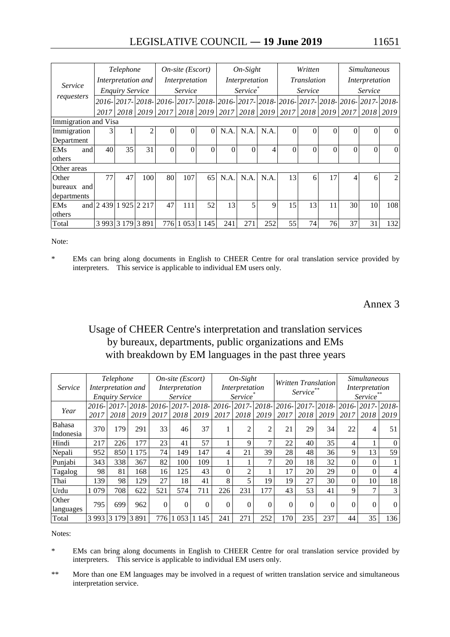|                      |                       | Telephone              |                | $On-site (Escort)$ |                  |          | $On-Sight$ |                      |      | Written                                               |                    |          | <i>Simultaneous</i> |                                                                                           |          |  |
|----------------------|-----------------------|------------------------|----------------|--------------------|------------------|----------|------------|----------------------|------|-------------------------------------------------------|--------------------|----------|---------------------|-------------------------------------------------------------------------------------------|----------|--|
| Service              |                       | Interpretation and     |                |                    | Interpretation   |          |            | Interpretation       |      |                                                       | <i>Translation</i> |          |                     | Interpretation                                                                            |          |  |
|                      |                       | <b>Enquiry Service</b> |                |                    | <i>Service</i>   |          |            | Service <sup>*</sup> |      |                                                       | <i>Service</i>     |          | Service             |                                                                                           |          |  |
| requesters           |                       |                        |                |                    |                  |          |            |                      |      |                                                       |                    |          |                     | 2016- 2017- 2018- 2016- 2017- 2018- 2016- 2017- 2018- 2016- 2017- 2018- 2016- 2017- 2018- |          |  |
|                      | 2017                  |                        | 2018 2019      |                    |                  |          |            |                      |      | 2017   2018   2019   2017   2018   2019   2017   2018 |                    |          | 2019 2017           | 2018                                                                                      | 2019     |  |
| Immigration and Visa |                       |                        |                |                    |                  |          |            |                      |      |                                                       |                    |          |                     |                                                                                           |          |  |
| Immigration          | 3                     |                        | $\overline{c}$ | 0                  | $\theta$         | $\Omega$ | N.A.       | N.A.                 | N.A. | $\theta$                                              | $\theta$           | $\Omega$ | 0                   | 0                                                                                         | $\Omega$ |  |
| Department           |                       |                        |                |                    |                  |          |            |                      |      |                                                       |                    |          |                     |                                                                                           |          |  |
| <b>EMs</b><br>and    | 40                    | 35                     | 31             | $\boldsymbol{0}$   | $\boldsymbol{0}$ | $\Omega$ | $\Omega$   | $\Omega$             | 4    | $\overline{0}$                                        | $\Omega$           | $\Omega$ | $\Omega$            | $\theta$                                                                                  | $\Omega$ |  |
| others               |                       |                        |                |                    |                  |          |            |                      |      |                                                       |                    |          |                     |                                                                                           |          |  |
| Other areas          |                       |                        |                |                    |                  |          |            |                      |      |                                                       |                    |          |                     |                                                                                           |          |  |
| Other                | 77                    | 47                     | 100            | 80                 | 107              | 65       | N.A.       | N.A.                 | N.A. | 13                                                    | 6                  | 17       | 4                   | 6                                                                                         | 2        |  |
| bureaux<br>and       |                       |                        |                |                    |                  |          |            |                      |      |                                                       |                    |          |                     |                                                                                           |          |  |
| departments          |                       |                        |                |                    |                  |          |            |                      |      |                                                       |                    |          |                     |                                                                                           |          |  |
| <b>EMs</b>           | and 2 439 1 925 2 217 |                        |                | 47                 | 111              | 52       | 13         | 5                    | 9    | 15                                                    | 13                 | 11       | 30 <sup>1</sup>     | 10                                                                                        | 108      |  |
| others               |                       |                        |                |                    |                  |          |            |                      |      |                                                       |                    |          |                     |                                                                                           |          |  |
| Total                |                       | 3 993 3 179 3 891      |                |                    | 776 1 053        | 1 1 4 5  | 241        | 271                  | 252  | 55                                                    | 74                 | 76       | 37                  | 31                                                                                        | 132      |  |

Note:

\* EMs can bring along documents in English to CHEER Centre for oral translation service provided by interpreters. This service is applicable to individual EM users only.

Annex 3

#### Usage of CHEER Centre's interpretation and translation services by bureaux, departments, public organizations and EMs with breakdown by EM languages in the past three years

|           |                    | Telephone              |            |          | On-site (Escort) |          |          | $On-Sight$     |                |          | Written Translation              |          |          | <i>Simultaneous</i> |                |  |
|-----------|--------------------|------------------------|------------|----------|------------------|----------|----------|----------------|----------------|----------|----------------------------------|----------|----------|---------------------|----------------|--|
| Service   | Interpretation and |                        |            |          | Interpretation   |          |          | Interpretation |                |          |                                  |          |          | Interpretation      |                |  |
|           |                    | <b>Enquiry Service</b> |            |          | Service          |          |          | <b>Service</b> |                |          | <i>Service</i><br><i>Service</i> |          |          |                     |                |  |
| Year      | $2016-$            |                        | 2017-2018- | $2016-$  | $2017 -$         | 2018-    | 2016-    | 2017-          | 2018-          | 2016-    | 2017-2018-                       |          | 2016-    | $2017 -$            | 2018-          |  |
|           | 2017               | 2018                   | 2019       | 2017     | 2018             | 2019     | 2017     | 2018           | 2019           | 2017     | 2018                             | 2019     | 2017     | 2018                | 2019           |  |
| Bahasa    |                    | 179                    |            |          |                  |          |          |                | $\mathfrak{D}$ |          |                                  |          |          |                     |                |  |
| Indonesia | 370                |                        | 291        | 33       | 46               | 37       |          | 2              |                | 21       | 29                               | 34       | 22       | $\overline{4}$      | 51             |  |
| Hindi     | 217                | 226                    | 177        | 23       | 41               | 57       |          | 9              | 7              | 22       | 40                               | 35       | 4        |                     | $\mathbf{0}$   |  |
| Nepali    | 952                | 850                    | 1 1 7 5    | 74       | 149              | 147      | 4        | 21             | 39             | 28       | 48                               | 36       | 9        | 13                  | 59             |  |
| Punjabi   | 343                | 338                    | 367        | 82       | 100              | 109      |          |                |                | 20       | 18                               | 32       |          | 0                   |                |  |
| Tagalog   | 98                 | 81                     | 168        | 16       | 125              | 43       | $\theta$ | 2              |                | 17       | 20                               | 29       |          | 0                   | $\overline{4}$ |  |
| Thai      | 139                | 98                     | 129        | 27       | 18               | 41       | 8        | 5              | 19             | 19       | 27                               | 30       |          | 10                  | 18             |  |
| Urdu      | 1 0 7 9            | 708                    | 622        | 521      | 574              | 711      | 226      | 231            | 177            | 43       | 53                               | 41       | 9        | ⇁                   | 3              |  |
| Other     |                    |                        |            | $\Omega$ |                  | $\theta$ |          | $\theta$       | $\Omega$       | $\Omega$ | $\Omega$                         | $\Omega$ | $\Omega$ | 0                   |                |  |
| languages | 795                | 699                    | 962        |          | $\theta$         |          | $\theta$ |                |                |          |                                  |          |          |                     | $\Omega$       |  |
| Total     |                    | 3 993 3 179 3 891      |            | 776      | 1 0 5 3          | 1 1 4 5  | 241      | 271            | 252            | 170      | 235                              | 237      | 44       | 35                  | 136            |  |

Notes:

- \* EMs can bring along documents in English to CHEER Centre for oral translation service provided by interpreters. This service is applicable to individual EM users only.
- \*\* More than one EM languages may be involved in a request of written translation service and simultaneous interpretation service.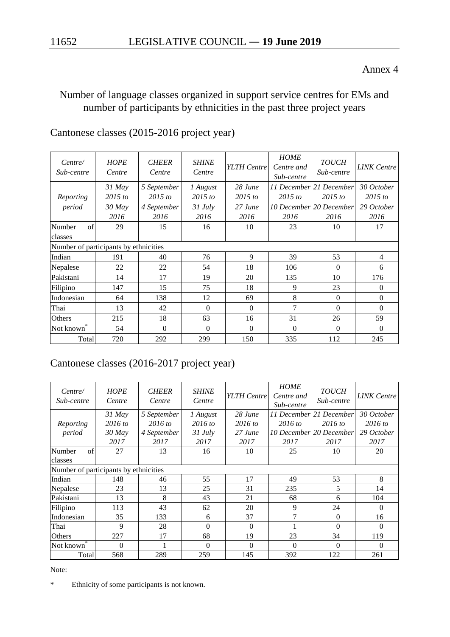#### Annex 4

## Number of language classes organized in support service centres for EMs and number of participants by ethnicities in the past three project years

# Cantonese classes (2015-2016 project year)

| Centre/<br>Sub-centre                 | <b>HOPE</b><br>Centre | <b>CHEER</b><br>Centre | <b>SHINE</b><br>Centre | YLTH Centre | <b>HOME</b><br>Centre and<br>Sub-centre | <b>TOUCH</b><br>Sub-centre | <b>LINK</b> Centre |  |
|---------------------------------------|-----------------------|------------------------|------------------------|-------------|-----------------------------------------|----------------------------|--------------------|--|
|                                       | $31$ May              | 5 September            | 1 August               | 28 June     |                                         | 11 December 21 December    | 30 October         |  |
| Reporting                             | $2015$ to             | $2015$ to              | $2015$ to              | $2015$ to   | $2015$ to                               | $2015$ to                  | $2015$ to          |  |
| period                                | $30$ May              | 4 September            | $31$ July              | $27$ June   |                                         | 10 December 20 December    | 29 October         |  |
|                                       | 2016                  | 2016                   | 2016                   | 2016        | 2016                                    | 2016                       | 2016               |  |
| of<br>Number                          | 29                    | 15                     | 16                     | 10          | 23                                      | 10                         | 17                 |  |
| classes                               |                       |                        |                        |             |                                         |                            |                    |  |
| Number of participants by ethnicities |                       |                        |                        |             |                                         |                            |                    |  |
| Indian                                | 191                   | 40                     | 76                     | 9           | 39                                      | 53                         | $\overline{4}$     |  |
| Nepalese                              | 22                    | 22                     | 54                     | 18          | 106                                     | $\Omega$                   | 6                  |  |
| Pakistani                             | 14                    | 17                     | 19                     | 20          | 135                                     | 10                         | 176                |  |
| Filipino                              | 147                   | 15                     | 75                     | 18          | 9                                       | 23                         | $\Omega$           |  |
| Indonesian                            | 64                    | 138                    | 12                     | 69          | 8                                       | $\Omega$                   | $\Omega$           |  |
| Thai                                  | 13                    | 42                     | $\Omega$               | $\Omega$    | 7                                       | $\Omega$                   | $\Omega$           |  |
| Others                                | 215                   | 18                     | 63                     | 16          | 31                                      | 26                         | 59                 |  |
| Not known                             | 54                    | $\Omega$               | $\Omega$               | $\Omega$    | $\Omega$                                | $\Omega$                   | $\Omega$           |  |
| Total                                 | 720                   | 292                    | 299                    | 150         | 335                                     | 112                        | 245                |  |

## Cantonese classes (2016-2017 project year)

| Centre/<br>Sub-centre                 | <b>HOPE</b><br>Centre | <b>CHEER</b><br>Centre | <b>SHINE</b><br>Centre | YLTH Centre | <b>HOME</b><br>Centre and<br>Sub-centre | <b>TOUCH</b><br>Sub-centre | <b>LINK</b> Centre |
|---------------------------------------|-----------------------|------------------------|------------------------|-------------|-----------------------------------------|----------------------------|--------------------|
|                                       | $31$ May              | 5 September            | 1 August               | $28$ June   |                                         | 11 December 21 December    | 30 October         |
| Reporting                             | $2016$ to             | $2016$ to              | $2016$ to              | $2016$ to   | $2016$ to                               | $2016$ to                  | $2016$ to          |
| period                                | $30$ May              | 4 September            | $31$ July              | 27 June     |                                         | 10 December 20 December    | 29 October         |
|                                       | 2017                  | 2017                   | 2017                   | 2017        | 2017                                    | 2017                       | 2017               |
| Number<br>of                          | 27                    | 13                     | 16                     | 10          | 25                                      | 10                         | 20                 |
| classes                               |                       |                        |                        |             |                                         |                            |                    |
| Number of participants by ethnicities |                       |                        |                        |             |                                         |                            |                    |
| Indian                                | 148                   | 46                     | 55                     | 17          | 49                                      | 53                         | 8                  |
| Nepalese                              | 23                    | 13                     | 25                     | 31          | 235                                     | 5                          | 14                 |
| Pakistani                             | 13                    | 8                      | 43                     | 21          | 68                                      | 6                          | 104                |
| Filipino                              | 113                   | 43                     | 62                     | 20          | 9                                       | 24                         | $\Omega$           |
| Indonesian                            | 35                    | 133                    | 6                      | 37          | 7                                       | $\Omega$                   | 16                 |
| Thai                                  | 9                     | 28                     | $\Omega$               | $\Omega$    |                                         | $\Omega$                   | $\Omega$           |
| <b>Others</b>                         | 227                   | 17                     | 68                     | 19          | 23                                      | 34                         | 119                |
| Not known                             | $\Omega$              |                        | $\Omega$               | $\Omega$    | $\Omega$                                | $\Omega$                   | $\Omega$           |
| Total                                 | 568                   | 289                    | 259                    | 145         | 392                                     | 122                        | 261                |

Note:

\* Ethnicity of some participants is not known.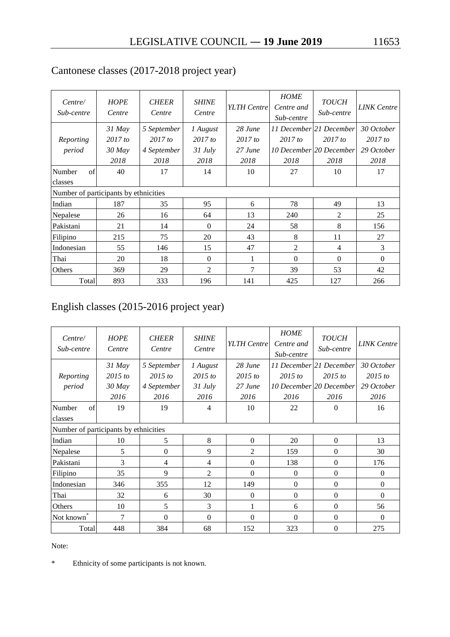| Centre/<br>Sub-centre                 | <b>HOPE</b><br>Centre | <b>CHEER</b><br>Centre | <b>SHINE</b><br>Centre | YLTH Centre | <b>HOME</b><br>Centre and<br>Sub-centre | <b>TOUCH</b><br>Sub-centre | <b>LINK</b> Centre |
|---------------------------------------|-----------------------|------------------------|------------------------|-------------|-----------------------------------------|----------------------------|--------------------|
|                                       | $31$ May              | 5 September            | 1 August               | 28 June     |                                         | 11 December 21 December    | 30 October         |
| Reporting                             | $2017$ to             | $2017$ to              | $2017$ to              | $2017$ to   | 2017 to                                 | 2017 to                    | 2017 to            |
| period                                | $30$ May              | 4 September            | $31$ July              | 27 June     |                                         | 10 December 20 December    | 29 October         |
|                                       | 2018                  | 2018                   | 2018                   | 2018        | 2018                                    | 2018                       | 2018               |
| of<br>Number                          | 40                    | 17                     | 14                     | 10          | 27                                      | 10                         | 17                 |
| classes                               |                       |                        |                        |             |                                         |                            |                    |
| Number of participants by ethnicities |                       |                        |                        |             |                                         |                            |                    |
| Indian                                | 187                   | 35                     | 95                     | 6           | 78                                      | 49                         | 13                 |
| Nepalese                              | 26                    | 16                     | 64                     | 13          | 240                                     | 2                          | 25                 |
| Pakistani                             | 21                    | 14                     | $\theta$               | 24          | 58                                      | 8                          | 156                |
| Filipino                              | 215                   | 75                     | 20                     | 43          | 8                                       | 11                         | 27                 |
| Indonesian                            | 55                    | 146                    | 15                     | 47          | $\overline{2}$                          | $\overline{4}$             | $\mathcal{F}$      |
| Thai                                  | 20                    | 18                     | $\Omega$               |             | $\Omega$                                | $\Omega$                   | $\Omega$           |
| Others                                | 369                   | 29                     | $\mathfrak{D}$         | 7           | 39                                      | 53                         | 42                 |
| Total                                 | 893                   | 333                    | 196                    | 141         | 425                                     | 127                        | 266                |

# Cantonese classes (2017-2018 project year)

# English classes (2015-2016 project year)

| Centre/<br>Sub-centre                 | <b>HOPE</b><br>Centre | <b>CHEER</b><br>Centre | <b>SHINE</b><br>Centre | YLTH Centre | <b>HOME</b><br>Centre and<br>Sub-centre | <b>TOUCH</b><br>Sub-centre | <b>LINK</b> Centre |
|---------------------------------------|-----------------------|------------------------|------------------------|-------------|-----------------------------------------|----------------------------|--------------------|
|                                       | $31$ May              | 5 September            | 1 August               | 28 June     |                                         | 11 December 21 December    | 30 October         |
| Reporting                             | $2015$ to             | $2015$ to              | $2015$ to              | $2015$ to   | $2015$ to                               | $2015$ to                  | $2015$ to          |
| period                                | $30$ May              | 4 September            | $31$ July              | $27$ June   |                                         | 10 December 20 December    | 29 October         |
|                                       | 2016                  | 2016                   | 2016                   | 2016        | 2016                                    | 2016                       | 2016               |
| Number<br>of                          | 19                    | 19                     | 4                      | 10          | 22                                      | $\theta$                   | 16                 |
| classes                               |                       |                        |                        |             |                                         |                            |                    |
| Number of participants by ethnicities |                       |                        |                        |             |                                         |                            |                    |
| Indian                                | 10                    | 5                      | 8                      | $\theta$    | 20                                      | $\Omega$                   | 13                 |
| Nepalese                              | 5                     | $\Omega$               | 9                      | 2           | 159                                     | $\Omega$                   | 30                 |
| Pakistani                             | 3                     | 4                      | 4                      | $\theta$    | 138                                     | $\Omega$                   | 176                |
| Filipino                              | 35                    | 9                      | $\overline{2}$         | 0           | $\theta$                                | $\mathbf{0}$               | $\Omega$           |
| Indonesian                            | 346                   | 355                    | 12                     | 149         | $\Omega$                                | $\mathbf{0}$               | $\Omega$           |
| Thai                                  | 32                    | 6                      | 30                     | $\theta$    | $\mathbf{0}$                            | $\mathbf{0}$               | $\Omega$           |
| Others                                | 10                    | 5                      | 3                      |             | 6                                       | $\Omega$                   | 56                 |
| Not known                             | $\overline{7}$        | $\Omega$               | $\Omega$               | 0           | $\Omega$                                | $\Omega$                   | $\Omega$           |
| Total                                 | 448                   | 384                    | 68                     | 152         | 323                                     | $\Omega$                   | 275                |

Note:

\* Ethnicity of some participants is not known.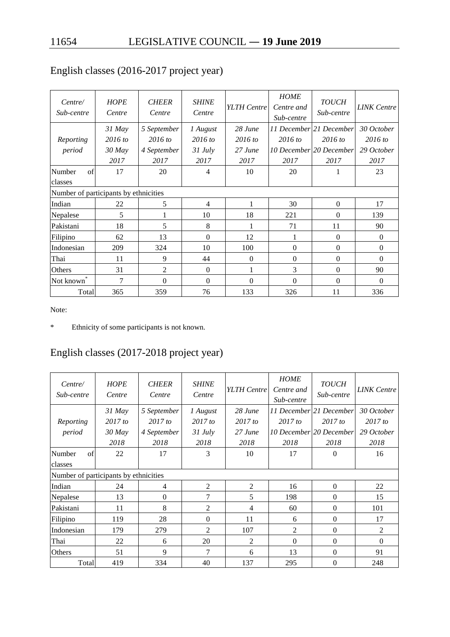| Centre/<br>Sub-centre                 | <b>HOPE</b><br>Centre | <b>CHEER</b><br>Centre | <b>SHINE</b><br>Centre | YLTH Centre  | <b>HOME</b><br>Centre and<br>Sub-centre | <b>TOUCH</b><br>Sub-centre | <b>LINK</b> Centre |
|---------------------------------------|-----------------------|------------------------|------------------------|--------------|-----------------------------------------|----------------------------|--------------------|
|                                       | $31$ May              | 5 September            | 1 August               | $28$ June    |                                         | 11 December 21 December    | 30 October         |
| Reporting                             | $2016$ to             | $2016$ to              | $2016$ to              | $2016$ to    | $2016$ to                               | $2016$ to                  | $2016$ to          |
| period                                | $30$ May              | 4 September            | $31$ July              | 27 June      |                                         | 10 December 20 December    | 29 October         |
|                                       | 2017                  | 2017                   | 2017                   | 2017         | 2017                                    | 2017                       | 2017               |
| Number<br>of                          | 17                    | 20                     | $\overline{4}$         | 10           | 20                                      |                            | 23                 |
| classes                               |                       |                        |                        |              |                                         |                            |                    |
| Number of participants by ethnicities |                       |                        |                        |              |                                         |                            |                    |
| Indian                                | 22                    | 5                      | 4                      |              | 30                                      | $\overline{0}$             | 17                 |
| Nepalese                              | 5                     | 1                      | 10                     | 18           | 221                                     | $\overline{0}$             | 139                |
| Pakistani                             | 18                    | 5                      | 8                      |              | 71                                      | 11                         | 90                 |
| Filipino                              | 62                    | 13                     | $\Omega$               | 12           | 1                                       | $\overline{0}$             | $\mathbf{0}$       |
| Indonesian                            | 209                   | 324                    | 10                     | 100          | $\overline{0}$                          | $\theta$                   | $\theta$           |
| Thai                                  | 11                    | 9                      | 44                     | $\mathbf{0}$ | $\overline{0}$                          | $\theta$                   | $\Omega$           |
| Others                                | 31                    | 2                      | $\Omega$               |              | 3                                       | $\Omega$                   | 90                 |
| Not known <sup>7</sup>                | 7                     | $\mathbf{0}$           | $\Omega$               | $\theta$     | $\overline{0}$                          | $\mathbf{0}$               | $\Omega$           |
| Total                                 | 365                   | 359                    | 76                     | 133          | 326                                     | 11                         | 336                |

# English classes (2016-2017 project year)

Note:

\* Ethnicity of some participants is not known.

# English classes (2017-2018 project year)

| Centre/<br>Sub-centre                 | <b>HOPE</b><br>Centre | <b>CHEER</b><br>Centre | <b>SHINE</b><br>Centre | YLTH Centre    | <b>HOME</b><br>Centre and<br>Sub-centre | <b>TOUCH</b><br>Sub-centre | <b>LINK</b> Centre |
|---------------------------------------|-----------------------|------------------------|------------------------|----------------|-----------------------------------------|----------------------------|--------------------|
|                                       | $31$ May              | 5 September            | 1 August               | $28$ June      |                                         | 11 December 21 December    | 30 October         |
| Reporting                             | $2017$ to             | 2017 to                | $2017$ to              | 2017 to        | $2017$ to                               | 2017 to                    | $2017$ to          |
| period                                | $30$ May              | 4 September            | $31$ July              | $27$ June      |                                         | 10 December 20 December    | 29 October         |
|                                       | 2018                  | 2018                   | 2018                   | 2018           | 2018                                    | 2018                       | 2018               |
| of<br>Number                          | 22                    | 17                     | 3                      | 10             | 17                                      | $\Omega$                   | 16                 |
| classes                               |                       |                        |                        |                |                                         |                            |                    |
| Number of participants by ethnicities |                       |                        |                        |                |                                         |                            |                    |
| Indian                                | 24                    | $\overline{4}$         | 2                      | 2              | 16                                      | $\mathbf{0}$               | 22                 |
| Nepalese                              | 13                    | $\overline{0}$         | 7                      | 5              | 198                                     | $\overline{0}$             | 15                 |
| Pakistani                             | 11                    | 8                      | 2                      | 4              | 60                                      | $\Omega$                   | 101                |
| Filipino                              | 119                   | 28                     | $\Omega$               | 11             | 6                                       | $\Omega$                   | 17                 |
| Indonesian                            | 179                   | 279                    | $\overline{2}$         | 107            | $\overline{2}$                          | $\Omega$                   | $\mathfrak{D}$     |
| Thai                                  | 22                    | 6                      | 20                     | $\overline{2}$ | $\Omega$                                | $\Omega$                   | $\Omega$           |
| Others                                | 51                    | 9                      | $\tau$                 | 6              | 13                                      | $\Omega$                   | 91                 |
| Total                                 | 419                   | 334                    | 40                     | 137            | 295                                     | $\Omega$                   | 248                |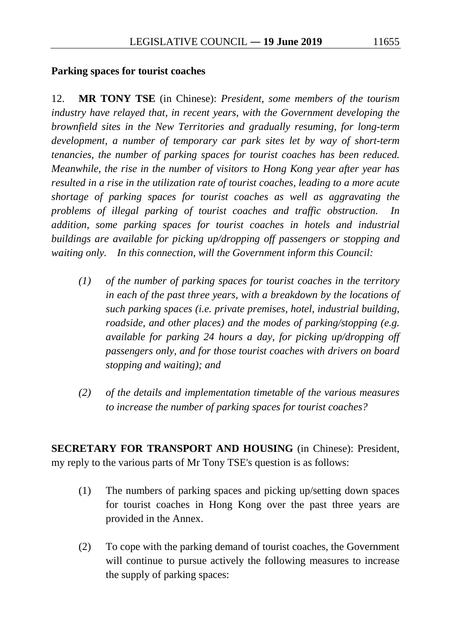#### **Parking spaces for tourist coaches**

12. **MR TONY TSE** (in Chinese): *President, some members of the tourism industry have relayed that, in recent years, with the Government developing the brownfield sites in the New Territories and gradually resuming, for long-term development, a number of temporary car park sites let by way of short-term tenancies, the number of parking spaces for tourist coaches has been reduced. Meanwhile, the rise in the number of visitors to Hong Kong year after year has resulted in a rise in the utilization rate of tourist coaches, leading to a more acute shortage of parking spaces for tourist coaches as well as aggravating the problems of illegal parking of tourist coaches and traffic obstruction. In addition, some parking spaces for tourist coaches in hotels and industrial buildings are available for picking up/dropping off passengers or stopping and waiting only. In this connection, will the Government inform this Council:*

- *(1) of the number of parking spaces for tourist coaches in the territory in each of the past three years, with a breakdown by the locations of such parking spaces (i.e. private premises, hotel, industrial building, roadside, and other places) and the modes of parking/stopping (e.g. available for parking 24 hours a day, for picking up/dropping off passengers only, and for those tourist coaches with drivers on board stopping and waiting); and*
- *(2) of the details and implementation timetable of the various measures to increase the number of parking spaces for tourist coaches?*

**SECRETARY FOR TRANSPORT AND HOUSING** (in Chinese): President, my reply to the various parts of Mr Tony TSE's question is as follows:

- (1) The numbers of parking spaces and picking up/setting down spaces for tourist coaches in Hong Kong over the past three years are provided in the Annex.
- (2) To cope with the parking demand of tourist coaches, the Government will continue to pursue actively the following measures to increase the supply of parking spaces: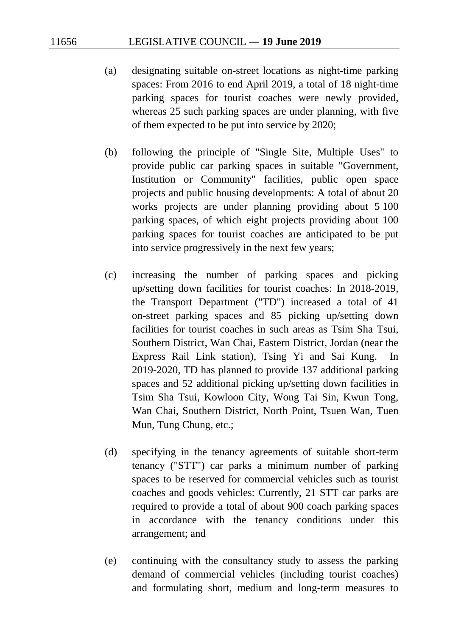- (a) designating suitable on-street locations as night-time parking spaces: From 2016 to end April 2019, a total of 18 night-time parking spaces for tourist coaches were newly provided, whereas 25 such parking spaces are under planning, with five of them expected to be put into service by 2020;
- (b) following the principle of "Single Site, Multiple Uses" to provide public car parking spaces in suitable "Government, Institution or Community" facilities, public open space projects and public housing developments: A total of about 20 works projects are under planning providing about 5 100 parking spaces, of which eight projects providing about 100 parking spaces for tourist coaches are anticipated to be put into service progressively in the next few years;
- (c) increasing the number of parking spaces and picking up/setting down facilities for tourist coaches: In 2018-2019, the Transport Department ("TD") increased a total of 41 on-street parking spaces and 85 picking up/setting down facilities for tourist coaches in such areas as Tsim Sha Tsui, Southern District, Wan Chai, Eastern District, Jordan (near the Express Rail Link station), Tsing Yi and Sai Kung. In 2019-2020, TD has planned to provide 137 additional parking spaces and 52 additional picking up/setting down facilities in Tsim Sha Tsui, Kowloon City, Wong Tai Sin, Kwun Tong, Wan Chai, Southern District, North Point, Tsuen Wan, Tuen Mun, Tung Chung, etc.;
- (d) specifying in the tenancy agreements of suitable short-term tenancy ("STT") car parks a minimum number of parking spaces to be reserved for commercial vehicles such as tourist coaches and goods vehicles: Currently, 21 STT car parks are required to provide a total of about 900 coach parking spaces in accordance with the tenancy conditions under this arrangement; and
- (e) continuing with the consultancy study to assess the parking demand of commercial vehicles (including tourist coaches) and formulating short, medium and long-term measures to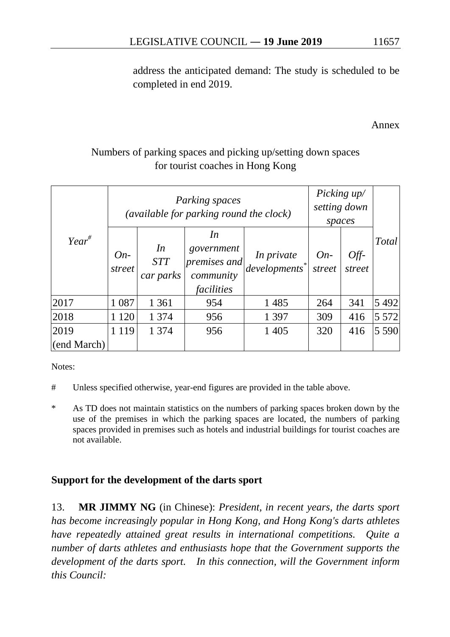address the anticipated demand: The study is scheduled to be completed in end 2019.

Annex

# Numbers of parking spaces and picking up/setting down spaces for tourist coaches in Hong Kong

|             |                 | Parking spaces<br>(available for parking round the clock) | Picking up/<br>setting down<br>spaces                       |                                       |                 |                |              |
|-------------|-----------------|-----------------------------------------------------------|-------------------------------------------------------------|---------------------------------------|-----------------|----------------|--------------|
| $Year^{\#}$ | $On-$<br>street | In<br><b>STT</b><br>car parks                             | In<br>government<br>premises and<br>community<br>facilities | <i>In private</i><br>$developments^*$ | $On-$<br>street | Off-<br>street | <b>Total</b> |
| 2017        | 1 0 8 7         | 1 3 6 1                                                   | 954                                                         | 1485                                  | 264             | 341            | 5 4 9 2      |
| 2018        | 1 1 2 0         | 1 3 7 4                                                   | 956                                                         | 1 3 9 7                               | 309             | 416            | 5 5 7 2      |
| 2019        | 1 1 1 9         | 1 3 7 4                                                   | 956                                                         | 1 4 0 5                               | 320             | 416            | 5 5 9 0      |
| (end March) |                 |                                                           |                                                             |                                       |                 |                |              |

Notes:

- # Unless specified otherwise, year-end figures are provided in the table above.
- \* As TD does not maintain statistics on the numbers of parking spaces broken down by the use of the premises in which the parking spaces are located, the numbers of parking spaces provided in premises such as hotels and industrial buildings for tourist coaches are not available.

## **Support for the development of the darts sport**

13. **MR JIMMY NG** (in Chinese): *President, in recent years, the darts sport has become increasingly popular in Hong Kong, and Hong Kong's darts athletes have repeatedly attained great results in international competitions. Quite a number of darts athletes and enthusiasts hope that the Government supports the development of the darts sport. In this connection, will the Government inform this Council:*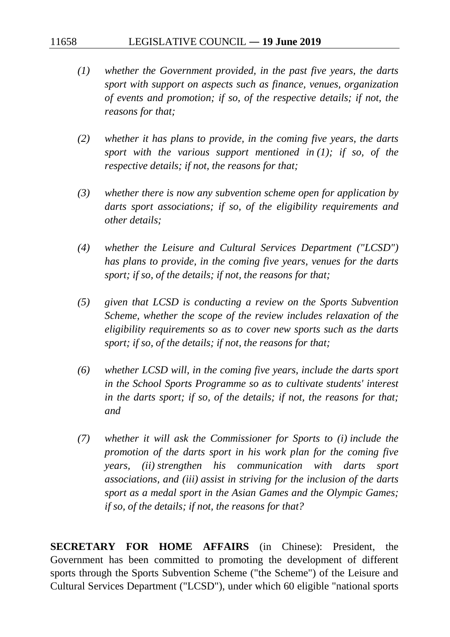- *(1) whether the Government provided, in the past five years, the darts sport with support on aspects such as finance, venues, organization of events and promotion; if so, of the respective details; if not, the reasons for that;*
- *(2) whether it has plans to provide, in the coming five years, the darts sport with the various support mentioned in (1); if so, of the respective details; if not, the reasons for that;*
- *(3) whether there is now any subvention scheme open for application by darts sport associations; if so, of the eligibility requirements and other details;*
- *(4) whether the Leisure and Cultural Services Department ("LCSD") has plans to provide, in the coming five years, venues for the darts sport; if so, of the details; if not, the reasons for that;*
- *(5) given that LCSD is conducting a review on the Sports Subvention Scheme, whether the scope of the review includes relaxation of the eligibility requirements so as to cover new sports such as the darts sport; if so, of the details; if not, the reasons for that;*
- *(6) whether LCSD will, in the coming five years, include the darts sport in the School Sports Programme so as to cultivate students' interest in the darts sport; if so, of the details; if not, the reasons for that; and*
- *(7) whether it will ask the Commissioner for Sports to (i) include the promotion of the darts sport in his work plan for the coming five years, (ii) strengthen his communication with darts sport associations, and (iii) assist in striving for the inclusion of the darts sport as a medal sport in the Asian Games and the Olympic Games; if so, of the details; if not, the reasons for that?*

**SECRETARY FOR HOME AFFAIRS** (in Chinese): President, the Government has been committed to promoting the development of different sports through the Sports Subvention Scheme ("the Scheme") of the Leisure and Cultural Services Department ("LCSD"), under which 60 eligible "national sports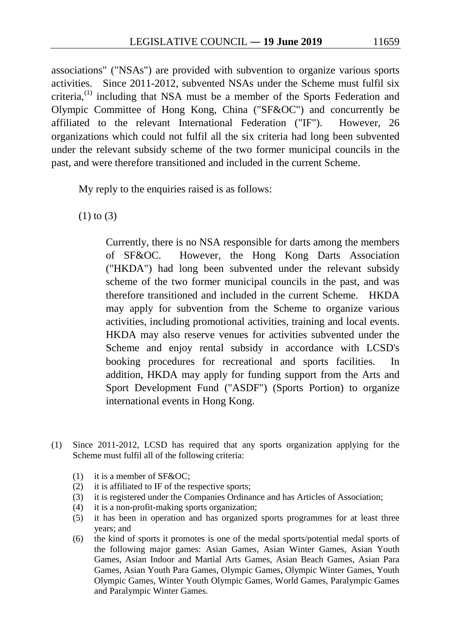associations" ("NSAs") are provided with subvention to organize various sports activities. Since 2011-2012, subvented NSAs under the Scheme must fulfil six criteria,<sup>[\(1\)](#page-138-0)</sup> including that NSA must be a member of the Sports Federation and Olympic Committee of Hong Kong, China ("SF&OC") and concurrently be affiliated to the relevant International Federation ("IF"). However, 26 organizations which could not fulfil all the six criteria had long been subvented under the relevant subsidy scheme of the two former municipal councils in the past, and were therefore transitioned and included in the current Scheme.

My reply to the enquiries raised is as follows:

(1) to (3)

Currently, there is no NSA responsible for darts among the members of SF&OC. However, the Hong Kong Darts Association ("HKDA") had long been subvented under the relevant subsidy scheme of the two former municipal councils in the past, and was therefore transitioned and included in the current Scheme. HKDA may apply for subvention from the Scheme to organize various activities, including promotional activities, training and local events. HKDA may also reserve venues for activities subvented under the Scheme and enjoy rental subsidy in accordance with LCSD's booking procedures for recreational and sports facilities. In addition, HKDA may apply for funding support from the Arts and Sport Development Fund ("ASDF") (Sports Portion) to organize international events in Hong Kong.

- <span id="page-138-0"></span>(1) Since 2011-2012, LCSD has required that any sports organization applying for the Scheme must fulfil all of the following criteria:
	- (1) it is a member of SF&OC;
	- (2) it is affiliated to IF of the respective sports;
	- (3) it is registered under the Companies Ordinance and has Articles of Association;
	- (4) it is a non-profit-making sports organization;
	- (5) it has been in operation and has organized sports programmes for at least three years; and
	- (6) the kind of sports it promotes is one of the medal sports/potential medal sports of the following major games: Asian Games, Asian Winter Games, Asian Youth Games, Asian Indoor and Martial Arts Games, Asian Beach Games, Asian Para Games, Asian Youth Para Games, Olympic Games, Olympic Winter Games, Youth Olympic Games, Winter Youth Olympic Games, World Games, Paralympic Games and Paralympic Winter Games.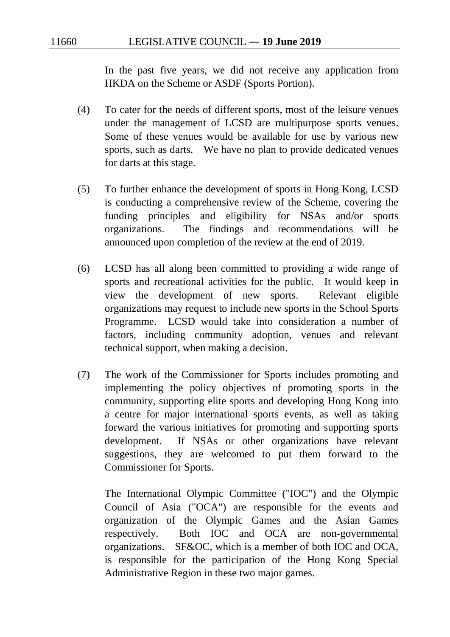In the past five years, we did not receive any application from HKDA on the Scheme or ASDF (Sports Portion).

- (4) To cater for the needs of different sports, most of the leisure venues under the management of LCSD are multipurpose sports venues. Some of these venues would be available for use by various new sports, such as darts. We have no plan to provide dedicated venues for darts at this stage.
- (5) To further enhance the development of sports in Hong Kong, LCSD is conducting a comprehensive review of the Scheme, covering the funding principles and eligibility for NSAs and/or sports organizations. The findings and recommendations will be announced upon completion of the review at the end of 2019.
- (6) LCSD has all along been committed to providing a wide range of sports and recreational activities for the public. It would keep in view the development of new sports. Relevant eligible organizations may request to include new sports in the School Sports Programme. LCSD would take into consideration a number of factors, including community adoption, venues and relevant technical support, when making a decision.
- (7) The work of the Commissioner for Sports includes promoting and implementing the policy objectives of promoting sports in the community, supporting elite sports and developing Hong Kong into a centre for major international sports events, as well as taking forward the various initiatives for promoting and supporting sports development. If NSAs or other organizations have relevant suggestions, they are welcomed to put them forward to the Commissioner for Sports.

The International Olympic Committee ("IOC") and the Olympic Council of Asia ("OCA") are responsible for the events and organization of the Olympic Games and the Asian Games respectively. Both IOC and OCA are non-governmental organizations. SF&OC, which is a member of both IOC and OCA, is responsible for the participation of the Hong Kong Special Administrative Region in these two major games.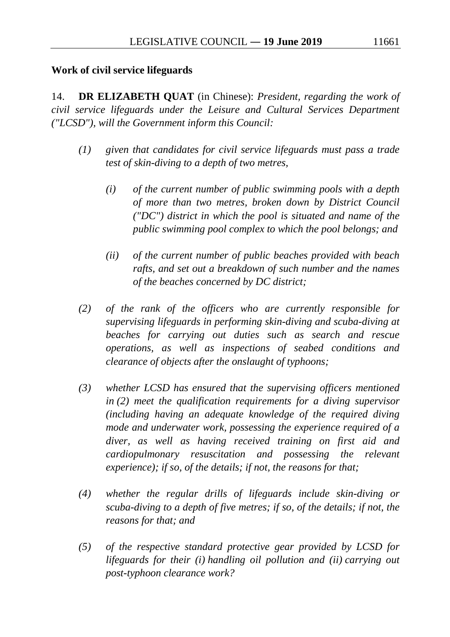#### **Work of civil service lifeguards**

14. **DR ELIZABETH QUAT** (in Chinese): *President, regarding the work of civil service lifeguards under the Leisure and Cultural Services Department ("LCSD"), will the Government inform this Council:*

- *(1) given that candidates for civil service lifeguards must pass a trade test of skin-diving to a depth of two metres,*
	- *(i) of the current number of public swimming pools with a depth of more than two metres, broken down by District Council ("DC") district in which the pool is situated and name of the public swimming pool complex to which the pool belongs; and*
	- *(ii) of the current number of public beaches provided with beach rafts, and set out a breakdown of such number and the names of the beaches concerned by DC district;*
- *(2) of the rank of the officers who are currently responsible for supervising lifeguards in performing skin-diving and scuba-diving at beaches for carrying out duties such as search and rescue operations, as well as inspections of seabed conditions and clearance of objects after the onslaught of typhoons;*
- *(3) whether LCSD has ensured that the supervising officers mentioned in (2) meet the qualification requirements for a diving supervisor (including having an adequate knowledge of the required diving mode and underwater work, possessing the experience required of a diver, as well as having received training on first aid and cardiopulmonary resuscitation and possessing the relevant experience); if so, of the details; if not, the reasons for that;*
- *(4) whether the regular drills of lifeguards include skin-diving or scuba-diving to a depth of five metres; if so, of the details; if not, the reasons for that; and*
- *(5) of the respective standard protective gear provided by LCSD for lifeguards for their (i) handling oil pollution and (ii) carrying out post-typhoon clearance work?*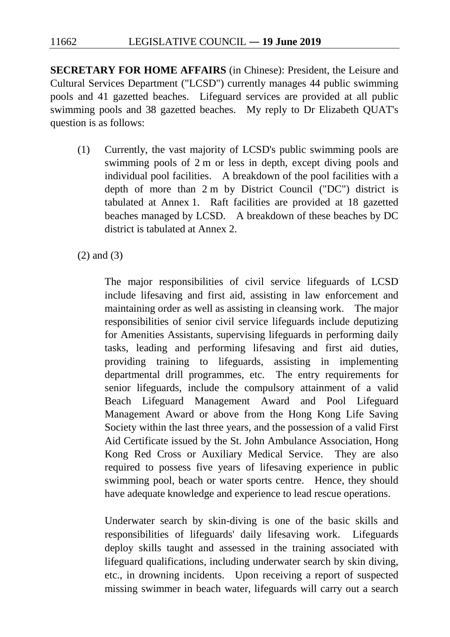**SECRETARY FOR HOME AFFAIRS** (in Chinese): President, the Leisure and Cultural Services Department ("LCSD") currently manages 44 public swimming pools and 41 gazetted beaches. Lifeguard services are provided at all public swimming pools and 38 gazetted beaches. My reply to Dr Elizabeth QUAT's question is as follows:

(1) Currently, the vast majority of LCSD's public swimming pools are swimming pools of 2 m or less in depth, except diving pools and individual pool facilities. A breakdown of the pool facilities with a depth of more than 2 m by District Council ("DC") district is tabulated at Annex 1. Raft facilities are provided at 18 gazetted beaches managed by LCSD. A breakdown of these beaches by DC district is tabulated at Annex 2.

(2) and (3)

The major responsibilities of civil service lifeguards of LCSD include lifesaving and first aid, assisting in law enforcement and maintaining order as well as assisting in cleansing work. The major responsibilities of senior civil service lifeguards include deputizing for Amenities Assistants, supervising lifeguards in performing daily tasks, leading and performing lifesaving and first aid duties, providing training to lifeguards, assisting in implementing departmental drill programmes, etc. The entry requirements for senior lifeguards, include the compulsory attainment of a valid Beach Lifeguard Management Award and Pool Lifeguard Management Award or above from the Hong Kong Life Saving Society within the last three years, and the possession of a valid First Aid Certificate issued by the St. John Ambulance Association, Hong Kong Red Cross or Auxiliary Medical Service. They are also required to possess five years of lifesaving experience in public swimming pool, beach or water sports centre. Hence, they should have adequate knowledge and experience to lead rescue operations.

Underwater search by skin-diving is one of the basic skills and responsibilities of lifeguards' daily lifesaving work. Lifeguards deploy skills taught and assessed in the training associated with lifeguard qualifications, including underwater search by skin diving, etc., in drowning incidents. Upon receiving a report of suspected missing swimmer in beach water, lifeguards will carry out a search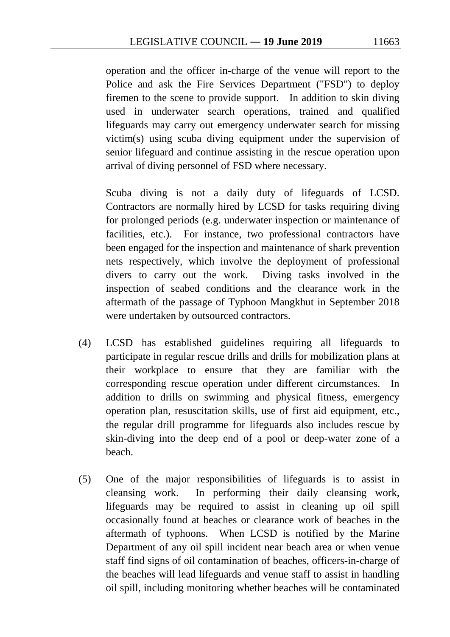operation and the officer in-charge of the venue will report to the Police and ask the Fire Services Department ("FSD") to deploy firemen to the scene to provide support. In addition to skin diving used in underwater search operations, trained and qualified lifeguards may carry out emergency underwater search for missing victim(s) using scuba diving equipment under the supervision of senior lifeguard and continue assisting in the rescue operation upon arrival of diving personnel of FSD where necessary.

Scuba diving is not a daily duty of lifeguards of LCSD. Contractors are normally hired by LCSD for tasks requiring diving for prolonged periods (e.g. underwater inspection or maintenance of facilities, etc.). For instance, two professional contractors have been engaged for the inspection and maintenance of shark prevention nets respectively, which involve the deployment of professional divers to carry out the work. Diving tasks involved in the inspection of seabed conditions and the clearance work in the aftermath of the passage of Typhoon Mangkhut in September 2018 were undertaken by outsourced contractors.

- (4) LCSD has established guidelines requiring all lifeguards to participate in regular rescue drills and drills for mobilization plans at their workplace to ensure that they are familiar with the corresponding rescue operation under different circumstances. In addition to drills on swimming and physical fitness, emergency operation plan, resuscitation skills, use of first aid equipment, etc., the regular drill programme for lifeguards also includes rescue by skin-diving into the deep end of a pool or deep-water zone of a beach.
- (5) One of the major responsibilities of lifeguards is to assist in cleansing work. In performing their daily cleansing work, lifeguards may be required to assist in cleaning up oil spill occasionally found at beaches or clearance work of beaches in the aftermath of typhoons. When LCSD is notified by the Marine Department of any oil spill incident near beach area or when venue staff find signs of oil contamination of beaches, officers-in-charge of the beaches will lead lifeguards and venue staff to assist in handling oil spill, including monitoring whether beaches will be contaminated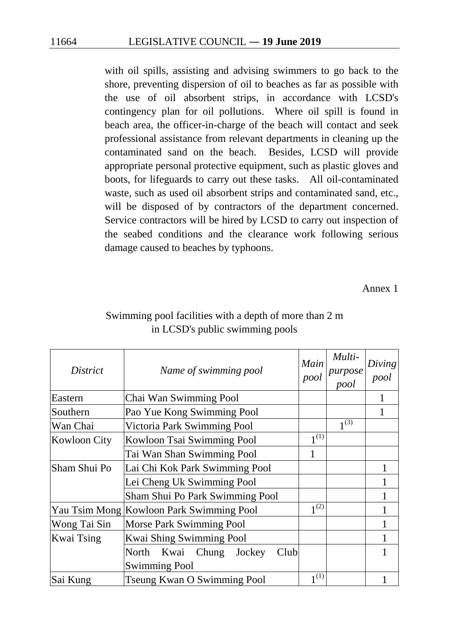with oil spills, assisting and advising swimmers to go back to the shore, preventing dispersion of oil to beaches as far as possible with the use of oil absorbent strips, in accordance with LCSD's contingency plan for oil pollutions. Where oil spill is found in beach area, the officer-in-charge of the beach will contact and seek professional assistance from relevant departments in cleaning up the contaminated sand on the beach. Besides, LCSD will provide appropriate personal protective equipment, such as plastic gloves and boots, for lifeguards to carry out these tasks. All oil-contaminated waste, such as used oil absorbent strips and contaminated sand, etc., will be disposed of by contractors of the department concerned. Service contractors will be hired by LCSD to carry out inspection of the seabed conditions and the clearance work following serious damage caused to beaches by typhoons.

Annex 1

| District            | Name of swimming pool                    | Main<br>pool | Multi-<br>purpose<br>pool | Diving<br>pool |
|---------------------|------------------------------------------|--------------|---------------------------|----------------|
| Eastern             | Chai Wan Swimming Pool                   |              |                           |                |
| Southern            | Pao Yue Kong Swimming Pool               |              |                           |                |
| Wan Chai            | Victoria Park Swimming Pool              |              | $1^{(3)}$                 |                |
| <b>Kowloon City</b> | Kowloon Tsai Swimming Pool               | $1^{(1)}$    |                           |                |
|                     | Tai Wan Shan Swimming Pool               | 1            |                           |                |
| Sham Shui Po        | Lai Chi Kok Park Swimming Pool           |              |                           |                |
|                     | Lei Cheng Uk Swimming Pool               |              |                           |                |
|                     | Sham Shui Po Park Swimming Pool          |              |                           |                |
|                     | Yau Tsim Mong Kowloon Park Swimming Pool | $1^{(2)}$    |                           |                |
| Wong Tai Sin        | Morse Park Swimming Pool                 |              |                           |                |
| <b>Kwai Tsing</b>   | Kwai Shing Swimming Pool                 |              |                           |                |
|                     | Kwai Chung<br>North<br>Jockey<br>Club    |              |                           |                |
|                     | <b>Swimming Pool</b>                     |              |                           |                |
| Sai Kung            | <b>Tseung Kwan O Swimming Pool</b>       | 1(1)         |                           |                |

### Swimming pool facilities with a depth of more than 2 m in LCSD's public swimming pools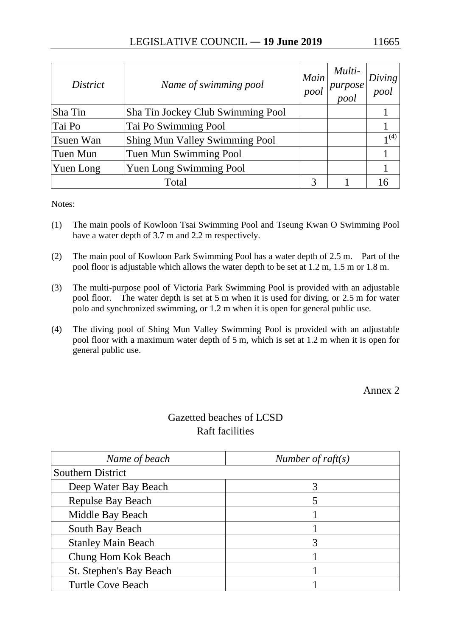| <i>District</i>                                    | Name of swimming pool             | Main<br>pool | Multi-<br>purpose<br>pool | Diving<br>pool   |
|----------------------------------------------------|-----------------------------------|--------------|---------------------------|------------------|
| Sha Tin                                            | Sha Tin Jockey Club Swimming Pool |              |                           |                  |
| Tai Po                                             | Tai Po Swimming Pool              |              |                           |                  |
| <b>Shing Mun Valley Swimming Pool</b><br>Tsuen Wan |                                   |              |                           | 1 <sup>(4)</sup> |
| Tuen Mun                                           | Tuen Mun Swimming Pool            |              |                           |                  |
| Yuen Long Swimming Pool<br>Yuen Long               |                                   |              |                           |                  |
|                                                    | Total                             |              |                           |                  |

Notes:

- (1) The main pools of Kowloon Tsai Swimming Pool and Tseung Kwan O Swimming Pool have a water depth of 3.7 m and 2.2 m respectively.
- (2) The main pool of Kowloon Park Swimming Pool has a water depth of 2.5 m. Part of the pool floor is adjustable which allows the water depth to be set at 1.2 m, 1.5 m or 1.8 m.
- (3) The multi-purpose pool of Victoria Park Swimming Pool is provided with an adjustable pool floor. The water depth is set at 5 m when it is used for diving, or 2.5 m for water polo and synchronized swimming, or 1.2 m when it is open for general public use.
- (4) The diving pool of Shing Mun Valley Swimming Pool is provided with an adjustable pool floor with a maximum water depth of 5 m, which is set at 1.2 m when it is open for general public use.

Annex 2

# Gazetted beaches of LCSD Raft facilities

| Name of beach                  | Number of raft $(s)$ |  |
|--------------------------------|----------------------|--|
| <b>Southern District</b>       |                      |  |
| Deep Water Bay Beach           |                      |  |
| <b>Repulse Bay Beach</b>       | 5                    |  |
| Middle Bay Beach               |                      |  |
| South Bay Beach                |                      |  |
| <b>Stanley Main Beach</b>      | 3                    |  |
| Chung Hom Kok Beach            |                      |  |
| <b>St. Stephen's Bay Beach</b> |                      |  |
| <b>Turtle Cove Beach</b>       |                      |  |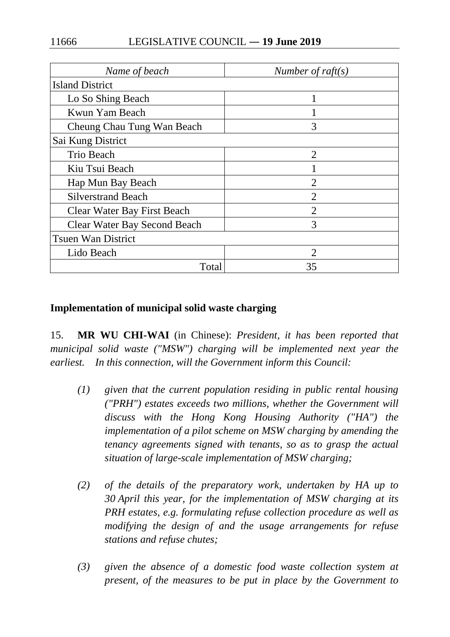| Name of beach                       | Number of $raft(s)$ |  |  |
|-------------------------------------|---------------------|--|--|
| <b>Island District</b>              |                     |  |  |
| Lo So Shing Beach                   |                     |  |  |
| Kwun Yam Beach                      |                     |  |  |
| Cheung Chau Tung Wan Beach          | 3                   |  |  |
| Sai Kung District                   |                     |  |  |
| Trio Beach                          | $\overline{2}$      |  |  |
| Kiu Tsui Beach                      |                     |  |  |
| Hap Mun Bay Beach                   | $\overline{2}$      |  |  |
| <b>Silverstrand Beach</b>           | $\overline{2}$      |  |  |
| <b>Clear Water Bay First Beach</b>  | $\overline{2}$      |  |  |
| <b>Clear Water Bay Second Beach</b> | 3                   |  |  |
| <b>Tsuen Wan District</b>           |                     |  |  |
| Lido Beach                          |                     |  |  |
| Total                               | 35                  |  |  |

### **Implementation of municipal solid waste charging**

15. **MR WU CHI-WAI** (in Chinese): *President, it has been reported that municipal solid waste ("MSW") charging will be implemented next year the earliest. In this connection, will the Government inform this Council:*

- *(1) given that the current population residing in public rental housing ("PRH") estates exceeds two millions, whether the Government will discuss with the Hong Kong Housing Authority ("HA") the implementation of a pilot scheme on MSW charging by amending the tenancy agreements signed with tenants, so as to grasp the actual situation of large-scale implementation of MSW charging;*
- *(2) of the details of the preparatory work, undertaken by HA up to 30 April this year, for the implementation of MSW charging at its PRH estates, e.g. formulating refuse collection procedure as well as modifying the design of and the usage arrangements for refuse stations and refuse chutes;*
- *(3) given the absence of a domestic food waste collection system at present, of the measures to be put in place by the Government to*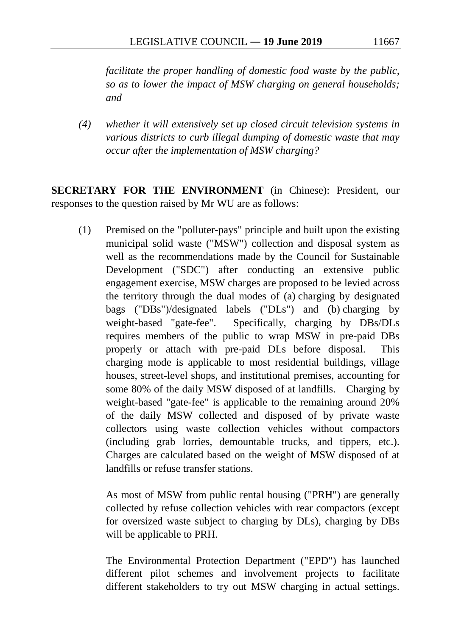*facilitate the proper handling of domestic food waste by the public, so as to lower the impact of MSW charging on general households; and*

*(4) whether it will extensively set up closed circuit television systems in various districts to curb illegal dumping of domestic waste that may occur after the implementation of MSW charging?*

**SECRETARY FOR THE ENVIRONMENT** (in Chinese): President, our responses to the question raised by Mr WU are as follows:

(1) Premised on the "polluter-pays" principle and built upon the existing municipal solid waste ("MSW") collection and disposal system as well as the recommendations made by the Council for Sustainable Development ("SDC") after conducting an extensive public engagement exercise, MSW charges are proposed to be levied across the territory through the dual modes of (a) charging by designated bags ("DBs")/designated labels ("DLs") and (b) charging by weight-based "gate-fee". Specifically, charging by DBs/DLs requires members of the public to wrap MSW in pre-paid DBs properly or attach with pre-paid DLs before disposal. This charging mode is applicable to most residential buildings, village houses, street-level shops, and institutional premises, accounting for some 80% of the daily MSW disposed of at landfills. Charging by weight-based "gate-fee" is applicable to the remaining around 20% of the daily MSW collected and disposed of by private waste collectors using waste collection vehicles without compactors (including grab lorries, demountable trucks, and tippers, etc.). Charges are calculated based on the weight of MSW disposed of at landfills or refuse transfer stations.

As most of MSW from public rental housing ("PRH") are generally collected by refuse collection vehicles with rear compactors (except for oversized waste subject to charging by DLs), charging by DBs will be applicable to PRH.

The Environmental Protection Department ("EPD") has launched different pilot schemes and involvement projects to facilitate different stakeholders to try out MSW charging in actual settings.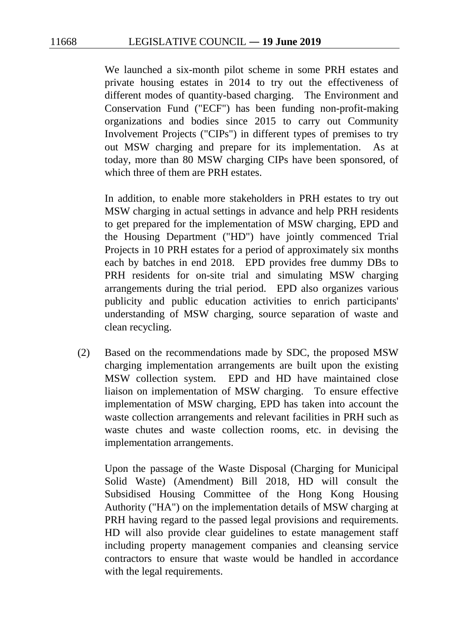We launched a six-month pilot scheme in some PRH estates and private housing estates in 2014 to try out the effectiveness of different modes of quantity-based charging. The Environment and Conservation Fund ("ECF") has been funding non-profit-making organizations and bodies since 2015 to carry out Community Involvement Projects ("CIPs") in different types of premises to try out MSW charging and prepare for its implementation. As at today, more than 80 MSW charging CIPs have been sponsored, of which three of them are PRH estates.

In addition, to enable more stakeholders in PRH estates to try out MSW charging in actual settings in advance and help PRH residents to get prepared for the implementation of MSW charging, EPD and the Housing Department ("HD") have jointly commenced Trial Projects in 10 PRH estates for a period of approximately six months each by batches in end 2018. EPD provides free dummy DBs to PRH residents for on-site trial and simulating MSW charging arrangements during the trial period. EPD also organizes various publicity and public education activities to enrich participants' understanding of MSW charging, source separation of waste and clean recycling.

(2) Based on the recommendations made by SDC, the proposed MSW charging implementation arrangements are built upon the existing MSW collection system. EPD and HD have maintained close liaison on implementation of MSW charging. To ensure effective implementation of MSW charging, EPD has taken into account the waste collection arrangements and relevant facilities in PRH such as waste chutes and waste collection rooms, etc. in devising the implementation arrangements.

Upon the passage of the Waste Disposal (Charging for Municipal Solid Waste) (Amendment) Bill 2018, HD will consult the Subsidised Housing Committee of the Hong Kong Housing Authority ("HA") on the implementation details of MSW charging at PRH having regard to the passed legal provisions and requirements. HD will also provide clear guidelines to estate management staff including property management companies and cleansing service contractors to ensure that waste would be handled in accordance with the legal requirements.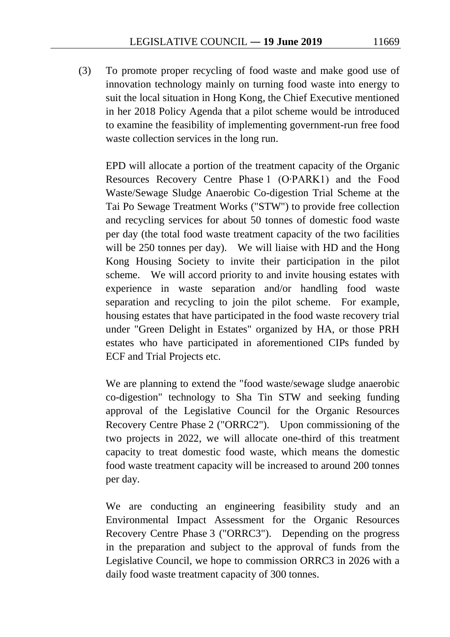(3) To promote proper recycling of food waste and make good use of innovation technology mainly on turning food waste into energy to suit the local situation in Hong Kong, the Chief Executive mentioned in her 2018 Policy Agenda that a pilot scheme would be introduced to examine the feasibility of implementing government-run free food waste collection services in the long run.

EPD will allocate a portion of the treatment capacity of the Organic Resources Recovery Centre Phase 1 (O‧PARK1) and the Food Waste/Sewage Sludge Anaerobic Co-digestion Trial Scheme at the Tai Po Sewage Treatment Works ("STW") to provide free collection and recycling services for about 50 tonnes of domestic food waste per day (the total food waste treatment capacity of the two facilities will be 250 tonnes per day). We will liaise with HD and the Hong Kong Housing Society to invite their participation in the pilot scheme. We will accord priority to and invite housing estates with experience in waste separation and/or handling food waste separation and recycling to join the pilot scheme. For example, housing estates that have participated in the food waste recovery trial under "Green Delight in Estates" organized by HA, or those PRH estates who have participated in aforementioned CIPs funded by ECF and Trial Projects etc.

We are planning to extend the "food waste/sewage sludge anaerobic co-digestion" technology to Sha Tin STW and seeking funding approval of the Legislative Council for the Organic Resources Recovery Centre Phase 2 ("ORRC2"). Upon commissioning of the two projects in 2022, we will allocate one-third of this treatment capacity to treat domestic food waste, which means the domestic food waste treatment capacity will be increased to around 200 tonnes per day.

We are conducting an engineering feasibility study and an Environmental Impact Assessment for the Organic Resources Recovery Centre Phase 3 ("ORRC3"). Depending on the progress in the preparation and subject to the approval of funds from the Legislative Council, we hope to commission ORRC3 in 2026 with a daily food waste treatment capacity of 300 tonnes.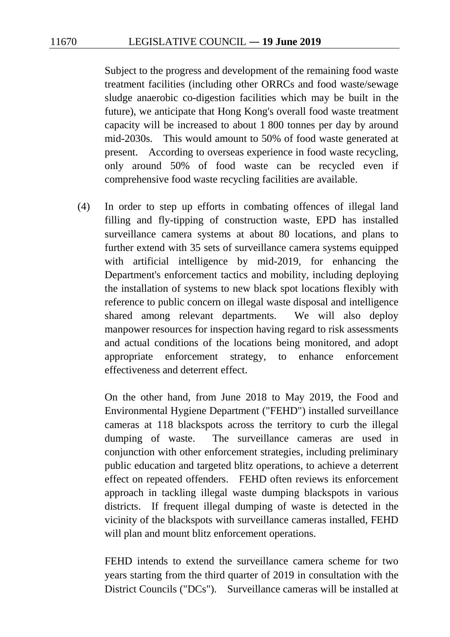Subject to the progress and development of the remaining food waste treatment facilities (including other ORRCs and food waste/sewage sludge anaerobic co-digestion facilities which may be built in the future), we anticipate that Hong Kong's overall food waste treatment capacity will be increased to about 1 800 tonnes per day by around mid-2030s. This would amount to 50% of food waste generated at present. According to overseas experience in food waste recycling, only around 50% of food waste can be recycled even if comprehensive food waste recycling facilities are available.

(4) In order to step up efforts in combating offences of illegal land filling and fly-tipping of construction waste, EPD has installed surveillance camera systems at about 80 locations, and plans to further extend with 35 sets of surveillance camera systems equipped with artificial intelligence by mid-2019, for enhancing the Department's enforcement tactics and mobility, including deploying the installation of systems to new black spot locations flexibly with reference to public concern on illegal waste disposal and intelligence shared among relevant departments. We will also deploy manpower resources for inspection having regard to risk assessments and actual conditions of the locations being monitored, and adopt appropriate enforcement strategy, to enhance enforcement effectiveness and deterrent effect.

On the other hand, from June 2018 to May 2019, the Food and Environmental Hygiene Department ("FEHD") installed surveillance cameras at 118 blackspots across the territory to curb the illegal dumping of waste. The surveillance cameras are used in conjunction with other enforcement strategies, including preliminary public education and targeted blitz operations, to achieve a deterrent effect on repeated offenders. FEHD often reviews its enforcement approach in tackling illegal waste dumping blackspots in various districts. If frequent illegal dumping of waste is detected in the vicinity of the blackspots with surveillance cameras installed, FEHD will plan and mount blitz enforcement operations.

FEHD intends to extend the surveillance camera scheme for two years starting from the third quarter of 2019 in consultation with the District Councils ("DCs"). Surveillance cameras will be installed at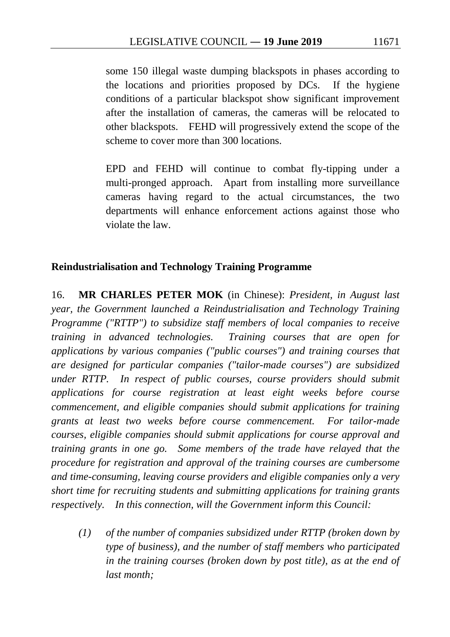some 150 illegal waste dumping blackspots in phases according to the locations and priorities proposed by DCs. If the hygiene conditions of a particular blackspot show significant improvement after the installation of cameras, the cameras will be relocated to other blackspots. FEHD will progressively extend the scope of the scheme to cover more than 300 locations.

EPD and FEHD will continue to combat fly-tipping under a multi-pronged approach. Apart from installing more surveillance cameras having regard to the actual circumstances, the two departments will enhance enforcement actions against those who violate the law.

### **Reindustrialisation and Technology Training Programme**

16. **MR CHARLES PETER MOK** (in Chinese): *President, in August last year, the Government launched a Reindustrialisation and Technology Training Programme ("RTTP") to subsidize staff members of local companies to receive training in advanced technologies. Training courses that are open for applications by various companies ("public courses") and training courses that are designed for particular companies ("tailor-made courses") are subsidized under RTTP. In respect of public courses, course providers should submit applications for course registration at least eight weeks before course commencement, and eligible companies should submit applications for training grants at least two weeks before course commencement. For tailor-made courses, eligible companies should submit applications for course approval and training grants in one go. Some members of the trade have relayed that the procedure for registration and approval of the training courses are cumbersome and time-consuming, leaving course providers and eligible companies only a very short time for recruiting students and submitting applications for training grants respectively. In this connection, will the Government inform this Council:*

*(1) of the number of companies subsidized under RTTP (broken down by type of business), and the number of staff members who participated in the training courses (broken down by post title), as at the end of last month;*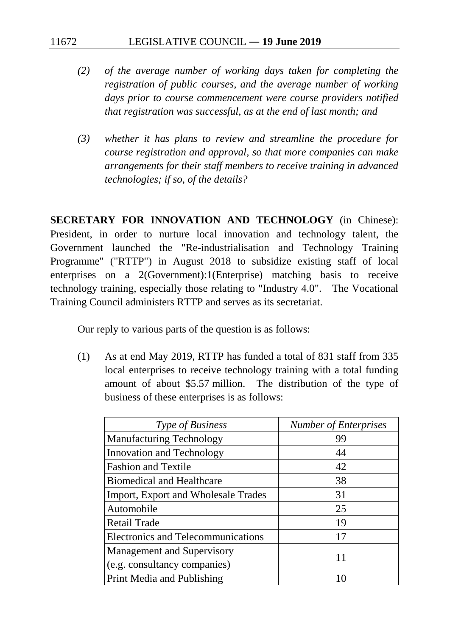- *(2) of the average number of working days taken for completing the registration of public courses, and the average number of working days prior to course commencement were course providers notified that registration was successful, as at the end of last month; and*
- *(3) whether it has plans to review and streamline the procedure for course registration and approval, so that more companies can make arrangements for their staff members to receive training in advanced technologies; if so, of the details?*

**SECRETARY FOR INNOVATION AND TECHNOLOGY** (in Chinese): President, in order to nurture local innovation and technology talent, the Government launched the "Re-industrialisation and Technology Training Programme" ("RTTP") in August 2018 to subsidize existing staff of local enterprises on a 2(Government):1(Enterprise) matching basis to receive technology training, especially those relating to "Industry 4.0". The Vocational Training Council administers RTTP and serves as its secretariat.

Our reply to various parts of the question is as follows:

(1) As at end May 2019, RTTP has funded a total of 831 staff from 335 local enterprises to receive technology training with a total funding amount of about \$5.57 million. The distribution of the type of business of these enterprises is as follows:

| Type of Business                          | <b>Number of Enterprises</b> |
|-------------------------------------------|------------------------------|
| <b>Manufacturing Technology</b>           | 99                           |
| Innovation and Technology                 | 44                           |
| <b>Fashion and Textile</b>                | 42                           |
| <b>Biomedical and Healthcare</b>          | 38                           |
| Import, Export and Wholesale Trades       | 31                           |
| Automobile                                | 25                           |
| <b>Retail Trade</b>                       | 19                           |
| <b>Electronics and Telecommunications</b> | 17                           |
| <b>Management and Supervisory</b>         |                              |
| (e.g. consultancy companies)              | 11                           |
| Print Media and Publishing                | 10                           |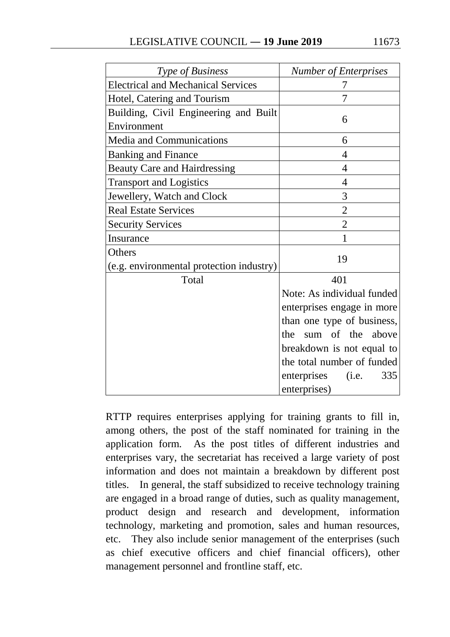| Type of Business                          | <b>Number of Enterprises</b> |  |
|-------------------------------------------|------------------------------|--|
| <b>Electrical and Mechanical Services</b> |                              |  |
| Hotel, Catering and Tourism               | 7                            |  |
| Building, Civil Engineering and Built     |                              |  |
| Environment                               | 6                            |  |
| Media and Communications                  | 6                            |  |
| <b>Banking and Finance</b>                | $\overline{4}$               |  |
| <b>Beauty Care and Hairdressing</b>       | $\overline{4}$               |  |
| <b>Transport and Logistics</b>            | $\overline{4}$               |  |
| Jewellery, Watch and Clock                | 3                            |  |
| <b>Real Estate Services</b>               | $\overline{2}$               |  |
| <b>Security Services</b>                  | $\overline{2}$               |  |
| Insurance                                 | 1                            |  |
| Others                                    |                              |  |
| (e.g. environmental protection industry)  | 19                           |  |
| Total                                     | 401                          |  |
|                                           | Note: As individual funded   |  |
|                                           | enterprises engage in more   |  |
|                                           | than one type of business,   |  |
|                                           | sum of the above<br>the      |  |
|                                           | breakdown is not equal to    |  |
|                                           | the total number of funded   |  |
|                                           | enterprises<br>(i.e.<br>335  |  |
|                                           | enterprises)                 |  |

RTTP requires enterprises applying for training grants to fill in, among others, the post of the staff nominated for training in the application form. As the post titles of different industries and enterprises vary, the secretariat has received a large variety of post information and does not maintain a breakdown by different post titles. In general, the staff subsidized to receive technology training are engaged in a broad range of duties, such as quality management, product design and research and development, information technology, marketing and promotion, sales and human resources, etc. They also include senior management of the enterprises (such as chief executive officers and chief financial officers), other management personnel and frontline staff, etc.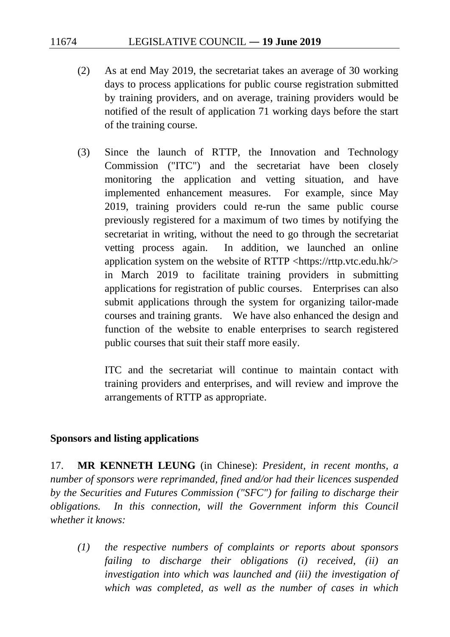- (2) As at end May 2019, the secretariat takes an average of 30 working days to process applications for public course registration submitted by training providers, and on average, training providers would be notified of the result of application 71 working days before the start of the training course.
- (3) Since the launch of RTTP, the Innovation and Technology Commission ("ITC") and the secretariat have been closely monitoring the application and vetting situation, and have implemented enhancement measures. For example, since May 2019, training providers could re-run the same public course previously registered for a maximum of two times by notifying the secretariat in writing, without the need to go through the secretariat vetting process again. In addition, we launched an online application system on the website of RTTP <https://rttp.vtc.edu.hk/> in March 2019 to facilitate training providers in submitting applications for registration of public courses. Enterprises can also submit applications through the system for organizing tailor-made courses and training grants. We have also enhanced the design and function of the website to enable enterprises to search registered public courses that suit their staff more easily.

ITC and the secretariat will continue to maintain contact with training providers and enterprises, and will review and improve the arrangements of RTTP as appropriate.

### **Sponsors and listing applications**

17. **MR KENNETH LEUNG** (in Chinese): *President, in recent months, a number of sponsors were reprimanded, fined and/or had their licences suspended by the Securities and Futures Commission ("SFC") for failing to discharge their obligations. In this connection, will the Government inform this Council whether it knows:* 

*(1) the respective numbers of complaints or reports about sponsors failing to discharge their obligations (i) received, (ii) an investigation into which was launched and (iii) the investigation of which was completed, as well as the number of cases in which*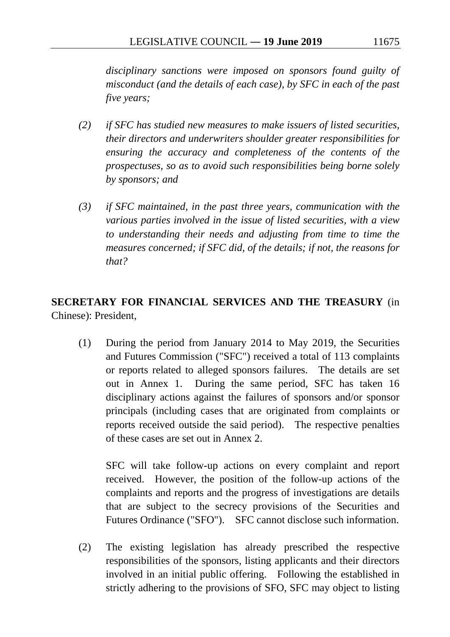*disciplinary sanctions were imposed on sponsors found guilty of misconduct (and the details of each case), by SFC in each of the past five years;* 

- *(2) if SFC has studied new measures to make issuers of listed securities, their directors and underwriters shoulder greater responsibilities for ensuring the accuracy and completeness of the contents of the prospectuses, so as to avoid such responsibilities being borne solely by sponsors; and*
- *(3) if SFC maintained, in the past three years, communication with the various parties involved in the issue of listed securities, with a view to understanding their needs and adjusting from time to time the measures concerned; if SFC did, of the details; if not, the reasons for that?*

# **SECRETARY FOR FINANCIAL SERVICES AND THE TREASURY** (in Chinese): President,

(1) During the period from January 2014 to May 2019, the Securities and Futures Commission ("SFC") received a total of 113 complaints or reports related to alleged sponsors failures. The details are set out in Annex 1. During the same period, SFC has taken 16 disciplinary actions against the failures of sponsors and/or sponsor principals (including cases that are originated from complaints or reports received outside the said period). The respective penalties of these cases are set out in Annex 2.

SFC will take follow-up actions on every complaint and report received. However, the position of the follow-up actions of the complaints and reports and the progress of investigations are details that are subject to the secrecy provisions of the Securities and Futures Ordinance ("SFO"). SFC cannot disclose such information.

(2) The existing legislation has already prescribed the respective responsibilities of the sponsors, listing applicants and their directors involved in an initial public offering. Following the established in strictly adhering to the provisions of SFO, SFC may object to listing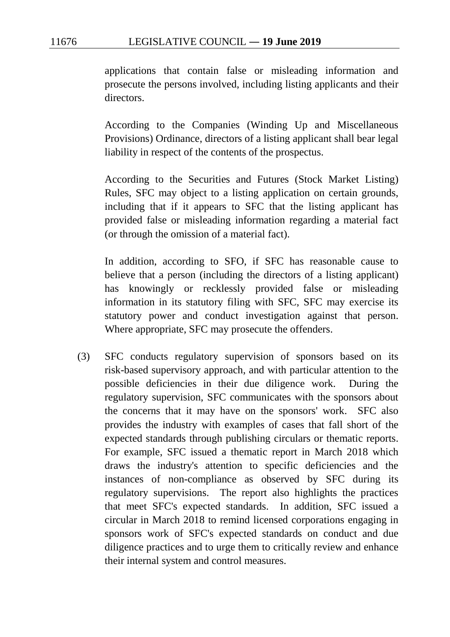applications that contain false or misleading information and prosecute the persons involved, including listing applicants and their directors.

According to the Companies (Winding Up and Miscellaneous Provisions) Ordinance, directors of a listing applicant shall bear legal liability in respect of the contents of the prospectus.

According to the Securities and Futures (Stock Market Listing) Rules, SFC may object to a listing application on certain grounds, including that if it appears to SFC that the listing applicant has provided false or misleading information regarding a material fact (or through the omission of a material fact).

In addition, according to SFO, if SFC has reasonable cause to believe that a person (including the directors of a listing applicant) has knowingly or recklessly provided false or misleading information in its statutory filing with SFC, SFC may exercise its statutory power and conduct investigation against that person. Where appropriate, SFC may prosecute the offenders.

(3) SFC conducts regulatory supervision of sponsors based on its risk-based supervisory approach, and with particular attention to the possible deficiencies in their due diligence work. During the regulatory supervision, SFC communicates with the sponsors about the concerns that it may have on the sponsors' work. SFC also provides the industry with examples of cases that fall short of the expected standards through publishing circulars or thematic reports. For example, SFC issued a thematic report in March 2018 which draws the industry's attention to specific deficiencies and the instances of non-compliance as observed by SFC during its regulatory supervisions. The report also highlights the practices that meet SFC's expected standards. In addition, SFC issued a circular in March 2018 to remind licensed corporations engaging in sponsors work of SFC's expected standards on conduct and due diligence practices and to urge them to critically review and enhance their internal system and control measures.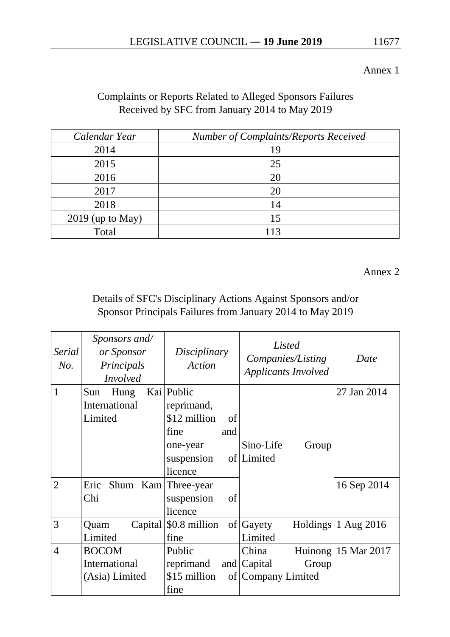Annex 1

# Complaints or Reports Related to Alleged Sponsors Failures Received by SFC from January 2014 to May 2019

| Calendar Year      | Number of Complaints/Reports Received |
|--------------------|---------------------------------------|
| 2014               | 19                                    |
| 2015               | 25                                    |
| 2016               | 20                                    |
| 2017               | 20                                    |
| 2018               | 14                                    |
| $2019$ (up to May) | 15                                    |
| Total              |                                       |

Annex 2

Details of SFC's Disciplinary Actions Against Sponsors and/or Sponsor Principals Failures from January 2014 to May 2019

| Serial<br>No.  | Sponsors and/<br>or Sponsor<br>Principals<br><b>Involved</b> | Disciplinary<br><b>Action</b>                                                                      | Listed<br>Companies/Listing<br><b>Applicants Involved</b> | Date                            |
|----------------|--------------------------------------------------------------|----------------------------------------------------------------------------------------------------|-----------------------------------------------------------|---------------------------------|
| 1              | Sun<br>Hung<br>International<br>Limited                      | Kai Public<br>reprimand,<br>\$12 million<br>of<br>fine<br>and<br>one-year<br>suspension<br>licence | Sino-Life<br>Group<br>of Limited                          | 27 Jan 2014                     |
| $\overline{2}$ | Eric<br>Shum Kam Three-year<br>Chi                           | of<br>suspension<br>licence                                                                        |                                                           | 16 Sep 2014                     |
| 3              | Quam<br>Limited                                              | Capital $\mid$ \$0.8 million of Gayety<br>fine                                                     | Limited                                                   | Holdings $ 1 \text{ Aug } 2016$ |
| $\overline{4}$ | <b>BOCOM</b><br>International<br>(Asia) Limited              | Public<br>reprimand<br>\$15 million<br>fine                                                        | China<br>and Capital<br>Group<br>of Company Limited       | Huinong $15$ Mar 2017           |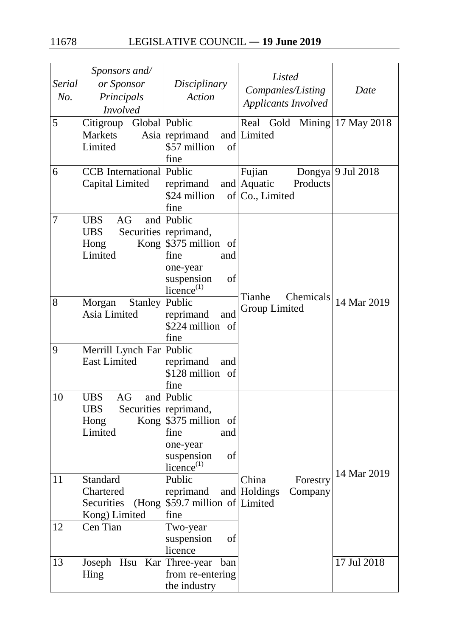| Serial<br>No.  | Sponsors and/<br>or Sponsor<br>Principals<br><b>Involved</b>  | Disciplinary<br><b>Action</b>                                                                                                             | Listed<br>Companies/Listing<br><b>Applicants Involved</b> | Date                  |
|----------------|---------------------------------------------------------------|-------------------------------------------------------------------------------------------------------------------------------------------|-----------------------------------------------------------|-----------------------|
| 5              | Global Public<br>Citigroup<br>Markets<br>Limited              | Asia reprimand<br>\$57 million<br>of<br>fine                                                                                              | Real Gold<br>and Limited                                  | Mining $ 17$ May 2018 |
| 6              | <b>CCB</b> International Public<br>Capital Limited            | reprimand<br>\$24 million<br>fine                                                                                                         | Fujian<br>Products<br>and Aquatic<br>of Co., Limited      | Dongya 9 Jul 2018     |
| $\overline{7}$ | AG<br><b>UBS</b><br><b>UBS</b><br>Hong<br>Limited             | and Public<br>Securities reprimand,<br>Kong $\frac{1}{375}$ million of<br>fine<br>and<br>one-year<br>suspension<br>of<br>licence $^{(1)}$ | Tianhe<br>Chemicals                                       |                       |
| 8              | Morgan<br>Stanley<br>Asia Limited                             | Public<br>reprimand<br>and<br>\$224 million of<br>fine                                                                                    | Group Limited                                             | 14 Mar 2019           |
| 9              | Merrill Lynch Far Public<br><b>East Limited</b>               | reprimand<br>and<br>\$128 million of<br>fine                                                                                              |                                                           |                       |
| 10             | <b>UBS</b><br>AG<br><b>UBS</b><br>Hong<br>Limited             | and Public<br>Securities reprimand,<br>Kong $\frac{1}{375}$ million of<br>fine<br>and<br>one-year<br>suspension<br>of<br>licence $^{(1)}$ |                                                           | 14 Mar 2019           |
| 11             | Standard<br>Chartered<br>Securities<br>(Hong<br>Kong) Limited | Public<br>reprimand<br>\$59.7 million of Limited<br>fine                                                                                  | China<br>Forestry<br>and Holdings<br>Company              |                       |
| 12             | Cen Tian                                                      | Two-year<br>suspension<br>of<br>licence                                                                                                   |                                                           |                       |
| 13             | Joseph<br>Hing                                                | Hsu Kar Three-year ban<br>from re-entering<br>the industry                                                                                |                                                           | 17 Jul 2018           |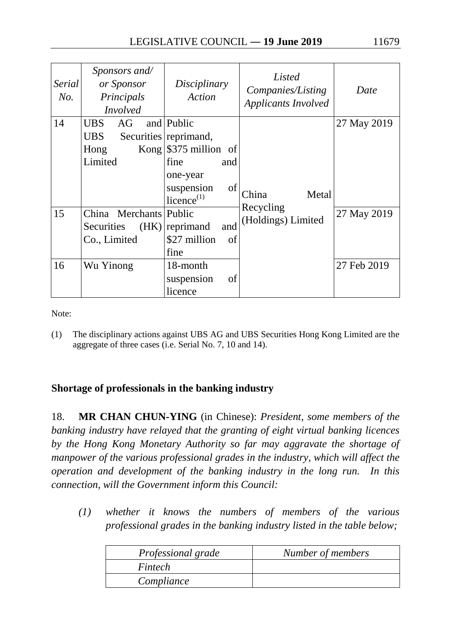| Serial<br>No. | Sponsors and/<br>or Sponsor<br>Principals<br><i>Involved</i>             | Disciplinary<br>Action                                                                                                                    | Listed<br>Companies/Listing<br><b>Applicants Involved</b> | Date                       |
|---------------|--------------------------------------------------------------------------|-------------------------------------------------------------------------------------------------------------------------------------------|-----------------------------------------------------------|----------------------------|
| 14            | <b>UBS</b><br>AG<br><b>UBS</b><br>Hong<br>Limited                        | and Public<br>Securities reprimand,<br>Kong $\frac{1}{375}$ million of<br>fine<br>and<br>one-year<br>of<br>suspension<br>licence $^{(1)}$ | Metal<br>China                                            | 27 May 2019                |
| 15<br>16      | China Merchants Public<br><b>Securities</b><br>Co., Limited<br>Wu Yinong | and<br>$(HK)$   reprimand<br>\$27 million<br>of<br>fine<br>18-month<br>suspension<br>of<br>licence                                        | Recycling<br>(Holdings) Limited                           | 27 May 2019<br>27 Feb 2019 |

Note:

(1) The disciplinary actions against UBS AG and UBS Securities Hong Kong Limited are the aggregate of three cases (i.e. Serial No. 7, 10 and 14).

# **Shortage of professionals in the banking industry**

18. **MR CHAN CHUN-YING** (in Chinese): *President, some members of the banking industry have relayed that the granting of eight virtual banking licences by the Hong Kong Monetary Authority so far may aggravate the shortage of manpower of the various professional grades in the industry, which will affect the operation and development of the banking industry in the long run. In this connection, will the Government inform this Council:* 

*(1) whether it knows the numbers of members of the various professional grades in the banking industry listed in the table below;* 

| Professional grade | Number of members |
|--------------------|-------------------|
| Fintech            |                   |
| Compliance         |                   |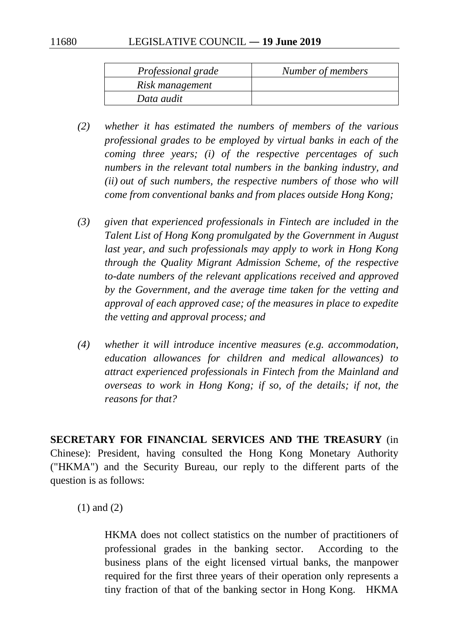| Professional grade | Number of members |
|--------------------|-------------------|
| Risk management    |                   |
| Data audit         |                   |

- *(2) whether it has estimated the numbers of members of the various professional grades to be employed by virtual banks in each of the coming three years; (i) of the respective percentages of such numbers in the relevant total numbers in the banking industry, and (ii) out of such numbers, the respective numbers of those who will come from conventional banks and from places outside Hong Kong;*
- *(3) given that experienced professionals in Fintech are included in the Talent List of Hong Kong promulgated by the Government in August*  last year, and such professionals may apply to work in Hong Kong *through the Quality Migrant Admission Scheme, of the respective to-date numbers of the relevant applications received and approved by the Government, and the average time taken for the vetting and approval of each approved case; of the measures in place to expedite the vetting and approval process; and*
- *(4) whether it will introduce incentive measures (e.g. accommodation, education allowances for children and medical allowances) to attract experienced professionals in Fintech from the Mainland and overseas to work in Hong Kong; if so, of the details; if not, the reasons for that?*

**SECRETARY FOR FINANCIAL SERVICES AND THE TREASURY** (in Chinese): President, having consulted the Hong Kong Monetary Authority ("HKMA") and the Security Bureau, our reply to the different parts of the question is as follows:

(1) and (2)

HKMA does not collect statistics on the number of practitioners of professional grades in the banking sector. According to the business plans of the eight licensed virtual banks, the manpower required for the first three years of their operation only represents a tiny fraction of that of the banking sector in Hong Kong. HKMA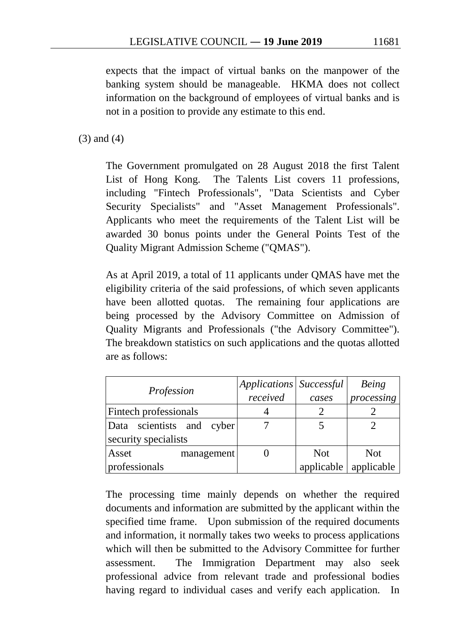expects that the impact of virtual banks on the manpower of the banking system should be manageable. HKMA does not collect information on the background of employees of virtual banks and is not in a position to provide any estimate to this end.

(3) and (4)

The Government promulgated on 28 August 2018 the first Talent List of Hong Kong. The Talents List covers 11 professions, including "Fintech Professionals", "Data Scientists and Cyber Security Specialists" and "Asset Management Professionals". Applicants who meet the requirements of the Talent List will be awarded 30 bonus points under the General Points Test of the Quality Migrant Admission Scheme ("QMAS").

As at April 2019, a total of 11 applicants under QMAS have met the eligibility criteria of the said professions, of which seven applicants have been allotted quotas. The remaining four applications are being processed by the Advisory Committee on Admission of Quality Migrants and Professionals ("the Advisory Committee"). The breakdown statistics on such applications and the quotas allotted are as follows:

|                              | Applications   Successful |            | Being      |
|------------------------------|---------------------------|------------|------------|
| Profession                   | received                  | cases      | processing |
| <b>Fintech professionals</b> |                           |            |            |
| scientists and cyber<br>Data |                           |            |            |
| security specialists         |                           |            |            |
| Asset<br>management          |                           | <b>Not</b> | <b>Not</b> |
| professionals                |                           | applicable | applicable |

The processing time mainly depends on whether the required documents and information are submitted by the applicant within the specified time frame. Upon submission of the required documents and information, it normally takes two weeks to process applications which will then be submitted to the Advisory Committee for further assessment. The Immigration Department may also seek professional advice from relevant trade and professional bodies having regard to individual cases and verify each application. In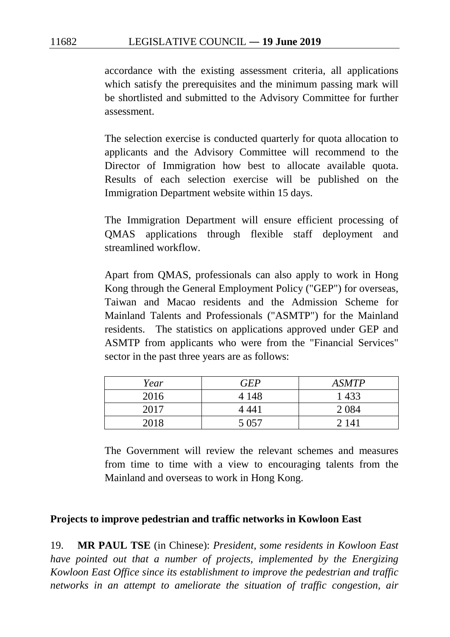accordance with the existing assessment criteria, all applications which satisfy the prerequisites and the minimum passing mark will be shortlisted and submitted to the Advisory Committee for further assessment.

The selection exercise is conducted quarterly for quota allocation to applicants and the Advisory Committee will recommend to the Director of Immigration how best to allocate available quota. Results of each selection exercise will be published on the Immigration Department website within 15 days.

The Immigration Department will ensure efficient processing of QMAS applications through flexible staff deployment and streamlined workflow.

Apart from QMAS, professionals can also apply to work in Hong Kong through the General Employment Policy ("GEP") for overseas, Taiwan and Macao residents and the Admission Scheme for Mainland Talents and Professionals ("ASMTP") for the Mainland residents. The statistics on applications approved under GEP and ASMTP from applicants who were from the "Financial Services" sector in the past three years are as follows:

| Year | <b>GEP</b> | <b>ASMTP</b> |
|------|------------|--------------|
| 2016 | 4 1 4 8    | 1433         |
| 2017 | 4 441      | 2 0 8 4      |
| 2018 | 5 0 5 7    | 2 1 4 1      |

The Government will review the relevant schemes and measures from time to time with a view to encouraging talents from the Mainland and overseas to work in Hong Kong.

#### **Projects to improve pedestrian and traffic networks in Kowloon East**

19. **MR PAUL TSE** (in Chinese): *President, some residents in Kowloon East have pointed out that a number of projects, implemented by the Energizing Kowloon East Office since its establishment to improve the pedestrian and traffic networks in an attempt to ameliorate the situation of traffic congestion, air*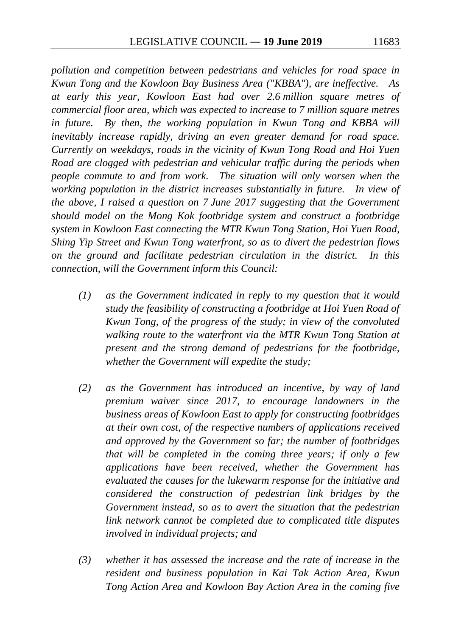*pollution and competition between pedestrians and vehicles for road space in Kwun Tong and the Kowloon Bay Business Area ("KBBA"), are ineffective. As at early this year, Kowloon East had over 2.6 million square metres of commercial floor area, which was expected to increase to 7 million square metres in future. By then, the working population in Kwun Tong and KBBA will inevitably increase rapidly, driving an even greater demand for road space. Currently on weekdays, roads in the vicinity of Kwun Tong Road and Hoi Yuen Road are clogged with pedestrian and vehicular traffic during the periods when people commute to and from work. The situation will only worsen when the working population in the district increases substantially in future. In view of the above, I raised a question on 7 June 2017 suggesting that the Government should model on the Mong Kok footbridge system and construct a footbridge system in Kowloon East connecting the MTR Kwun Tong Station, Hoi Yuen Road, Shing Yip Street and Kwun Tong waterfront, so as to divert the pedestrian flows on the ground and facilitate pedestrian circulation in the district. In this connection, will the Government inform this Council:* 

- *(1) as the Government indicated in reply to my question that it would study the feasibility of constructing a footbridge at Hoi Yuen Road of Kwun Tong, of the progress of the study; in view of the convoluted walking route to the waterfront via the MTR Kwun Tong Station at present and the strong demand of pedestrians for the footbridge, whether the Government will expedite the study;*
- *(2) as the Government has introduced an incentive, by way of land premium waiver since 2017, to encourage landowners in the business areas of Kowloon East to apply for constructing footbridges at their own cost, of the respective numbers of applications received and approved by the Government so far; the number of footbridges that will be completed in the coming three years; if only a few applications have been received, whether the Government has evaluated the causes for the lukewarm response for the initiative and considered the construction of pedestrian link bridges by the Government instead, so as to avert the situation that the pedestrian link network cannot be completed due to complicated title disputes involved in individual projects; and*
- *(3) whether it has assessed the increase and the rate of increase in the resident and business population in Kai Tak Action Area, Kwun Tong Action Area and Kowloon Bay Action Area in the coming five*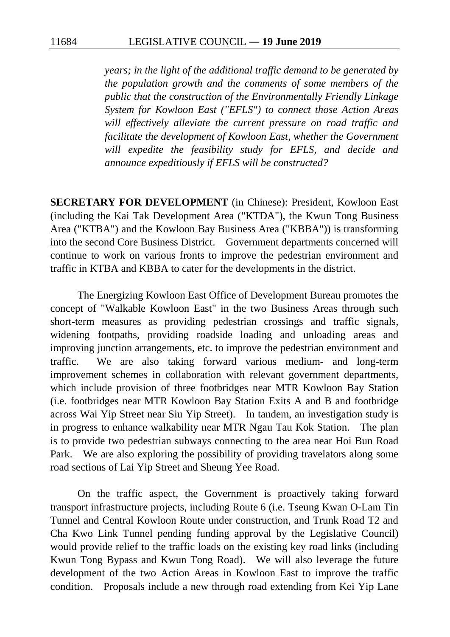*years; in the light of the additional traffic demand to be generated by the population growth and the comments of some members of the public that the construction of the Environmentally Friendly Linkage System for Kowloon East ("EFLS") to connect those Action Areas will effectively alleviate the current pressure on road traffic and facilitate the development of Kowloon East, whether the Government will expedite the feasibility study for EFLS, and decide and announce expeditiously if EFLS will be constructed?* 

**SECRETARY FOR DEVELOPMENT** (in Chinese): President, Kowloon East (including the Kai Tak Development Area ("KTDA"), the Kwun Tong Business Area ("KTBA") and the Kowloon Bay Business Area ("KBBA")) is transforming into the second Core Business District. Government departments concerned will continue to work on various fronts to improve the pedestrian environment and traffic in KTBA and KBBA to cater for the developments in the district.

The Energizing Kowloon East Office of Development Bureau promotes the concept of "Walkable Kowloon East" in the two Business Areas through such short-term measures as providing pedestrian crossings and traffic signals, widening footpaths, providing roadside loading and unloading areas and improving junction arrangements, etc. to improve the pedestrian environment and traffic. We are also taking forward various medium- and long-term improvement schemes in collaboration with relevant government departments, which include provision of three footbridges near MTR Kowloon Bay Station (i.e. footbridges near MTR Kowloon Bay Station Exits A and B and footbridge across Wai Yip Street near Siu Yip Street). In tandem, an investigation study is in progress to enhance walkability near MTR Ngau Tau Kok Station. The plan is to provide two pedestrian subways connecting to the area near Hoi Bun Road Park. We are also exploring the possibility of providing travelators along some road sections of Lai Yip Street and Sheung Yee Road.

On the traffic aspect, the Government is proactively taking forward transport infrastructure projects, including Route 6 (i.e. Tseung Kwan O-Lam Tin Tunnel and Central Kowloon Route under construction, and Trunk Road T2 and Cha Kwo Link Tunnel pending funding approval by the Legislative Council) would provide relief to the traffic loads on the existing key road links (including Kwun Tong Bypass and Kwun Tong Road). We will also leverage the future development of the two Action Areas in Kowloon East to improve the traffic condition. Proposals include a new through road extending from Kei Yip Lane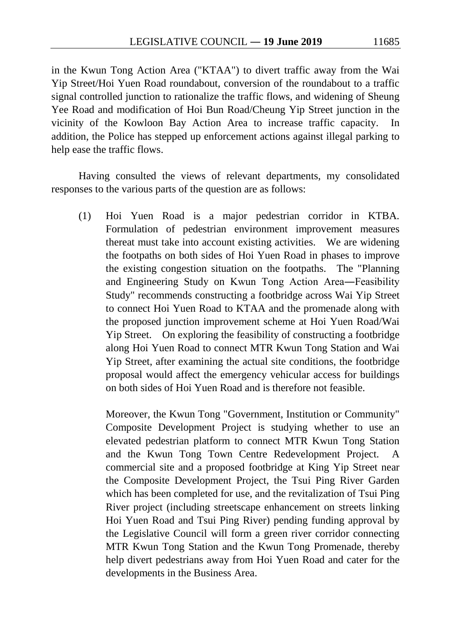in the Kwun Tong Action Area ("KTAA") to divert traffic away from the Wai Yip Street/Hoi Yuen Road roundabout, conversion of the roundabout to a traffic signal controlled junction to rationalize the traffic flows, and widening of Sheung Yee Road and modification of Hoi Bun Road/Cheung Yip Street junction in the vicinity of the Kowloon Bay Action Area to increase traffic capacity. In addition, the Police has stepped up enforcement actions against illegal parking to help ease the traffic flows.

Having consulted the views of relevant departments, my consolidated responses to the various parts of the question are as follows:

(1) Hoi Yuen Road is a major pedestrian corridor in KTBA. Formulation of pedestrian environment improvement measures thereat must take into account existing activities. We are widening the footpaths on both sides of Hoi Yuen Road in phases to improve the existing congestion situation on the footpaths. The "Planning and Engineering Study on Kwun Tong Action Area―Feasibility Study" recommends constructing a footbridge across Wai Yip Street to connect Hoi Yuen Road to KTAA and the promenade along with the proposed junction improvement scheme at Hoi Yuen Road/Wai Yip Street. On exploring the feasibility of constructing a footbridge along Hoi Yuen Road to connect MTR Kwun Tong Station and Wai Yip Street, after examining the actual site conditions, the footbridge proposal would affect the emergency vehicular access for buildings on both sides of Hoi Yuen Road and is therefore not feasible.

Moreover, the Kwun Tong "Government, Institution or Community" Composite Development Project is studying whether to use an elevated pedestrian platform to connect MTR Kwun Tong Station and the Kwun Tong Town Centre Redevelopment Project. A commercial site and a proposed footbridge at King Yip Street near the Composite Development Project, the Tsui Ping River Garden which has been completed for use, and the revitalization of Tsui Ping River project (including streetscape enhancement on streets linking Hoi Yuen Road and Tsui Ping River) pending funding approval by the Legislative Council will form a green river corridor connecting MTR Kwun Tong Station and the Kwun Tong Promenade, thereby help divert pedestrians away from Hoi Yuen Road and cater for the developments in the Business Area.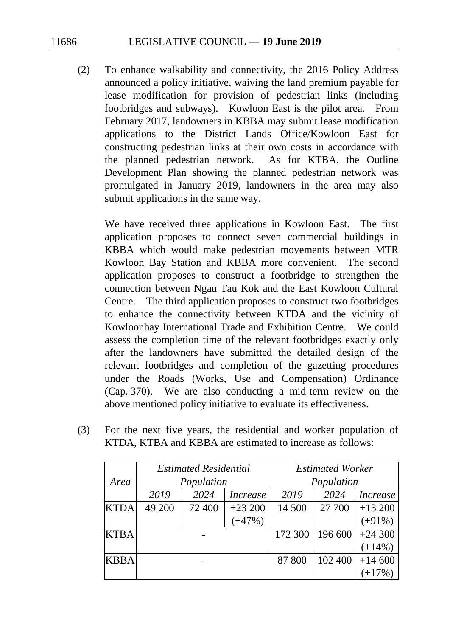(2) To enhance walkability and connectivity, the 2016 Policy Address announced a policy initiative, waiving the land premium payable for lease modification for provision of pedestrian links (including footbridges and subways). Kowloon East is the pilot area. From February 2017, landowners in KBBA may submit lease modification applications to the District Lands Office/Kowloon East for constructing pedestrian links at their own costs in accordance with the planned pedestrian network. As for KTBA, the Outline Development Plan showing the planned pedestrian network was promulgated in January 2019, landowners in the area may also submit applications in the same way.

We have received three applications in Kowloon East. The first application proposes to connect seven commercial buildings in KBBA which would make pedestrian movements between MTR Kowloon Bay Station and KBBA more convenient. The second application proposes to construct a footbridge to strengthen the connection between Ngau Tau Kok and the East Kowloon Cultural Centre. The third application proposes to construct two footbridges to enhance the connectivity between KTDA and the vicinity of Kowloonbay International Trade and Exhibition Centre. We could assess the completion time of the relevant footbridges exactly only after the landowners have submitted the detailed design of the relevant footbridges and completion of the gazetting procedures under the Roads (Works, Use and Compensation) Ordinance (Cap. 370). We are also conducting a mid-term review on the above mentioned policy initiative to evaluate its effectiveness.

(3) For the next five years, the residential and worker population of KTDA, KTBA and KBBA are estimated to increase as follows:

|             | <b>Estimated Residential</b> |        | <b>Estimated Worker</b> |         |         |                 |
|-------------|------------------------------|--------|-------------------------|---------|---------|-----------------|
| Area        | Population                   |        | Population              |         |         |                 |
|             | 2019                         | 2024   | <i>Increase</i>         | 2019    | 2024    | <i>Increase</i> |
| <b>KTDA</b> | 49 200                       | 72 400 | $+23200$                | 14 500  | 27 700  | $+13200$        |
|             |                              |        | $(+47%)$                |         |         | $(+91\%)$       |
| <b>KTBA</b> |                              |        |                         | 172 300 | 196 600 | $+24300$        |
|             |                              |        |                         |         |         | $(+14%)$        |
| <b>KBBA</b> |                              |        |                         | 87 800  | 102 400 | $+14600$        |
|             |                              |        |                         |         |         | $+17\%$         |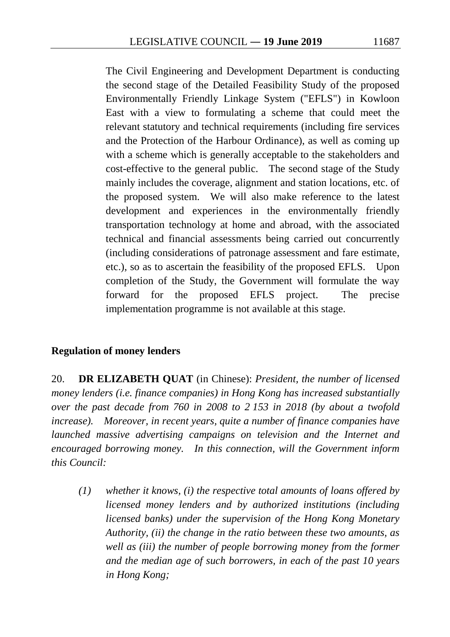The Civil Engineering and Development Department is conducting the second stage of the Detailed Feasibility Study of the proposed Environmentally Friendly Linkage System ("EFLS") in Kowloon East with a view to formulating a scheme that could meet the relevant statutory and technical requirements (including fire services and the Protection of the Harbour Ordinance), as well as coming up with a scheme which is generally acceptable to the stakeholders and cost-effective to the general public. The second stage of the Study mainly includes the coverage, alignment and station locations, etc. of the proposed system. We will also make reference to the latest development and experiences in the environmentally friendly transportation technology at home and abroad, with the associated technical and financial assessments being carried out concurrently (including considerations of patronage assessment and fare estimate, etc.), so as to ascertain the feasibility of the proposed EFLS. Upon completion of the Study, the Government will formulate the way forward for the proposed EFLS project. The precise implementation programme is not available at this stage.

### **Regulation of money lenders**

20. **DR ELIZABETH QUAT** (in Chinese): *President, the number of licensed money lenders (i.e. finance companies) in Hong Kong has increased substantially over the past decade from 760 in 2008 to 2 153 in 2018 (by about a twofold increase). Moreover, in recent years, quite a number of finance companies have launched massive advertising campaigns on television and the Internet and encouraged borrowing money. In this connection, will the Government inform this Council:* 

*(1) whether it knows, (i) the respective total amounts of loans offered by licensed money lenders and by authorized institutions (including licensed banks) under the supervision of the Hong Kong Monetary Authority, (ii) the change in the ratio between these two amounts, as well as (iii) the number of people borrowing money from the former and the median age of such borrowers, in each of the past 10 years in Hong Kong;*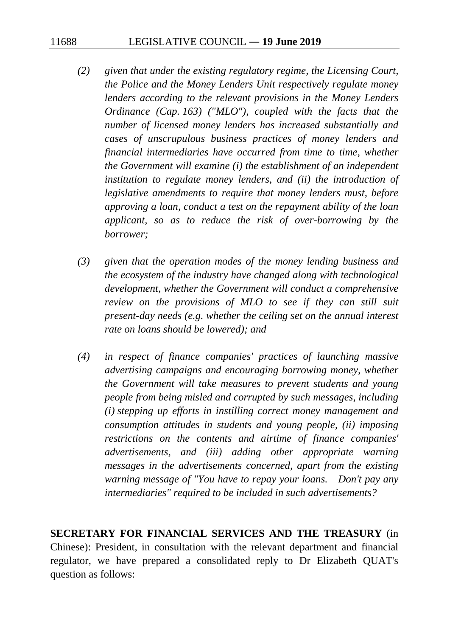- *(2) given that under the existing regulatory regime, the Licensing Court, the Police and the Money Lenders Unit respectively regulate money lenders according to the relevant provisions in the Money Lenders Ordinance (Cap. 163) ("MLO"), coupled with the facts that the number of licensed money lenders has increased substantially and cases of unscrupulous business practices of money lenders and financial intermediaries have occurred from time to time, whether the Government will examine (i) the establishment of an independent institution to regulate money lenders, and (ii) the introduction of legislative amendments to require that money lenders must, before approving a loan, conduct a test on the repayment ability of the loan applicant, so as to reduce the risk of over-borrowing by the borrower;*
- *(3) given that the operation modes of the money lending business and the ecosystem of the industry have changed along with technological development, whether the Government will conduct a comprehensive review on the provisions of MLO to see if they can still suit present-day needs (e.g. whether the ceiling set on the annual interest rate on loans should be lowered); and*
- *(4) in respect of finance companies' practices of launching massive advertising campaigns and encouraging borrowing money, whether the Government will take measures to prevent students and young people from being misled and corrupted by such messages, including (i) stepping up efforts in instilling correct money management and consumption attitudes in students and young people, (ii) imposing restrictions on the contents and airtime of finance companies' advertisements, and (iii) adding other appropriate warning messages in the advertisements concerned, apart from the existing warning message of "You have to repay your loans. Don't pay any intermediaries" required to be included in such advertisements?*

**SECRETARY FOR FINANCIAL SERVICES AND THE TREASURY** (in Chinese): President, in consultation with the relevant department and financial regulator, we have prepared a consolidated reply to Dr Elizabeth QUAT's question as follows: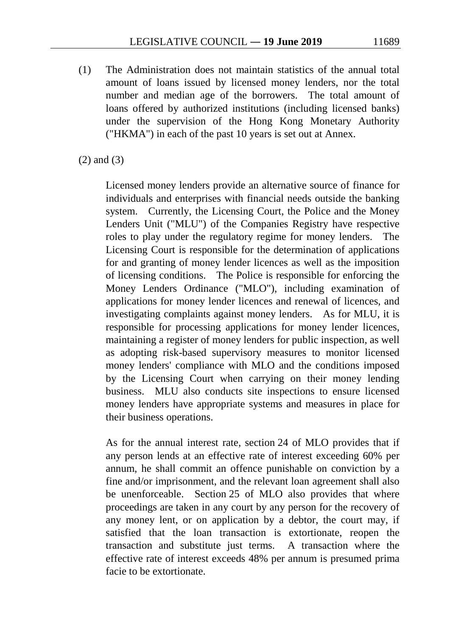(1) The Administration does not maintain statistics of the annual total amount of loans issued by licensed money lenders, nor the total number and median age of the borrowers. The total amount of loans offered by authorized institutions (including licensed banks) under the supervision of the Hong Kong Monetary Authority ("HKMA") in each of the past 10 years is set out at Annex.

(2) and (3)

Licensed money lenders provide an alternative source of finance for individuals and enterprises with financial needs outside the banking system. Currently, the Licensing Court, the Police and the Money Lenders Unit ("MLU") of the Companies Registry have respective roles to play under the regulatory regime for money lenders. The Licensing Court is responsible for the determination of applications for and granting of money lender licences as well as the imposition of licensing conditions. The Police is responsible for enforcing the Money Lenders Ordinance ("MLO"), including examination of applications for money lender licences and renewal of licences, and investigating complaints against money lenders. As for MLU, it is responsible for processing applications for money lender licences, maintaining a register of money lenders for public inspection, as well as adopting risk-based supervisory measures to monitor licensed money lenders' compliance with MLO and the conditions imposed by the Licensing Court when carrying on their money lending business. MLU also conducts site inspections to ensure licensed money lenders have appropriate systems and measures in place for their business operations.

As for the annual interest rate, section 24 of MLO provides that if any person lends at an effective rate of interest exceeding 60% per annum, he shall commit an offence punishable on conviction by a fine and/or imprisonment, and the relevant loan agreement shall also be unenforceable. Section 25 of MLO also provides that where proceedings are taken in any court by any person for the recovery of any money lent, or on application by a debtor, the court may, if satisfied that the loan transaction is extortionate, reopen the transaction and substitute just terms. A transaction where the effective rate of interest exceeds 48% per annum is presumed prima facie to be extortionate.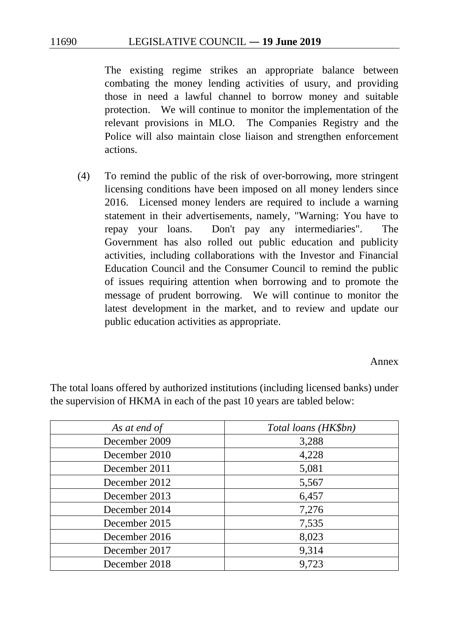The existing regime strikes an appropriate balance between combating the money lending activities of usury, and providing those in need a lawful channel to borrow money and suitable protection. We will continue to monitor the implementation of the relevant provisions in MLO. The Companies Registry and the Police will also maintain close liaison and strengthen enforcement actions.

(4) To remind the public of the risk of over-borrowing, more stringent licensing conditions have been imposed on all money lenders since 2016. Licensed money lenders are required to include a warning statement in their advertisements, namely, "Warning: You have to repay your loans. Don't pay any intermediaries". The Government has also rolled out public education and publicity activities, including collaborations with the Investor and Financial Education Council and the Consumer Council to remind the public of issues requiring attention when borrowing and to promote the message of prudent borrowing. We will continue to monitor the latest development in the market, and to review and update our public education activities as appropriate.

#### Annex

| As at end of  | Total loans (HK\$bn) |
|---------------|----------------------|
| December 2009 | 3,288                |
| December 2010 | 4,228                |
| December 2011 | 5,081                |
| December 2012 | 5,567                |
| December 2013 | 6,457                |
| December 2014 | 7,276                |
| December 2015 | 7,535                |
| December 2016 | 8,023                |
| December 2017 | 9,314                |
| December 2018 | 9,723                |

The total loans offered by authorized institutions (including licensed banks) under the supervision of HKMA in each of the past 10 years are tabled below: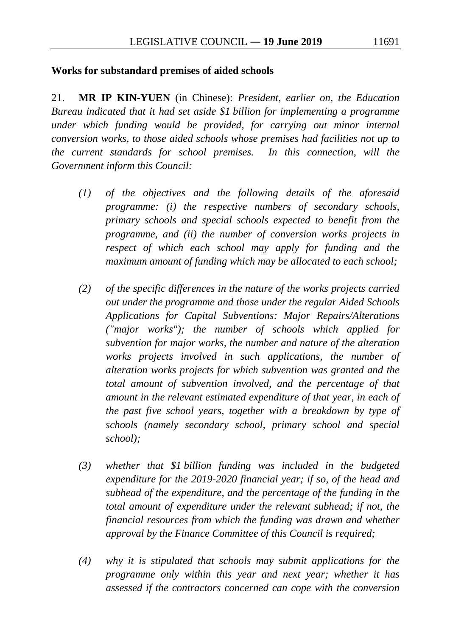21. **MR IP KIN-YUEN** (in Chinese): *President, earlier on, the Education Bureau indicated that it had set aside \$1 billion for implementing a programme under which funding would be provided, for carrying out minor internal conversion works, to those aided schools whose premises had facilities not up to the current standards for school premises. In this connection, will the Government inform this Council:* 

- *(1) of the objectives and the following details of the aforesaid programme: (i) the respective numbers of secondary schools, primary schools and special schools expected to benefit from the programme, and (ii) the number of conversion works projects in respect of which each school may apply for funding and the maximum amount of funding which may be allocated to each school;*
- *(2) of the specific differences in the nature of the works projects carried out under the programme and those under the regular Aided Schools Applications for Capital Subventions: Major Repairs/Alterations ("major works"); the number of schools which applied for subvention for major works, the number and nature of the alteration works projects involved in such applications, the number of alteration works projects for which subvention was granted and the total amount of subvention involved, and the percentage of that amount in the relevant estimated expenditure of that year, in each of the past five school years, together with a breakdown by type of schools (namely secondary school, primary school and special school);*
- *(3) whether that \$1 billion funding was included in the budgeted expenditure for the 2019-2020 financial year; if so, of the head and subhead of the expenditure, and the percentage of the funding in the total amount of expenditure under the relevant subhead; if not, the financial resources from which the funding was drawn and whether approval by the Finance Committee of this Council is required;*
- *(4) why it is stipulated that schools may submit applications for the programme only within this year and next year; whether it has assessed if the contractors concerned can cope with the conversion*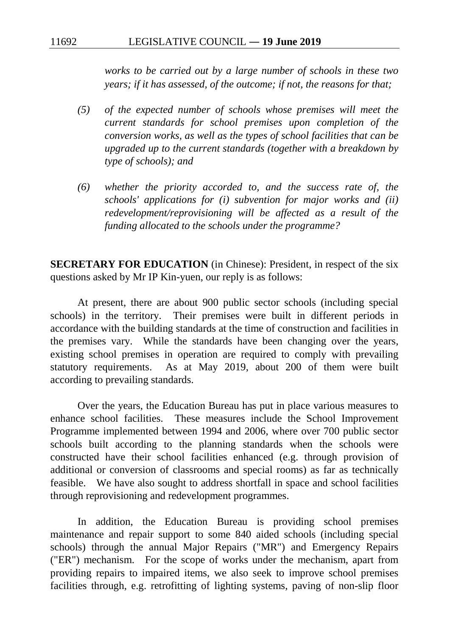*works to be carried out by a large number of schools in these two years; if it has assessed, of the outcome; if not, the reasons for that;* 

- *(5) of the expected number of schools whose premises will meet the current standards for school premises upon completion of the conversion works, as well as the types of school facilities that can be upgraded up to the current standards (together with a breakdown by type of schools); and*
- *(6) whether the priority accorded to, and the success rate of, the schools' applications for (i) subvention for major works and (ii) redevelopment/reprovisioning will be affected as a result of the funding allocated to the schools under the programme?*

**SECRETARY FOR EDUCATION** (in Chinese): President, in respect of the six questions asked by Mr IP Kin-yuen, our reply is as follows:

At present, there are about 900 public sector schools (including special schools) in the territory. Their premises were built in different periods in accordance with the building standards at the time of construction and facilities in the premises vary. While the standards have been changing over the years, existing school premises in operation are required to comply with prevailing statutory requirements. As at May 2019, about 200 of them were built according to prevailing standards.

Over the years, the Education Bureau has put in place various measures to enhance school facilities. These measures include the School Improvement Programme implemented between 1994 and 2006, where over 700 public sector schools built according to the planning standards when the schools were constructed have their school facilities enhanced (e.g. through provision of additional or conversion of classrooms and special rooms) as far as technically feasible. We have also sought to address shortfall in space and school facilities through reprovisioning and redevelopment programmes.

In addition, the Education Bureau is providing school premises maintenance and repair support to some 840 aided schools (including special schools) through the annual Major Repairs ("MR") and Emergency Repairs ("ER") mechanism. For the scope of works under the mechanism, apart from providing repairs to impaired items, we also seek to improve school premises facilities through, e.g. retrofitting of lighting systems, paving of non-slip floor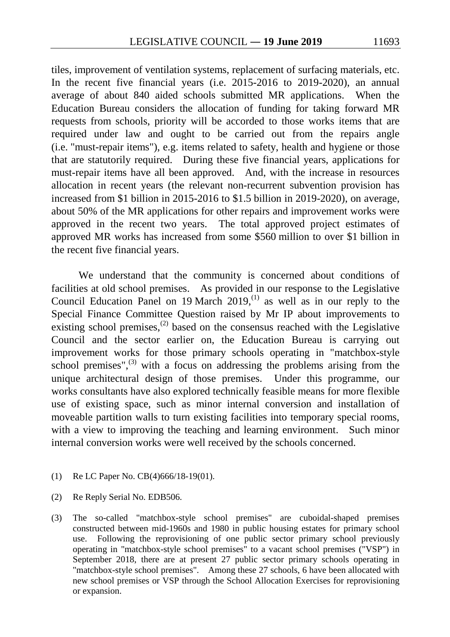tiles, improvement of ventilation systems, replacement of surfacing materials, etc. In the recent five financial years (i.e. 2015-2016 to 2019-2020), an annual average of about 840 aided schools submitted MR applications. When the Education Bureau considers the allocation of funding for taking forward MR requests from schools, priority will be accorded to those works items that are required under law and ought to be carried out from the repairs angle (i.e. "must-repair items"), e.g. items related to safety, health and hygiene or those that are statutorily required. During these five financial years, applications for must-repair items have all been approved. And, with the increase in resources allocation in recent years (the relevant non-recurrent subvention provision has increased from \$1 billion in 2015-2016 to \$1.5 billion in 2019-2020), on average, about 50% of the MR applications for other repairs and improvement works were approved in the recent two years. The total approved project estimates of approved MR works has increased from some \$560 million to over \$1 billion in the recent five financial years.

We understand that the community is concerned about conditions of facilities at old school premises. As provided in our response to the Legislative Council Education Panel on 19 March 2019,<sup>[\(1\)](#page-172-0)</sup> as well as in our reply to the Special Finance Committee Question raised by Mr IP about improvements to existing school premises,<sup>[\(2\)](#page-172-1)</sup> based on the consensus reached with the Legislative Council and the sector earlier on, the Education Bureau is carrying out improvement works for those primary schools operating in "matchbox-style school premises", $^{(3)}$  $^{(3)}$  $^{(3)}$  with a focus on addressing the problems arising from the unique architectural design of those premises. Under this programme, our works consultants have also explored technically feasible means for more flexible use of existing space, such as minor internal conversion and installation of moveable partition walls to turn existing facilities into temporary special rooms, with a view to improving the teaching and learning environment. Such minor internal conversion works were well received by the schools concerned.

- <span id="page-172-0"></span>(1) Re LC Paper No. CB(4)666/18-19(01).
- <span id="page-172-1"></span>(2) Re Reply Serial No. EDB506.
- <span id="page-172-2"></span>(3) The so-called "matchbox-style school premises" are cuboidal-shaped premises constructed between mid-1960s and 1980 in public housing estates for primary school use. Following the reprovisioning of one public sector primary school previously operating in "matchbox-style school premises" to a vacant school premises ("VSP") in September 2018, there are at present 27 public sector primary schools operating in "matchbox-style school premises". Among these 27 schools, 6 have been allocated with new school premises or VSP through the School Allocation Exercises for reprovisioning or expansion.